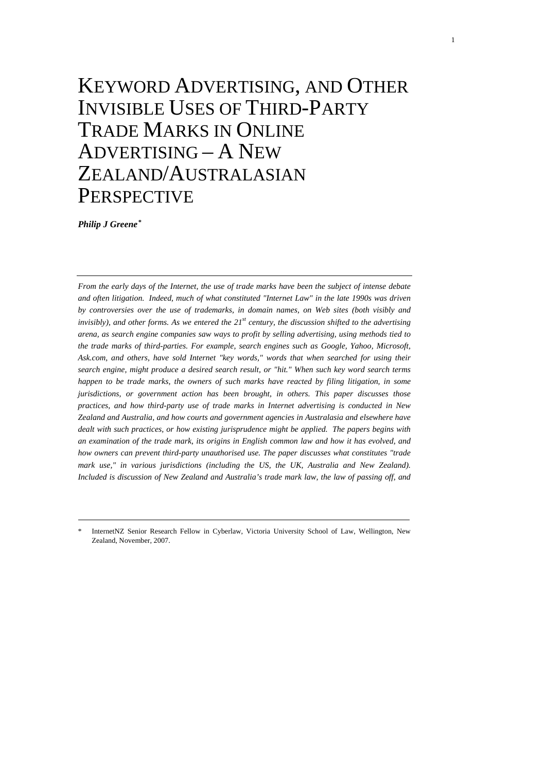# KEYWORD ADVERTISING, AND OTHER INVISIBLE USES OF THIRD-PARTY TRADE MARKS IN ONLINE ADVERTISING – A NEW ZEALAND/AUSTRALASIAN **PERSPECTIVE**

*Philip J Greene[\\*](#page-0-0)*

*From the early days of the Internet, the use of trade marks have been the subject of intense debate and often litigation. Indeed, much of what constituted "Internet Law" in the late 1990s was driven by controversies over the use of trademarks, in domain names, on Web sites (both visibly and invisibly), and other forms. As we entered the 21st century, the discussion shifted to the advertising arena, as search engine companies saw ways to profit by selling advertising, using methods tied to the trade marks of third-parties. For example, search engines such as Google, Yahoo, Microsoft, Ask.com, and others, have sold Internet "key words," words that when searched for using their search engine, might produce a desired search result, or "hit." When such key word search terms happen to be trade marks, the owners of such marks have reacted by filing litigation, in some jurisdictions, or government action has been brought, in others. This paper discusses those practices, and how third-party use of trade marks in Internet advertising is conducted in New Zealand and Australia, and how courts and government agencies in Australasia and elsewhere have dealt with such practices, or how existing jurisprudence might be applied. The papers begins with an examination of the trade mark, its origins in English common law and how it has evolved, and how owners can prevent third-party unauthorised use. The paper discusses what constitutes "trade*  mark use," in various jurisdictions (including the US, the UK, Australia and New Zealand). *Included is discussion of New Zealand and Australia's trade mark law, the law of passing off, and* 

<span id="page-0-0"></span>InternetNZ Senior Research Fellow in Cyberlaw, Victoria University School of Law, Wellington, New Zealand, November, 2007.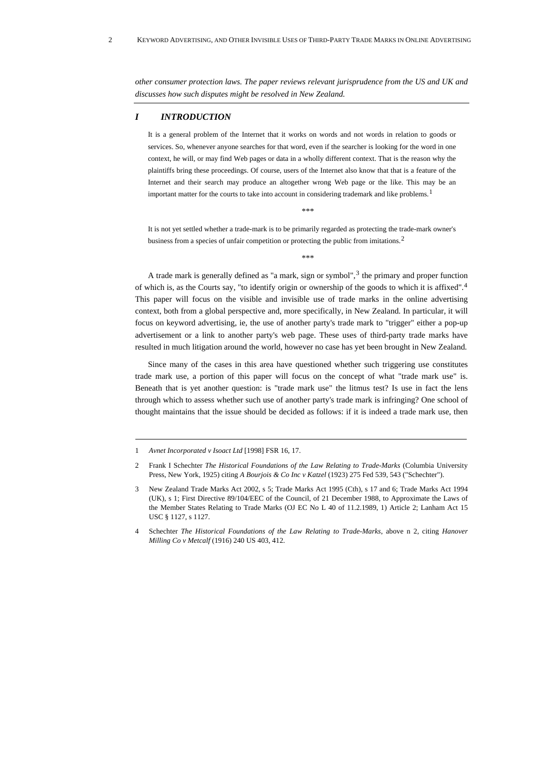*other consumer protection laws. The paper reviews relevant jurisprudence from the US and UK and discusses how such disputes might be resolved in New Zealand.* 

# *I INTRODUCTION*

It is a general problem of the Internet that it works on words and not words in relation to goods or services. So, whenever anyone searches for that word, even if the searcher is looking for the word in one context, he will, or may find Web pages or data in a wholly different context. That is the reason why the plaintiffs bring these proceedings. Of course, users of the Internet also know that that is a feature of the Internet and their search may produce an altogether wrong Web page or the like. This may be an important matter for the courts to take into account in considering trademark and like problems.<sup>[1](#page-1-0)</sup>

\*\*\*

It is not yet settled whether a trade-mark is to be primarily regarded as protecting the trade-mark owner's business from a species of unfair competition or protecting the public from imitations.<sup>[2](#page-1-1)</sup>

\*\*\*

A trade mark is generally defined as "a mark, sign or symbol", $3$  the primary and proper function of which is, as the Courts say, "to identify origin or ownership of the goods to which it is affixed".[4](#page-1-3) This paper will focus on the visible and invisible use of trade marks in the online advertising context, both from a global perspective and, more specifically, in New Zealand. In particular, it will focus on keyword advertising, ie, the use of another party's trade mark to "trigger" either a pop-up advertisement or a link to another party's web page. These uses of third-party trade marks have resulted in much litigation around the world, however no case has yet been brought in New Zealand.

Since many of the cases in this area have questioned whether such triggering use constitutes trade mark use, a portion of this paper will focus on the concept of what "trade mark use" is. Beneath that is yet another question: is "trade mark use" the litmus test? Is use in fact the lens through which to assess whether such use of another party's trade mark is infringing? One school of thought maintains that the issue should be decided as follows: if it is indeed a trade mark use, then

<span id="page-1-0"></span><sup>1</sup> *Avnet Incorporated v Isoact Ltd* [1998] FSR 16, 17.

<span id="page-1-1"></span><sup>2</sup> Frank I Schechter *The Historical Foundations of the Law Relating to Trade-Marks* (Columbia University Press, New York, 1925) citing *A Bourjois & Co Inc v Katzel* (1923) 275 Fed 539, 543 ("Schechter").

<span id="page-1-2"></span><sup>3</sup> New Zealand Trade Marks Act 2002, s 5; Trade Marks Act 1995 (Cth), s 17 and 6; Trade Marks Act 1994 (UK), s 1; First Directive 89/104/EEC of the Council, of 21 December 1988, to Approximate the Laws of the Member States Relating to Trade Marks (OJ EC No L 40 of 11.2.1989, 1) Article 2; Lanham Act 15 USC § 1127, s 1127.

<span id="page-1-3"></span><sup>4</sup> Schechter *The Historical Foundations of the Law Relating to Trade-Marks*, above n 2, citing *Hanover Milling Co v Metcalf* (1916) 240 US 403, 412.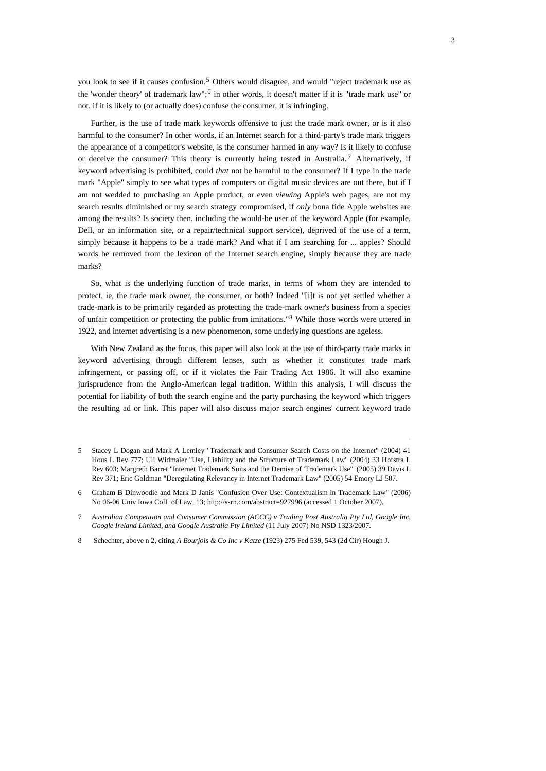you look to see if it causes confusion.[5](#page-2-0) Others would disagree, and would "reject trademark use as the 'wonder theory' of trademark law";[6](#page-2-1) in other words, it doesn't matter if it is "trade mark use" or not, if it is likely to (or actually does) confuse the consumer, it is infringing.

Further, is the use of trade mark keywords offensive to just the trade mark owner, or is it also harmful to the consumer? In other words, if an Internet search for a third-party's trade mark triggers the appearance of a competitor's website, is the consumer harmed in any way? Is it likely to confuse or deceive the consumer? This theory is currently being tested in Australia.<sup>[7](#page-2-2)</sup> Alternatively, if keyword advertising is prohibited, could *that* not be harmful to the consumer? If I type in the trade mark "Apple" simply to see what types of computers or digital music devices are out there, but if I am not wedded to purchasing an Apple product, or even *viewing* Apple's web pages, are not my search results diminished or my search strategy compromised, if *only* bona fide Apple websites are among the results? Is society then, including the would-be user of the keyword Apple (for example, Dell, or an information site, or a repair/technical support service), deprived of the use of a term, simply because it happens to be a trade mark? And what if I am searching for ... apples? Should words be removed from the lexicon of the Internet search engine, simply because they are trade marks?

So, what is the underlying function of trade marks, in terms of whom they are intended to protect, ie, the trade mark owner, the consumer, or both? Indeed "[i]t is not yet settled whether a trade-mark is to be primarily regarded as protecting the trade-mark owner's business from a species of unfair competition or protecting the public from imitations."[8](#page-2-3) While those words were uttered in 1922, and internet advertising is a new phenomenon, some underlying questions are ageless.

With New Zealand as the focus, this paper will also look at the use of third-party trade marks in keyword advertising through different lenses, such as whether it constitutes trade mark infringement, or passing off, or if it violates the Fair Trading Act 1986. It will also examine jurisprudence from the Anglo-American legal tradition. Within this analysis, I will discuss the potential for liability of both the search engine and the party purchasing the keyword which triggers the resulting ad or link. This paper will also discuss major search engines' current keyword trade

<span id="page-2-0"></span><sup>5</sup> Stacey L Dogan and Mark A Lemley "Trademark and Consumer Search Costs on the Internet" (2004) 41 Hous L Rev 777; Uli Widmaier "Use, Liability and the Structure of Trademark Law" (2004) 33 Hofstra L Rev 603; Margreth Barret "Internet Trademark Suits and the Demise of 'Trademark Use'" (2005) 39 Davis L Rev 371; Eric Goldman "Deregulating Relevancy in Internet Trademark Law" (2005) 54 Emory LJ 507.

<span id="page-2-1"></span><sup>6</sup> Graham B Dinwoodie and Mark D Janis "Confusion Over Use: Contextualism in Trademark Law" (2006) No 06-06 Univ Iowa ColL of Law, 13; [http://ssrn.com/abstract=927996](http://ssrn.com/abstract=927996,) (accessed 1 October 2007).

<span id="page-2-2"></span><sup>7</sup> *Australian Competition and Consumer Commission (ACCC) v Trading Post Australia Pty Ltd, Google Inc, Google Ireland Limited, and Google Australia Pty Limited* (11 July 2007) No NSD 1323/2007.

<span id="page-2-3"></span><sup>8</sup> Schechter, above n 2, citing *A Bourjois & Co Inc v Katze* (1923) 275 Fed 539, 543 (2d Cir) Hough J.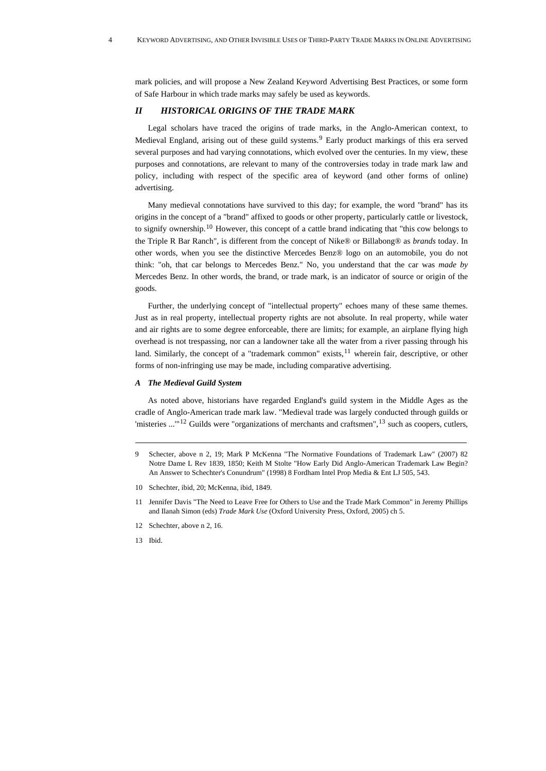mark policies, and will propose a New Zealand Keyword Advertising Best Practices, or some form of Safe Harbour in which trade marks may safely be used as keywords.

# *II HISTORICAL ORIGINS OF THE TRADE MARK*

Legal scholars have traced the origins of trade marks, in the Anglo-American context, to Medieval England, arising out of these guild systems.<sup>[9](#page-3-0)</sup> Early product markings of this era served several purposes and had varying connotations, which evolved over the centuries. In my view, these purposes and connotations, are relevant to many of the controversies today in trade mark law and policy, including with respect of the specific area of keyword (and other forms of online) advertising.

Many medieval connotations have survived to this day; for example, the word "brand" has its origins in the concept of a "brand" affixed to goods or other property, particularly cattle or livestock, to signify ownership.[10](#page-3-1) However, this concept of a cattle brand indicating that "this cow belongs to the Triple R Bar Ranch", is different from the concept of Nike® or Billabong® as *brands* today. In other words, when you see the distinctive Mercedes Benz® logo on an automobile, you do not think: "oh, that car belongs to Mercedes Benz." No, you understand that the car was *made by* Mercedes Benz. In other words, the brand, or trade mark, is an indicator of source or origin of the goods.

Further, the underlying concept of "intellectual property" echoes many of these same themes. Just as in real property, intellectual property rights are not absolute. In real property, while water and air rights are to some degree enforceable, there are limits; for example, an airplane flying high overhead is not trespassing, nor can a landowner take all the water from a river passing through his land. Similarly, the concept of a "trademark common" exists, $11$  wherein fair, descriptive, or other forms of non-infringing use may be made, including comparative advertising.

## *A The Medieval Guild System*

As noted above, historians have regarded England's guild system in the Middle Ages as the cradle of Anglo-American trade mark law. "Medieval trade was largely conducted through guilds or 'misteries  $\ldots$ <sup>"[12](#page-3-3)</sup> Guilds were "organizations of merchants and craftsmen", <sup>[13](#page-3-4)</sup> such as coopers, cutlers,

- <span id="page-3-1"></span>10 Schechter, ibid, 20; McKenna, ibid, 1849.
- <span id="page-3-2"></span>11 Jennifer Davis "The Need to Leave Free for Others to Use and the Trade Mark Common" in Jeremy Phillips and Ilanah Simon (eds) *Trade Mark Use* (Oxford University Press, Oxford, 2005) ch 5.
- <span id="page-3-3"></span>12 Schechter, above n 2, 16.
- <span id="page-3-4"></span>13 Ibid.

<span id="page-3-0"></span><sup>9</sup> Schecter, above n 2, 19; Mark P McKenna "The Normative Foundations of Trademark Law" (2007) 82 Notre Dame L Rev 1839, 1850; Keith M Stolte "How Early Did Anglo-American Trademark Law Begin? An Answer to Schechter's Conundrum" (1998) 8 Fordham Intel Prop Media & Ent LJ 505, 543.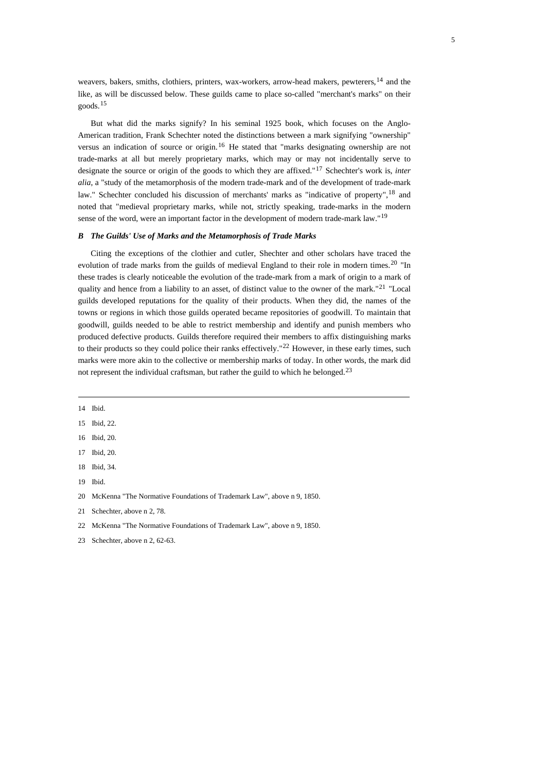weavers, bakers, smiths, clothiers, printers, wax-workers, arrow-head makers, pewterers,<sup>[14](#page-4-0)</sup> and the like, as will be discussed below. These guilds came to place so-called "merchant's marks" on their goods.[15](#page-4-1)

5

But what did the marks signify? In his seminal 1925 book, which focuses on the Anglo-American tradition, Frank Schechter noted the distinctions between a mark signifying "ownership" versus an indication of source or origin.[16](#page-4-2) He stated that "marks designating ownership are not trade-marks at all but merely proprietary marks, which may or may not incidentally serve to designate the source or origin of the goods to which they are affixed."[17](#page-4-3) Schechter's work is, *inter alia*, a "study of the metamorphosis of the modern trade-mark and of the development of trade-mark law." Schechter concluded his discussion of merchants' marks as "indicative of property",<sup>[18](#page-4-4)</sup> and noted that "medieval proprietary marks, while not, strictly speaking, trade-marks in the modern sense of the word, were an important factor in the development of modern trade-mark law."<sup>[19](#page-4-5)</sup>

## *B The Guilds' Use of Marks and the Metamorphosis of Trade Marks*

Citing the exceptions of the clothier and cutler, Shechter and other scholars have traced the evolution of trade marks from the guilds of medieval England to their role in modern times.<sup>[20](#page-4-6)</sup> "In these trades is clearly noticeable the evolution of the trade-mark from a mark of origin to a mark of quality and hence from a liability to an asset, of distinct value to the owner of the mark."<sup>[21](#page-4-7)</sup> "Local guilds developed reputations for the quality of their products. When they did, the names of the towns or regions in which those guilds operated became repositories of goodwill. To maintain that goodwill, guilds needed to be able to restrict membership and identify and punish members who produced defective products. Guilds therefore required their members to affix distinguishing marks to their products so they could police their ranks effectively."<sup>[22](#page-4-8)</sup> However, in these early times, such marks were more akin to the collective or membership marks of today. In other words, the mark did not represent the individual craftsman, but rather the guild to which he belonged.<sup>[23](#page-4-9)</sup>

<span id="page-4-0"></span>14 Ibid.

- <span id="page-4-1"></span>15 Ibid, 22.
- <span id="page-4-2"></span>16 Ibid, 20.
- <span id="page-4-3"></span>17 Ibid, 20.
- <span id="page-4-4"></span>18 Ibid, 34.
- <span id="page-4-5"></span>19 Ibid.
- <span id="page-4-6"></span>20 McKenna "The Normative Foundations of Trademark Law", above n 9, 1850.
- <span id="page-4-7"></span>21 Schechter, above n 2, 78.
- <span id="page-4-8"></span>22 McKenna "The Normative Foundations of Trademark Law", above n 9, 1850.

<span id="page-4-9"></span>23. Schechter, above n 2, 62-63.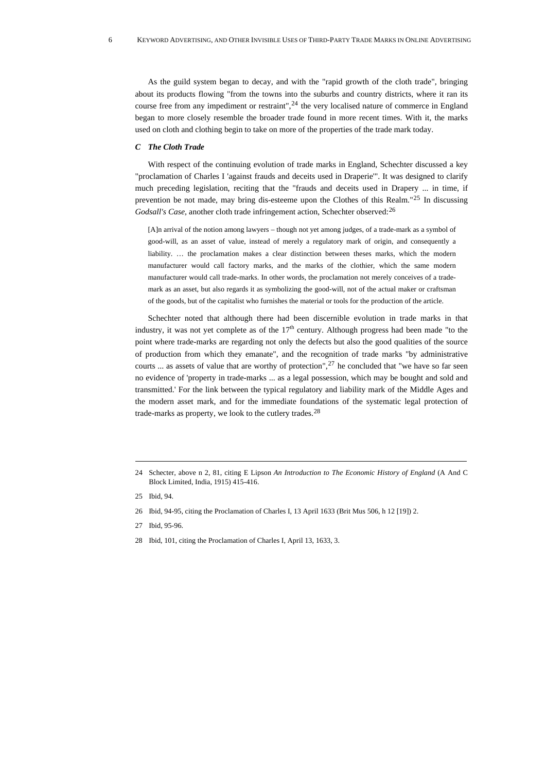As the guild system began to decay, and with the "rapid growth of the cloth trade", bringing about its products flowing "from the towns into the suburbs and country districts, where it ran its course free from any impediment or restraint",  $24$  the very localised nature of commerce in England began to more closely resemble the broader trade found in more recent times. With it, the marks used on cloth and clothing begin to take on more of the properties of the trade mark today.

## *C The Cloth Trade*

With respect of the continuing evolution of trade marks in England, Schechter discussed a key "proclamation of Charles I 'against frauds and deceits used in Draperie'". It was designed to clarify much preceding legislation, reciting that the "frauds and deceits used in Drapery ... in time, if prevention be not made, may bring dis-esteeme upon the Clothes of this Realm."[25](#page-5-1) In discussing *Godsall's Case,* another cloth trade infringement action, Schechter observed:[26](#page-5-2)

[A]n arrival of the notion among lawyers – though not yet among judges, of a trade-mark as a symbol of good-will, as an asset of value, instead of merely a regulatory mark of origin, and consequently a liability. … the proclamation makes a clear distinction between theses marks, which the modern manufacturer would call factory marks, and the marks of the clothier, which the same modern manufacturer would call trade-marks. In other words, the proclamation not merely conceives of a trademark as an asset, but also regards it as symbolizing the good-will, not of the actual maker or craftsman of the goods, but of the capitalist who furnishes the material or tools for the production of the article.

Schechter noted that although there had been discernible evolution in trade marks in that industry, it was not yet complete as of the  $17<sup>th</sup>$  century. Although progress had been made "to the point where trade-marks are regarding not only the defects but also the good qualities of the source of production from which they emanate", and the recognition of trade marks "by administrative courts ... as assets of value that are worthy of protection",  $27$  he concluded that "we have so far seen no evidence of 'property in trade-marks ... as a legal possession, which may be bought and sold and transmitted.' For the link between the typical regulatory and liability mark of the Middle Ages and the modern asset mark, and for the immediate foundations of the systematic legal protection of trade-marks as property, we look to the cutlery trades.[28](#page-5-4)

- <span id="page-5-3"></span>27 Ibid, 95-96.
- <span id="page-5-4"></span>28 Ibid, 101, citing the Proclamation of Charles I, April 13, 1633, 3.

<span id="page-5-0"></span><sup>24</sup> Schecter, above n 2, 81, citing E Lipson *An Introduction to The Economic History of England* (A And C Block Limited, India, 1915) 415-416.

<span id="page-5-1"></span><sup>25</sup> Ibid, 94.

<span id="page-5-2"></span><sup>26</sup> Ibid, 94-95, citing the Proclamation of Charles I, 13 April 1633 (Brit Mus 506, h 12 [19]) 2.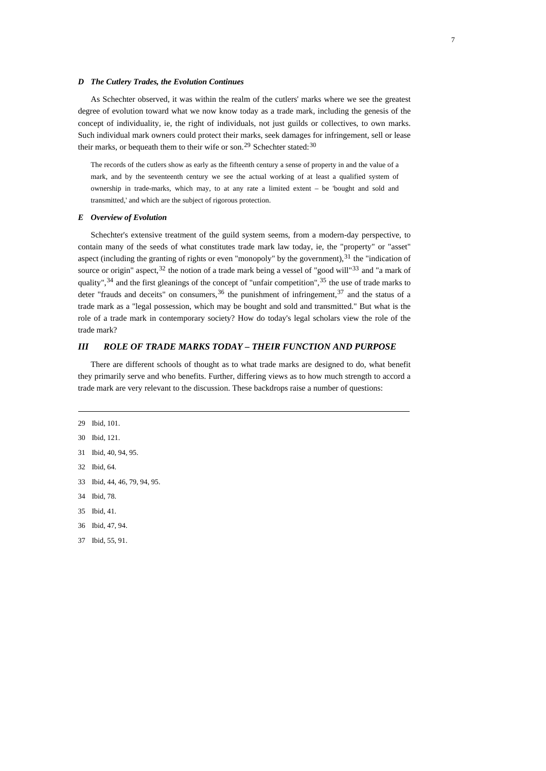#### *D The Cutlery Trades, the Evolution Continues*

As Schechter observed, it was within the realm of the cutlers' marks where we see the greatest degree of evolution toward what we now know today as a trade mark, including the genesis of the concept of individuality, ie, the right of individuals, not just guilds or collectives, to own marks. Such individual mark owners could protect their marks, seek damages for infringement, sell or lease their marks, or bequeath them to their wife or son.<sup>[29](#page-6-0)</sup> Schechter stated:<sup>[30](#page-6-1)</sup>

The records of the cutlers show as early as the fifteenth century a sense of property in and the value of a mark, and by the seventeenth century we see the actual working of at least a qualified system of ownership in trade-marks, which may, to at any rate a limited extent – be 'bought and sold and transmitted,' and which are the subject of rigorous protection.

#### *E Overview of Evolution*

Schechter's extensive treatment of the guild system seems, from a modern-day perspective, to contain many of the seeds of what constitutes trade mark law today, ie, the "property" or "asset" aspect (including the granting of rights or even "monopoly" by the government),  $3<sup>1</sup>$  the "indication of source or origin" aspect,  $32$  the notion of a trade mark being a vessel of "good will"  $33$  and "a mark of quality",  $34$  and the first gleanings of the concept of "unfair competition",  $35$  the use of trade marks to deter "frauds and deceits" on consumers,  $36$  the punishment of infringement,  $37$  and the status of a trade mark as a "legal possession, which may be bought and sold and transmitted." But what is the role of a trade mark in contemporary society? How do today's legal scholars view the role of the trade mark?

# *III ROLE OF TRADE MARKS TODAY – THEIR FUNCTION AND PURPOSE*

There are different schools of thought as to what trade marks are designed to do, what benefit they primarily serve and who benefits. Further, differing views as to how much strength to accord a trade mark are very relevant to the discussion. These backdrops raise a number of questions:

<span id="page-6-0"></span>29 Ibid, 101. 30 Ibid, 121.

- <span id="page-6-3"></span>32 Ibid, 64.
- <span id="page-6-4"></span>33 Ibid, 44, 46, 79, 94, 95.
- <span id="page-6-5"></span>34 Ibid, 78.
- <span id="page-6-6"></span>35 Ibid, 41.
- <span id="page-6-7"></span>36 Ibid, 47, 94.
- <span id="page-6-8"></span>37 Ibid, 55, 91.

<span id="page-6-2"></span><span id="page-6-1"></span><sup>31</sup> Ibid, 40, 94, 95.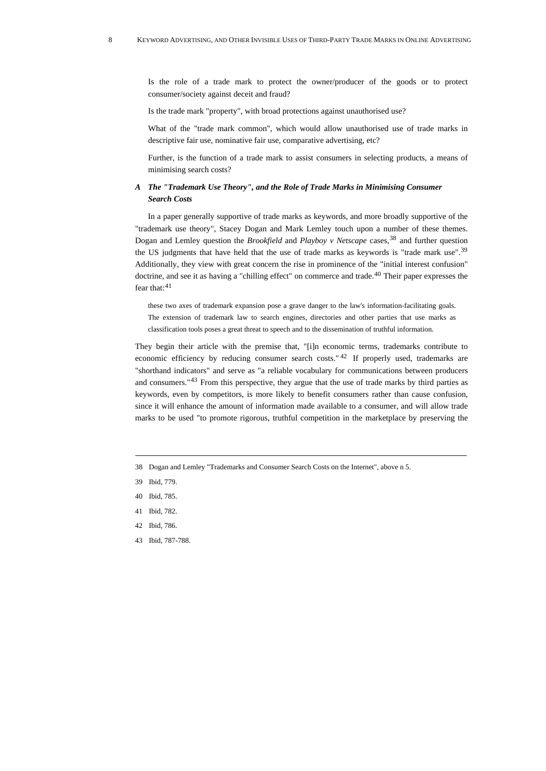Is the role of a trade mark to protect the owner/producer of the goods or to protect consumer/society against deceit and fraud?

Is the trade mark "property", with broad protections against unauthorised use?

What of the "trade mark common", which would allow unauthorised use of trade marks in descriptive fair use, nominative fair use, comparative advertising, etc?

Further, is the function of a trade mark to assist consumers in selecting products, a means of minimising search costs?

# *A The "Trademark Use Theory", and the Role of Trade Marks in Minimising Consumer Search Costs*

In a paper generally supportive of trade marks as keywords, and more broadly supportive of the "trademark use theory", Stacey Dogan and Mark Lemley touch upon a number of these themes. Dogan and Lemley question the *Brookfield* and *Playboy v Netscape* cases,[38](#page-7-0) and further question the US judgments that have held that the use of trade marks as keywords is "trade mark use".[39](#page-7-1) Additionally, they view with great concern the rise in prominence of the "initial interest confusion" doctrine, and see it as having a "chilling effect" on commerce and trade.<sup>[40](#page-7-2)</sup> Their paper expresses the fear that:<sup>[41](#page-7-3)</sup>

these two axes of trademark expansion pose a grave danger to the law's information-facilitating goals. The extension of trademark law to search engines, directories and other parties that use marks as classification tools poses a great threat to speech and to the dissemination of truthful information.

They begin their article with the premise that, "[i]n economic terms, trademarks contribute to economic efficiency by reducing consumer search costs." [42](#page-7-4) If properly used, trademarks are "shorthand indicators" and serve as "a reliable vocabulary for communications between producers and consumers."[43](#page-7-5) From this perspective, they argue that the use of trade marks by third parties as keywords, even by competitors, is more likely to benefit consumers rather than cause confusion, since it will enhance the amount of information made available to a consumer, and will allow trade marks to be used "to promote rigorous, truthful competition in the marketplace by preserving the

- <span id="page-7-3"></span>41 Ibid, 782.
- <span id="page-7-4"></span>42 Ibid, 786.
- <span id="page-7-5"></span>43 Ibid, 787-788.

<span id="page-7-0"></span><sup>38</sup> Dogan and Lemley "Trademarks and Consumer Search Costs on the Internet", above n 5.

<span id="page-7-1"></span><sup>39</sup> Ibid, 779.

<span id="page-7-2"></span><sup>40</sup> Ibid, 785.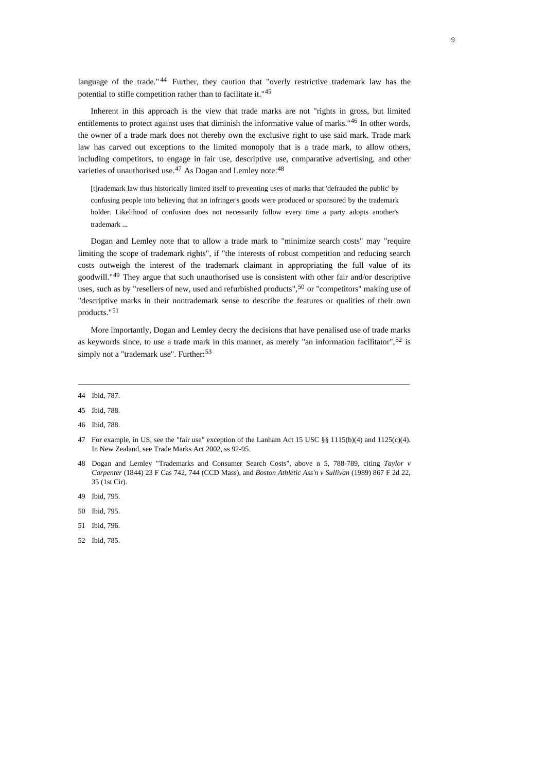language of the trade."  $44$  Further, they caution that "overly restrictive trademark law has the potential to stifle competition rather than to facilitate it."[45](#page-8-1)

Inherent in this approach is the view that trade marks are not "rights in gross, but limited entitlements to protect against uses that diminish the informative value of marks."<sup>[46](#page-8-2)</sup> In other words, the owner of a trade mark does not thereby own the exclusive right to use said mark. Trade mark law has carved out exceptions to the limited monopoly that is a trade mark, to allow others, including competitors, to engage in fair use, descriptive use, comparative advertising, and other varieties of unauthorised use. $47$  As Dogan and Lemley note:  $48$ 

[t]rademark law thus historically limited itself to preventing uses of marks that 'defrauded the public' by confusing people into believing that an infringer's goods were produced or sponsored by the trademark holder. Likelihood of confusion does not necessarily follow every time a party adopts another's trademark ...

Dogan and Lemley note that to allow a trade mark to "minimize search costs" may "require limiting the scope of trademark rights", if "the interests of robust competition and reducing search costs outweigh the interest of the trademark claimant in appropriating the full value of its goodwill."[49](#page-8-5) They argue that such unauthorised use is consistent with other fair and/or descriptive uses, such as by "resellers of new, used and refurbished products",<sup>[50](#page-8-6)</sup> or "competitors" making use of "descriptive marks in their nontrademark sense to describe the features or qualities of their own products."[51](#page-8-7)

More importantly, Dogan and Lemley decry the decisions that have penalised use of trade marks as keywords since, to use a trade mark in this manner, as merely "an information facilitator",<sup>[52](#page-8-8)</sup> is simply not a "trademark use". Further:<sup>[53](#page-8-9)</sup>

- <span id="page-8-4"></span>48 Dogan and Lemley "Trademarks and Consumer Search Costs", above n 5, 788-789, citing *Taylor v Carpenter* (1844) 23 F Cas 742, 744 (CCD Mass), and *Boston Athletic Ass'n v Sullivan* (1989) 867 F 2d 22, 35 (1st Cir).
- <span id="page-8-5"></span>49 Ibid, 795.
- <span id="page-8-6"></span>50 Ibid, 795.
- <span id="page-8-7"></span>51 Ibid, 796.
- <span id="page-8-8"></span>52 Ibid, 785.

<span id="page-8-0"></span><sup>44</sup> Ibid, 787.

<span id="page-8-1"></span><sup>45</sup> Ibid, 788.

<span id="page-8-2"></span><sup>46</sup> Ibid, 788.

<span id="page-8-9"></span><span id="page-8-3"></span><sup>47</sup> For example, in US, see the "fair use" exception of the Lanham Act 15 USC §§ 1115(b)(4) and 1125(c)(4). In New Zealand, see Trade Marks Act 2002, ss 92-95.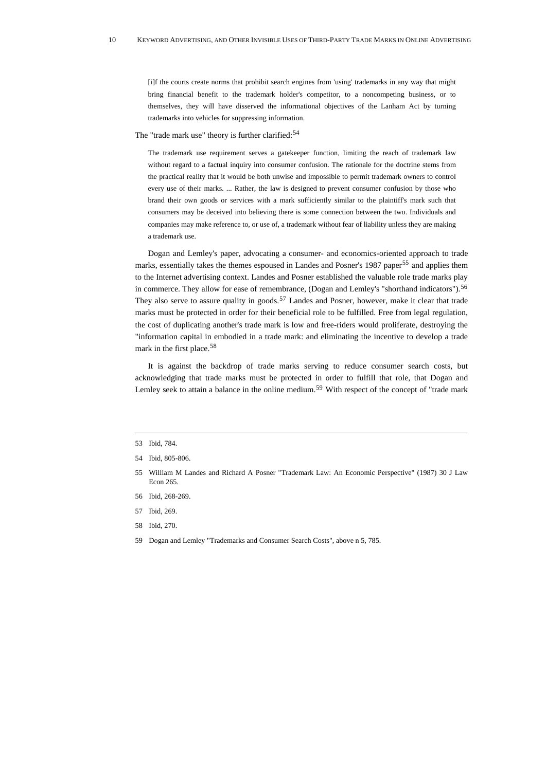[i]f the courts create norms that prohibit search engines from 'using' trademarks in any way that might bring financial benefit to the trademark holder's competitor, to a noncompeting business, or to themselves, they will have disserved the informational objectives of the Lanham Act by turning trademarks into vehicles for suppressing information.

# The "trade mark use" theory is further clarified:<sup>[54](#page-9-0)</sup>

The trademark use requirement serves a gatekeeper function, limiting the reach of trademark law without regard to a factual inquiry into consumer confusion. The rationale for the doctrine stems from the practical reality that it would be both unwise and impossible to permit trademark owners to control every use of their marks. ... Rather, the law is designed to prevent consumer confusion by those who brand their own goods or services with a mark sufficiently similar to the plaintiff's mark such that consumers may be deceived into believing there is some connection between the two. Individuals and companies may make reference to, or use of, a trademark without fear of liability unless they are making a trademark use.

Dogan and Lemley's paper, advocating a consumer- and economics-oriented approach to trade marks, essentially takes the themes espoused in Landes and Posner's 1987 paper<sup>[55](#page-9-1)</sup> and applies them to the Internet advertising context. Landes and Posner established the valuable role trade marks play in commerce. They allow for ease of remembrance, (Dogan and Lemley's "shorthand indicators").[56](#page-9-2) They also serve to assure quality in goods.<sup>[57](#page-9-3)</sup> Landes and Posner, however, make it clear that trade marks must be protected in order for their beneficial role to be fulfilled. Free from legal regulation, the cost of duplicating another's trade mark is low and free-riders would proliferate, destroying the "information capital in embodied in a trade mark: and eliminating the incentive to develop a trade mark in the first place.<sup>[58](#page-9-4)</sup>

It is against the backdrop of trade marks serving to reduce consumer search costs, but acknowledging that trade marks must be protected in order to fulfill that role, that Dogan and Lemley seek to attain a balance in the online medium.<sup>[59](#page-9-5)</sup> With respect of the concept of "trade mark

- <span id="page-9-2"></span>56 Ibid, 268-269.
- <span id="page-9-3"></span>57 Ibid, 269.
- <span id="page-9-4"></span>58 Ibid, 270.
- <span id="page-9-5"></span>59 Dogan and Lemley "Trademarks and Consumer Search Costs", above n 5, 785.

<sup>53</sup> Ibid, 784.

<span id="page-9-0"></span><sup>54</sup> Ibid, 805-806.

<span id="page-9-1"></span><sup>55</sup> William M Landes and Richard A Posner "Trademark Law: An Economic Perspective" (1987) 30 J Law Econ 265.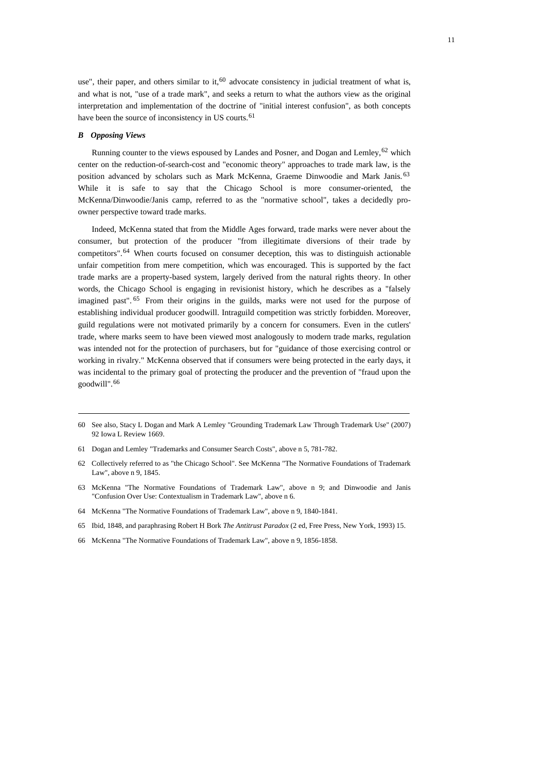use", their paper, and others similar to it,<sup>[60](#page-10-0)</sup> advocate consistency in judicial treatment of what is, and what is not, "use of a trade mark", and seeks a return to what the authors view as the original interpretation and implementation of the doctrine of "initial interest confusion", as both concepts have been the source of inconsistency in US courts.<sup>[61](#page-10-1)</sup>

#### *B Opposing Views*

Running counter to the views espoused by Landes and Posner, and Dogan and Lemley,  $62$  which center on the reduction-of-search-cost and "economic theory" approaches to trade mark law, is the position advanced by scholars such as Mark McKenna, Graeme Dinwoodie and Mark Janis.<sup>[63](#page-10-3)</sup> While it is safe to say that the Chicago School is more consumer-oriented, the McKenna/Dinwoodie/Janis camp, referred to as the "normative school", takes a decidedly proowner perspective toward trade marks.

Indeed, McKenna stated that from the Middle Ages forward, trade marks were never about the consumer, but protection of the producer "from illegitimate diversions of their trade by competitors".[64](#page-10-4) When courts focused on consumer deception, this was to distinguish actionable unfair competition from mere competition, which was encouraged. This is supported by the fact trade marks are a property-based system, largely derived from the natural rights theory. In other words, the Chicago School is engaging in revisionist history, which he describes as a "falsely imagined past". <sup>[65](#page-10-5)</sup> From their origins in the guilds, marks were not used for the purpose of establishing individual producer goodwill. Intraguild competition was strictly forbidden. Moreover, guild regulations were not motivated primarily by a concern for consumers. Even in the cutlers' trade, where marks seem to have been viewed most analogously to modern trade marks, regulation was intended not for the protection of purchasers, but for "guidance of those exercising control or working in rivalry." McKenna observed that if consumers were being protected in the early days, it was incidental to the primary goal of protecting the producer and the prevention of "fraud upon the goodwill".[66](#page-10-6)

- <span id="page-10-1"></span>61 Dogan and Lemley "Trademarks and Consumer Search Costs", above n 5, 781-782.
- <span id="page-10-2"></span>62 Collectively referred to as "the Chicago School". See McKenna "The Normative Foundations of Trademark Law", above n 9, 1845.
- <span id="page-10-3"></span>63 McKenna "The Normative Foundations of Trademark Law", above n 9; and Dinwoodie and Janis "Confusion Over Use: Contextualism in Trademark Law", above n 6.
- <span id="page-10-4"></span>64 McKenna "The Normative Foundations of Trademark Law", above n 9, 1840-1841.
- <span id="page-10-5"></span>65 Ibid, 1848, and paraphrasing Robert H Bork *The Antitrust Paradox* (2 ed, Free Press, New York, 1993) 15.
- <span id="page-10-6"></span>66 McKenna "The Normative Foundations of Trademark Law", above n 9, 1856-1858.

<span id="page-10-0"></span><sup>60</sup> See also, Stacy L Dogan and Mark A Lemley "Grounding Trademark Law Through Trademark Use" (2007) 92 Iowa L Review 1669.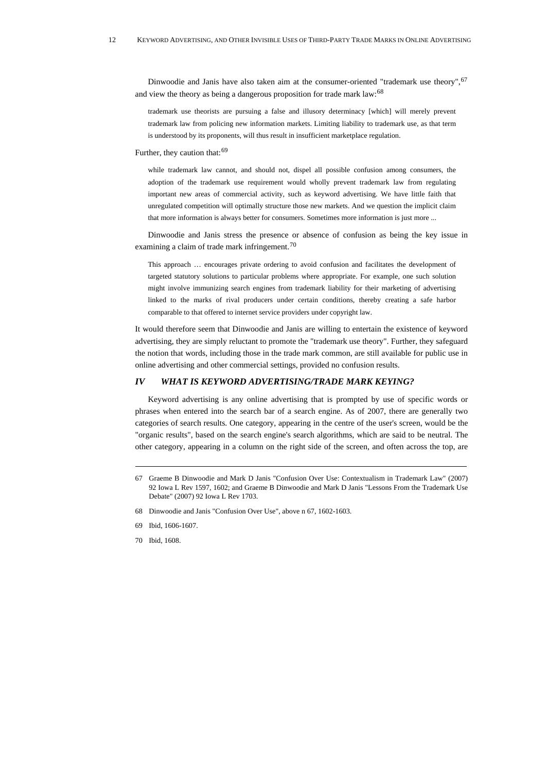Dinwoodie and Janis have also taken aim at the consumer-oriented "trademark use theory", <sup>[67](#page-11-0)</sup> and view the theory as being a dangerous proposition for trade mark law:<sup>[68](#page-11-1)</sup>

trademark use theorists are pursuing a false and illusory determinacy [which] will merely prevent trademark law from policing new information markets. Limiting liability to trademark use, as that term is understood by its proponents, will thus result in insufficient marketplace regulation.

Further, they caution that:  $69$ 

while trademark law cannot, and should not, dispel all possible confusion among consumers, the adoption of the trademark use requirement would wholly prevent trademark law from regulating important new areas of commercial activity, such as keyword advertising. We have little faith that unregulated competition will optimally structure those new markets. And we question the implicit claim that more information is always better for consumers. Sometimes more information is just more ...

Dinwoodie and Janis stress the presence or absence of confusion as being the key issue in examining a claim of trade mark infringement.<sup>[70](#page-11-3)</sup>

This approach … encourages private ordering to avoid confusion and facilitates the development of targeted statutory solutions to particular problems where appropriate. For example, one such solution might involve immunizing search engines from trademark liability for their marketing of advertising linked to the marks of rival producers under certain conditions, thereby creating a safe harbor comparable to that offered to internet service providers under copyright law.

It would therefore seem that Dinwoodie and Janis are willing to entertain the existence of keyword advertising, they are simply reluctant to promote the "trademark use theory". Further, they safeguard the notion that words, including those in the trade mark common, are still available for public use in online advertising and other commercial settings, provided no confusion results.

# *IV WHAT IS KEYWORD ADVERTISING/TRADE MARK KEYING?*

Keyword advertising is any online advertising that is prompted by use of specific words or phrases when entered into the search bar of a search engine. As of 2007, there are generally two categories of search results. One category, appearing in the centre of the user's screen, would be the "organic results", based on the search engine's search algorithms, which are said to be neutral. The other category, appearing in a column on the right side of the screen, and often across the top, are

<span id="page-11-0"></span><sup>67</sup> Graeme B Dinwoodie and Mark D Janis "Confusion Over Use: Contextualism in Trademark Law" (2007) 92 Iowa L Rev 1597, 1602; and Graeme B Dinwoodie and Mark D Janis "Lessons From the Trademark Use Debate" (2007) 92 Iowa L Rev 1703.

<span id="page-11-1"></span><sup>68</sup> Dinwoodie and Janis "Confusion Over Use", above n 67, 1602-1603.

<span id="page-11-2"></span><sup>69</sup> Ibid, 1606-1607.

<span id="page-11-3"></span><sup>70</sup> Ibid, 1608.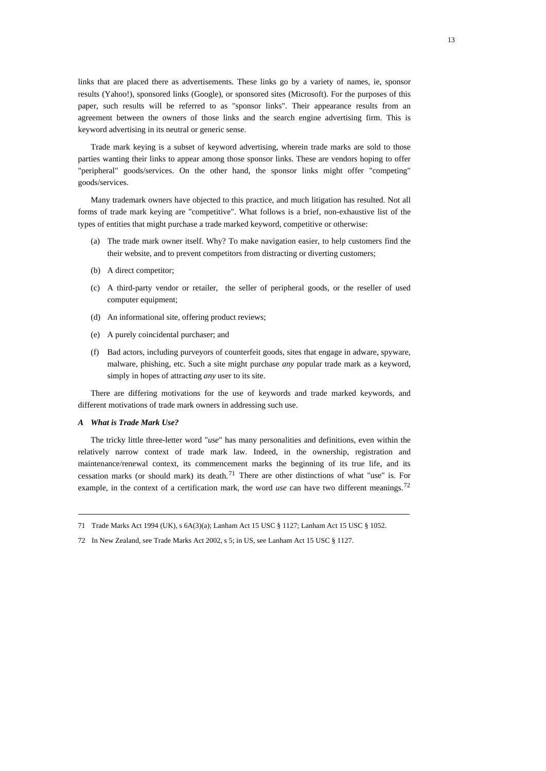links that are placed there as advertisements. These links go by a variety of names, ie, sponsor results (Yahoo!), sponsored links (Google), or sponsored sites (Microsoft). For the purposes of this paper, such results will be referred to as "sponsor links". Their appearance results from an agreement between the owners of those links and the search engine advertising firm. This is keyword advertising in its neutral or generic sense.

Trade mark keying is a subset of keyword advertising, wherein trade marks are sold to those parties wanting their links to appear among those sponsor links. These are vendors hoping to offer "peripheral" goods/services. On the other hand, the sponsor links might offer "competing" goods/services.

Many trademark owners have objected to this practice, and much litigation has resulted. Not all forms of trade mark keying are "competitive". What follows is a brief, non-exhaustive list of the types of entities that might purchase a trade marked keyword, competitive or otherwise:

- (a) The trade mark owner itself. Why? To make navigation easier, to help customers find the their website, and to prevent competitors from distracting or diverting customers;
- (b) A direct competitor;
- (c) A third-party vendor or retailer, the seller of peripheral goods, or the reseller of used computer equipment;
- (d) An informational site, offering product reviews;
- (e) A purely coincidental purchaser; and
- (f) Bad actors, including purveyors of counterfeit goods, sites that engage in adware, spyware, malware, phishing, etc. Such a site might purchase *any* popular trade mark as a keyword, simply in hopes of attracting *any* user to its site.

There are differing motivations for the use of keywords and trade marked keywords, and different motivations of trade mark owners in addressing such use.

#### *A What is Trade Mark Use?*

The tricky little three-letter word "*use*" has many personalities and definitions, even within the relatively narrow context of trade mark law. Indeed, in the ownership, registration and maintenance/renewal context, its commencement marks the beginning of its true life, and its cessation marks (or should mark) its death.[71](#page-12-0) There are other distinctions of what "use" is. For example, in the context of a certification mark, the word *use* can have two different meanings.<sup>[72](#page-12-1)</sup>

<span id="page-12-0"></span><sup>71</sup> Trade Marks Act 1994 (UK), s 6A(3)(a); Lanham Act 15 USC § 1127; Lanham Act 15 USC § 1052.

<span id="page-12-1"></span><sup>72</sup> In New Zealand, see Trade Marks Act 2002, s 5; in US, see Lanham Act 15 USC § 1127.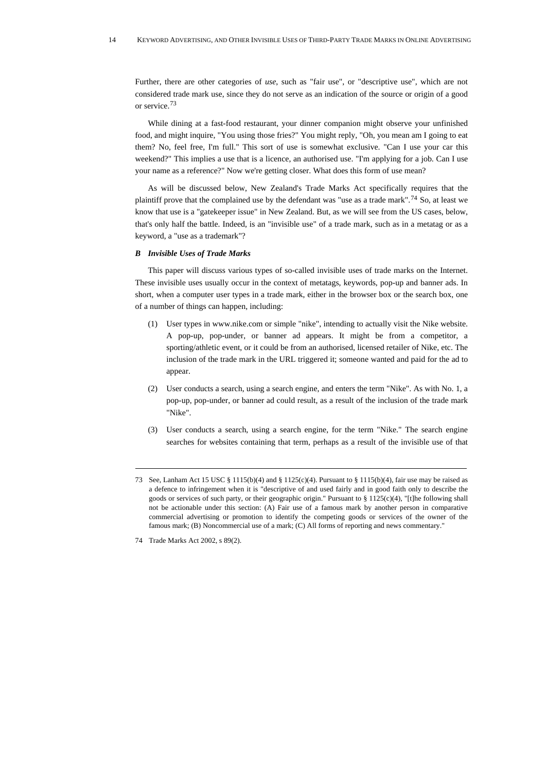Further, there are other categories of *use*, such as "fair use", or "descriptive use", which are not considered trade mark use, since they do not serve as an indication of the source or origin of a good or service.[73](#page-13-0)

While dining at a fast-food restaurant, your dinner companion might observe your unfinished food, and might inquire, "You using those fries?" You might reply, "Oh, you mean am I going to eat them? No, feel free, I'm full." This sort of use is somewhat exclusive. "Can I use your car this weekend?" This implies a use that is a licence, an authorised use. "I'm applying for a job. Can I use your name as a reference?" Now we're getting closer. What does this form of use mean?

As will be discussed below, New Zealand's Trade Marks Act specifically requires that the plaintiff prove that the complained use by the defendant was "use as a trade mark".<sup>[74](#page-13-1)</sup> So, at least we know that use is a "gatekeeper issue" in New Zealand. But, as we will see from the US cases, below, that's only half the battle. Indeed, is an "invisible use" of a trade mark, such as in a metatag or as a keyword, a "use as a trademark"?

#### *B Invisible Uses of Trade Marks*

This paper will discuss various types of so-called invisible uses of trade marks on the Internet. These invisible uses usually occur in the context of metatags, keywords, pop-up and banner ads. In short, when a computer user types in a trade mark, either in the browser box or the search box, one of a number of things can happen, including:

- (1) User types in [www.nike.com](http://www.nike.com/) or simple "nike", intending to actually visit the Nike website. A pop-up, pop-under, or banner ad appears. It might be from a competitor, a sporting/athletic event, or it could be from an authorised, licensed retailer of Nike, etc. The inclusion of the trade mark in the URL triggered it; someone wanted and paid for the ad to appear.
- (2) User conducts a search, using a search engine, and enters the term "Nike". As with No. 1, a pop-up, pop-under, or banner ad could result, as a result of the inclusion of the trade mark "Nike".
- (3) User conducts a search, using a search engine, for the term "Nike." The search engine searches for websites containing that term, perhaps as a result of the invisible use of that

<span id="page-13-0"></span><sup>73</sup> See, Lanham Act 15 USC § 1115(b)(4) and § 1125(c)(4). Pursuant to § 1115(b)(4), fair use may be raised as a defence to infringement when it is "descriptive of and used fairly and in good faith only to describe the goods or services of such party, or their geographic origin." Pursuant to  $\S 1125(c)(4)$ , "[t]he following shall not be actionable under this section: (A) Fair use of a famous mark by another person in comparative commercial advertising or promotion to identify the competing goods or services of the owner of the famous mark; (B) Noncommercial use of a mark; (C) All forms of reporting and news commentary."

<span id="page-13-1"></span><sup>74</sup> Trade Marks Act 2002, s 89(2).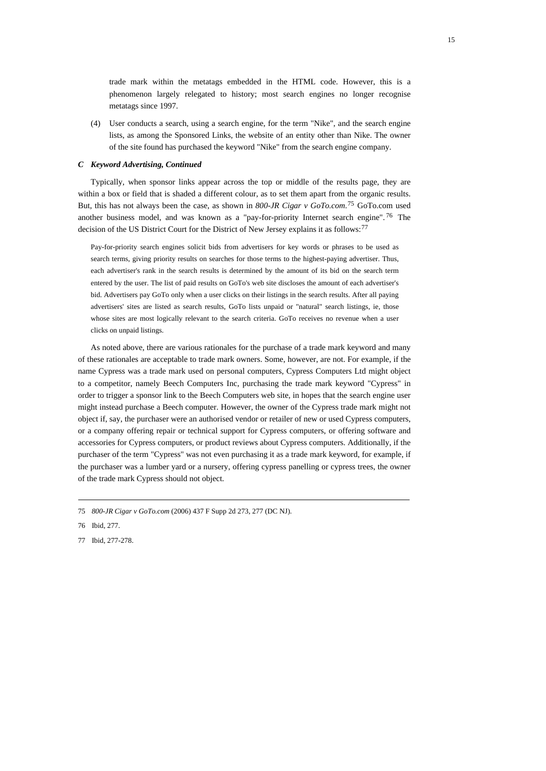trade mark within the metatags embedded in the HTML code. However, this is a phenomenon largely relegated to history; most search engines no longer recognise metatags since 1997.

(4) User conducts a search, using a search engine, for the term "Nike", and the search engine lists, as among the Sponsored Links, the website of an entity other than Nike. The owner of the site found has purchased the keyword "Nike" from the search engine company.

## *C Keyword Advertising, Continued*

Typically, when sponsor links appear across the top or middle of the results page, they are within a box or field that is shaded a different colour, as to set them apart from the organic results. But, this has not always been the case, as shown in *800-JR Cigar v GoTo.com*. [75](#page-14-0) GoTo.com used another business model, and was known as a "pay-for-priority Internet search engine". [76](#page-14-1) The decision of the US District Court for the District of New Jersey explains it as follows:<sup>[77](#page-14-2)</sup>

Pay-for-priority search engines solicit bids from advertisers for key words or phrases to be used as search terms, giving priority results on searches for those terms to the highest-paying advertiser. Thus, each advertiser's rank in the search results is determined by the amount of its bid on the search term entered by the user. The list of paid results on GoTo's web site discloses the amount of each advertiser's bid. Advertisers pay GoTo only when a user clicks on their listings in the search results. After all paying advertisers' sites are listed as search results, GoTo lists unpaid or "natural" search listings, ie, those whose sites are most logically relevant to the search criteria. GoTo receives no revenue when a user clicks on unpaid listings.

As noted above, there are various rationales for the purchase of a trade mark keyword and many of these rationales are acceptable to trade mark owners. Some, however, are not. For example, if the name Cypress was a trade mark used on personal computers, Cypress Computers Ltd might object to a competitor, namely Beech Computers Inc, purchasing the trade mark keyword "Cypress" in order to trigger a sponsor link to the Beech Computers web site, in hopes that the search engine user might instead purchase a Beech computer. However, the owner of the Cypress trade mark might not object if, say, the purchaser were an authorised vendor or retailer of new or used Cypress computers, or a company offering repair or technical support for Cypress computers, or offering software and accessories for Cypress computers, or product reviews about Cypress computers. Additionally, if the purchaser of the term "Cypress" was not even purchasing it as a trade mark keyword, for example, if the purchaser was a lumber yard or a nursery, offering cypress panelling or cypress trees, the owner of the trade mark Cypress should not object.

<span id="page-14-2"></span>77 Ibid, 277-278.

<span id="page-14-0"></span><sup>75</sup> *800-JR Cigar v GoTo.com* (2006) 437 F Supp 2d 273, 277 (DC NJ).

<span id="page-14-1"></span><sup>76</sup> Ibid, 277.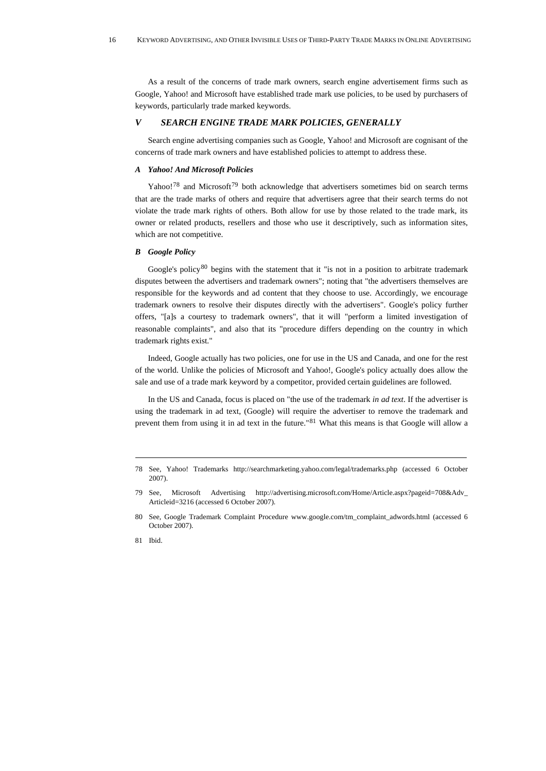As a result of the concerns of trade mark owners, search engine advertisement firms such as Google, Yahoo! and Microsoft have established trade mark use policies, to be used by purchasers of keywords, particularly trade marked keywords.

#### *V SEARCH ENGINE TRADE MARK POLICIES, GENERALLY*

Search engine advertising companies such as Google, Yahoo! and Microsoft are cognisant of the concerns of trade mark owners and have established policies to attempt to address these.

## *A Yahoo! And Microsoft Policies*

Yahoo!<sup>[78](#page-15-0)</sup> and Microsoft<sup>[79](#page-15-1)</sup> both acknowledge that advertisers sometimes bid on search terms that are the trade marks of others and require that advertisers agree that their search terms do not violate the trade mark rights of others. Both allow for use by those related to the trade mark, its owner or related products, resellers and those who use it descriptively, such as information sites, which are not competitive.

#### *B Google Policy*

Google's policy<sup>[80](#page-15-2)</sup> begins with the statement that it "is not in a position to arbitrate trademark disputes between the advertisers and trademark owners"; noting that "the advertisers themselves are responsible for the keywords and ad content that they choose to use. Accordingly, we encourage trademark owners to resolve their disputes directly with the advertisers". Google's policy further offers, "[a]s a courtesy to trademark owners", that it will "perform a limited investigation of reasonable complaints", and also that its "procedure differs depending on the country in which trademark rights exist."

Indeed, Google actually has two policies, one for use in the US and Canada, and one for the rest of the world. Unlike the policies of Microsoft and Yahoo!, Google's policy actually does allow the sale and use of a trade mark keyword by a competitor, provided certain guidelines are followed.

In the US and Canada, focus is placed on "the use of the trademark *in ad text*. If the advertiser is using the trademark in ad text, (Google) will require the advertiser to remove the trademark and prevent them from using it in ad text in the future."[81](#page-15-3) What this means is that Google will allow a

<span id="page-15-3"></span>81 Ibid.

<span id="page-15-0"></span><sup>78</sup> See, Yahoo! Trademarks [http://searchmarketing.yahoo.com/legal/trademarks.php](http://searchmarketing.yahoo.com/legal/trademarks.php,) (accessed 6 October 2007).

<span id="page-15-1"></span><sup>79</sup> See, Microsoft Advertising [http://advertising.microsoft.com/Home/Article.aspx?pageid=708&Adv\\_](http://advertising.microsoft.com/Home/Article.aspx?pageid=708&Adv_Articleid)  [Articleid=](http://advertising.microsoft.com/Home/Article.aspx?pageid=708&Adv_Articleid)3216 (accessed 6 October 2007).

<span id="page-15-2"></span><sup>80</sup> See, Google Trademark Complaint Procedure [www.google.com/tm\\_complaint\\_adwords.html](http://www.google.com/tm_complaint_adwords.html) (accessed 6 October 2007).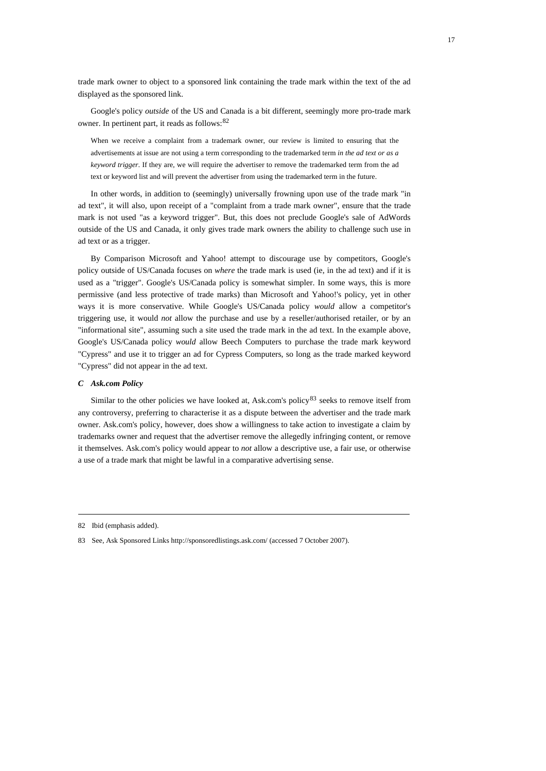trade mark owner to object to a sponsored link containing the trade mark within the text of the ad displayed as the sponsored link.

Google's policy *outside* of the US and Canada is a bit different, seemingly more pro-trade mark owner. In pertinent part, it reads as follows:[82](#page-16-0)

When we receive a complaint from a trademark owner, our review is limited to ensuring that the advertisements at issue are not using a term corresponding to the trademarked term *in the ad text or as a keyword trigger*. If they are, we will require the advertiser to remove the trademarked term from the ad text or keyword list and will prevent the advertiser from using the trademarked term in the future.

In other words, in addition to (seemingly) universally frowning upon use of the trade mark "in ad text", it will also, upon receipt of a "complaint from a trade mark owner", ensure that the trade mark is not used "as a keyword trigger". But, this does not preclude Google's sale of AdWords outside of the US and Canada, it only gives trade mark owners the ability to challenge such use in ad text or as a trigger.

By Comparison Microsoft and Yahoo! attempt to discourage use by competitors, Google's policy outside of US/Canada focuses on *where* the trade mark is used (ie, in the ad text) and if it is used as a "trigger". Google's US/Canada policy is somewhat simpler. In some ways, this is more permissive (and less protective of trade marks) than Microsoft and Yahoo!'s policy, yet in other ways it is more conservative. While Google's US/Canada policy *would* allow a competitor's triggering use, it would *not* allow the purchase and use by a reseller/authorised retailer, or by an "informational site", assuming such a site used the trade mark in the ad text. In the example above, Google's US/Canada policy *would* allow Beech Computers to purchase the trade mark keyword "Cypress" and use it to trigger an ad for Cypress Computers, so long as the trade marked keyword "Cypress" did not appear in the ad text.

#### *C Ask.com Policy*

Similar to the other policies we have looked at, Ask.com's policy $83$  seeks to remove itself from any controversy, preferring to characterise it as a dispute between the advertiser and the trade mark owner. Ask.com's policy, however, does show a willingness to take action to investigate a claim by trademarks owner and request that the advertiser remove the allegedly infringing content, or remove it themselves. Ask.com's policy would appear to *not* allow a descriptive use, a fair use, or otherwise a use of a trade mark that might be lawful in a comparative advertising sense.

<span id="page-16-0"></span><sup>82</sup> Ibid (emphasis added).

<span id="page-16-1"></span><sup>83</sup> See, Ask Sponsored Links [http://sponsoredlistings.ask.com/](http://sponsoredlistings.ask.com/,) (accessed 7 October 2007).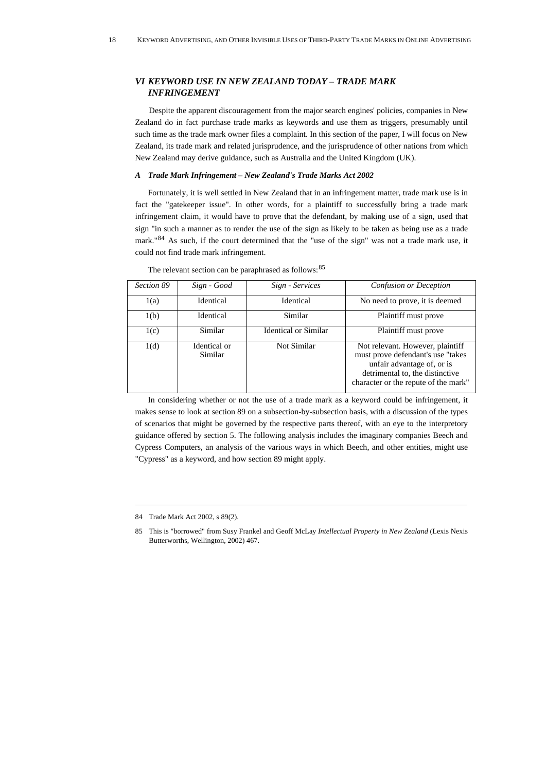# *VI KEYWORD USE IN NEW ZEALAND TODAY – TRADE MARK INFRINGEMENT*

Despite the apparent discouragement from the major search engines' policies, companies in New Zealand do in fact purchase trade marks as keywords and use them as triggers, presumably until such time as the trade mark owner files a complaint. In this section of the paper, I will focus on New Zealand, its trade mark and related jurisprudence, and the jurisprudence of other nations from which New Zealand may derive guidance, such as Australia and the United Kingdom (UK).

## *A Trade Mark Infringement – New Zealand's Trade Marks Act 2002*

Fortunately, it is well settled in New Zealand that in an infringement matter, trade mark use is in fact the "gatekeeper issue". In other words, for a plaintiff to successfully bring a trade mark infringement claim, it would have to prove that the defendant, by making use of a sign, used that sign "in such a manner as to render the use of the sign as likely to be taken as being use as a trade mark."[84](#page-17-0) As such, if the court determined that the "use of the sign" was not a trade mark use, it could not find trade mark infringement.

| Section 89 | Sign - Good             | Sign - Services             | Confusion or Deception                                                                                                                                                         |
|------------|-------------------------|-----------------------------|--------------------------------------------------------------------------------------------------------------------------------------------------------------------------------|
| 1(a)       | Identical               | Identical                   | No need to prove, it is deemed                                                                                                                                                 |
| 1(b)       | Identical               | Similar                     | Plaintiff must prove                                                                                                                                                           |
| 1(c)       | Similar                 | <b>Identical or Similar</b> | Plaintiff must prove                                                                                                                                                           |
| 1(d)       | Identical or<br>Similar | Not Similar                 | Not relevant. However, plaintiff<br>must prove defendant's use "takes<br>unfair advantage of, or is<br>detrimental to, the distinctive<br>character or the repute of the mark" |

The relevant section can be paraphrased as follows:<sup>[85](#page-17-1)</sup>

In considering whether or not the use of a trade mark as a keyword could be infringement, it makes sense to look at section 89 on a subsection-by-subsection basis, with a discussion of the types of scenarios that might be governed by the respective parts thereof, with an eye to the interpretory guidance offered by section 5. The following analysis includes the imaginary companies Beech and Cypress Computers, an analysis of the various ways in which Beech, and other entities, might use "Cypress" as a keyword, and how section 89 might apply.

<span id="page-17-0"></span><sup>84</sup> Trade Mark Act 2002, s 89(2).

<span id="page-17-1"></span><sup>85</sup> This is "borrowed" from Susy Frankel and Geoff McLay *Intellectual Property in New Zealand* (Lexis Nexis Butterworths, Wellington, 2002) 467.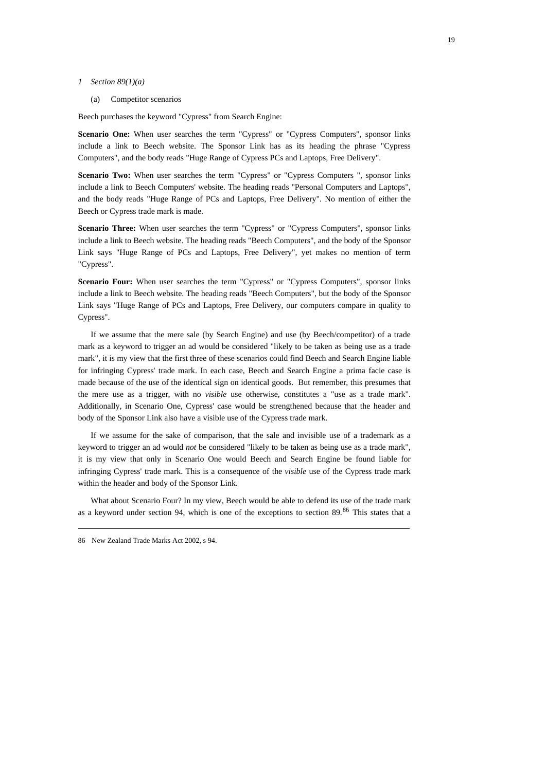#### *1 Section 89(1)(a)*

(a) Competitor scenarios

Beech purchases the keyword "Cypress" from Search Engine:

**Scenario One:** When user searches the term "Cypress" or "Cypress Computers", sponsor links include a link to Beech website. The Sponsor Link has as its heading the phrase "Cypress Computers", and the body reads "Huge Range of Cypress PCs and Laptops, Free Delivery".

**Scenario Two:** When user searches the term "Cypress" or "Cypress Computers ", sponsor links include a link to Beech Computers' website. The heading reads "Personal Computers and Laptops", and the body reads "Huge Range of PCs and Laptops, Free Delivery". No mention of either the Beech or Cypress trade mark is made.

**Scenario Three:** When user searches the term "Cypress" or "Cypress Computers", sponsor links include a link to Beech website. The heading reads "Beech Computers", and the body of the Sponsor Link says "Huge Range of PCs and Laptops, Free Delivery", yet makes no mention of term "Cypress".

**Scenario Four:** When user searches the term "Cypress" or "Cypress Computers", sponsor links include a link to Beech website. The heading reads "Beech Computers", but the body of the Sponsor Link says "Huge Range of PCs and Laptops, Free Delivery, our computers compare in quality to Cypress".

If we assume that the mere sale (by Search Engine) and use (by Beech/competitor) of a trade mark as a keyword to trigger an ad would be considered "likely to be taken as being use as a trade mark", it is my view that the first three of these scenarios could find Beech and Search Engine liable for infringing Cypress' trade mark. In each case, Beech and Search Engine a prima facie case is made because of the use of the identical sign on identical goods. But remember, this presumes that the mere use as a trigger, with no *visible* use otherwise, constitutes a "use as a trade mark". Additionally, in Scenario One, Cypress' case would be strengthened because that the header and body of the Sponsor Link also have a visible use of the Cypress trade mark.

If we assume for the sake of comparison, that the sale and invisible use of a trademark as a keyword to trigger an ad would *not* be considered "likely to be taken as being use as a trade mark", it is my view that only in Scenario One would Beech and Search Engine be found liable for infringing Cypress' trade mark. This is a consequence of the *visible* use of the Cypress trade mark within the header and body of the Sponsor Link.

What about Scenario Four? In my view, Beech would be able to defend its use of the trade mark as a keyword under section 94, which is one of the exceptions to section 89.[86](#page-18-0) This states that a

<span id="page-18-0"></span><sup>86</sup> New Zealand Trade Marks Act 2002, s 94.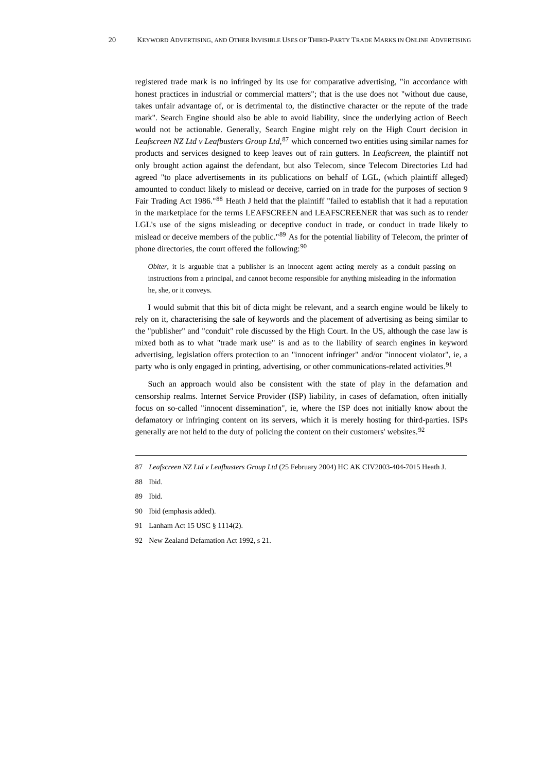registered trade mark is no infringed by its use for comparative advertising, "in accordance with honest practices in industrial or commercial matters"; that is the use does not "without due cause, takes unfair advantage of, or is detrimental to, the distinctive character or the repute of the trade mark". Search Engine should also be able to avoid liability, since the underlying action of Beech would not be actionable. Generally, Search Engine might rely on the High Court decision in *Leafscreen NZ Ltd v Leafbusters Group Ltd*, [87](#page-19-0) which concerned two entities using similar names for products and services designed to keep leaves out of rain gutters. In *Leafscreen*, the plaintiff not only brought action against the defendant, but also Telecom, since Telecom Directories Ltd had agreed "to place advertisements in its publications on behalf of LGL, (which plaintiff alleged) amounted to conduct likely to mislead or deceive, carried on in trade for the purposes of section 9 Fair Trading Act 1986."<sup>[88](#page-19-1)</sup> Heath J held that the plaintiff "failed to establish that it had a reputation in the marketplace for the terms LEAFSCREEN and LEAFSCREENER that was such as to render LGL's use of the signs misleading or deceptive conduct in trade, or conduct in trade likely to mislead or deceive members of the public."[89](#page-19-2) As for the potential liability of Telecom, the printer of phone directories, the court offered the following:<sup>[90](#page-19-3)</sup>

*Obiter*, it is arguable that a publisher is an innocent agent acting merely as a conduit passing on instructions from a principal, and cannot become responsible for anything misleading in the information he, she, or it conveys.

I would submit that this bit of dicta might be relevant, and a search engine would be likely to rely on it, characterising the sale of keywords and the placement of advertising as being similar to the "publisher" and "conduit" role discussed by the High Court. In the US, although the case law is mixed both as to what "trade mark use" is and as to the liability of search engines in keyword advertising, legislation offers protection to an "innocent infringer" and/or "innocent violator", ie, a party who is only engaged in printing, advertising, or other communications-related activities.<sup>[91](#page-19-4)</sup>

Such an approach would also be consistent with the state of play in the defamation and censorship realms. Internet Service Provider (ISP) liability, in cases of defamation, often initially focus on so-called "innocent dissemination", ie, where the ISP does not initially know about the defamatory or infringing content on its servers, which it is merely hosting for third-parties. ISPs generally are not held to the duty of policing the content on their customers' websites. $92$ 

- <span id="page-19-0"></span>87 *Leafscreen NZ Ltd v Leafbusters Group Ltd* (25 February 2004) HC AK CIV2003-404-7015 Heath J.
- <span id="page-19-1"></span>88 Ibid.
- <span id="page-19-2"></span>89 Ibid.
- <span id="page-19-3"></span>90 Ibid (emphasis added).
- <span id="page-19-4"></span>91 Lanham Act 15 USC § 1114(2).
- <span id="page-19-5"></span>92 New Zealand Defamation Act 1992, s 21.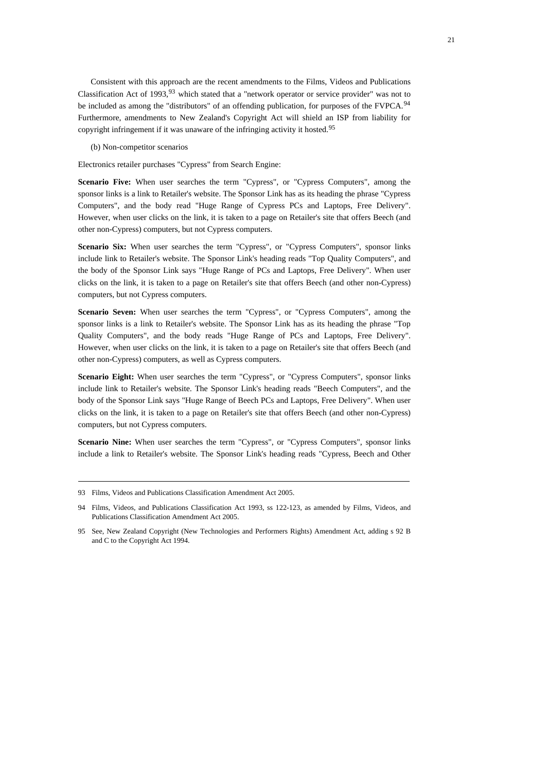Consistent with this approach are the recent amendments to the Films, Videos and Publications Classification Act of 19[93](#page-20-0), <sup>93</sup> which stated that a "network operator or service provider" was not to be included as among the "distributors" of an offending publication, for purposes of the FVPCA.<sup>[94](#page-20-1)</sup> Furthermore, amendments to New Zealand's Copyright Act will shield an ISP from liability for copyright infringement if it was unaware of the infringing activity it hosted.[95](#page-20-2)

(b) Non-competitor scenarios

Electronics retailer purchases "Cypress" from Search Engine:

**Scenario Five:** When user searches the term "Cypress", or "Cypress Computers", among the sponsor links is a link to Retailer's website. The Sponsor Link has as its heading the phrase "Cypress Computers", and the body read "Huge Range of Cypress PCs and Laptops, Free Delivery". However, when user clicks on the link, it is taken to a page on Retailer's site that offers Beech (and other non-Cypress) computers, but not Cypress computers.

Scenario Six: When user searches the term "Cypress", or "Cypress Computers", sponsor links include link to Retailer's website. The Sponsor Link's heading reads "Top Quality Computers", and the body of the Sponsor Link says "Huge Range of PCs and Laptops, Free Delivery". When user clicks on the link, it is taken to a page on Retailer's site that offers Beech (and other non-Cypress) computers, but not Cypress computers.

**Scenario Seven:** When user searches the term "Cypress", or "Cypress Computers", among the sponsor links is a link to Retailer's website. The Sponsor Link has as its heading the phrase "Top Quality Computers", and the body reads "Huge Range of PCs and Laptops, Free Delivery". However, when user clicks on the link, it is taken to a page on Retailer's site that offers Beech (and other non-Cypress) computers, as well as Cypress computers.

**Scenario Eight:** When user searches the term "Cypress", or "Cypress Computers", sponsor links include link to Retailer's website. The Sponsor Link's heading reads "Beech Computers", and the body of the Sponsor Link says "Huge Range of Beech PCs and Laptops, Free Delivery". When user clicks on the link, it is taken to a page on Retailer's site that offers Beech (and other non-Cypress) computers, but not Cypress computers.

**Scenario Nine:** When user searches the term "Cypress", or "Cypress Computers", sponsor links include a link to Retailer's website. The Sponsor Link's heading reads "Cypress, Beech and Other

<span id="page-20-0"></span><sup>93</sup> Films, Videos and Publications Classification Amendment Act 2005.

<span id="page-20-1"></span><sup>94</sup> Films, Videos, and Publications Classification Act 1993, ss 122-123, as amended by Films, Videos, and Publications Classification Amendment Act 2005.

<span id="page-20-2"></span><sup>95</sup> See, New Zealand Copyright (New Technologies and Performers Rights) Amendment Act, adding s 92 B and C to the Copyright Act 1994.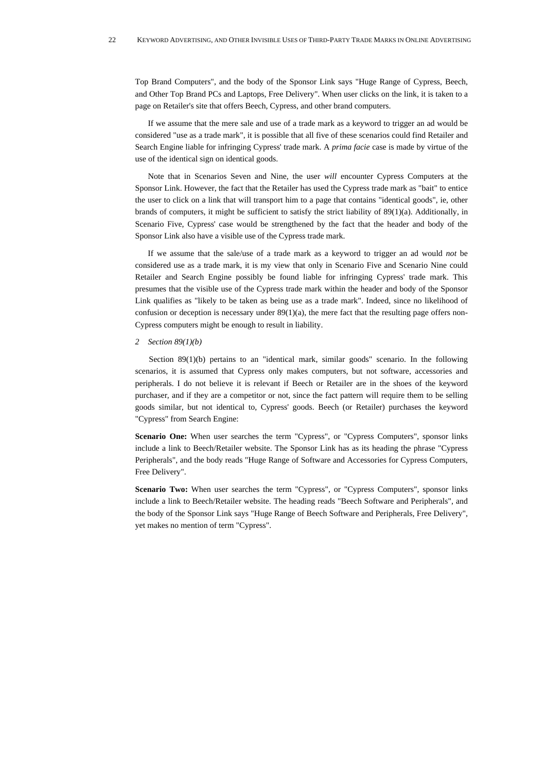Top Brand Computers", and the body of the Sponsor Link says "Huge Range of Cypress, Beech, and Other Top Brand PCs and Laptops, Free Delivery". When user clicks on the link, it is taken to a page on Retailer's site that offers Beech, Cypress, and other brand computers.

If we assume that the mere sale and use of a trade mark as a keyword to trigger an ad would be considered "use as a trade mark", it is possible that all five of these scenarios could find Retailer and Search Engine liable for infringing Cypress' trade mark. A *prima facie* case is made by virtue of the use of the identical sign on identical goods.

Note that in Scenarios Seven and Nine, the user *will* encounter Cypress Computers at the Sponsor Link. However, the fact that the Retailer has used the Cypress trade mark as "bait" to entice the user to click on a link that will transport him to a page that contains "identical goods", ie, other brands of computers, it might be sufficient to satisfy the strict liability of 89(1)(a). Additionally, in Scenario Five, Cypress' case would be strengthened by the fact that the header and body of the Sponsor Link also have a visible use of the Cypress trade mark.

If we assume that the sale/use of a trade mark as a keyword to trigger an ad would *not* be considered use as a trade mark, it is my view that only in Scenario Five and Scenario Nine could Retailer and Search Engine possibly be found liable for infringing Cypress' trade mark. This presumes that the visible use of the Cypress trade mark within the header and body of the Sponsor Link qualifies as "likely to be taken as being use as a trade mark". Indeed, since no likelihood of confusion or deception is necessary under  $89(1)(a)$ , the mere fact that the resulting page offers non-Cypress computers might be enough to result in liability.

## *2 Section 89(1)(b)*

Section 89(1)(b) pertains to an "identical mark, similar goods" scenario. In the following scenarios, it is assumed that Cypress only makes computers, but not software, accessories and peripherals. I do not believe it is relevant if Beech or Retailer are in the shoes of the keyword purchaser, and if they are a competitor or not, since the fact pattern will require them to be selling goods similar, but not identical to, Cypress' goods. Beech (or Retailer) purchases the keyword "Cypress" from Search Engine:

**Scenario One:** When user searches the term "Cypress", or "Cypress Computers", sponsor links include a link to Beech/Retailer website. The Sponsor Link has as its heading the phrase "Cypress Peripherals", and the body reads "Huge Range of Software and Accessories for Cypress Computers, Free Delivery".

**Scenario Two:** When user searches the term "Cypress", or "Cypress Computers", sponsor links include a link to Beech/Retailer website. The heading reads "Beech Software and Peripherals", and the body of the Sponsor Link says "Huge Range of Beech Software and Peripherals, Free Delivery", yet makes no mention of term "Cypress".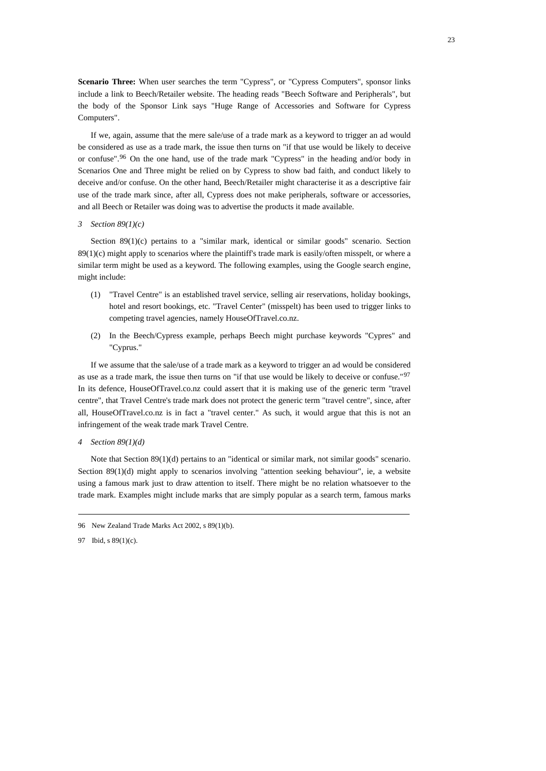**Scenario Three:** When user searches the term "Cypress", or "Cypress Computers", sponsor links include a link to Beech/Retailer website. The heading reads "Beech Software and Peripherals", but the body of the Sponsor Link says "Huge Range of Accessories and Software for Cypress Computers".

If we, again, assume that the mere sale/use of a trade mark as a keyword to trigger an ad would be considered as use as a trade mark, the issue then turns on "if that use would be likely to deceive or confuse".[96](#page-22-0) On the one hand, use of the trade mark "Cypress" in the heading and/or body in Scenarios One and Three might be relied on by Cypress to show bad faith, and conduct likely to deceive and/or confuse. On the other hand, Beech/Retailer might characterise it as a descriptive fair use of the trade mark since, after all, Cypress does not make peripherals, software or accessories, and all Beech or Retailer was doing was to advertise the products it made available.

## *3 Section 89(1)(c)*

Section 89(1)(c) pertains to a "similar mark, identical or similar goods" scenario. Section  $89(1)(c)$  might apply to scenarios where the plaintiff's trade mark is easily/often misspelt, or where a similar term might be used as a keyword. The following examples, using the Google search engine, might include:

- (1) "Travel Centre" is an established travel service, selling air reservations, holiday bookings, hotel and resort bookings, etc. "Travel Center" (misspelt) has been used to trigger links to competing travel agencies, namely HouseOfTravel.co.nz.
- (2) In the Beech/Cypress example, perhaps Beech might purchase keywords "Cypres" and "Cyprus."

If we assume that the sale/use of a trade mark as a keyword to trigger an ad would be considered as use as a trade mark, the issue then turns on "if that use would be likely to deceive or confuse."[97](#page-22-1) In its defence, HouseOfTravel.co.nz could assert that it is making use of the generic term "travel centre", that Travel Centre's trade mark does not protect the generic term "travel centre", since, after all, HouseOfTravel.co.nz is in fact a "travel center." As such, it would argue that this is not an infringement of the weak trade mark Travel Centre.

*4 Section 89(1)(d)* 

Note that Section 89(1)(d) pertains to an "identical or similar mark, not similar goods" scenario. Section 89(1)(d) might apply to scenarios involving "attention seeking behaviour", ie, a website using a famous mark just to draw attention to itself. There might be no relation whatsoever to the trade mark. Examples might include marks that are simply popular as a search term, famous marks

<span id="page-22-0"></span><sup>96</sup> New Zealand Trade Marks Act 2002, s 89(1)(b).

<span id="page-22-1"></span><sup>97</sup> Ibid, s 89(1)(c).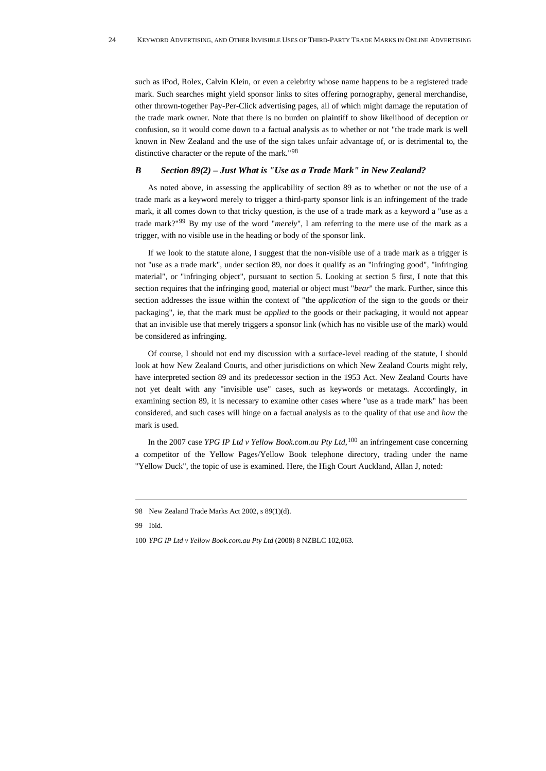such as iPod, Rolex, Calvin Klein, or even a celebrity whose name happens to be a registered trade mark. Such searches might yield sponsor links to sites offering pornography, general merchandise, other thrown-together Pay-Per-Click advertising pages, all of which might damage the reputation of the trade mark owner. Note that there is no burden on plaintiff to show likelihood of deception or confusion, so it would come down to a factual analysis as to whether or not "the trade mark is well known in New Zealand and the use of the sign takes unfair advantage of, or is detrimental to, the distinctive character or the repute of the mark."[98](#page-23-0)

## *B Section 89(2) – Just What is "Use as a Trade Mark" in New Zealand?*

As noted above, in assessing the applicability of section 89 as to whether or not the use of a trade mark as a keyword merely to trigger a third-party sponsor link is an infringement of the trade mark, it all comes down to that tricky question, is the use of a trade mark as a keyword a "use as a trade mark?"[99](#page-23-1) By my use of the word "*merely*", I am referring to the mere use of the mark as a trigger, with no visible use in the heading or body of the sponsor link.

If we look to the statute alone, I suggest that the non-visible use of a trade mark as a trigger is not "use as a trade mark", under section 89, nor does it qualify as an "infringing good", "infringing material", or "infringing object", pursuant to section 5. Looking at section 5 first, I note that this section requires that the infringing good, material or object must "*bear*" the mark. Further, since this section addresses the issue within the context of "the *application* of the sign to the goods or their packaging", ie, that the mark must be *applied* to the goods or their packaging, it would not appear that an invisible use that merely triggers a sponsor link (which has no visible use of the mark) would be considered as infringing.

Of course, I should not end my discussion with a surface-level reading of the statute, I should look at how New Zealand Courts, and other jurisdictions on which New Zealand Courts might rely, have interpreted section 89 and its predecessor section in the 1953 Act. New Zealand Courts have not yet dealt with any "invisible use" cases, such as keywords or metatags. Accordingly, in examining section 89, it is necessary to examine other cases where "use as a trade mark" has been considered, and such cases will hinge on a factual analysis as to the quality of that use and *how* the mark is used.

In the 2007 case *YPG IP Ltd v Yellow Book.com.au Pty Ltd*, <sup>[100](#page-23-2)</sup> an infringement case concerning a competitor of the Yellow Pages/Yellow Book telephone directory, trading under the name "Yellow Duck", the topic of use is examined. Here, the High Court Auckland, Allan J, noted:

<span id="page-23-1"></span>99 Ibid.

<span id="page-23-0"></span><sup>98</sup> New Zealand Trade Marks Act 2002, s 89(1)(d).

<span id="page-23-2"></span><sup>100</sup> *YPG IP Ltd v Yellow Book.com.au Pty Ltd* [\(2008\) 8 NZBLC 102,063.](http://library2.cch.co.nz.helicon.vuw.ac.nz/dynaweb/nbl/nblcase?DwebQuery=2008%208%20NZBLC%20102,063)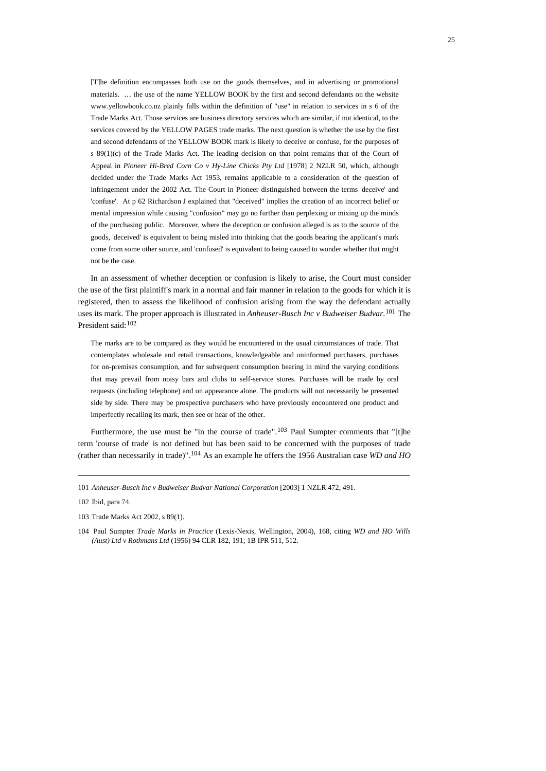[T]he definition encompasses both use on the goods themselves, and in advertising or promotional materials. … the use of the name YELLOW BOOK by the first and second defendants on the website www.yellowbook.co.nz plainly falls within the definition of "use" in relation to services in s 6 of the Trade Marks Act. Those services are business directory services which are similar, if not identical, to the services covered by the YELLOW PAGES trade marks. The next question is whether the use by the first and second defendants of the YELLOW BOOK mark is likely to deceive or confuse, for the purposes of s 89(1)(c) of the Trade Marks Act. The leading decision on that point remains that of the Court of Appeal in *Pioneer Hi-Bred Corn Co v Hy-Line Chicks Pty Ltd* [1978] 2 NZLR 50, which, although decided under the Trade Marks Act 1953, remains applicable to a consideration of the question of infringement under the 2002 Act. The Court in Pioneer distinguished between the terms 'deceive' and 'confuse'. At p 62 Richardson J explained that "deceived" implies the creation of an incorrect belief or mental impression while causing "confusion" may go no further than perplexing or mixing up the minds of the purchasing public. Moreover, where the deception or confusion alleged is as to the source of the goods, 'deceived' is equivalent to being misled into thinking that the goods bearing the applicant's mark come from some other source, and 'confused' is equivalent to being caused to wonder whether that might not be the case.

In an assessment of whether deception or confusion is likely to arise, the Court must consider the use of the first plaintiff's mark in a normal and fair manner in relation to the goods for which it is registered, then to assess the likelihood of confusion arising from the way the defendant actually uses its mark. The proper approach is illustrated in *Anheuser-Busch Inc v Budweiser Budvar*. [101](#page-24-0) The President said: [102](#page-24-1)

The marks are to be compared as they would be encountered in the usual circumstances of trade. That contemplates wholesale and retail transactions, knowledgeable and uninformed purchasers, purchases for on-premises consumption, and for subsequent consumption bearing in mind the varying conditions that may prevail from noisy bars and clubs to self-service stores. Purchases will be made by oral requests (including telephone) and on appearance alone. The products will not necessarily be presented side by side. There may be prospective purchasers who have previously encountered one product and imperfectly recalling its mark, then see or hear of the other.

Furthermore, the use must be "in the course of trade".<sup>[103](#page-24-2)</sup> Paul Sumpter comments that "[t]he term 'course of trade' is not defined but has been said to be concerned with the purposes of trade (rather than necessarily in trade)".[104](#page-24-3) As an example he offers the 1956 Australian case *WD and HO* 

<span id="page-24-0"></span><sup>101</sup> *Anheuser-Busch Inc v Budweiser Budvar National Corporation* [2003] 1 NZLR 472, 491.

<span id="page-24-1"></span><sup>102</sup> Ibid, para 74.

<span id="page-24-2"></span><sup>103</sup> Trade Marks Act 2002, s 89(1).

<span id="page-24-3"></span><sup>104</sup> Paul Sumpter *Trade Marks in Practice* (Lexis-Nexis, Wellington, 2004), 168, citing *WD and HO Wills (Aust) Ltd v Rothmans Ltd* (1956) 94 CLR 182, 191; 1B IPR 511, 512.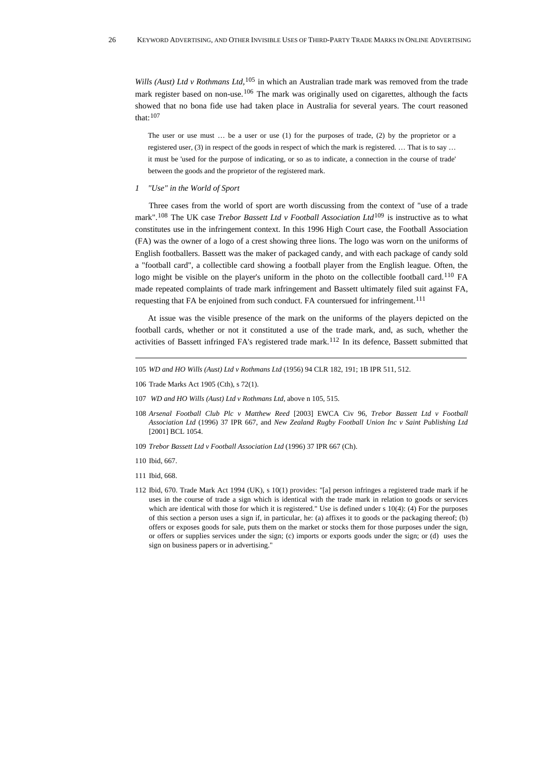*Wills (Aust) Ltd v Rothmans Ltd*,<sup>[105](#page-25-0)</sup> in which an Australian trade mark was removed from the trade mark register based on non-use.<sup>[106](#page-25-1)</sup> The mark was originally used on cigarettes, although the facts showed that no bona fide use had taken place in Australia for several years. The court reasoned that:[107](#page-25-2)

The user or use must … be a user or use (1) for the purposes of trade, (2) by the proprietor or a registered user, (3) in respect of the goods in respect of which the mark is registered. … That is to say … it must be 'used for the purpose of indicating, or so as to indicate, a connection in the course of trade' between the goods and the proprietor of the registered mark.

### *1 "Use" in the World of Sport*

Three cases from the world of sport are worth discussing from the context of "use of a trade mark".[108](#page-25-3) The UK case *Trebor Bassett Ltd v Football Association Ltd*[109](#page-25-4) is instructive as to what constitutes use in the infringement context. In this 1996 High Court case, the Football Association (FA) was the owner of a logo of a crest showing three lions. The logo was worn on the uniforms of English footballers. Bassett was the maker of packaged candy, and with each package of candy sold a "football card", a collectible card showing a football player from the English league. Often, the logo might be visible on the player's uniform in the photo on the collectible football card.<sup>[110](#page-25-5)</sup> FA made repeated complaints of trade mark infringement and Bassett ultimately filed suit against FA, requesting that FA be enjoined from such conduct. FA countersued for infringement.<sup>[111](#page-25-6)</sup>

At issue was the visible presence of the mark on the uniforms of the players depicted on the football cards, whether or not it constituted a use of the trade mark, and, as such, whether the activities of Bassett infringed FA's registered trade mark.[112](#page-25-7) In its defence, Bassett submitted that

- <span id="page-25-0"></span>105 *WD and HO Wills (Aust) Ltd v Rothmans Ltd* (1956) 94 CLR 182, 191; 1B IPR 511, 512.
- <span id="page-25-1"></span>106 Trade Marks Act 1905 (Cth), s 72(1).
- <span id="page-25-2"></span>107 *WD and HO Wills (Aust) Ltd v Rothmans Ltd*, above n 105, 515.
- <span id="page-25-3"></span>108 *Arsenal Football Club Plc v Matthew Reed* [2003] EWCA Civ 96, *Trebor Bassett Ltd v Football Association Ltd* (1996) 37 IPR 667, and *New Zealand Rugby Football Union Inc v Saint Publishing Ltd* [2001] BCL 1054.
- <span id="page-25-4"></span>109 *Trebor Bassett Ltd v Football Association Ltd* (1996) 37 IPR 667 (Ch).
- <span id="page-25-5"></span>110 Ibid, 667.
- <span id="page-25-6"></span>111 Ibid, 668.
- <span id="page-25-7"></span>112 Ibid, 670. Trade Mark Act 1994 (UK), s 10(1) provides: "[a] person infringes a registered trade mark if he uses in the course of trade a sign which is identical with the trade mark in relation to goods or services which are identical with those for which it is registered." Use is defined under s 10(4): (4) For the purposes of this section a person uses a sign if, in particular, he: (a) affixes it to goods or the packaging thereof; (b) offers or exposes goods for sale, puts them on the market or stocks them for those purposes under the sign, or offers or supplies services under the sign; (c) imports or exports goods under the sign; or (d) uses the sign on business papers or in advertising."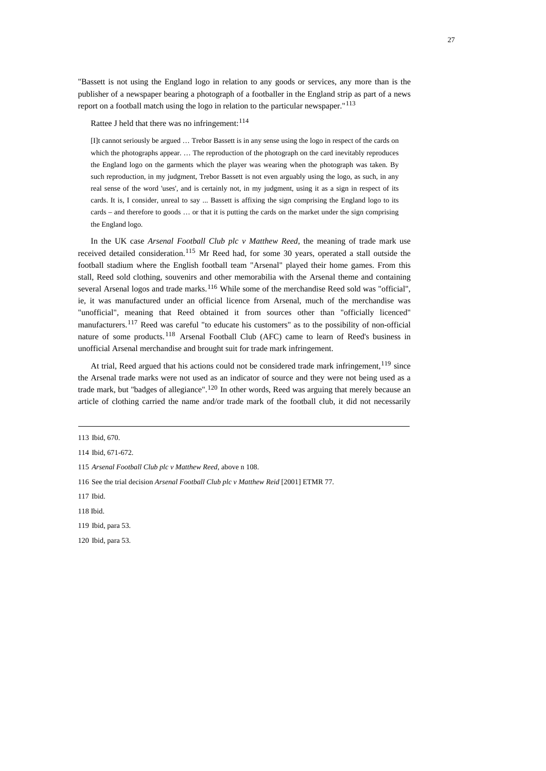"Bassett is not using the England logo in relation to any goods or services, any more than is the publisher of a newspaper bearing a photograph of a footballer in the England strip as part of a news report on a football match using the logo in relation to the particular newspaper."[113](#page-26-0)

Rattee J held that there was no infringement: [114](#page-26-1)

[I]t cannot seriously be argued … Trebor Bassett is in any sense using the logo in respect of the cards on which the photographs appear. ... The reproduction of the photograph on the card inevitably reproduces the England logo on the garments which the player was wearing when the photograph was taken. By such reproduction, in my judgment, Trebor Bassett is not even arguably using the logo, as such, in any real sense of the word 'uses', and is certainly not, in my judgment, using it as a sign in respect of its cards. It is, I consider, unreal to say ... Bassett is affixing the sign comprising the England logo to its cards – and therefore to goods … or that it is putting the cards on the market under the sign comprising the England logo.

In the UK case *Arsenal Football Club plc v Matthew Reed*, the meaning of trade mark use received detailed consideration.[115](#page-26-2) Mr Reed had, for some 30 years, operated a stall outside the football stadium where the English football team "Arsenal" played their home games. From this stall, Reed sold clothing, souvenirs and other memorabilia with the Arsenal theme and containing several Arsenal logos and trade marks.<sup>[116](#page-26-3)</sup> While some of the merchandise Reed sold was "official", ie, it was manufactured under an official licence from Arsenal, much of the merchandise was "unofficial", meaning that Reed obtained it from sources other than "officially licenced" manufacturers.[117](#page-26-4) Reed was careful "to educate his customers" as to the possibility of non-official nature of some products.<sup>[118](#page-26-5)</sup> Arsenal Football Club (AFC) came to learn of Reed's business in unofficial Arsenal merchandise and brought suit for trade mark infringement.

At trial, Reed argued that his actions could not be considered trade mark infringement,  $^{119}$  $^{119}$  $^{119}$  since the Arsenal trade marks were not used as an indicator of source and they were not being used as a trade mark, but "badges of allegiance".<sup>[120](#page-26-7)</sup> In other words, Reed was arguing that merely because an article of clothing carried the name and/or trade mark of the football club, it did not necessarily

<span id="page-26-0"></span><sup>113</sup> Ibid, 670.

<span id="page-26-1"></span><sup>114</sup> Ibid, 671-672.

<span id="page-26-2"></span><sup>115</sup> *Arsenal Football Club plc v Matthew Reed*, above n 108.

<span id="page-26-3"></span><sup>116</sup> See the trial decision *Arsenal Football Club plc v Matthew Reid* [2001] ETMR 77.

<span id="page-26-4"></span><sup>117</sup> Ibid.

<span id="page-26-5"></span><sup>118</sup> Ibid.

<span id="page-26-6"></span><sup>119</sup> Ibid, para 53.

<span id="page-26-7"></span><sup>120</sup> Ibid, para 53.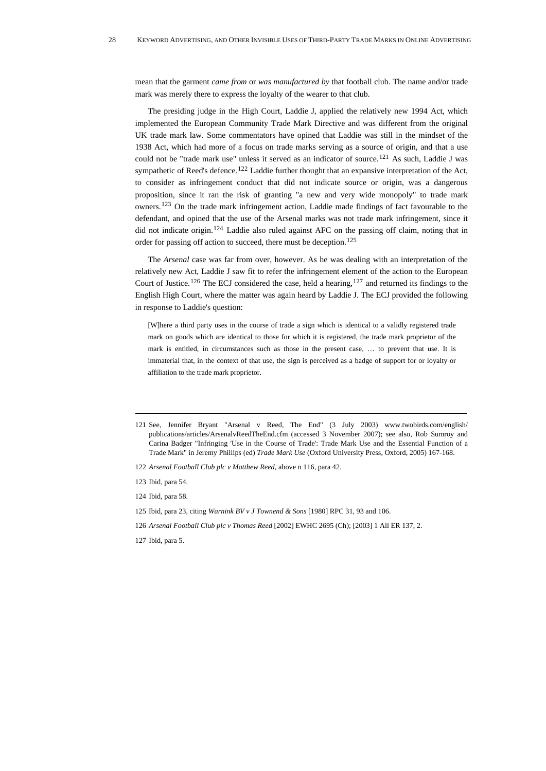mean that the garment *came from* or *was manufactured by* that football club. The name and/or trade mark was merely there to express the loyalty of the wearer to that club.

The presiding judge in the High Court, Laddie J, applied the relatively new 1994 Act, which implemented the European Community Trade Mark Directive and was different from the original UK trade mark law. Some commentators have opined that Laddie was still in the mindset of the 1938 Act, which had more of a focus on trade marks serving as a source of origin, and that a use could not be "trade mark use" unless it served as an indicator of source.<sup>[121](#page-27-0)</sup> As such, Laddie J was sympathetic of Reed's defence.<sup>[122](#page-27-1)</sup> Laddie further thought that an expansive interpretation of the Act, to consider as infringement conduct that did not indicate source or origin, was a dangerous proposition, since it ran the risk of granting "a new and very wide monopoly" to trade mark owners.[123](#page-27-2) On the trade mark infringement action, Laddie made findings of fact favourable to the defendant, and opined that the use of the Arsenal marks was not trade mark infringement, since it did not indicate origin.[124](#page-27-3) Laddie also ruled against AFC on the passing off claim, noting that in order for passing off action to succeed, there must be deception.<sup>[125](#page-27-4)</sup>

The *Arsenal* case was far from over, however. As he was dealing with an interpretation of the relatively new Act, Laddie J saw fit to refer the infringement element of the action to the European Court of Justice.<sup>[126](#page-27-5)</sup> The ECJ considered the case, held a hearing,<sup>[127](#page-27-6)</sup> and returned its findings to the English High Court, where the matter was again heard by Laddie J. The ECJ provided the following in response to Laddie's question:

[W]here a third party uses in the course of trade a sign which is identical to a validly registered trade mark on goods which are identical to those for which it is registered, the trade mark proprietor of the mark is entitled, in circumstances such as those in the present case, … to prevent that use. It is immaterial that, in the context of that use, the sign is perceived as a badge of support for or loyalty or affiliation to the trade mark proprietor.

- <span id="page-27-5"></span>126 *Arsenal Football Club plc v Thomas Reed* [2002] EWHC 2695 (Ch); [2003] 1 All ER 137, 2.
- <span id="page-27-6"></span>127 Ibid, para 5.

<span id="page-27-0"></span><sup>121</sup> See, Jennifer Bryant "Arsenal v Reed, The End" (3 July 2003) www.twobirds.com/english/ publications/articles/ArsenalvReedTheEnd.cfm (accessed 3 November 2007); see also, Rob Sumroy and Carina Badger "Infringing 'Use in the Course of Trade': Trade Mark Use and the Essential Function of a Trade Mark" in Jeremy Phillips (ed) *Trade Mark Use* (Oxford University Press, Oxford, 2005) 167-168.

<span id="page-27-1"></span><sup>122</sup> *Arsenal Football Club plc v Matthew Reed*, above n 116, para 42.

<span id="page-27-2"></span><sup>123</sup> Ibid, para 54.

<span id="page-27-3"></span><sup>124</sup> Ibid, para 58.

<span id="page-27-4"></span><sup>125</sup> Ibid, para 23, citing *Warnink BV v J Townend & Sons* [1980] RPC 31, 93 and 106.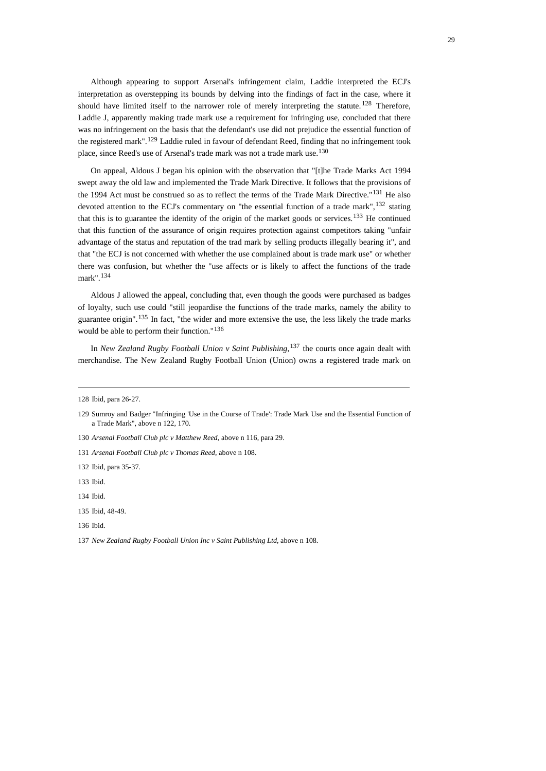Although appearing to support Arsenal's infringement claim, Laddie interpreted the ECJ's interpretation as overstepping its bounds by delving into the findings of fact in the case, where it should have limited itself to the narrower role of merely interpreting the statute. <sup>[128](#page-28-0)</sup> Therefore, Laddie J, apparently making trade mark use a requirement for infringing use, concluded that there was no infringement on the basis that the defendant's use did not prejudice the essential function of the registered mark".[129](#page-28-1) Laddie ruled in favour of defendant Reed, finding that no infringement took place, since Reed's use of Arsenal's trade mark was not a trade mark use.<sup>[130](#page-28-2)</sup>

On appeal, Aldous J began his opinion with the observation that "[t]he Trade Marks Act 1994 swept away the old law and implemented the Trade Mark Directive. It follows that the provisions of the 1994 Act must be construed so as to reflect the terms of the Trade Mark Directive."[131](#page-28-3) He also devoted attention to the ECJ's commentary on "the essential function of a trade mark", <sup>[132](#page-28-4)</sup> stating that this is to guarantee the identity of the origin of the market goods or services.<sup>[133](#page-28-5)</sup> He continued that this function of the assurance of origin requires protection against competitors taking "unfair advantage of the status and reputation of the trad mark by selling products illegally bearing it", and that "the ECJ is not concerned with whether the use complained about is trade mark use" or whether there was confusion, but whether the "use affects or is likely to affect the functions of the trade mark".[134](#page-28-6)

Aldous J allowed the appeal, concluding that, even though the goods were purchased as badges of loyalty, such use could "still jeopardise the functions of the trade marks, namely the ability to guarantee origin".[135](#page-28-7) In fact, "the wider and more extensive the use, the less likely the trade marks would be able to perform their function."[136](#page-28-8)

In *New Zealand Rugby Football Union v Saint Publishing*, [137](#page-28-9) the courts once again dealt with merchandise. The New Zealand Rugby Football Union (Union) owns a registered trade mark on

<span id="page-28-4"></span>132 Ibid, para 35-37.

<span id="page-28-5"></span>133 Ibid.

<span id="page-28-0"></span><sup>128</sup> Ibid, para 26-27.

<span id="page-28-1"></span><sup>129</sup> Sumroy and Badger "Infringing 'Use in the Course of Trade': Trade Mark Use and the Essential Function of a Trade Mark", above n 122, 170.

<span id="page-28-2"></span><sup>130</sup> *Arsenal Football Club plc v Matthew Reed*, above n 116, para 29.

<span id="page-28-3"></span><sup>131</sup> *Arsenal Football Club plc v Thomas Reed*, above n 108.

<span id="page-28-6"></span><sup>134</sup> Ibid.

<span id="page-28-7"></span><sup>135</sup> Ibid, 48-49.

<span id="page-28-8"></span><sup>136</sup> Ibid.

<span id="page-28-9"></span><sup>137</sup> *New Zealand Rugby Football Union Inc v Saint Publishing Ltd*, above n 108.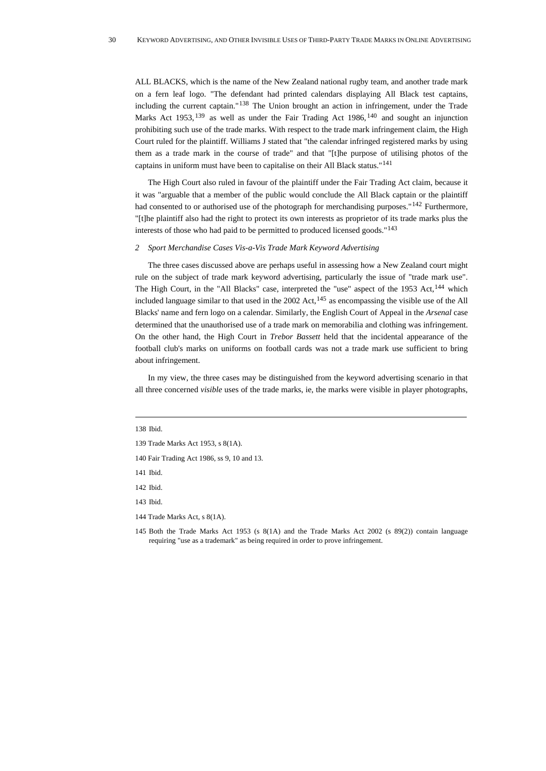ALL BLACKS, which is the name of the New Zealand national rugby team, and another trade mark on a fern leaf logo. "The defendant had printed calendars displaying All Black test captains, including the current captain."[138](#page-29-0) The Union brought an action in infringement, under the Trade Marks Act 1953, <sup>[139](#page-29-1)</sup> as well as under the Fair Trading Act 1986, <sup>[140](#page-29-2)</sup> and sought an injunction prohibiting such use of the trade marks. With respect to the trade mark infringement claim, the High Court ruled for the plaintiff. Williams J stated that "the calendar infringed registered marks by using them as a trade mark in the course of trade" and that "[t]he purpose of utilising photos of the captains in uniform must have been to capitalise on their All Black status."[141](#page-29-3)

The High Court also ruled in favour of the plaintiff under the Fair Trading Act claim, because it it was "arguable that a member of the public would conclude the All Black captain or the plaintiff had consented to or authorised use of the photograph for merchandising purposes."<sup>[142](#page-29-4)</sup> Furthermore, "[t]he plaintiff also had the right to protect its own interests as proprietor of its trade marks plus the interests of those who had paid to be permitted to produced licensed goods."[143](#page-29-5)

## *2 Sport Merchandise Cases Vis-a-Vis Trade Mark Keyword Advertising*

The three cases discussed above are perhaps useful in assessing how a New Zealand court might rule on the subject of trade mark keyword advertising, particularly the issue of "trade mark use". The High Court, in the "All Blacks" case, interpreted the "use" aspect of the  $1953$  Act,  $144$  which included language similar to that used in the 2002 Act,<sup>[145](#page-29-7)</sup> as encompassing the visible use of the All Blacks' name and fern logo on a calendar. Similarly, the English Court of Appeal in the *Arsenal* case determined that the unauthorised use of a trade mark on memorabilia and clothing was infringement. On the other hand, the High Court in *Trebor Bassett* held that the incidental appearance of the football club's marks on uniforms on football cards was not a trade mark use sufficient to bring about infringement.

In my view, the three cases may be distinguished from the keyword advertising scenario in that all three concerned *visible* uses of the trade marks, ie, the marks were visible in player photographs,

<span id="page-29-0"></span>138 Ibid.

<span id="page-29-3"></span>141 Ibid.

<span id="page-29-5"></span>143 Ibid.

<span id="page-29-1"></span><sup>139</sup> Trade Marks Act 1953, s 8(1A).

<span id="page-29-2"></span><sup>140</sup> Fair Trading Act 1986, ss 9, 10 and 13.

<span id="page-29-4"></span><sup>142</sup> Ibid.

<span id="page-29-6"></span><sup>144</sup> Trade Marks Act, s 8(1A).

<span id="page-29-7"></span><sup>145</sup> Both the Trade Marks Act 1953 (s 8(1A) and the Trade Marks Act 2002 (s 89(2)) contain language requiring "use as a trademark" as being required in order to prove infringement.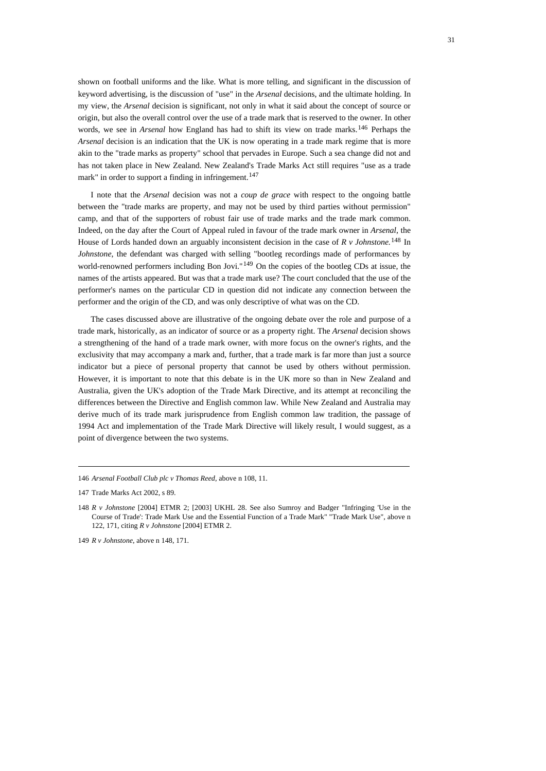shown on football uniforms and the like. What is more telling, and significant in the discussion of keyword advertising, is the discussion of "use" in the *Arsenal* decisions, and the ultimate holding. In my view, the *Arsenal* decision is significant, not only in what it said about the concept of source or origin, but also the overall control over the use of a trade mark that is reserved to the owner. In other words, we see in *Arsenal* how England has had to shift its view on trade marks.[146](#page-30-0) Perhaps the *Arsenal* decision is an indication that the UK is now operating in a trade mark regime that is more akin to the "trade marks as property" school that pervades in Europe. Such a sea change did not and has not taken place in New Zealand. New Zealand's Trade Marks Act still requires "use as a trade mark" in order to support a finding in infringement.<sup>[147](#page-30-1)</sup>

I note that the *Arsenal* decision was not a *coup de grace* with respect to the ongoing battle between the "trade marks are property, and may not be used by third parties without permission" camp, and that of the supporters of robust fair use of trade marks and the trade mark common. Indeed, on the day after the Court of Appeal ruled in favour of the trade mark owner in *Arsenal*, the House of Lords handed down an arguably inconsistent decision in the case of *R v Johnstone.*[148](#page-30-2) In *Johnstone*, the defendant was charged with selling "bootleg recordings made of performances by world-renowned performers including Bon Jovi."<sup>[149](#page-30-3)</sup> On the copies of the bootleg CDs at issue, the names of the artists appeared. But was that a trade mark use? The court concluded that the use of the performer's names on the particular CD in question did not indicate any connection between the performer and the origin of the CD, and was only descriptive of what was on the CD.

The cases discussed above are illustrative of the ongoing debate over the role and purpose of a trade mark, historically, as an indicator of source or as a property right. The *Arsenal* decision shows a strengthening of the hand of a trade mark owner, with more focus on the owner's rights, and the exclusivity that may accompany a mark and, further, that a trade mark is far more than just a source indicator but a piece of personal property that cannot be used by others without permission. However, it is important to note that this debate is in the UK more so than in New Zealand and Australia, given the UK's adoption of the Trade Mark Directive, and its attempt at reconciling the differences between the Directive and English common law. While New Zealand and Australia may derive much of its trade mark jurisprudence from English common law tradition, the passage of 1994 Act and implementation of the Trade Mark Directive will likely result, I would suggest, as a point of divergence between the two systems.

<span id="page-30-0"></span><sup>146</sup> *Arsenal Football Club plc v Thomas Reed*, above n 108, 11.

<span id="page-30-1"></span><sup>147</sup> Trade Marks Act 2002, s 89.

<span id="page-30-2"></span><sup>148</sup> *R v Johnstone* [2004] ETMR 2; [2003] UKHL 28. See also Sumroy and Badger "Infringing 'Use in the Course of Trade': Trade Mark Use and the Essential Function of a Trade Mark" "Trade Mark Use", above n 122, 171, citing *R v Johnstone* [2004] ETMR 2.

<span id="page-30-3"></span><sup>149</sup> *R v Johnstone*, above n 148, 171.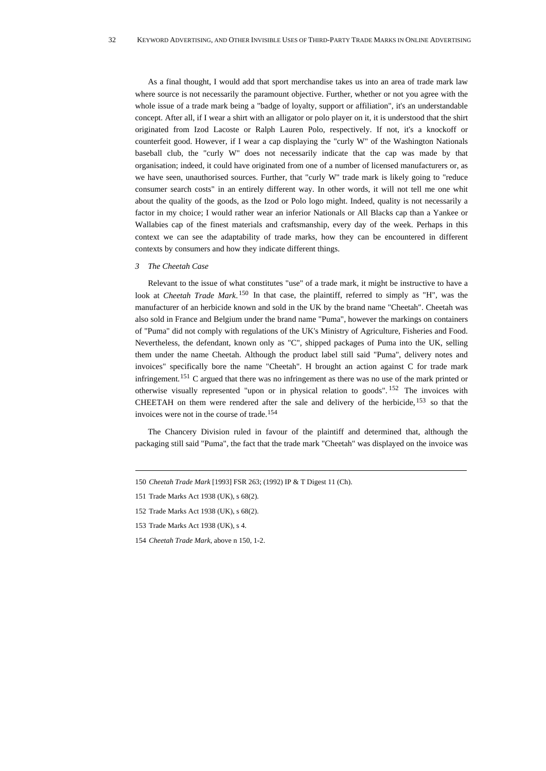As a final thought, I would add that sport merchandise takes us into an area of trade mark law where source is not necessarily the paramount objective. Further, whether or not you agree with the whole issue of a trade mark being a "badge of loyalty, support or affiliation", it's an understandable concept. After all, if I wear a shirt with an alligator or polo player on it, it is understood that the shirt originated from Izod Lacoste or Ralph Lauren Polo, respectively. If not, it's a knockoff or counterfeit good. However, if I wear a cap displaying the "curly W" of the Washington Nationals baseball club, the "curly W" does not necessarily indicate that the cap was made by that organisation; indeed, it could have originated from one of a number of licensed manufacturers or, as we have seen, unauthorised sources. Further, that "curly W" trade mark is likely going to "reduce consumer search costs" in an entirely different way. In other words, it will not tell me one whit about the quality of the goods, as the Izod or Polo logo might. Indeed, quality is not necessarily a factor in my choice; I would rather wear an inferior Nationals or All Blacks cap than a Yankee or Wallabies cap of the finest materials and craftsmanship, every day of the week. Perhaps in this context we can see the adaptability of trade marks, how they can be encountered in different contexts by consumers and how they indicate different things.

#### *3 The Cheetah Case*

Relevant to the issue of what constitutes "use" of a trade mark, it might be instructive to have a look at *Cheetah Trade Mark*. <sup>[150](#page-31-0)</sup> In that case, the plaintiff, referred to simply as "H", was the manufacturer of an herbicide known and sold in the UK by the brand name "Cheetah". Cheetah was also sold in France and Belgium under the brand name "Puma", however the markings on containers of "Puma" did not comply with regulations of the UK's Ministry of Agriculture, Fisheries and Food. Nevertheless, the defendant, known only as "C", shipped packages of Puma into the UK, selling them under the name Cheetah. Although the product label still said "Puma", delivery notes and invoices" specifically bore the name "Cheetah". H brought an action against C for trade mark infringement.<sup>[151](#page-31-1)</sup> C argued that there was no infringement as there was no use of the mark printed or otherwise visually represented "upon or in physical relation to goods". [152](#page-31-2) The invoices with CHEETAH on them were rendered after the sale and delivery of the herbicide,  $153$  so that the invoices were not in the course of trade.[154](#page-31-4)

The Chancery Division ruled in favour of the plaintiff and determined that, although the packaging still said "Puma", the fact that the trade mark "Cheetah" was displayed on the invoice was

<span id="page-31-0"></span><sup>150</sup> *Cheetah Trade Mark* [1993] FSR 263; (1992) IP & T Digest 11 (Ch).

<span id="page-31-1"></span><sup>151</sup> Trade Marks Act 1938 (UK), s 68(2).

<span id="page-31-2"></span><sup>152</sup> Trade Marks Act 1938 (UK), s 68(2).

<span id="page-31-3"></span><sup>153</sup> Trade Marks Act 1938 (UK), s 4.

<span id="page-31-4"></span><sup>154</sup> *Cheetah Trade Mark*, above n 150, 1-2.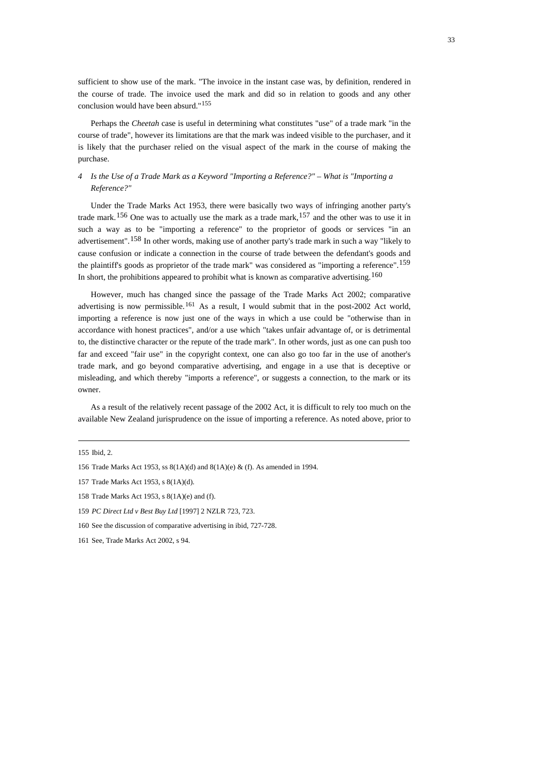sufficient to show use of the mark. "The invoice in the instant case was, by definition, rendered in the course of trade. The invoice used the mark and did so in relation to goods and any other conclusion would have been absurd."[155](#page-32-0)

Perhaps the *Cheetah* case is useful in determining what constitutes "use" of a trade mark "in the course of trade", however its limitations are that the mark was indeed visible to the purchaser, and it is likely that the purchaser relied on the visual aspect of the mark in the course of making the purchase.

# *4 Is the Use of a Trade Mark as a Keyword "Importing a Reference?" – What is "Importing a Reference?"*

Under the Trade Marks Act 1953, there were basically two ways of infringing another party's trade mark.<sup>[156](#page-32-1)</sup> One was to actually use the mark as a trade mark,  $157$  and the other was to use it in such a way as to be "importing a reference" to the proprietor of goods or services "in an advertisement".[158](#page-32-3) In other words, making use of another party's trade mark in such a way "likely to cause confusion or indicate a connection in the course of trade between the defendant's goods and the plaintiff's goods as proprietor of the trade mark" was considered as "importing a reference".[159](#page-32-4) In short, the prohibitions appeared to prohibit what is known as comparative advertising.<sup>[160](#page-32-5)</sup>

However, much has changed since the passage of the Trade Marks Act 2002; comparative advertising is now permissible.<sup>[161](#page-32-6)</sup> As a result, I would submit that in the post-2002 Act world, importing a reference is now just one of the ways in which a use could be "otherwise than in accordance with honest practices", and/or a use which "takes unfair advantage of, or is detrimental to, the distinctive character or the repute of the trade mark". In other words, just as one can push too far and exceed "fair use" in the copyright context, one can also go too far in the use of another's trade mark, and go beyond comparative advertising, and engage in a use that is deceptive or misleading, and which thereby "imports a reference", or suggests a connection, to the mark or its owner.

As a result of the relatively recent passage of the 2002 Act, it is difficult to rely too much on the available New Zealand jurisprudence on the issue of importing a reference. As noted above, prior to

<span id="page-32-0"></span><sup>155</sup> Ibid, 2.

<span id="page-32-1"></span><sup>156</sup> Trade Marks Act 1953, ss 8(1A)(d) and 8(1A)(e) & (f). As amended in 1994.

<span id="page-32-2"></span><sup>157</sup> Trade Marks Act 1953, s 8(1A)(d).

<span id="page-32-3"></span><sup>158</sup> Trade Marks Act 1953, s 8(1A)(e) and (f).

<span id="page-32-4"></span><sup>159</sup> *PC Direct Ltd v Best Buy Ltd* [1997] 2 NZLR 723, 723.

<span id="page-32-5"></span><sup>160</sup> See the discussion of comparative advertising in ibid, 727-728.

<span id="page-32-6"></span><sup>161</sup> See, Trade Marks Act 2002, s 94.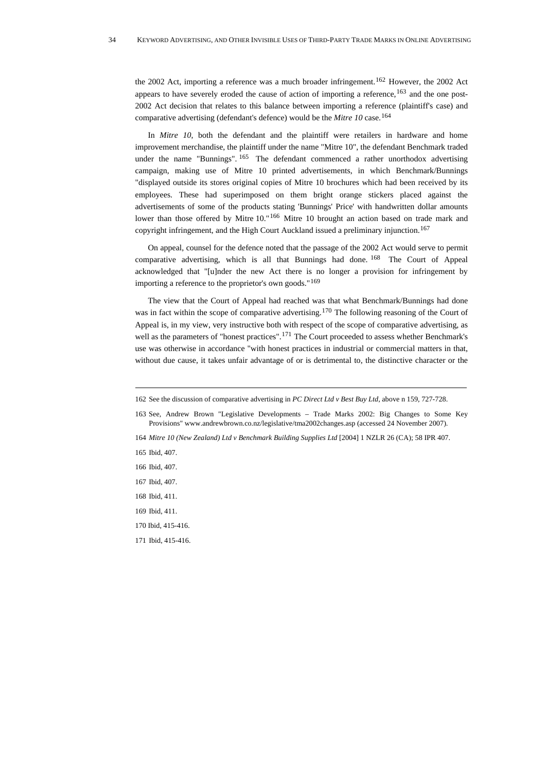the 2002 Act, importing a reference was a much broader infringement.<sup>[162](#page-33-0)</sup> However, the 2002 Act appears to have severely eroded the cause of action of importing a reference,<sup>[163](#page-33-1)</sup> and the one post-2002 Act decision that relates to this balance between importing a reference (plaintiff's case) and comparative advertising (defendant's defence) would be the *Mitre 10* case.[164](#page-33-2)

In *Mitre 10*, both the defendant and the plaintiff were retailers in hardware and home improvement merchandise, the plaintiff under the name "Mitre 10", the defendant Benchmark traded under the name "Bunnings".  $165$  The defendant commenced a rather unorthodox advertising campaign, making use of Mitre 10 printed advertisements, in which Benchmark/Bunnings "displayed outside its stores original copies of Mitre 10 brochures which had been received by its employees. These had superimposed on them bright orange stickers placed against the advertisements of some of the products stating 'Bunnings' Price' with handwritten dollar amounts lower than those offered by Mitre 10."<sup>[166](#page-33-4)</sup> Mitre 10 brought an action based on trade mark and copyright infringement, and the High Court Auckland issued a preliminary injunction.<sup>[167](#page-33-5)</sup>

On appeal, counsel for the defence noted that the passage of the 2002 Act would serve to permit comparative advertising, which is all that Bunnings had done.  $168$  The Court of Appeal acknowledged that "[u]nder the new Act there is no longer a provision for infringement by importing a reference to the proprietor's own goods."[169](#page-33-7)

The view that the Court of Appeal had reached was that what Benchmark/Bunnings had done was in fact within the scope of comparative advertising.<sup>[170](#page-33-8)</sup> The following reasoning of the Court of Appeal is, in my view, very instructive both with respect of the scope of comparative advertising, as well as the parameters of "honest practices".<sup>[171](#page-33-9)</sup> The Court proceeded to assess whether Benchmark's use was otherwise in accordance "with honest practices in industrial or commercial matters in that, without due cause, it takes unfair advantage of or is detrimental to, the distinctive character or the

- <span id="page-33-1"></span>163 See, Andrew Brown "Legislative Developments – Trade Marks 2002: Big Changes to Some Key Provisions" [www.andrewbrown.co.nz/legislative/tma2002changes.asp](http://www.andrewbrown.co.nz/legislative/tma2002changes.asp) (accessed 24 November 2007).
- <span id="page-33-2"></span>164 *Mitre 10 (New Zealand) Ltd v Benchmark Building Supplies Ltd* [2004] 1 NZLR 26 (CA); 58 IPR 407.
- <span id="page-33-3"></span>165 Ibid, 407.
- <span id="page-33-4"></span>166 Ibid, 407.
- <span id="page-33-5"></span>167 Ibid, 407.
- <span id="page-33-6"></span>168 Ibid, 411.
- <span id="page-33-7"></span>169 Ibid, 411.
- <span id="page-33-8"></span>170 Ibid, 415-416.
- <span id="page-33-9"></span>171 Ibid, 415-416.

<span id="page-33-0"></span><sup>162</sup> See the discussion of comparative advertising in *PC Direct Ltd v Best Buy Ltd*, above n 159, 727-728.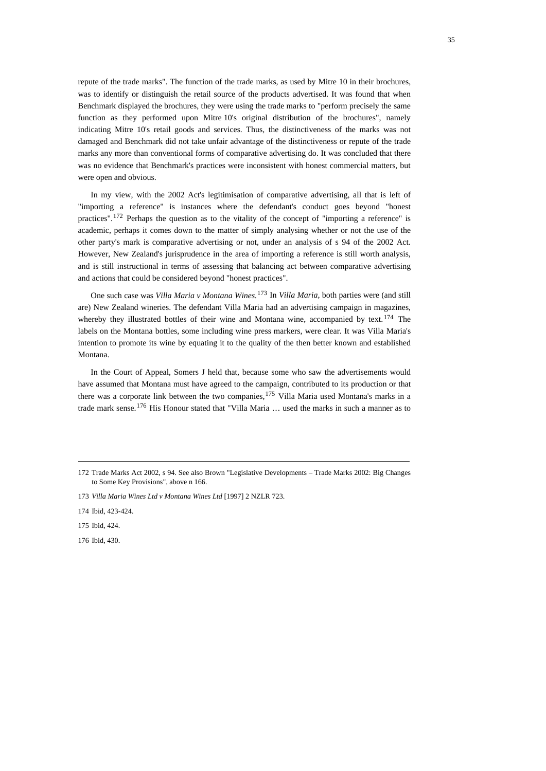repute of the trade marks". The function of the trade marks, as used by Mitre 10 in their brochures, was to identify or distinguish the retail source of the products advertised. It was found that when Benchmark displayed the brochures, they were using the trade marks to "perform precisely the same function as they performed upon Mitre 10's original distribution of the brochures", namely indicating Mitre 10's retail goods and services. Thus, the distinctiveness of the marks was not damaged and Benchmark did not take unfair advantage of the distinctiveness or repute of the trade marks any more than conventional forms of comparative advertising do. It was concluded that there was no evidence that Benchmark's practices were inconsistent with honest commercial matters, but were open and obvious.

In my view, with the 2002 Act's legitimisation of comparative advertising, all that is left of "importing a reference" is instances where the defendant's conduct goes beyond "honest practices".[172](#page-34-0) Perhaps the question as to the vitality of the concept of "importing a reference" is academic, perhaps it comes down to the matter of simply analysing whether or not the use of the other party's mark is comparative advertising or not, under an analysis of s 94 of the 2002 Act. However, New Zealand's jurisprudence in the area of importing a reference is still worth analysis, and is still instructional in terms of assessing that balancing act between comparative advertising and actions that could be considered beyond "honest practices".

One such case was *Villa Maria v Montana Wines.*[173](#page-34-1) In *Villa Maria*, both parties were (and still are) New Zealand wineries. The defendant Villa Maria had an advertising campaign in magazines, whereby they illustrated bottles of their wine and Montana wine, accompanied by text.  $174$  The labels on the Montana bottles, some including wine press markers, were clear. It was Villa Maria's intention to promote its wine by equating it to the quality of the then better known and established Montana.

In the Court of Appeal, Somers J held that, because some who saw the advertisements would have assumed that Montana must have agreed to the campaign, contributed to its production or that there was a corporate link between the two companies,<sup>[175](#page-34-3)</sup> Villa Maria used Montana's marks in a trade mark sense.[176](#page-34-4) His Honour stated that "Villa Maria … used the marks in such a manner as to

<span id="page-34-4"></span>176 Ibid, 430.

<span id="page-34-0"></span><sup>172</sup> Trade Marks Act 2002, s 94. See also Brown "Legislative Developments – Trade Marks 2002: Big Changes to Some Key Provisions", above n 166.

<span id="page-34-1"></span><sup>173</sup> *Villa Maria Wines Ltd v Montana Wines Ltd* [1997] 2 NZLR 723.

<span id="page-34-2"></span><sup>174</sup> Ibid, 423-424.

<span id="page-34-3"></span><sup>175</sup> Ibid, 424.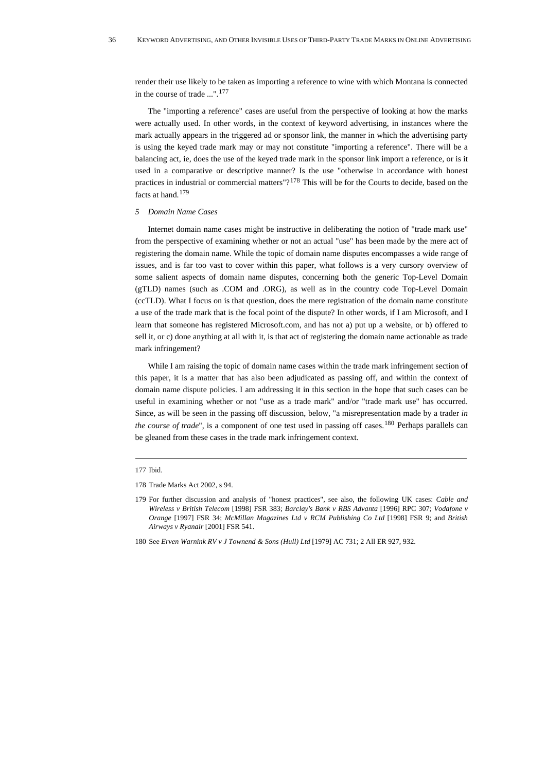render their use likely to be taken as importing a reference to wine with which Montana is connected in the course of trade ...".[177](#page-35-0)

The "importing a reference" cases are useful from the perspective of looking at how the marks were actually used. In other words, in the context of keyword advertising, in instances where the mark actually appears in the triggered ad or sponsor link, the manner in which the advertising party is using the keyed trade mark may or may not constitute "importing a reference". There will be a balancing act, ie, does the use of the keyed trade mark in the sponsor link import a reference, or is it used in a comparative or descriptive manner? Is the use "otherwise in accordance with honest practices in industrial or commercial matters" $2^{178}$  $2^{178}$  $2^{178}$  This will be for the Courts to decide, based on the facts at hand.<sup>[179](#page-35-2)</sup>

#### *5 Domain Name Cases*

Internet domain name cases might be instructive in deliberating the notion of "trade mark use" from the perspective of examining whether or not an actual "use" has been made by the mere act of registering the domain name. While the topic of domain name disputes encompasses a wide range of issues, and is far too vast to cover within this paper, what follows is a very cursory overview of some salient aspects of domain name disputes, concerning both the generic Top-Level Domain (gTLD) names (such as .COM and .ORG), as well as in the country code Top-Level Domain (ccTLD). What I focus on is that question, does the mere registration of the domain name constitute a use of the trade mark that is the focal point of the dispute? In other words, if I am Microsoft, and I learn that someone has registered Microsoft.com, and has not a) put up a website, or b) offered to sell it, or c) done anything at all with it, is that act of registering the domain name actionable as trade mark infringement?

While I am raising the topic of domain name cases within the trade mark infringement section of this paper, it is a matter that has also been adjudicated as passing off, and within the context of domain name dispute policies. I am addressing it in this section in the hope that such cases can be useful in examining whether or not "use as a trade mark" and/or "trade mark use" has occurred. Since, as will be seen in the passing off discussion, below, "a misrepresentation made by a trader *in the course of trade*", is a component of one test used in passing off cases.<sup>[180](#page-35-3)</sup> Perhaps parallels can be gleaned from these cases in the trade mark infringement context.

<span id="page-35-0"></span><sup>177</sup> Ibid.

<span id="page-35-1"></span><sup>178</sup> Trade Marks Act 2002, s 94.

<span id="page-35-2"></span><sup>179</sup> For further discussion and analysis of "honest practices", see also, the following UK cases: *Cable and Wireless v British Telecom* [1998] FSR 383; *Barclay's Bank v RBS Advanta* [1996] RPC 307; *Vodafone v Orange* [1997] FSR 34; *McMillan Magazines Ltd v RCM Publishing Co Ltd* [1998] FSR 9; and *British Airways v Ryanair* [2001] FSR 541.

<span id="page-35-3"></span><sup>180</sup> See *Erven Warnink RV v J Townend & Sons (Hull) Ltd* [1979] AC 731; 2 All ER 927, 932.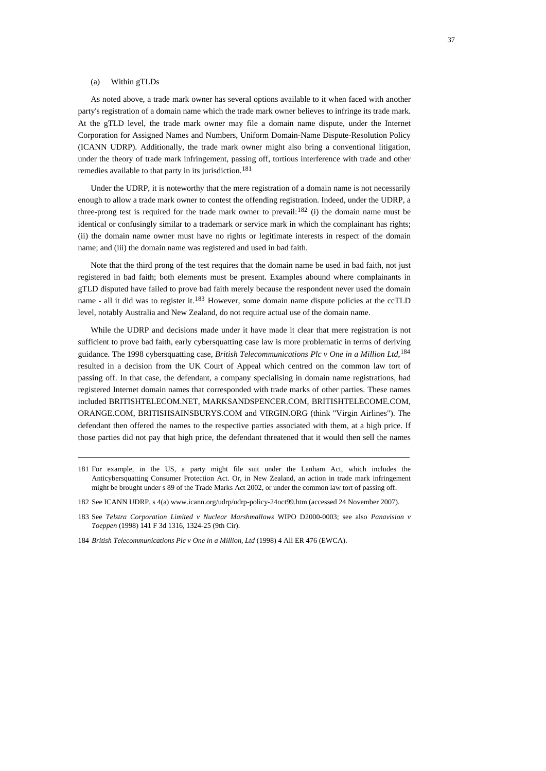### (a) Within gTLDs

As noted above, a trade mark owner has several options available to it when faced with another party's registration of a domain name which the trade mark owner believes to infringe its trade mark. At the gTLD level, the trade mark owner may file a domain name dispute, under the [Internet](http://www.icann.org/)  [Corporation for Assigned Names and Numbers](http://www.icann.org/), [Uniform Domain-Name Dispute-Resolution Policy](http://www.icann.org/en/udrp/udrp.htm) (ICANN UDRP). Additionally, the trade mark owner might also bring a conventional litigation, under the theory of trade mark infringement, passing off, tortious interference with trade and other remedies available to that party in its jurisdiction.<sup>[181](#page-36-0)</sup>

Under the UDRP, it is noteworthy that the mere registration of a domain name is not necessarily enough to allow a trade mark owner to contest the offending registration. Indeed, under the UDRP, a three-prong test is required for the trade mark owner to prevail:<sup>[182](#page-36-1)</sup> (i) the domain name must be identical or confusingly similar to a trademark or service mark in which the complainant has rights; (ii) the domain name owner must have no rights or legitimate interests in respect of the domain name; and (iii) the domain name was registered and used in bad faith.

Note that the third prong of the test requires that the domain name be used in bad faith, not just registered in bad faith; both elements must be present. Examples abound where complainants in gTLD disputed have failed to prove bad faith merely because the respondent never used the domain name - all it did was to register it.<sup>[183](#page-36-2)</sup> However, some domain name dispute policies at the ccTLD level, notably Australia and New Zealand, do not require actual use of the domain name.

While the UDRP and decisions made under it have made it clear that mere registration is not sufficient to prove bad faith, early cybersquatting case law is more problematic in terms of deriving guidance. The 1998 cybersquatting case, *British Telecommunications Plc v One in a Million Ltd*, [184](#page-36-3) resulted in a decision from the UK Court of Appeal which centred on the common law tort of passing off. In that case, the defendant, a company specialising in domain name registrations, had registered Internet domain names that corresponded with trade marks of other parties. These names included BRITISHTELECOM.NET, MARKSANDSPENCER.COM, BRITISHTELECOME.COM, ORANGE.COM, BRITISHSAINSBURYS.COM and VIRGIN.ORG (think "Virgin Airlines"). The defendant then offered the names to the respective parties associated with them, at a high price. If those parties did not pay that high price, the defendant threatened that it would then sell the names

<span id="page-36-0"></span><sup>181</sup> For example, in the US, a party might file suit under the Lanham Act, which includes the Anticybersquatting Consumer Protection Act. Or, in New Zealand, an action in trade mark infringement might be brought under s 89 of the Trade Marks Act 2002, or under the common law tort of passing off.

<span id="page-36-1"></span><sup>182</sup> See ICANN UDRP, s 4(a) [www.icann.org/udrp/udrp-policy-24oct99.htm](http://www.icann.org/udrp/udrp-policy-24oct99.htm) (accessed 24 November 2007).

<span id="page-36-2"></span><sup>183</sup> See *Telstra Corporation Limited v Nuclear Marshmallows* WIPO D2000-0003; see also *Panavision v Toeppen* (1998) 141 F 3d 1316, 1324-25 (9th Cir).

<span id="page-36-3"></span><sup>184</sup> *British Telecommunications Plc v One in a Million, Ltd* (1998) 4 All ER 476 (EWCA).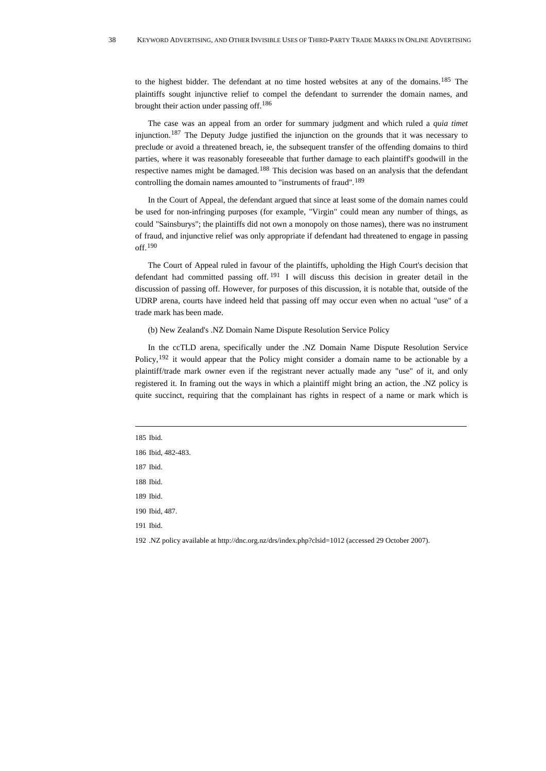to the highest bidder. The defendant at no time hosted websites at any of the domains.<sup>[185](#page-37-0)</sup> The plaintiffs sought injunctive relief to compel the defendant to surrender the domain names, and brought their action under passing off.[186](#page-37-1)

The case was an appeal from an order for summary judgment and which ruled a *quia timet* injunction.<sup>[187](#page-37-2)</sup> The Deputy Judge justified the injunction on the grounds that it was necessary to preclude or avoid a threatened breach, ie, the subsequent transfer of the offending domains to third parties, where it was reasonably foreseeable that further damage to each plaintiff's goodwill in the respective names might be damaged.[188](#page-37-3) This decision was based on an analysis that the defendant controlling the domain names amounted to "instruments of fraud".[189](#page-37-4)

In the Court of Appeal, the defendant argued that since at least some of the domain names could be used for non-infringing purposes (for example, "Virgin" could mean any number of things, as could "Sainsburys"; the plaintiffs did not own a monopoly on those names), there was no instrument of fraud, and injunctive relief was only appropriate if defendant had threatened to engage in passing off.[190](#page-37-5)

The Court of Appeal ruled in favour of the plaintiffs, upholding the High Court's decision that defendant had committed passing off.  $191$  I will discuss this decision in greater detail in the discussion of passing off. However, for purposes of this discussion, it is notable that, outside of the UDRP arena, courts have indeed held that passing off may occur even when no actual "use" of a trade mark has been made.

### (b) New Zealand's .NZ Domain Name Dispute Resolution Service Policy

In the ccTLD arena, specifically under the .NZ Domain Name Dispute Resolution Service Policy,<sup>[192](#page-37-7)</sup> it would appear that the Policy might consider a domain name to be actionable by a plaintiff/trade mark owner even if the registrant never actually made any "use" of it, and only registered it. In framing out the ways in which a plaintiff might bring an action, the .NZ policy is quite succinct, requiring that the complainant has rights in respect of a name or mark which is

<span id="page-37-0"></span>185 Ibid.

<span id="page-37-2"></span>187 Ibid.

<span id="page-37-4"></span>189 Ibid.

<span id="page-37-6"></span>191 Ibid.

<span id="page-37-7"></span>192 .NZ policy available at <http://dnc.org.nz/drs/index.php?clsid=1012>(accessed 29 October 2007).

<span id="page-37-1"></span><sup>186</sup> Ibid, 482-483.

<span id="page-37-3"></span><sup>188</sup> Ibid.

<span id="page-37-5"></span><sup>190</sup> Ibid, 487.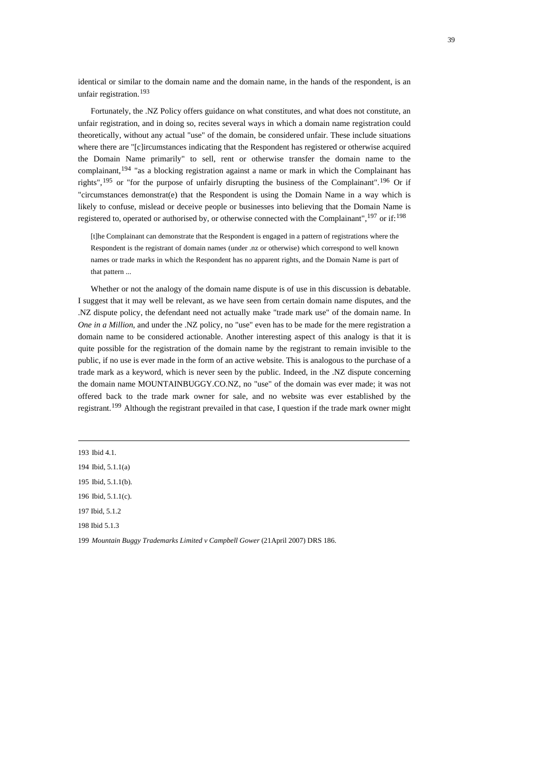identical or similar to the domain name and the domain name, in the hands of the respondent, is an unfair registration.[193](#page-38-0)

Fortunately, the .NZ Policy offers guidance on what constitutes, and what does not constitute, an unfair registration, and in doing so, recites several ways in which a domain name registration could theoretically, without any actual "use" of the domain, be considered unfair. These include situations where there are "[c]ircumstances indicating that the Respondent has registered or otherwise acquired the Domain Name primarily" to sell, rent or otherwise transfer the domain name to the complainant,<sup>[194](#page-38-1)</sup> "as a blocking registration against a name or mark in which the Complainant has rights",  $^{195}$  $^{195}$  $^{195}$  or "for the purpose of unfairly disrupting the business of the Complainant".  $^{196}$  $^{196}$  $^{196}$  Or if "circumstances demonstrat(e) that the Respondent is using the Domain Name in a way which is likely to confuse, mislead or deceive people or businesses into believing that the Domain Name is registered to, operated or authorised by, or otherwise connected with the Complainant", <sup>[197](#page-38-4)</sup> or if: <sup>[198](#page-38-5)</sup>

[t]he Complainant can demonstrate that the Respondent is engaged in a pattern of registrations where the Respondent is the registrant of domain names (under .nz or otherwise) which correspond to well known names or trade marks in which the Respondent has no apparent rights, and the Domain Name is part of that pattern ...

Whether or not the analogy of the domain name dispute is of use in this discussion is debatable. I suggest that it may well be relevant, as we have seen from certain domain name disputes, and the .NZ dispute policy, the defendant need not actually make "trade mark use" of the domain name. In *One in a Million*, and under the .NZ policy, no "use" even has to be made for the mere registration a domain name to be considered actionable. Another interesting aspect of this analogy is that it is quite possible for the registration of the domain name by the registrant to remain invisible to the public, if no use is ever made in the form of an active website. This is analogous to the purchase of a trade mark as a keyword, which is never seen by the public. Indeed, in the .NZ dispute concerning the domain name MOUNTAINBUGGY.CO.NZ, no "use" of the domain was ever made; it was not offered back to the trade mark owner for sale, and no website was ever established by the registrant.[199](#page-38-6) Although the registrant prevailed in that case, I question if the trade mark owner might

<span id="page-38-0"></span><sup>193</sup> Ibid 4.1.

<span id="page-38-1"></span><sup>194</sup> Ibid, 5.1.1(a)

<span id="page-38-2"></span><sup>195</sup> Ibid, 5.1.1(b).

<span id="page-38-3"></span><sup>196</sup> Ibid, 5.1.1(c).

<span id="page-38-4"></span><sup>197</sup> Ibid, 5.1.2

<span id="page-38-5"></span><sup>198</sup> Ibid 5.1.3

<span id="page-38-6"></span><sup>199</sup> *Mountain Buggy Trademarks Limited v Campbell Gower* (21April 2007) DRS 186.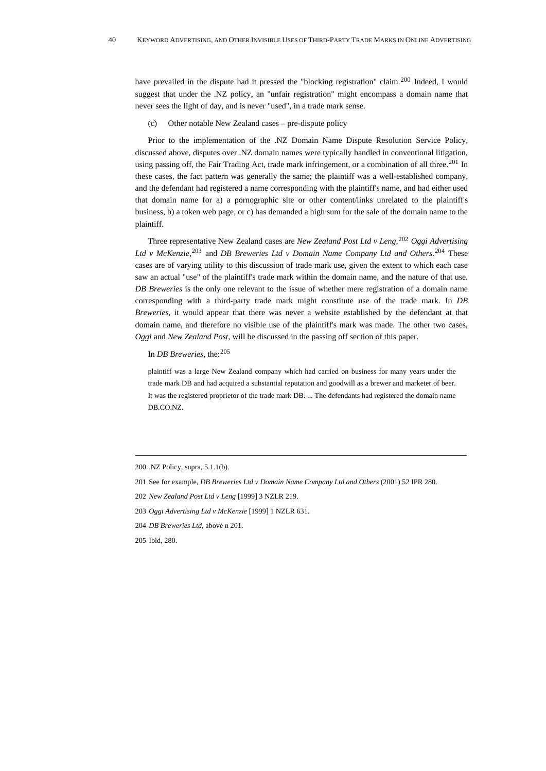have prevailed in the dispute had it pressed the "blocking registration" claim.<sup>[200](#page-39-0)</sup> Indeed, I would suggest that under the .NZ policy, an "unfair registration" might encompass a domain name that never sees the light of day, and is never "used", in a trade mark sense.

(c) Other notable New Zealand cases – pre-dispute policy

Prior to the implementation of the .NZ Domain Name Dispute Resolution Service Policy, discussed above, disputes over .NZ domain names were typically handled in conventional litigation, using passing off, the Fair Trading Act, trade mark infringement, or a combination of all three.<sup>[201](#page-39-1)</sup> In these cases, the fact pattern was generally the same; the plaintiff was a well-established company, and the defendant had registered a name corresponding with the plaintiff's name, and had either used that domain name for a) a pornographic site or other content/links unrelated to the plaintiff's business, b) a token web page, or c) has demanded a high sum for the sale of the domain name to the plaintiff.

Three representative New Zealand cases are *New Zealand Post Ltd v Leng,*[202](#page-39-2) *Oggi Advertising Ltd v McKenzie*, [203](#page-39-3) and *DB Breweries Ltd v Domain Name Company Ltd and Others*. [204](#page-39-4) These cases are of varying utility to this discussion of trade mark use, given the extent to which each case saw an actual "use" of the plaintiff's trade mark within the domain name, and the nature of that use. *DB Breweries* is the only one relevant to the issue of whether mere registration of a domain name corresponding with a third-party trade mark might constitute use of the trade mark. In *DB Breweries*, it would appear that there was never a website established by the defendant at that domain name, and therefore no visible use of the plaintiff's mark was made. The other two cases, *Oggi* and *New Zealand Post*, will be discussed in the passing off section of this paper.

# In *DB Breweries*, the:[205](#page-39-5)

plaintiff was a large New Zealand company which had carried on business for many years under the trade mark DB and had acquired a substantial reputation and goodwill as a brewer and marketer of beer. It was the registered proprietor of the trade mark DB. ... The defendants had registered the domain name DB.CO.NZ.

<span id="page-39-0"></span><sup>200 .</sup>NZ Policy, supra, 5.1.1(b).

<span id="page-39-1"></span><sup>201</sup> See for example, *DB Breweries Ltd v Domain Name Company Ltd and Others* (2001) 52 IPR 280.

<span id="page-39-2"></span><sup>202</sup> *New Zealand Post Ltd v Leng* [1999] 3 NZLR 219.

<span id="page-39-3"></span><sup>203</sup> *Oggi Advertising Ltd v McKenzie* [1999] 1 NZLR 631.

<span id="page-39-4"></span><sup>204</sup> *DB Breweries Ltd*, above n 201.

<span id="page-39-5"></span><sup>205</sup> Ibid, 280.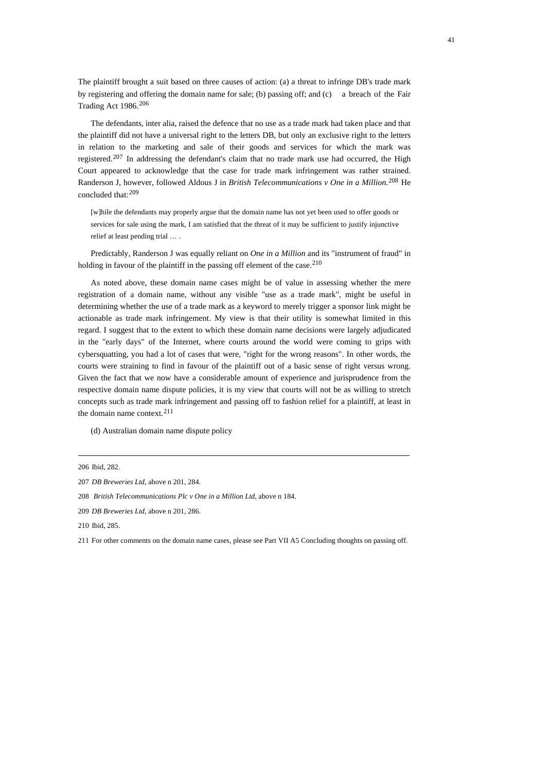The plaintiff brought a suit based on three causes of action: (a) a threat to infringe DB's trade mark by registering and offering the domain name for sale; (b) passing off; and (c) a breach of the Fair Trading Act 1986.[206](#page-40-0)

The defendants, inter alia, raised the defence that no use as a trade mark had taken place and that the plaintiff did not have a universal right to the letters DB, but only an exclusive right to the letters in relation to the marketing and sale of their goods and services for which the mark was registered.<sup>[207](#page-40-1)</sup> In addressing the defendant's claim that no trade mark use had occurred, the High Court appeared to acknowledge that the case for trade mark infringement was rather strained. Randerson J, however, followed Aldous J in *British Telecommunications v One in a Million*. [208](#page-40-2) He concluded that:[209](#page-40-3)

[w]hile the defendants may properly argue that the domain name has not yet been used to offer goods or services for sale using the mark, I am satisfied that the threat of it may be sufficient to justify injunctive relief at least pending trial … .

Predictably, Randerson J was equally reliant on *One in a Million* and its "instrument of fraud" in holding in favour of the plaintiff in the passing off element of the case.<sup>[210](#page-40-4)</sup>

As noted above, these domain name cases might be of value in assessing whether the mere registration of a domain name, without any visible "use as a trade mark", might be useful in determining whether the use of a trade mark as a keyword to merely trigger a sponsor link might be actionable as trade mark infringement. My view is that their utility is somewhat limited in this regard. I suggest that to the extent to which these domain name decisions were largely adjudicated in the "early days" of the Internet, where courts around the world were coming to grips with cybersquatting, you had a lot of cases that were, "right for the wrong reasons". In other words, the courts were straining to find in favour of the plaintiff out of a basic sense of right versus wrong. Given the fact that we now have a considerable amount of experience and jurisprudence from the respective domain name dispute policies, it is my view that courts will not be as willing to stretch concepts such as trade mark infringement and passing off to fashion relief for a plaintiff, at least in the domain name context.  $211$ 

(d) Australian domain name dispute policy

<span id="page-40-0"></span><sup>206</sup> Ibid, 282.

<span id="page-40-1"></span><sup>207</sup> *DB Breweries Ltd*, above n 201, 284.

<span id="page-40-2"></span><sup>208</sup> *British Telecommunications Plc v One in a Million Ltd*, above n 184.

<span id="page-40-3"></span><sup>209</sup> *DB Breweries Ltd*, above n 201, 286.

<span id="page-40-4"></span><sup>210</sup> Ibid, 285.

<span id="page-40-5"></span><sup>211</sup> For other comments on the domain name cases, please see Part VII A5 Concluding thoughts on passing off.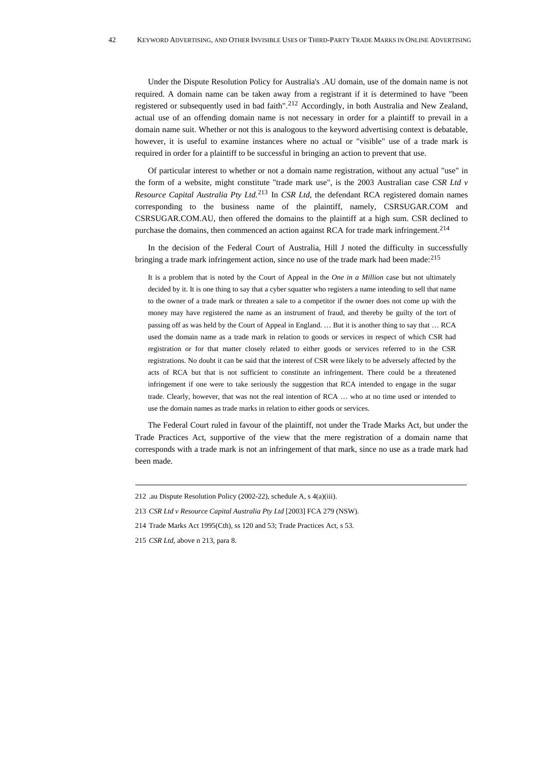Under the Dispute Resolution Policy for Australia's .AU domain, use of the domain name is not required. A domain name can be taken away from a registrant if it is determined to have "been registered or subsequently used in bad faith".[212](#page-41-0) Accordingly, in both Australia and New Zealand, actual use of an offending domain name is not necessary in order for a plaintiff to prevail in a domain name suit. Whether or not this is analogous to the keyword advertising context is debatable, however, it is useful to examine instances where no actual or "visible" use of a trade mark is required in order for a plaintiff to be successful in bringing an action to prevent that use.

Of particular interest to whether or not a domain name registration, without any actual "use" in the form of a website, might constitute "trade mark use", is the 2003 Australian case *CSR Ltd v Resource Capital Australia Pty Ltd.*[213](#page-41-1) In *CSR Ltd*, the defendant RCA registered domain names corresponding to the business name of the plaintiff, namely, CSRSUGAR.COM and CSRSUGAR.COM.AU, then offered the domains to the plaintiff at a high sum. CSR declined to purchase the domains, then commenced an action against RCA for trade mark infringement.<sup>[214](#page-41-2)</sup>

In the decision of the Federal Court of Australia, Hill J noted the difficulty in successfully bringing a trade mark infringement action, since no use of the trade mark had been made: <sup>[215](#page-41-3)</sup>

It is a problem that is noted by the Court of Appeal in the *One in a Million* case but not ultimately decided by it. It is one thing to say that a cyber squatter who registers a name intending to sell that name to the owner of a trade mark or threaten a sale to a competitor if the owner does not come up with the money may have registered the name as an instrument of fraud, and thereby be guilty of the tort of passing off as was held by the Court of Appeal in England. … But it is another thing to say that … RCA used the domain name as a trade mark in relation to goods or services in respect of which CSR had registration or for that matter closely related to either goods or services referred to in the CSR registrations. No doubt it can be said that the interest of CSR were likely to be adversely affected by the acts of RCA but that is not sufficient to constitute an infringement. There could be a threatened infringement if one were to take seriously the suggestion that RCA intended to engage in the sugar trade. Clearly, however, that was not the real intention of RCA … who at no time used or intended to use the domain names as trade marks in relation to either goods or services.

The Federal Court ruled in favour of the plaintiff, not under the Trade Marks Act, but under the Trade Practices Act, supportive of the view that the mere registration of a domain name that corresponds with a trade mark is not an infringement of that mark, since no use as a trade mark had been made.

<span id="page-41-0"></span><sup>212 .</sup>au Dispute Resolution Policy (2002-22), schedule A, s 4(a)(iii).

<span id="page-41-1"></span><sup>213</sup> *CSR Ltd v Resource Capital Australia Pty Ltd* [2003] FCA 279 (NSW).

<span id="page-41-2"></span><sup>214</sup> Trade Marks Act 1995(Cth), ss 120 and 53; Trade Practices Act, s 53.

<span id="page-41-3"></span><sup>215</sup> *CSR Ltd*, above n 213, para 8.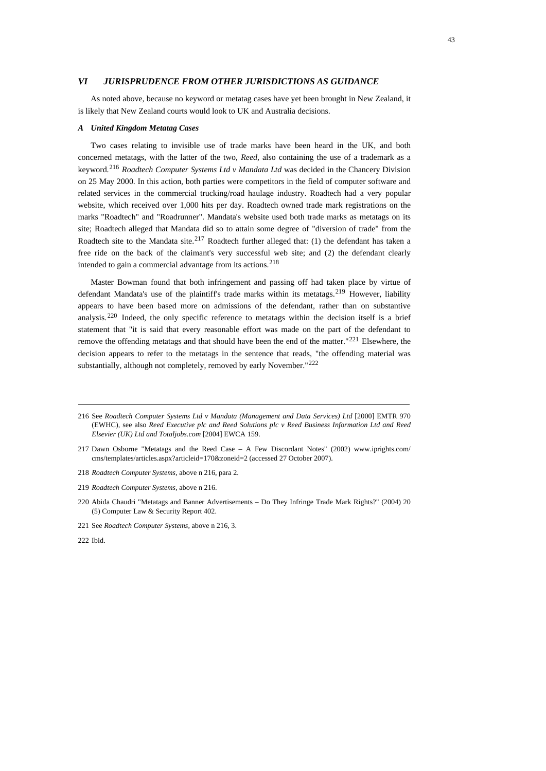## *VI JURISPRUDENCE FROM OTHER JURISDICTIONS AS GUIDANCE*

As noted above, because no keyword or metatag cases have yet been brought in New Zealand, it is likely that New Zealand courts would look to UK and Australia decisions.

## *A United Kingdom Metatag Cases*

Two cases relating to invisible use of trade marks have been heard in the UK, and both concerned metatags, with the latter of the two, *Reed*, also containing the use of a trademark as a keyword.[216](#page-42-0) *Roadtech Computer Systems Ltd v Mandata Ltd* was decided in the Chancery Division on 25 May 2000. In this action, both parties were competitors in the field of computer software and related services in the commercial trucking/road haulage industry. Roadtech had a very popular website, which received over 1,000 hits per day. Roadtech owned trade mark registrations on the marks "Roadtech" and "Roadrunner". Mandata's website used both trade marks as metatags on its site; Roadtech alleged that Mandata did so to attain some degree of "diversion of trade" from the Roadtech site to the Mandata site.<sup>[217](#page-42-1)</sup> Roadtech further alleged that: (1) the defendant has taken a free ride on the back of the claimant's very successful web site; and (2) the defendant clearly intended to gain a commercial advantage from its actions.<sup>[218](#page-42-2)</sup>

Master Bowman found that both infringement and passing off had taken place by virtue of defendant Mandata's use of the plaintiff's trade marks within its metatags.<sup>[219](#page-42-3)</sup> However, liability appears to have been based more on admissions of the defendant, rather than on substantive analysis.[220](#page-42-4) Indeed, the only specific reference to metatags within the decision itself is a brief statement that "it is said that every reasonable effort was made on the part of the defendant to remove the offending metatags and that should have been the end of the matter." $^{221}$  $^{221}$  $^{221}$  Elsewhere, the decision appears to refer to the metatags in the sentence that reads, "the offending material was substantially, although not completely, removed by early November."<sup>[222](#page-42-6)</sup>

<span id="page-42-0"></span><sup>216</sup> See *Roadtech Computer Systems Ltd v Mandata (Management and Data Services) Ltd* [2000] EMTR 970 (EWHC), see also *Reed Executive plc and Reed Solutions plc v Reed Business Information Ltd and Reed Elsevier (UK) Ltd and Totaljobs.com* [2004] EWCA 159.

<span id="page-42-1"></span><sup>217</sup> Dawn Osborne "Metatags and the Reed Case – A Few Discordant Notes" (2002) www.iprights.com/ cms/templates/articles.aspx?articleid=170&zoneid=2 (accessed 27 October 2007).

<span id="page-42-2"></span><sup>218</sup> *Roadtech Computer Systems,* above n 216, para 2.

<span id="page-42-3"></span><sup>219</sup> *Roadtech Computer Systems,* above n 216.

<span id="page-42-4"></span><sup>220</sup> Abida Chaudri "Metatags and Banner Advertisements – Do They Infringe Trade Mark Rights?" (2004) 20 (5) Computer Law & Security Report 402.

<span id="page-42-5"></span><sup>221</sup> See *Roadtech Computer Systems,* above n 216, 3.

<span id="page-42-6"></span><sup>222</sup> Ibid.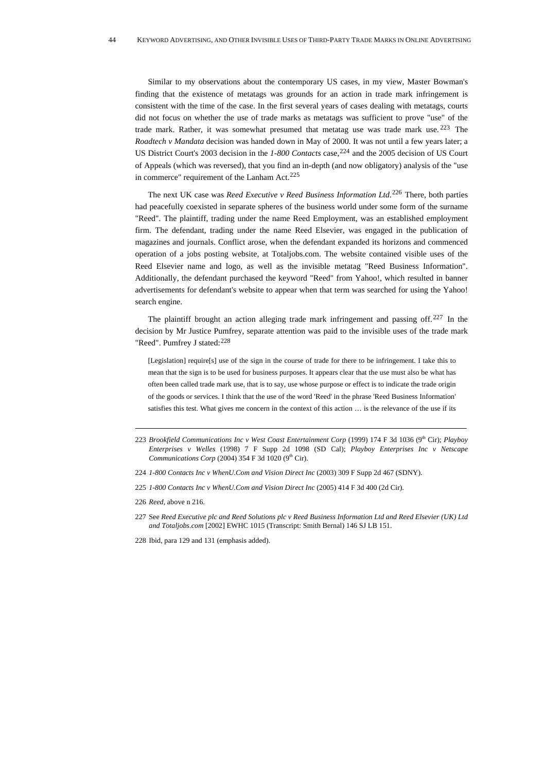Similar to my observations about the contemporary US cases, in my view, Master Bowman's finding that the existence of metatags was grounds for an action in trade mark infringement is consistent with the time of the case. In the first several years of cases dealing with metatags, courts did not focus on whether the use of trade marks as metatags was sufficient to prove "use" of the trade mark. Rather, it was somewhat presumed that metatag use was trade mark use. [223](#page-43-0) The *Roadtech v Mandata* decision was handed down in May of 2000. It was not until a few years later; a US District Court's 2003 decision in the *1-800 Contacts* case,<sup>[224](#page-43-1)</sup> and the 2005 decision of US Court of Appeals (which was reversed), that you find an in-depth (and now obligatory) analysis of the "use in commerce" requirement of the Lanham Act.<sup>[225](#page-43-2)</sup>

The next UK case was *Reed Executive v Reed Business Information Ltd*. [226](#page-43-3) There, both parties had peacefully coexisted in separate spheres of the business world under some form of the surname "Reed". The plaintiff, trading under the name Reed Employment, was an established employment firm. The defendant, trading under the name Reed Elsevier, was engaged in the publication of magazines and journals. Conflict arose, when the defendant expanded its horizons and commenced operation of a jobs posting website, at Totaljobs.com. The website contained visible uses of the Reed Elsevier name and logo, as well as the invisible metatag "Reed Business Information". Additionally, the defendant purchased the keyword "Reed" from Yahoo!, which resulted in banner advertisements for defendant's website to appear when that term was searched for using the Yahoo! search engine.

The plaintiff brought an action alleging trade mark infringement and passing off.<sup>[227](#page-43-4)</sup> In the decision by Mr Justice Pumfrey, separate attention was paid to the invisible uses of the trade mark "Reed". Pumfrey J stated:<sup>[228](#page-43-5)</sup>

[Legislation] require[s] use of the sign in the course of trade for there to be infringement. I take this to mean that the sign is to be used for business purposes. It appears clear that the use must also be what has often been called trade mark use, that is to say, use whose purpose or effect is to indicate the trade origin of the goods or services. I think that the use of the word 'Reed' in the phrase 'Reed Business Information' satisfies this test. What gives me concern in the context of this action … is the relevance of the use if its

<span id="page-43-0"></span><sup>223</sup> *Brookfield Communications Inc v West Coast Entertainment Corp* (1999) 174 F 3d 1036 (9<sup>th</sup> Cir); *Playboy Enterprises v Welles* (1998) 7 F Supp 2d 1098 (SD Cal); *Playboy Enterprises Inc v Netscape Communications Corp* (2004) 354 F 3d 1020 ( $9<sup>th</sup>$  Cir).

<span id="page-43-1"></span><sup>224</sup> *1-800 Contacts Inc v WhenU.Com and Vision Direct Inc* (2003) 309 F Supp 2d 467 (SDNY).

<span id="page-43-2"></span><sup>225</sup> *1-800 Contacts Inc v WhenU.Com and Vision Direct Inc* (2005) 414 F 3d 400 (2d Cir).

<span id="page-43-3"></span><sup>226</sup> *Reed,* above n 216.

<span id="page-43-4"></span><sup>227</sup> See *Reed Executive plc and Reed Solutions plc v Reed Business Information Ltd and Reed Elsevier (UK) Ltd and Totaljobs.com* [2002] EWHC 1015 (Transcript: Smith Bernal) 146 SJ LB 151.

<span id="page-43-5"></span><sup>228</sup> Ibid, para 129 and 131 (emphasis added).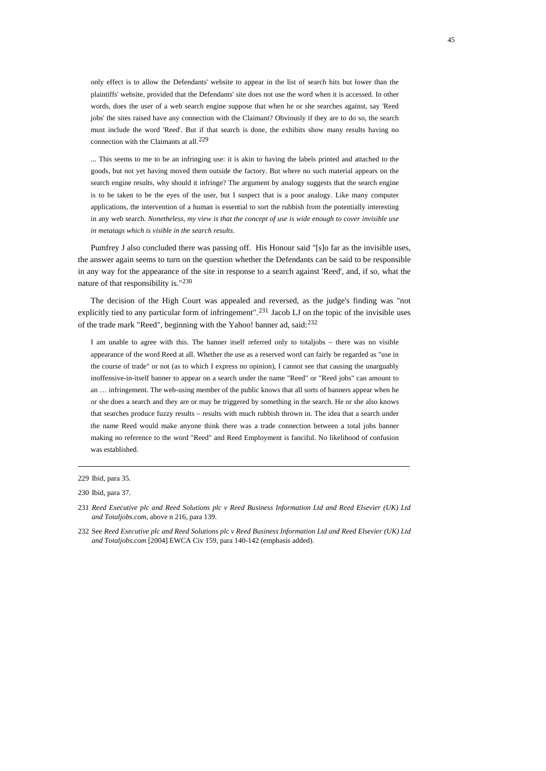only effect is to allow the Defendants' website to appear in the list of search hits but lower than the plaintiffs' website, provided that the Defendants' site does not use the word when it is accessed. In other words, does the user of a web search engine suppose that when he or she searches against, say 'Reed jobs' the sites raised have any connection with the Claimant? Obviously if they are to do so, the search must include the word 'Reed'. But if that search is done, the exhibits show many results having no connection with the Claimants at all.<sup>[229](#page-44-0)</sup>

... This seems to me to be an infringing use: it is akin to having the labels printed and attached to the goods, but not yet having moved them outside the factory. But where no such material appears on the search engine results, why should it infringe? The argument by analogy suggests that the search engine is to be taken to be the eyes of the user, but I suspect that is a poor analogy. Like many computer applications, the intervention of a human is essential to sort the rubbish from the potentially interesting in any web search. *Nonetheless, my view is that the concept of use is wide enough to cover invisible use in metatags which is visible in the search results*.

Pumfrey J also concluded there was passing off. His Honour said "[s]o far as the invisible uses, the answer again seems to turn on the question whether the Defendants can be said to be responsible in any way for the appearance of the site in response to a search against 'Reed', and, if so, what the nature of that responsibility is."[230](#page-44-1)

The decision of the High Court was appealed and reversed, as the judge's finding was "not explicitly tied to any particular form of infringement".[231](#page-44-2) Jacob LJ on the topic of the invisible uses of the trade mark "Reed", beginning with the Yahoo! banner ad, said:[232](#page-44-3)

I am unable to agree with this. The banner itself referred only to totaljobs – there was no visible appearance of the word Reed at all. Whether the use as a reserved word can fairly be regarded as "use in the course of trade" or not (as to which I express no opinion), I cannot see that causing the unarguably inoffensive-in-itself banner to appear on a search under the name "Reed" or "Reed jobs" can amount to an … infringement. The web-using member of the public knows that all sorts of banners appear when he or she does a search and they are or may be triggered by something in the search. He or she also knows that searches produce fuzzy results – results with much rubbish thrown in. The idea that a search under the name Reed would make anyone think there was a trade connection between a total jobs banner making no reference to the word "Reed" and Reed Employment is fanciful. No likelihood of confusion was established.

<span id="page-44-0"></span><sup>229</sup> Ibid, para 35.

<span id="page-44-1"></span><sup>230</sup> Ibid, para 37.

<span id="page-44-2"></span><sup>231</sup> *Reed Executive plc and Reed Solutions plc v Reed Business Information Ltd and Reed Elsevier (UK) Ltd and Totaljobs.com*, above n 216, para 139.

<span id="page-44-3"></span><sup>232</sup> See *Reed Executive plc and Reed Solutions plc v Reed Business Information Ltd and Reed Elsevier (UK) Ltd and Totaljobs.com* [2004] EWCA Civ 159, para 140-142 (emphasis added).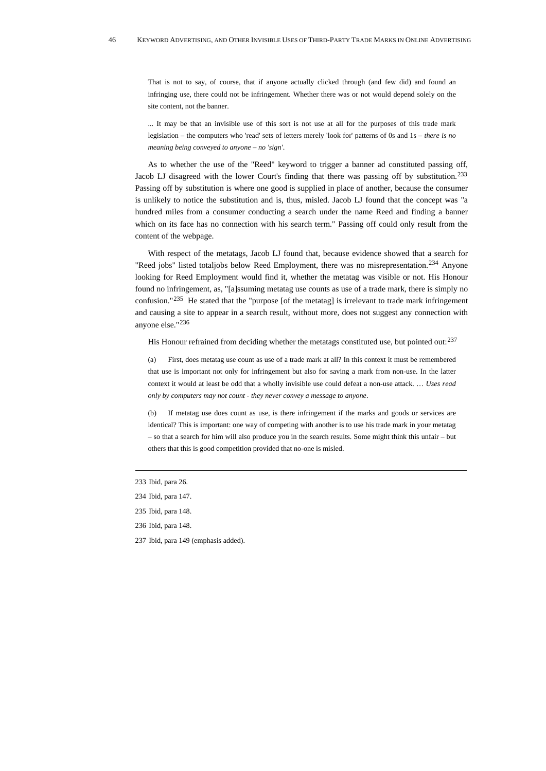That is not to say, of course, that if anyone actually clicked through (and few did) and found an infringing use, there could not be infringement. Whether there was or not would depend solely on the site content, not the banner.

... It may be that an invisible use of this sort is not use at all for the purposes of this trade mark legislation – the computers who 'read' sets of letters merely 'look for' patterns of 0s and 1s – *there is no meaning being conveyed to anyone – no 'sign'*.

As to whether the use of the "Reed" keyword to trigger a banner ad constituted passing off, Jacob LJ disagreed with the lower Court's finding that there was passing off by substitution.<sup>[233](#page-45-0)</sup> Passing off by substitution is where one good is supplied in place of another, because the consumer is unlikely to notice the substitution and is, thus, misled. Jacob LJ found that the concept was "a hundred miles from a consumer conducting a search under the name Reed and finding a banner which on its face has no connection with his search term." Passing off could only result from the content of the webpage.

With respect of the metatags, Jacob LJ found that, because evidence showed that a search for "Reed jobs" listed totaljobs below Reed Employment, there was no misrepresentation.<sup>[234](#page-45-1)</sup> Anyone looking for Reed Employment would find it, whether the metatag was visible or not. His Honour found no infringement, as, "[a]ssuming metatag use counts as use of a trade mark, there is simply no confusion." $^{235}$  $^{235}$  $^{235}$  He stated that the "purpose [of the metatag] is irrelevant to trade mark infringement and causing a site to appear in a search result, without more, does not suggest any connection with anyone else."[236](#page-45-3)

His Honour refrained from deciding whether the metatags constituted use, but pointed out:<sup>[237](#page-45-4)</sup>

(a) First, does metatag use count as use of a trade mark at all? In this context it must be remembered that use is important not only for infringement but also for saving a mark from non-use. In the latter context it would at least be odd that a wholly invisible use could defeat a non-use attack. … *Uses read only by computers may not count - they never convey a message to anyone*.

(b) If metatag use does count as use, is there infringement if the marks and goods or services are identical? This is important: one way of competing with another is to use his trade mark in your metatag – so that a search for him will also produce you in the search results. Some might think this unfair – but others that this is good competition provided that no-one is misled.

- <span id="page-45-3"></span>236 Ibid, para 148.
- <span id="page-45-4"></span>237 Ibid, para 149 (emphasis added).

<span id="page-45-0"></span><sup>233</sup> Ibid, para 26.

<span id="page-45-1"></span><sup>234</sup> Ibid, para 147.

<span id="page-45-2"></span><sup>235</sup> Ibid, para 148.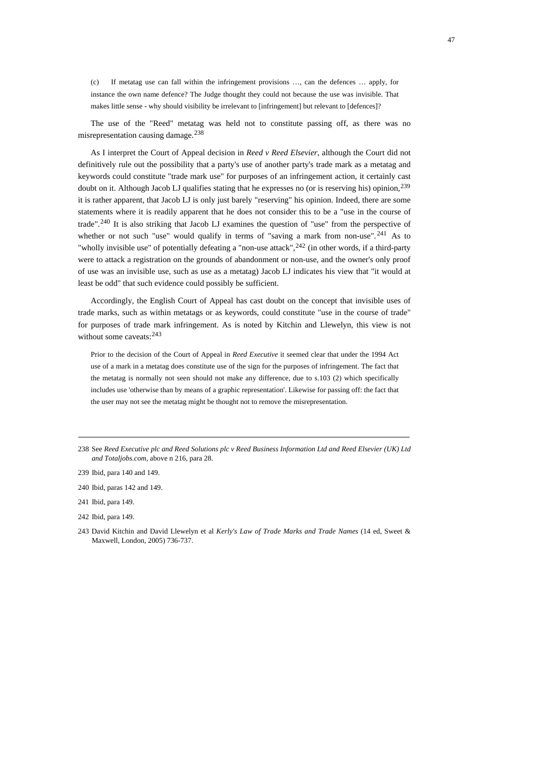(c) If metatag use can fall within the infringement provisions …, can the defences … apply, for instance the own name defence? The Judge thought they could not because the use was invisible. That makes little sense - why should visibility be irrelevant to [infringement] but relevant to [defences]?

The use of the "Reed" metatag was held not to constitute passing off, as there was no misrepresentation causing damage.[238](#page-46-0)

As I interpret the Court of Appeal decision in *Reed v Reed Elsevier*, although the Court did not definitively rule out the possibility that a party's use of another party's trade mark as a metatag and keywords could constitute "trade mark use" for purposes of an infringement action, it certainly cast doubt on it. Although Jacob LJ qualifies stating that he expresses no (or is reserving his) opinion,[239](#page-46-1) it is rather apparent, that Jacob LJ is only just barely "reserving" his opinion. Indeed, there are some statements where it is readily apparent that he does not consider this to be a "use in the course of trade".[240](#page-46-2) It is also striking that Jacob LJ examines the question of "use" from the perspective of whether or not such "use" would qualify in terms of "saving a mark from non-use".<sup>[241](#page-46-3)</sup> As to "wholly invisible use" of potentially defeating a "non-use attack", <sup>[242](#page-46-4)</sup> (in other words, if a third-party were to attack a registration on the grounds of abandonment or non-use, and the owner's only proof of use was an invisible use, such as use as a metatag) Jacob LJ indicates his view that "it would at least be odd" that such evidence could possibly be sufficient.

Accordingly, the English Court of Appeal has cast doubt on the concept that invisible uses of trade marks, such as within metatags or as keywords, could constitute "use in the course of trade" for purposes of trade mark infringement. As is noted by Kitchin and Llewelyn, this view is not without some caveats: <sup>[243](#page-46-5)</sup>

Prior to the decision of the Court of Appeal in *Reed Executive* it seemed clear that under the 1994 Act use of a mark in a metatag does constitute use of the sign for the purposes of infringement. The fact that the metatag is normally not seen should not make any difference, due to s.103 (2) which specifically includes use 'otherwise than by means of a graphic representation'. Likewise for passing off: the fact that the user may not see the metatag might be thought not to remove the misrepresentation.

<span id="page-46-0"></span><sup>238</sup> See *Reed Executive plc and Reed Solutions plc v Reed Business Information Ltd and Reed Elsevier (UK) Ltd and Totaljobs.com,* above n 216, para 28.

<span id="page-46-1"></span><sup>239</sup> Ibid, para 140 and 149.

<span id="page-46-2"></span><sup>240</sup> Ibid, paras 142 and 149.

<span id="page-46-3"></span><sup>241</sup> Ibid, para 149.

<span id="page-46-4"></span><sup>242</sup> Ibid, para 149.

<span id="page-46-5"></span><sup>243</sup> David Kitchin and David Llewelyn et al *Kerly's Law of Trade Marks and Trade Names* (14 ed, Sweet & Maxwell, London, 2005) 736-737.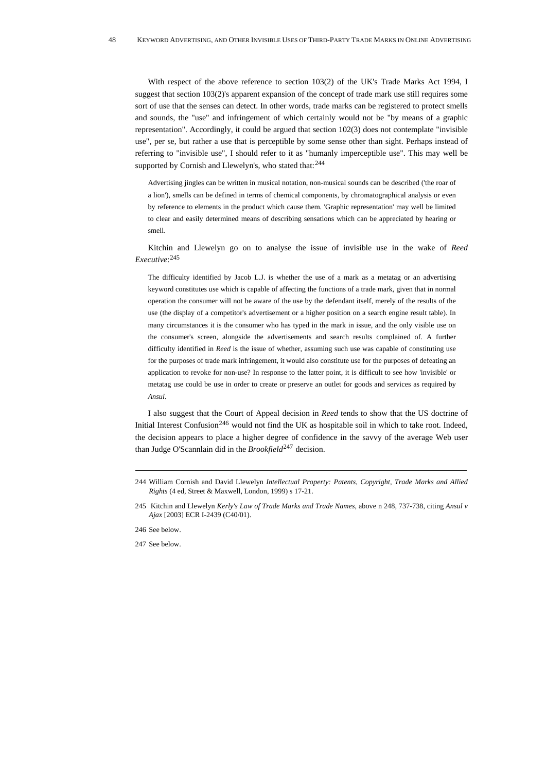With respect of the above reference to section 103(2) of the UK's Trade Marks Act 1994, I suggest that section 103(2)'s apparent expansion of the concept of trade mark use still requires some sort of use that the senses can detect. In other words, trade marks can be registered to protect smells and sounds, the "use" and infringement of which certainly would not be "by means of a graphic representation". Accordingly, it could be argued that section 102(3) does not contemplate "invisible use", per se, but rather a use that is perceptible by some sense other than sight. Perhaps instead of referring to "invisible use", I should refer to it as "humanly imperceptible use". This may well be supported by Cornish and Llewelyn's, who stated that: [244](#page-47-0)

Advertising jingles can be written in musical notation, non-musical sounds can be described ('the roar of a lion'), smells can be defined in terms of chemical components, by chromatographical analysis or even by reference to elements in the product which cause them. 'Graphic representation' may well be limited to clear and easily determined means of describing sensations which can be appreciated by hearing or smell.

Kitchin and Llewelyn go on to analyse the issue of invisible use in the wake of *Reed Executive*: [245](#page-47-1)

The difficulty identified by Jacob L.J. is whether the use of a mark as a metatag or an advertising keyword constitutes use which is capable of affecting the functions of a trade mark, given that in normal operation the consumer will not be aware of the use by the defendant itself, merely of the results of the use (the display of a competitor's advertisement or a higher position on a search engine result table). In many circumstances it is the consumer who has typed in the mark in issue, and the only visible use on the consumer's screen, alongside the advertisements and search results complained of. A further difficulty identified in *Reed* is the issue of whether, assuming such use was capable of constituting use for the purposes of trade mark infringement, it would also constitute use for the purposes of defeating an application to revoke for non-use? In response to the latter point, it is difficult to see how 'invisible' or metatag use could be use in order to create or preserve an outlet for goods and services as required by *Ansul*.

I also suggest that the Court of Appeal decision in *Reed* tends to show that the US doctrine of Initial Interest Confusion<sup>[246](#page-47-2)</sup> would not find the UK as hospitable soil in which to take root. Indeed, the decision appears to place a higher degree of confidence in the savvy of the average Web user than Judge O'Scannlain did in the *Brookfield*[247](#page-47-3) decision.

<span id="page-47-0"></span><sup>244</sup> William Cornish and David Llewelyn *Intellectual Property: Patents, Copyright, Trade Marks and Allied Rights* (4 ed, Street & Maxwell, London, 1999) s 17-21.

<span id="page-47-1"></span><sup>245</sup> Kitchin and Llewelyn *Kerly's Law of Trade Marks and Trade Names*, above n 248, 737-738, citing *Ansul v Ajax* [2003] ECR I-2439 (C40/01).

<span id="page-47-2"></span><sup>246</sup> See below.

<span id="page-47-3"></span><sup>247</sup> See below.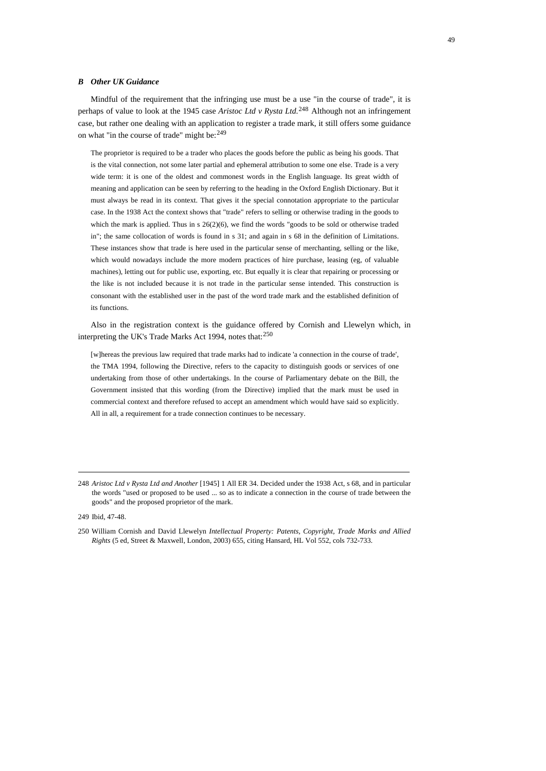#### *B Other UK Guidance*

Mindful of the requirement that the infringing use must be a use "in the course of trade", it is perhaps of value to look at the 1945 case *Aristoc Ltd v Rysta Ltd*. [248](#page-48-0) Although not an infringement case, but rather one dealing with an application to register a trade mark, it still offers some guidance on what "in the course of trade" might be:[249](#page-48-1)

The proprietor is required to be a trader who places the goods before the public as being his goods. That is the vital connection, not some later partial and ephemeral attribution to some one else. Trade is a very wide term: it is one of the oldest and commonest words in the English language. Its great width of meaning and application can be seen by referring to the heading in the Oxford English Dictionary. But it must always be read in its context. That gives it the special connotation appropriate to the particular case. In the 1938 Act the context shows that "trade" refers to selling or otherwise trading in the goods to which the mark is applied. Thus in s  $26(2)(6)$ , we find the words "goods to be sold or otherwise traded in"; the same collocation of words is found in s 31; and again in s 68 in the definition of Limitations. These instances show that trade is here used in the particular sense of merchanting, selling or the like, which would nowadays include the more modern practices of hire purchase, leasing (eg, of valuable machines), letting out for public use, exporting, etc. But equally it is clear that repairing or processing or the like is not included because it is not trade in the particular sense intended. This construction is consonant with the established user in the past of the word trade mark and the established definition of its functions.

Also in the registration context is the guidance offered by Cornish and Llewelyn which, in interpreting the UK's Trade Marks Act 1994, notes that:<sup>[250](#page-48-2)</sup>

[w]hereas the previous law required that trade marks had to indicate 'a connection in the course of trade', the TMA 1994, following the Directive, refers to the capacity to distinguish goods or services of one undertaking from those of other undertakings. In the course of Parliamentary debate on the Bill, the Government insisted that this wording (from the Directive) implied that the mark must be used in commercial context and therefore refused to accept an amendment which would have said so explicitly. All in all, a requirement for a trade connection continues to be necessary.

<span id="page-48-0"></span><sup>248</sup> *Aristoc Ltd v Rysta Ltd and Another* [1945] 1 All ER 34. Decided under the 1938 Act, s 68, and in particular the words "used or proposed to be used ... so as to indicate a connection in the course of trade between the goods" and the proposed proprietor of the mark.

<span id="page-48-1"></span><sup>249</sup> Ibid, 47-48.

<span id="page-48-2"></span><sup>250</sup> William Cornish and David Llewelyn *Intellectual Property: Patents, Copyright, Trade Marks and Allied Rights* (5 ed, Street & Maxwell, London, 2003) 655, citing Hansard, HL Vol 552, cols 732-733.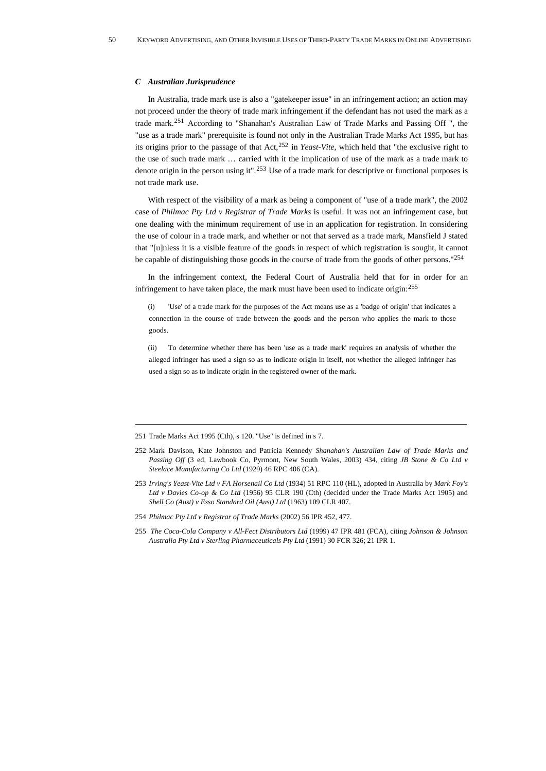#### *C Australian Jurisprudence*

In Australia, trade mark use is also a "gatekeeper issue" in an infringement action; an action may not proceed under the theory of trade mark infringement if the defendant has not used the mark as a trade mark.[251](#page-49-0) According to "Shanahan's Australian Law of Trade Marks and Passing Off ", the "use as a trade mark" prerequisite is found not only in the Australian Trade Marks Act 1995, but has its origins prior to the passage of that Act,[252](#page-49-1) in *Yeast-Vite*, which held that "the exclusive right to the use of such trade mark … carried with it the implication of use of the mark as a trade mark to denote origin in the person using it".[253](#page-49-2) Use of a trade mark for descriptive or functional purposes is not trade mark use.

With respect of the visibility of a mark as being a component of "use of a trade mark", the 2002 case of *Philmac Pty Ltd v Registrar of Trade Marks* is useful. It was not an infringement case, but one dealing with the minimum requirement of use in an application for registration. In considering the use of colour in a trade mark, and whether or not that served as a trade mark, Mansfield J stated that "[u]nless it is a visible feature of the goods in respect of which registration is sought, it cannot be capable of distinguishing those goods in the course of trade from the goods of other persons."[254](#page-49-3)

In the infringement context, the Federal Court of Australia held that for in order for an infringement to have taken place, the mark must have been used to indicate origin:[255](#page-49-4)

(i) 'Use' of a trade mark for the purposes of the Act means use as a 'badge of origin' that indicates a connection in the course of trade between the goods and the person who applies the mark to those goods.

(ii) To determine whether there has been 'use as a trade mark' requires an analysis of whether the alleged infringer has used a sign so as to indicate origin in itself, not whether the alleged infringer has used a sign so as to indicate origin in the registered owner of the mark.

- <span id="page-49-2"></span>253 *Irving's Yeast-Vite Ltd v FA Horsenail Co Ltd* (1934) 51 RPC 110 (HL), adopted in Australia by *Mark Foy's Ltd v Davies Co-op & Co Ltd* (1956) 95 CLR 190 (Cth) (decided under the Trade Marks Act 1905) and *Shell Co (Aust) v Esso Standard Oil (Aust) Ltd* (1963) 109 CLR 407.
- <span id="page-49-3"></span>254 *Philmac Pty Ltd v Registrar of Trade Marks* (2002) 56 IPR 452, 477.
- <span id="page-49-4"></span>255 *The Coca-Cola Company v All-Fect Distributors Ltd* (1999) 47 IPR 481 (FCA), citing *Johnson & Johnson Australia Pty Ltd v Sterling Pharmaceuticals Pty Ltd* (1991) 30 FCR 326; 21 IPR 1.

<span id="page-49-0"></span><sup>251</sup> Trade Marks Act 1995 (Cth), s 120. "Use" is defined in s 7.

<span id="page-49-1"></span><sup>252</sup> Mark Davison, Kate Johnston and Patricia Kennedy *Shanahan's Australian Law of Trade Marks and Passing Off* (3 ed, Lawbook Co, Pyrmont, New South Wales, 2003) 434, citing *JB Stone & Co Ltd v Steelace Manufacturing Co Ltd* (1929) 46 RPC 406 (CA).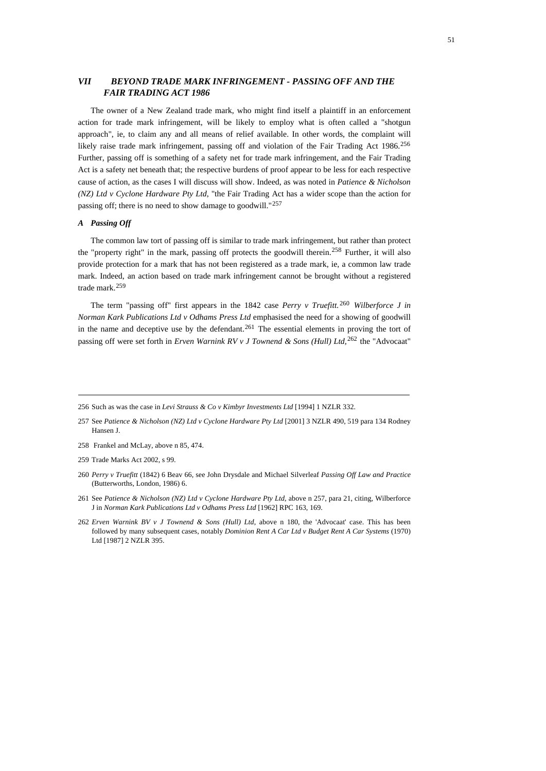# *VII BEYOND TRADE MARK INFRINGEMENT - PASSING OFF AND THE FAIR TRADING ACT 1986*

The owner of a New Zealand trade mark, who might find itself a plaintiff in an enforcement action for trade mark infringement, will be likely to employ what is often called a "shotgun approach", ie, to claim any and all means of relief available. In other words, the complaint will likely raise trade mark infringement, passing off and violation of the Fair Trading Act 1986.[256](#page-50-0) Further, passing off is something of a safety net for trade mark infringement, and the Fair Trading Act is a safety net beneath that; the respective burdens of proof appear to be less for each respective cause of action, as the cases I will discuss will show. Indeed, as was noted in *Patience & Nicholson (NZ) Ltd v Cyclone Hardware Pty Ltd*, "the Fair Trading Act has a wider scope than the action for passing off; there is no need to show damage to goodwill."[257](#page-50-1)

## *A Passing Off*

The common law tort of passing off is similar to trade mark infringement, but rather than protect the "property right" in the mark, passing off protects the goodwill therein.<sup>[258](#page-50-2)</sup> Further, it will also provide protection for a mark that has not been registered as a trade mark, ie, a common law trade mark. Indeed, an action based on trade mark infringement cannot be brought without a registered trade mark.[259](#page-50-3)

The term "passing off" first appears in the 1842 case *Perry v Truefitt.* [260](#page-50-4) *Wilberforce J in Norman Kark Publications Ltd v Odhams Press Ltd* emphasised the need for a showing of goodwill in the name and deceptive use by the defendant.<sup>[261](#page-50-5)</sup> The essential elements in proving the tort of passing off were set forth in *Erven Warnink RV v J Townend & Sons (Hull) Ltd,*[262](#page-50-6) the "Advocaat"

<span id="page-50-2"></span>258 Frankel and McLay, above n 85, 474.

<span id="page-50-0"></span><sup>256</sup> Such as was the case in *Levi Strauss & Co v Kimbyr Investments Ltd* [1994] 1 NZLR 332.

<span id="page-50-1"></span><sup>257</sup> See *Patience & Nicholson (NZ) Ltd v Cyclone Hardware Pty Ltd* [2001] 3 NZLR 490, 519 para 134 Rodney Hansen J.

<span id="page-50-3"></span><sup>259</sup> Trade Marks Act 2002, s 99.

<span id="page-50-4"></span><sup>260</sup> *Perry v Truefitt* (1842) 6 Beav 66, see John Drysdale and Michael Silverleaf *Passing Off Law and Practice* (Butterworths, London, 1986) 6.

<span id="page-50-5"></span><sup>261</sup> See *Patience & Nicholson (NZ) Ltd v Cyclone Hardware Pty Ltd*, above n 257, para 21, citing, Wilberforce J in *Norman Kark Publications Ltd v Odhams Press Ltd* [1962] RPC 163, 169.

<span id="page-50-6"></span><sup>262</sup> *Erven Warnink BV v J Townend & Sons (Hull) Ltd*, above n 180, the 'Advocaat' case. This has been followed by many subsequent cases, notably *Dominion Rent A Car Ltd v Budget Rent A Car Systems* (1970) Ltd [1987] 2 NZLR 395.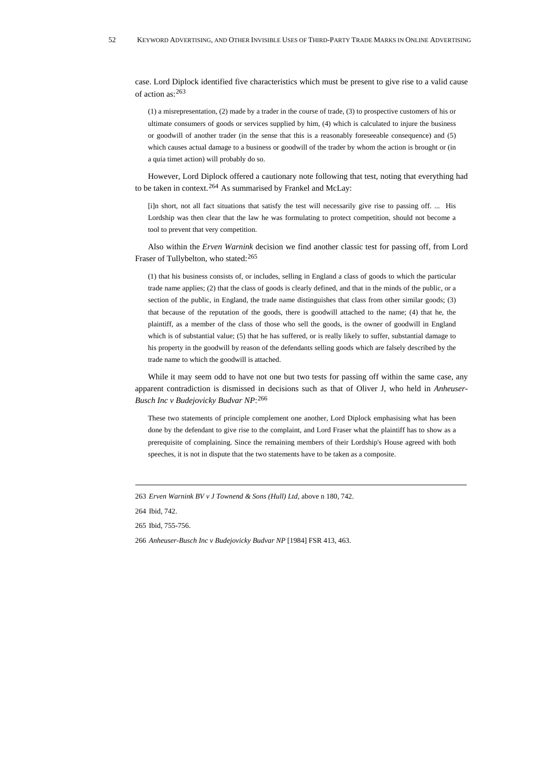case. Lord Diplock identified five characteristics which must be present to give rise to a valid cause of action as:[263](#page-51-0)

(1) a misrepresentation, (2) made by a trader in the course of trade, (3) to prospective customers of his or ultimate consumers of goods or services supplied by him, (4) which is calculated to injure the business or goodwill of another trader (in the sense that this is a reasonably foreseeable consequence) and (5) which causes actual damage to a business or goodwill of the trader by whom the action is brought or (in a quia timet action) will probably do so.

However, Lord Diplock offered a cautionary note following that test, noting that everything had to be taken in context.[264](#page-51-1) As summarised by Frankel and McLay:

[i]n short, not all fact situations that satisfy the test will necessarily give rise to passing off. ... His Lordship was then clear that the law he was formulating to protect competition, should not become a tool to prevent that very competition.

Also within the *Erven Warnink* decision we find another classic test for passing off, from Lord Fraser of Tullybelton, who stated: [265](#page-51-2)

(1) that his business consists of, or includes, selling in England a class of goods to which the particular trade name applies; (2) that the class of goods is clearly defined, and that in the minds of the public, or a section of the public, in England, the trade name distinguishes that class from other similar goods; (3) that because of the reputation of the goods, there is goodwill attached to the name; (4) that he, the plaintiff, as a member of the class of those who sell the goods, is the owner of goodwill in England which is of substantial value; (5) that he has suffered, or is really likely to suffer, substantial damage to his property in the goodwill by reason of the defendants selling goods which are falsely described by the trade name to which the goodwill is attached.

While it may seem odd to have not one but two tests for passing off within the same case, any apparent contradiction is dismissed in decisions such as that of Oliver J, who held in *Anheuser-Busch Inc v Budejovicky Budvar NP*:[266](#page-51-3)

These two statements of principle complement one another, Lord Diplock emphasising what has been done by the defendant to give rise to the complaint, and Lord Fraser what the plaintiff has to show as a prerequisite of complaining. Since the remaining members of their Lordship's House agreed with both speeches, it is not in dispute that the two statements have to be taken as a composite.

<span id="page-51-1"></span>264 Ibid, 742.

<span id="page-51-2"></span>265 Ibid, 755-756.

<span id="page-51-0"></span><sup>263</sup> *Erven Warnink BV v J Townend & Sons (Hull) Ltd,* above n 180, 742.

<span id="page-51-3"></span><sup>266</sup> *Anheuser-Busch Inc v Budejovicky Budvar NP* [1984] FSR 413, 463.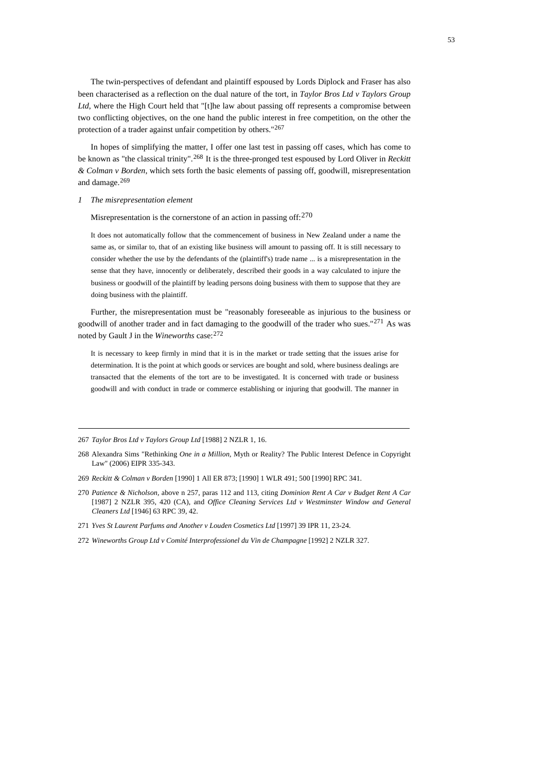The twin-perspectives of defendant and plaintiff espoused by Lords Diplock and Fraser has also been characterised as a reflection on the dual nature of the tort, in *Taylor Bros Ltd v Taylors Group Ltd*, where the High Court held that "[t]he law about passing off represents a compromise between two conflicting objectives, on the one hand the public interest in free competition, on the other the protection of a trader against unfair competition by others."[267](#page-52-0)

In hopes of simplifying the matter, I offer one last test in passing off cases, which has come to be known as "the classical trinity".[268](#page-52-1) It is the three-pronged test espoused by Lord Oliver in *Reckitt & Colman v Borden*, which sets forth the basic elements of passing off, goodwill, misrepresentation and damage.[269](#page-52-2)

#### *1 The misrepresentation element*

Misrepresentation is the cornerstone of an action in passing off:[270](#page-52-3)

It does not automatically follow that the commencement of business in New Zealand under a name the same as, or similar to, that of an existing like business will amount to passing off. It is still necessary to consider whether the use by the defendants of the (plaintiff's) trade name ... is a misrepresentation in the sense that they have, innocently or deliberately, described their goods in a way calculated to injure the business or goodwill of the plaintiff by leading persons doing business with them to suppose that they are doing business with the plaintiff.

Further, the misrepresentation must be "reasonably foreseeable as injurious to the business or goodwill of another trader and in fact damaging to the goodwill of the trader who sues."<sup>[271](#page-52-4)</sup> As was noted by Gault J in the *Wineworths* case:[272](#page-52-5)

It is necessary to keep firmly in mind that it is in the market or trade setting that the issues arise for determination. It is the point at which goods or services are bought and sold, where business dealings are transacted that the elements of the tort are to be investigated. It is concerned with trade or business goodwill and with conduct in trade or commerce establishing or injuring that goodwill. The manner in

<span id="page-52-0"></span><sup>267</sup> *Taylor Bros Ltd v Taylors Group Ltd* [1988] 2 NZLR 1, 16.

<span id="page-52-1"></span><sup>268</sup> Alexandra Sims "Rethinking *One in a Million,* Myth or Reality? The Public Interest Defence in Copyright Law" (2006) EIPR 335-343.

<span id="page-52-2"></span><sup>269</sup> *Reckitt & Colman v Borden* [1990] 1 All ER 873; [1990] 1 WLR 491; 500 [1990] RPC 341.

<span id="page-52-3"></span><sup>270</sup> *Patience & Nicholson,* above n 257, paras 112 and 113, citing *Dominion Rent A Car v Budget Rent A Car*  [1987] 2 NZLR 395, 420 (CA), and *Office Cleaning Services Ltd v Westminster Window and General Cleaners Ltd* [1946] 63 RPC 39, 42.

<span id="page-52-4"></span><sup>271</sup> *Yves St Laurent Parfums and Another v Louden Cosmetics Ltd* [1997] 39 IPR 11, 23-24.

<span id="page-52-5"></span><sup>272</sup> *Wineworths Group Ltd v Comité Interprofessionel du Vin de Champagne* [1992] 2 NZLR 327.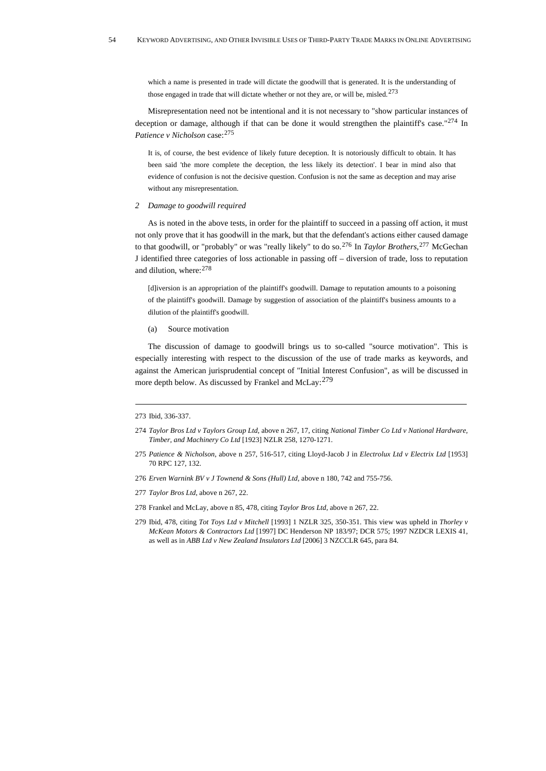which a name is presented in trade will dictate the goodwill that is generated. It is the understanding of those engaged in trade that will dictate whether or not they are, or will be, misled.<sup>[273](#page-53-0)</sup>

Misrepresentation need not be intentional and it is not necessary to "show particular instances of deception or damage, although if that can be done it would strengthen the plaintiff's case."<sup>[274](#page-53-1)</sup> In Patience v Nicholson case: [275](#page-53-2)

It is, of course, the best evidence of likely future deception. It is notoriously difficult to obtain. It has been said 'the more complete the deception, the less likely its detection'. I bear in mind also that evidence of confusion is not the decisive question. Confusion is not the same as deception and may arise without any misrepresentation.

## *2 Damage to goodwill required*

As is noted in the above tests, in order for the plaintiff to succeed in a passing off action, it must not only prove that it has goodwill in the mark, but that the defendant's actions either caused damage to that goodwill, or "probably" or was "really likely" to do so.[276](#page-53-3) In *Taylor Brothers*, [277](#page-53-4) McGechan J identified three categories of loss actionable in passing off – diversion of trade, loss to reputation and dilution, where:[278](#page-53-5)

[d]iversion is an appropriation of the plaintiff's goodwill. Damage to reputation amounts to a poisoning of the plaintiff's goodwill. Damage by suggestion of association of the plaintiff's business amounts to a dilution of the plaintiff's goodwill.

(a) Source motivation

The discussion of damage to goodwill brings us to so-called "source motivation". This is especially interesting with respect to the discussion of the use of trade marks as keywords, and against the American jurisprudential concept of "Initial Interest Confusion", as will be discussed in more depth below. As discussed by Frankel and McLay: <sup>[279](#page-53-6)</sup>

<span id="page-53-0"></span><sup>273</sup> Ibid, 336-337.

<span id="page-53-1"></span><sup>274</sup> *Taylor Bros Ltd v Taylors Group Ltd*, above n 267, 17, citing *National Timber Co Ltd v National Hardware, Timber, and Machinery Co Ltd* [1923] NZLR 258, 1270-1271.

<span id="page-53-2"></span><sup>275</sup> *Patience & Nicholson*, above n 257, 516-517, citing Lloyd-Jacob J in *Electrolux Ltd v Electrix Ltd* [1953] 70 RPC 127, 132.

<span id="page-53-3"></span><sup>276</sup> *Erven Warnink BV v J Townend & Sons (Hull) Ltd,* above n 180, 742 and 755-756.

<span id="page-53-4"></span><sup>277</sup> *Taylor Bros Ltd*, above n 267, 22.

<span id="page-53-5"></span><sup>278</sup> Frankel and McLay, above n 85, 478, citing *Taylor Bros Ltd*, above n 267, 22.

<span id="page-53-6"></span><sup>279</sup> Ibid, 478, citing *Tot Toys Ltd v Mitchell* [1993] 1 NZLR 325, 350-351. This view was upheld in *Thorley v McKean Motors & Contractors Ltd* [1997] DC Henderson NP 183/97; DCR 575; 1997 NZDCR LEXIS 41, as well as in *ABB Ltd v New Zealand Insulators Ltd* [2006] 3 NZCCLR 645, para 84.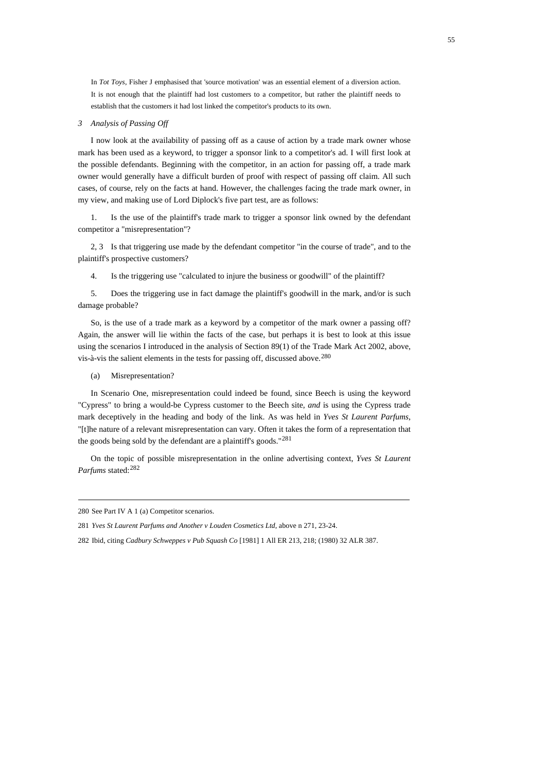In *Tot Toys*, Fisher J emphasised that 'source motivation' was an essential element of a diversion action. It is not enough that the plaintiff had lost customers to a competitor, but rather the plaintiff needs to establish that the customers it had lost linked the competitor's products to its own.

## *3 Analysis of Passing Off*

I now look at the availability of passing off as a cause of action by a trade mark owner whose mark has been used as a keyword, to trigger a sponsor link to a competitor's ad. I will first look at the possible defendants. Beginning with the competitor, in an action for passing off, a trade mark owner would generally have a difficult burden of proof with respect of passing off claim. All such cases, of course, rely on the facts at hand. However, the challenges facing the trade mark owner, in my view, and making use of Lord Diplock's five part test, are as follows:

1. Is the use of the plaintiff's trade mark to trigger a sponsor link owned by the defendant competitor a "misrepresentation"?

2, 3 Is that triggering use made by the defendant competitor "in the course of trade", and to the plaintiff's prospective customers?

4. Is the triggering use "calculated to injure the business or goodwill" of the plaintiff?

5. Does the triggering use in fact damage the plaintiff's goodwill in the mark, and/or is such damage probable?

So, is the use of a trade mark as a keyword by a competitor of the mark owner a passing off? Again, the answer will lie within the facts of the case, but perhaps it is best to look at this issue using the scenarios I introduced in the analysis of Section 89(1) of the Trade Mark Act 2002, above, vis-à-vis the salient elements in the tests for passing off, discussed above.<sup>[280](#page-54-0)</sup>

(a) Misrepresentation?

In Scenario One, misrepresentation could indeed be found, since Beech is using the keyword "Cypress" to bring a would-be Cypress customer to the Beech site, *and* is using the Cypress trade mark deceptively in the heading and body of the link. As was held in *Yves St Laurent Parfums*, "[t]he nature of a relevant misrepresentation can vary. Often it takes the form of a representation that the goods being sold by the defendant are a plaintiff's goods."<sup>[281](#page-54-1)</sup>

On the topic of possible misrepresentation in the online advertising context, *Yves St Laurent Parfums* stated:[282](#page-54-2)

<span id="page-54-0"></span><sup>280</sup> See Part IV A 1 (a) Competitor scenarios.

<span id="page-54-1"></span><sup>281</sup> *Yves St Laurent Parfums and Another v Louden Cosmetics Ltd*, above n 271, 23-24.

<span id="page-54-2"></span><sup>282</sup> Ibid, citing *Cadbury Schweppes v Pub Squash Co* [1981] 1 All ER 213, 218; (1980) 32 ALR 387.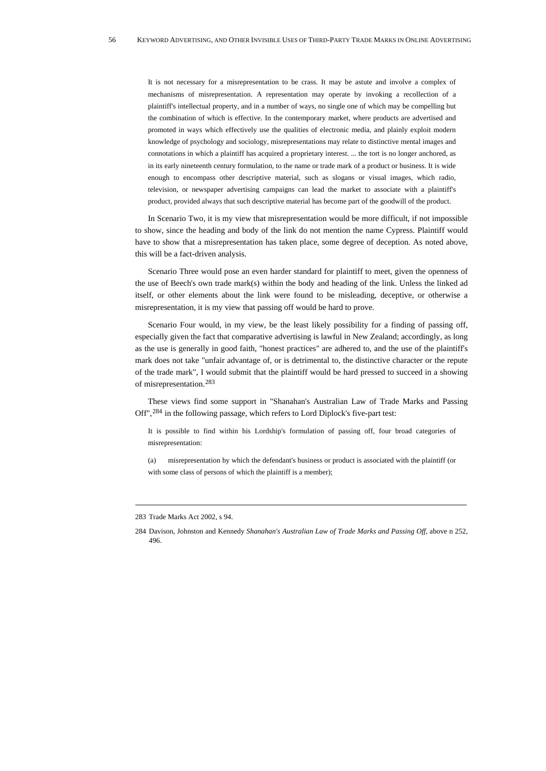It is not necessary for a misrepresentation to be crass. It may be astute and involve a complex of mechanisms of misrepresentation. A representation may operate by invoking a recollection of a plaintiff's intellectual property, and in a number of ways, no single one of which may be compelling but the combination of which is effective. In the contemporary market, where products are advertised and promoted in ways which effectively use the qualities of electronic media, and plainly exploit modern knowledge of psychology and sociology, misrepresentations may relate to distinctive mental images and connotations in which a plaintiff has acquired a proprietary interest. ... the tort is no longer anchored, as in its early nineteenth century formulation, to the name or trade mark of a product or business. It is wide enough to encompass other descriptive material, such as slogans or visual images, which radio, television, or newspaper advertising campaigns can lead the market to associate with a plaintiff's product, provided always that such descriptive material has become part of the goodwill of the product.

In Scenario Two, it is my view that misrepresentation would be more difficult, if not impossible to show, since the heading and body of the link do not mention the name Cypress. Plaintiff would have to show that a misrepresentation has taken place, some degree of deception. As noted above, this will be a fact-driven analysis.

Scenario Three would pose an even harder standard for plaintiff to meet, given the openness of the use of Beech's own trade mark(s) within the body and heading of the link. Unless the linked ad itself, or other elements about the link were found to be misleading, deceptive, or otherwise a misrepresentation, it is my view that passing off would be hard to prove.

Scenario Four would, in my view, be the least likely possibility for a finding of passing off, especially given the fact that comparative advertising is lawful in New Zealand; accordingly, as long as the use is generally in good faith, "honest practices" are adhered to, and the use of the plaintiff's mark does not take "unfair advantage of, or is detrimental to, the distinctive character or the repute of the trade mark", I would submit that the plaintiff would be hard pressed to succeed in a showing of misrepresentation.[283](#page-55-0)

These views find some support in "Shanahan's Australian Law of Trade Marks and Passing Off",[284](#page-55-1) in the following passage, which refers to Lord Diplock's five-part test:

It is possible to find within his Lordship's formulation of passing off, four broad categories of misrepresentation:

(a) misrepresentation by which the defendant's business or product is associated with the plaintiff (or with some class of persons of which the plaintiff is a member);

<span id="page-55-0"></span><sup>283</sup> Trade Marks Act 2002, s 94.

<span id="page-55-1"></span><sup>284</sup> Davison, Johnston and Kennedy *Shanahan's Australian Law of Trade Marks and Passing Off*, above n 252, 496.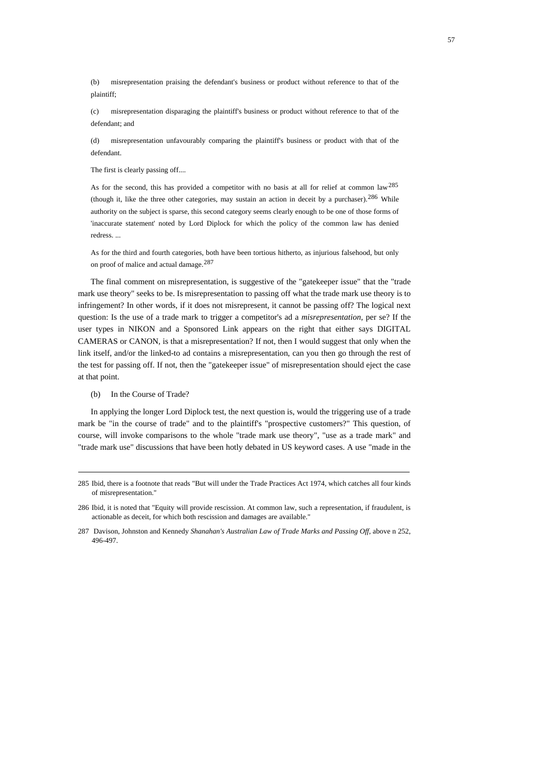(b) misrepresentation praising the defendant's business or product without reference to that of the plaintiff;

(c) misrepresentation disparaging the plaintiff's business or product without reference to that of the defendant; and

(d) misrepresentation unfavourably comparing the plaintiff's business or product with that of the defendant.

The first is clearly passing off....

As for the second, this has provided a competitor with no basis at all for relief at common law<sup>[285](#page-56-0)</sup> (though it, like the three other categories, may sustain an action in deceit by a purchaser).[286](#page-56-1) While authority on the subject is sparse, this second category seems clearly enough to be one of those forms of 'inaccurate statement' noted by Lord Diplock for which the policy of the common law has denied redress. ...

As for the third and fourth categories, both have been tortious hitherto, as injurious falsehood, but only on proof of malice and actual damage.[287](#page-56-2)

The final comment on misrepresentation, is suggestive of the "gatekeeper issue" that the "trade mark use theory" seeks to be. Is misrepresentation to passing off what the trade mark use theory is to infringement? In other words, if it does not misrepresent, it cannot be passing off? The logical next question: Is the use of a trade mark to trigger a competitor's ad a *misrepresentation*, per se? If the user types in NIKON and a Sponsored Link appears on the right that either says DIGITAL CAMERAS or CANON, is that a misrepresentation? If not, then I would suggest that only when the link itself, and/or the linked-to ad contains a misrepresentation, can you then go through the rest of the test for passing off. If not, then the "gatekeeper issue" of misrepresentation should eject the case at that point.

(b) In the Course of Trade?

In applying the longer Lord Diplock test, the next question is, would the triggering use of a trade mark be "in the course of trade" and to the plaintiff's "prospective customers?" This question, of course, will invoke comparisons to the whole "trade mark use theory", "use as a trade mark" and "trade mark use" discussions that have been hotly debated in US keyword cases. A use "made in the

<span id="page-56-0"></span><sup>285</sup> Ibid, there is a footnote that reads "But will under the Trade Practices Act 1974, which catches all four kinds of misrepresentation."

<span id="page-56-1"></span><sup>286</sup> Ibid, it is noted that "Equity will provide rescission. At common law, such a representation, if fraudulent, is actionable as deceit, for which both rescission and damages are available."

<span id="page-56-2"></span><sup>287</sup> Davison, Johnston and Kennedy *Shanahan's Australian Law of Trade Marks and Passing Off*, above n 252, 496-497.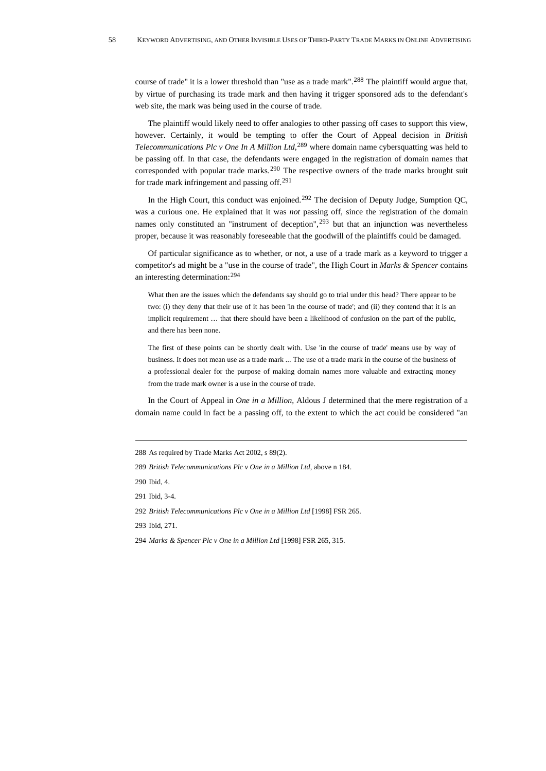course of trade" it is a lower threshold than "use as a trade mark".[288](#page-57-0) The plaintiff would argue that, by virtue of purchasing its trade mark and then having it trigger sponsored ads to the defendant's web site, the mark was being used in the course of trade.

The plaintiff would likely need to offer analogies to other passing off cases to support this view, however. Certainly, it would be tempting to offer the Court of Appeal decision in *British Telecommunications Plc v One In A Million Ltd*, [289](#page-57-1) where domain name cybersquatting was held to be passing off. In that case, the defendants were engaged in the registration of domain names that corresponded with popular trade marks.<sup>[290](#page-57-2)</sup> The respective owners of the trade marks brought suit for trade mark infringement and passing off.[291](#page-57-3)

In the High Court, this conduct was enjoined.<sup>[292](#page-57-4)</sup> The decision of Deputy Judge, Sumption QC, was a curious one. He explained that it was *not* passing off, since the registration of the domain names only constituted an "instrument of deception",  $293$  but that an injunction was nevertheless proper, because it was reasonably foreseeable that the goodwill of the plaintiffs could be damaged.

Of particular significance as to whether, or not, a use of a trade mark as a keyword to trigger a competitor's ad might be a "use in the course of trade", the High Court in *Marks & Spencer* contains an interesting determination:[294](#page-57-6)

What then are the issues which the defendants say should go to trial under this head? There appear to be two: (i) they deny that their use of it has been 'in the course of trade'; and (ii) they contend that it is an implicit requirement … that there should have been a likelihood of confusion on the part of the public, and there has been none.

The first of these points can be shortly dealt with. Use 'in the course of trade' means use by way of business. It does not mean use as a trade mark ... The use of a trade mark in the course of the business of a professional dealer for the purpose of making domain names more valuable and extracting money from the trade mark owner is a use in the course of trade.

In the Court of Appeal in *One in a Million*, Aldous J determined that the mere registration of a domain name could in fact be a passing off, to the extent to which the act could be considered "an

<span id="page-57-0"></span><sup>288</sup> As required by Trade Marks Act 2002, s 89(2).

<span id="page-57-1"></span><sup>289</sup> *British Telecommunications Plc v One in a Million Ltd*, above n 184.

<span id="page-57-2"></span><sup>290</sup> Ibid, 4.

<span id="page-57-3"></span><sup>291</sup> Ibid, 3-4.

<span id="page-57-4"></span><sup>292</sup> *British Telecommunications Plc v One in a Million Ltd* [1998] FSR 265.

<span id="page-57-5"></span><sup>293</sup>Ibid, 271.

<span id="page-57-6"></span><sup>294</sup> *Marks & Spencer Plc v One in a Million Ltd* [1998] FSR 265, 315.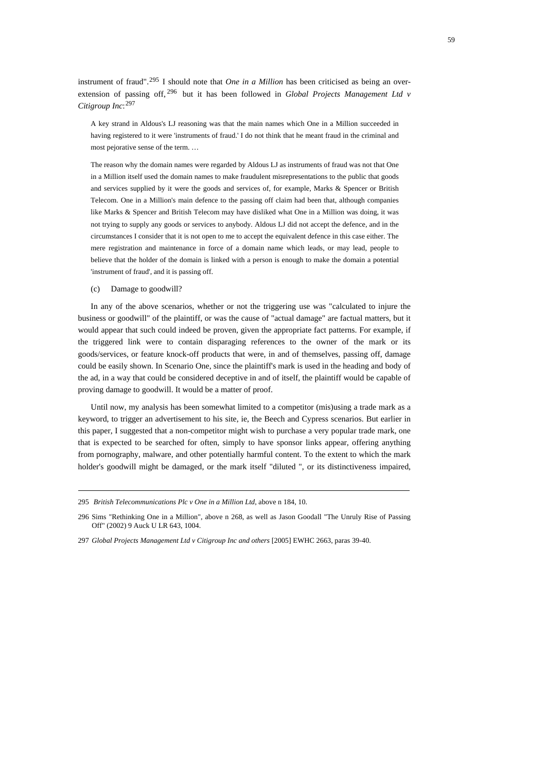instrument of fraud".[295](#page-58-0) I should note that *One in a Million* has been criticised as being an overextension of passing off, [296](#page-58-1) but it has been followed in *Global Projects Management Ltd v Citigroup Inc*: [297](#page-58-2)

A key strand in Aldous's LJ reasoning was that the main names which One in a Million succeeded in having registered to it were 'instruments of fraud.' I do not think that he meant fraud in the criminal and most pejorative sense of the term. …

The reason why the domain names were regarded by Aldous LJ as instruments of fraud was not that One in a Million itself used the domain names to make fraudulent misrepresentations to the public that goods and services supplied by it were the goods and services of, for example, Marks & Spencer or British Telecom. One in a Million's main defence to the passing off claim had been that, although companies like Marks & Spencer and British Telecom may have disliked what One in a Million was doing, it was not trying to supply any goods or services to anybody. Aldous LJ did not accept the defence, and in the circumstances I consider that it is not open to me to accept the equivalent defence in this case either. The mere registration and maintenance in force of a domain name which leads, or may lead, people to believe that the holder of the domain is linked with a person is enough to make the domain a potential 'instrument of fraud', and it is passing off.

(c) Damage to goodwill?

In any of the above scenarios, whether or not the triggering use was "calculated to injure the business or goodwill" of the plaintiff, or was the cause of "actual damage" are factual matters, but it would appear that such could indeed be proven, given the appropriate fact patterns. For example, if the triggered link were to contain disparaging references to the owner of the mark or its goods/services, or feature knock-off products that were, in and of themselves, passing off, damage could be easily shown. In Scenario One, since the plaintiff's mark is used in the heading and body of the ad, in a way that could be considered deceptive in and of itself, the plaintiff would be capable of proving damage to goodwill. It would be a matter of proof.

Until now, my analysis has been somewhat limited to a competitor (mis)using a trade mark as a keyword, to trigger an advertisement to his site, ie, the Beech and Cypress scenarios. But earlier in this paper, I suggested that a non-competitor might wish to purchase a very popular trade mark, one that is expected to be searched for often, simply to have sponsor links appear, offering anything from pornography, malware, and other potentially harmful content. To the extent to which the mark holder's goodwill might be damaged, or the mark itself "diluted ", or its distinctiveness impaired,

<span id="page-58-0"></span><sup>295</sup> *British Telecommunications Plc v One in a Million Ltd*, above n 184, 10.

<span id="page-58-1"></span><sup>296</sup> Sims "Rethinking One in a Million", above n 268, as well as Jason Goodall "The Unruly Rise of Passing Off" (2002) 9 Auck U LR 643, 1004.

<span id="page-58-2"></span><sup>297</sup> *Global Projects Management Ltd v Citigroup Inc and others* [2005] EWHC 2663, paras 39-40.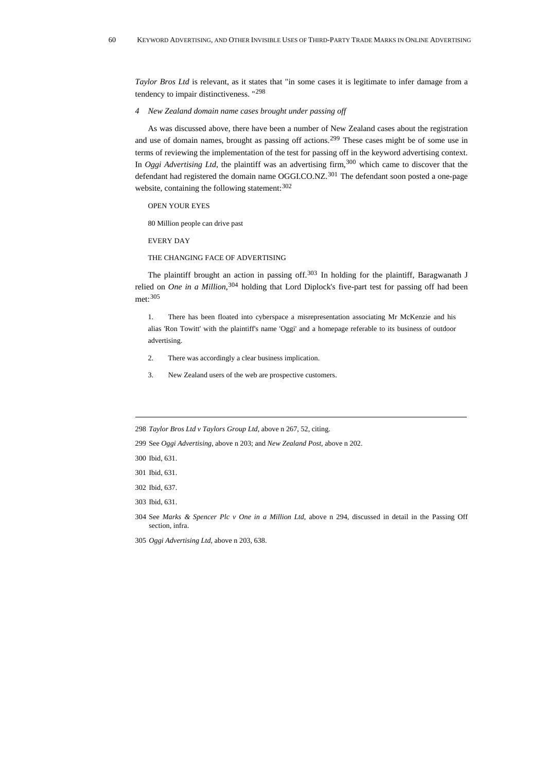*Taylor Bros Ltd* is relevant, as it states that "in some cases it is legitimate to infer damage from a tendency to impair distinctiveness. "[298](#page-59-0)

*4 New Zealand domain name cases brought under passing off* 

As was discussed above, there have been a number of New Zealand cases about the registration and use of domain names, brought as passing off actions.[299](#page-59-1) These cases might be of some use in terms of reviewing the implementation of the test for passing off in the keyword advertising context. In *Oggi Advertising Ltd*, the plaintiff was an advertising firm,<sup>[300](#page-59-2)</sup> which came to discover that the defendant had registered the domain name OGGI.CO.NZ.<sup>[301](#page-59-3)</sup> The defendant soon posted a one-page website, containing the following statement:  $302$ 

OPEN YOUR EYES

80 Million people can drive past

EVERY DAY

THE CHANGING FACE OF ADVERTISING

The plaintiff brought an action in passing off.<sup>[303](#page-59-5)</sup> In holding for the plaintiff, Baragwanath J relied on *One in a Million*, [304](#page-59-6) holding that Lord Diplock's five-part test for passing off had been met:[305](#page-59-7)

1. There has been floated into cyberspace a misrepresentation associating Mr McKenzie and his alias 'Ron Towitt' with the plaintiff's name 'Oggi' and a homepage referable to its business of outdoor advertising.

- 2. There was accordingly a clear business implication.
- 3. New Zealand users of the web are prospective customers.

<span id="page-59-0"></span>298 *Taylor Bros Ltd v Taylors Group Ltd*, above n 267, 52, citing.

<span id="page-59-1"></span>299 See *Oggi Advertising*, above n 203; and *New Zealand Post*, above n 202.

<span id="page-59-2"></span>300 Ibid, 631.

<span id="page-59-3"></span>301 Ibid, 631.

<span id="page-59-4"></span>302 Ibid, 637.

<span id="page-59-5"></span>303 Ibid, 631.

<span id="page-59-6"></span>304See *Marks & Spencer Plc v One in a Million Ltd*, above n 294, discussed in detail in the Passing Off section, infra.

<span id="page-59-7"></span>305 *Oggi Advertising Ltd*, above n 203, 638.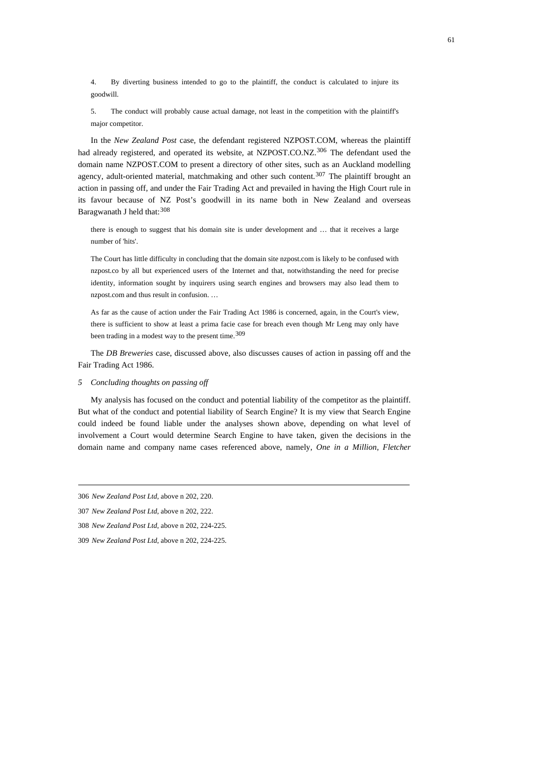4. By diverting business intended to go to the plaintiff, the conduct is calculated to injure its goodwill.

5. The conduct will probably cause actual damage, not least in the competition with the plaintiff's major competitor.

In the *New Zealand Post* case, the defendant registered NZPOST.COM, whereas the plaintiff had already registered, and operated its website, at NZPOST.CO.NZ.<sup>[306](#page-60-0)</sup> The defendant used the domain name NZPOST.COM to present a directory of other sites, such as an Auckland modelling agency, adult-oriented material, matchmaking and other such content.<sup>[307](#page-60-1)</sup> The plaintiff brought an action in passing off, and under the Fair Trading Act and prevailed in having the High Court rule in its favour because of NZ Post's goodwill in its name both in New Zealand and overseas Baragwanath J held that: [308](#page-60-2)

there is enough to suggest that his domain site is under development and … that it receives a large number of 'hits'.

The Court has little difficulty in concluding that the domain site nzpost.com is likely to be confused with nzpost.co by all but experienced users of the Internet and that, notwithstanding the need for precise identity, information sought by inquirers using search engines and browsers may also lead them to nzpost.com and thus result in confusion. …

As far as the cause of action under the Fair Trading Act 1986 is concerned, again, in the Court's view, there is sufficient to show at least a prima facie case for breach even though Mr Leng may only have been trading in a modest way to the present time.<sup>[309](#page-60-3)</sup>

The *DB Breweries* case, discussed above, also discusses causes of action in passing off and the Fair Trading Act 1986.

*5 Concluding thoughts on passing off* 

My analysis has focused on the conduct and potential liability of the competitor as the plaintiff. But what of the conduct and potential liability of Search Engine? It is my view that Search Engine could indeed be found liable under the analyses shown above, depending on what level of involvement a Court would determine Search Engine to have taken, given the decisions in the domain name and company name cases referenced above, namely, *One in a Million, Fletcher* 

<span id="page-60-0"></span><sup>306</sup> *New Zealand Post Ltd*, above n 202, 220.

<span id="page-60-1"></span><sup>307</sup> *New Zealand Post Ltd*, above n 202, 222.

<span id="page-60-2"></span><sup>308</sup> *New Zealand Post Ltd*, above n 202, 224-225.

<span id="page-60-3"></span><sup>309</sup> *New Zealand Post Ltd*, above n 202, 224-225.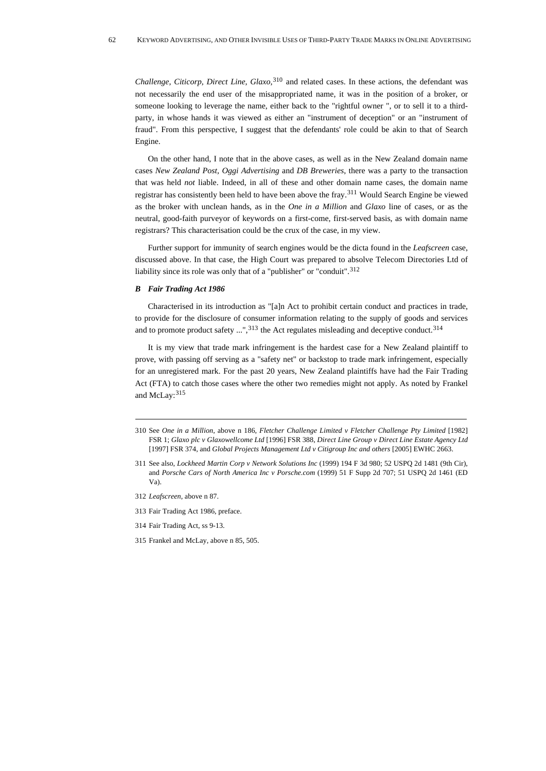*Challenge, Citicorp, Direct Line, Glaxo,*[310](#page-61-0) and related cases. In these actions, the defendant was not necessarily the end user of the misappropriated name, it was in the position of a broker, or someone looking to leverage the name, either back to the "rightful owner ", or to sell it to a thirdparty, in whose hands it was viewed as either an "instrument of deception" or an "instrument of fraud". From this perspective, I suggest that the defendants' role could be akin to that of Search Engine.

On the other hand, I note that in the above cases, as well as in the New Zealand domain name cases *New Zealand Post, Oggi Advertising* and *DB Breweries*, there was a party to the transaction that was held *not* liable. Indeed, in all of these and other domain name cases, the domain name registrar has consistently been held to have been above the fray.[311](#page-61-1) Would Search Engine be viewed as the broker with unclean hands, as in the *One in a Million* and *Glaxo* line of cases, or as the neutral, good-faith purveyor of keywords on a first-come, first-served basis, as with domain name registrars? This characterisation could be the crux of the case, in my view.

Further support for immunity of search engines would be the dicta found in the *Leafscreen* case, discussed above. In that case, the High Court was prepared to absolve Telecom Directories Ltd of liability since its role was only that of a "publisher" or "conduit".[312](#page-61-2)

## *B Fair Trading Act 1986*

Characterised in its introduction as "[a]n Act to prohibit certain conduct and practices in trade, to provide for the disclosure of consumer information relating to the supply of goods and services and to promote product safety  $\ldots$ ", [313](#page-61-3) the Act regulates misleading and deceptive conduct.<sup>314</sup>

It is my view that trade mark infringement is the hardest case for a New Zealand plaintiff to prove, with passing off serving as a "safety net" or backstop to trade mark infringement, especially for an unregistered mark. For the past 20 years, New Zealand plaintiffs have had the Fair Trading Act (FTA) to catch those cases where the other two remedies might not apply. As noted by Frankel and McLay: [315](#page-61-5)

- <span id="page-61-1"></span>311 See also, *Lockheed Martin Corp v Network Solutions Inc* (1999) 194 F 3d 980; 52 USPQ 2d 1481 (9th Cir), and *Porsche Cars of North America Inc v Porsche.com* (1999) 51 F Supp 2d 707; 51 USPQ 2d 1461 (ED Va).
- <span id="page-61-2"></span>312 *Leafscreen*, above n 87.
- <span id="page-61-3"></span>313 Fair Trading Act 1986, preface.
- <span id="page-61-4"></span>314 Fair Trading Act, ss 9-13.
- <span id="page-61-5"></span>315 Frankel and McLay, above n 85, 505.

<span id="page-61-0"></span><sup>310</sup> See *One in a Million*, above n 186, *Fletcher Challenge Limited v Fletcher Challenge Pty Limited* [1982] FSR 1; *Glaxo plc v Glaxowellcome Ltd* [1996] FSR 388, *Direct Line Group v Direct Line Estate Agency Ltd*  [1997] FSR 374, and *Global Projects Management Ltd v Citigroup Inc and others* [2005] EWHC 2663.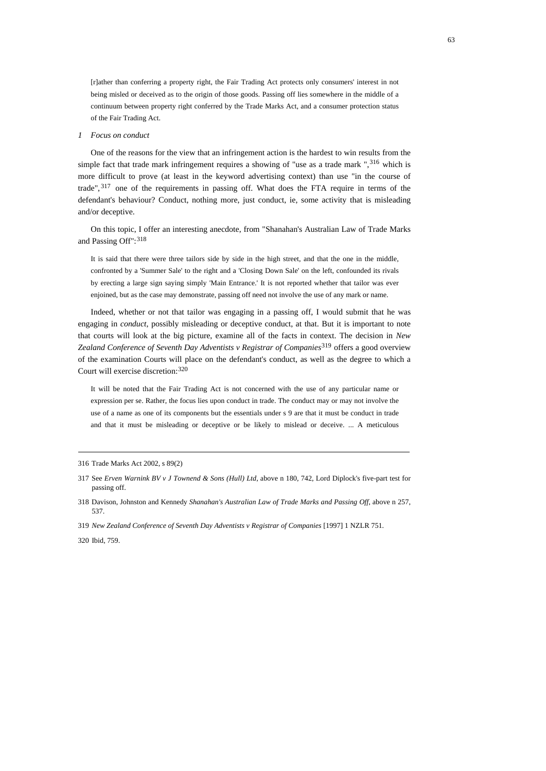[r]ather than conferring a property right, the Fair Trading Act protects only consumers' interest in not being misled or deceived as to the origin of those goods. Passing off lies somewhere in the middle of a continuum between property right conferred by the Trade Marks Act, and a consumer protection status of the Fair Trading Act.

 $\sim$  63

## *1 Focus on conduct*

One of the reasons for the view that an infringement action is the hardest to win results from the simple fact that trade mark infringement requires a showing of "use as a trade mark ", $316$  which is more difficult to prove (at least in the keyword advertising context) than use "in the course of trade", [317](#page-62-1) one of the requirements in passing off. What does the FTA require in terms of the defendant's behaviour? Conduct, nothing more, just conduct, ie, some activity that is misleading and/or deceptive.

On this topic, I offer an interesting anecdote, from "Shanahan's Australian Law of Trade Marks and Passing Off": [318](#page-62-2)

It is said that there were three tailors side by side in the high street, and that the one in the middle, confronted by a 'Summer Sale' to the right and a 'Closing Down Sale' on the left, confounded its rivals by erecting a large sign saying simply 'Main Entrance.' It is not reported whether that tailor was ever enjoined, but as the case may demonstrate, passing off need not involve the use of any mark or name.

Indeed, whether or not that tailor was engaging in a passing off, I would submit that he was engaging in *conduct*, possibly misleading or deceptive conduct, at that. But it is important to note that courts will look at the big picture, examine all of the facts in context. The decision in *New Zealand Conference of Seventh Day Adventists v Registrar of Companies*[319](#page-62-3) offers a good overview of the examination Courts will place on the defendant's conduct, as well as the degree to which a Court will exercise discretion:[320](#page-62-4)

It will be noted that the Fair Trading Act is not concerned with the use of any particular name or expression per se. Rather, the focus lies upon conduct in trade. The conduct may or may not involve the use of a name as one of its components but the essentials under s 9 are that it must be conduct in trade and that it must be misleading or deceptive or be likely to mislead or deceive. ... A meticulous

319 *New Zealand Conference of Seventh Day Adventists v Registrar of Companies* [1997] 1 NZLR 751*.*

#### <span id="page-62-4"></span><span id="page-62-3"></span>320 Ibid, 759.

<span id="page-62-0"></span><sup>316</sup> Trade Marks Act 2002, s 89(2)

<span id="page-62-1"></span><sup>317</sup> See *Erven Warnink BV v J Townend & Sons (Hull) Ltd*, above n 180, 742, Lord Diplock's five-part test for passing off.

<span id="page-62-2"></span><sup>318</sup> Davison, Johnston and Kennedy *Shanahan's Australian Law of Trade Marks and Passing Off*, above n 257, 537.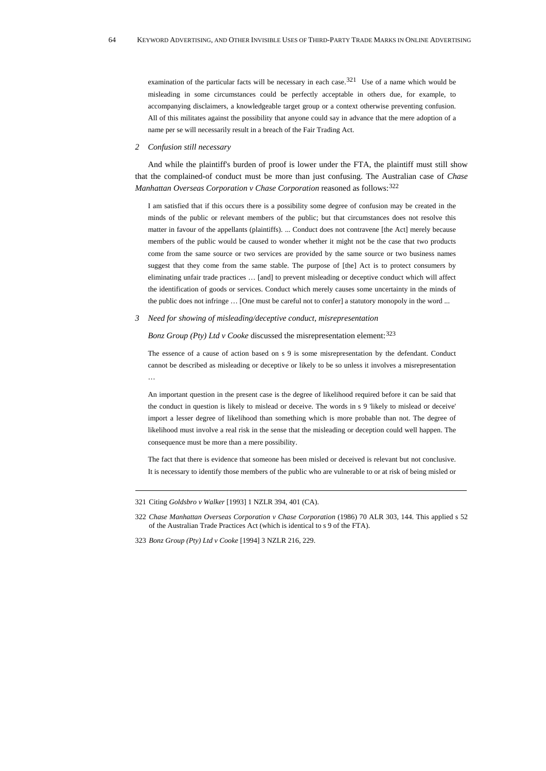examination of the particular facts will be necessary in each case.<sup>[321](#page-63-0)</sup> Use of a name which would be misleading in some circumstances could be perfectly acceptable in others due, for example, to accompanying disclaimers, a knowledgeable target group or a context otherwise preventing confusion. All of this militates against the possibility that anyone could say in advance that the mere adoption of a name per se will necessarily result in a breach of the Fair Trading Act.

## *2 Confusion still necessary*

And while the plaintiff's burden of proof is lower under the FTA, the plaintiff must still show that the complained-of conduct must be more than just confusing. The Australian case of *Chase Manhattan Overseas Corporation v Chase Corporation* reasoned as follows:<sup>[322](#page-63-1)</sup>

I am satisfied that if this occurs there is a possibility some degree of confusion may be created in the minds of the public or relevant members of the public; but that circumstances does not resolve this matter in favour of the appellants (plaintiffs). ... Conduct does not contravene [the Act] merely because members of the public would be caused to wonder whether it might not be the case that two products come from the same source or two services are provided by the same source or two business names suggest that they come from the same stable. The purpose of [the] Act is to protect consumers by eliminating unfair trade practices … [and] to prevent misleading or deceptive conduct which will affect the identification of goods or services. Conduct which merely causes some uncertainty in the minds of the public does not infringe … [One must be careful not to confer] a statutory monopoly in the word ...

*3 Need for showing of misleading/deceptive conduct, misrepresentation* 

*Bonz Group (Pty) Ltd v Cooke* discussed the misrepresentation element: <sup>[323](#page-63-2)</sup>

The essence of a cause of action based on s 9 is some misrepresentation by the defendant. Conduct cannot be described as misleading or deceptive or likely to be so unless it involves a misrepresentation …

An important question in the present case is the degree of likelihood required before it can be said that the conduct in question is likely to mislead or deceive. The words in s 9 'likely to mislead or deceive' import a lesser degree of likelihood than something which is more probable than not. The degree of likelihood must involve a real risk in the sense that the misleading or deception could well happen. The consequence must be more than a mere possibility.

The fact that there is evidence that someone has been misled or deceived is relevant but not conclusive. It is necessary to identify those members of the public who are vulnerable to or at risk of being misled or

<span id="page-63-0"></span><sup>321</sup> Citing *Goldsbro v Walker* [1993] 1 NZLR 394, 401 (CA).

<span id="page-63-1"></span><sup>322</sup> *Chase Manhattan Overseas Corporation v Chase Corporation* (1986) 70 ALR 303, 144. This applied s 52 of the Australian Trade Practices Act (which is identical to s 9 of the FTA).

<span id="page-63-2"></span><sup>323</sup> *Bonz Group (Pty) Ltd v Cooke* [1994] 3 NZLR 216, 229.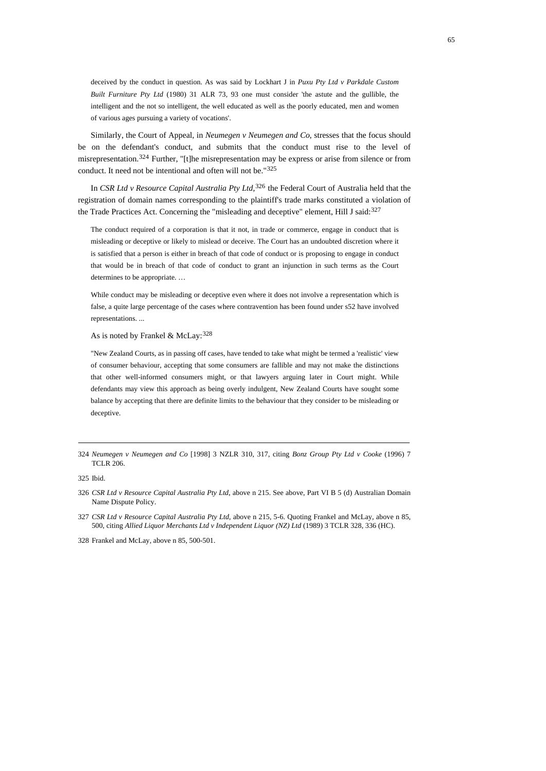deceived by the conduct in question. As was said by Lockhart J in *Puxu Pty Ltd v Parkdale Custom Built Furniture Pty Ltd* (1980) 31 ALR 73, 93 one must consider 'the astute and the gullible, the intelligent and the not so intelligent, the well educated as well as the poorly educated, men and women of various ages pursuing a variety of vocations'.

Similarly, the Court of Appeal, in *Neumegen v Neumegen and Co*, stresses that the focus should be on the defendant's conduct, and submits that the conduct must rise to the level of misrepresentation.<sup>[324](#page-64-0)</sup> Further, "[t]he misrepresentation may be express or arise from silence or from conduct. It need not be intentional and often will not be."[325](#page-64-1)

In *CSR Ltd v Resource Capital Australia Pty Ltd*, [326](#page-64-2) the Federal Court of Australia held that the registration of domain names corresponding to the plaintiff's trade marks constituted a violation of the Trade Practices Act. Concerning the "misleading and deceptive" element, Hill J said: $327$ 

The conduct required of a corporation is that it not, in trade or commerce, engage in conduct that is misleading or deceptive or likely to mislead or deceive. The Court has an undoubted discretion where it is satisfied that a person is either in breach of that code of conduct or is proposing to engage in conduct that would be in breach of that code of conduct to grant an injunction in such terms as the Court determines to be appropriate. …

While conduct may be misleading or deceptive even where it does not involve a representation which is false, a quite large percentage of the cases where contravention has been found under s52 have involved representations. ...

As is noted by Frankel & McLay:  $328$ 

"New Zealand Courts, as in passing off cases, have tended to take what might be termed a 'realistic' view of consumer behaviour, accepting that some consumers are fallible and may not make the distinctions that other well-informed consumers might, or that lawyers arguing later in Court might. While defendants may view this approach as being overly indulgent, New Zealand Courts have sought some balance by accepting that there are definite limits to the behaviour that they consider to be misleading or deceptive.

<span id="page-64-1"></span>325 Ibid.

<span id="page-64-3"></span>327 *CSR Ltd v Resource Capital Australia Pty Ltd*, above n 215, 5-6. Quoting Frankel and McLay, above n 85, 500, citing *Allied Liquor Merchants Ltd v Independent Liquor (NZ) Ltd* (1989) 3 TCLR 328, 336 (HC).

<span id="page-64-4"></span>328 Frankel and McLay, above n 85, 500-501.

<span id="page-64-0"></span><sup>324</sup> *Neumegen v Neumegen and Co* [1998] 3 NZLR 310, 317, citing *Bonz Group Pty Ltd v Cooke* (1996) 7 TCLR 206.

<span id="page-64-2"></span><sup>326</sup> *CSR Ltd v Resource Capital Australia Pty Ltd*, above n 215. See above, Part VI B 5 (d) Australian Domain Name Dispute Policy.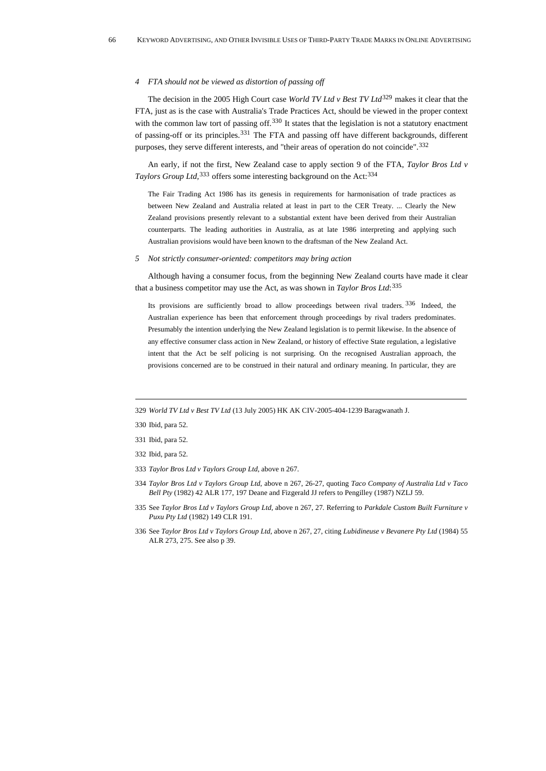#### *4 FTA should not be viewed as distortion of passing off*

The decision in the 2005 High Court case *World TV Ltd v Best TV Ltd*<sup>[329](#page-65-0)</sup> makes it clear that the FTA, just as is the case with Australia's Trade Practices Act, should be viewed in the proper context with the common law tort of passing off.<sup>[330](#page-65-1)</sup> It states that the legislation is not a statutory enactment of passing-off or its principles.[331](#page-65-2) The FTA and passing off have different backgrounds, different purposes, they serve different interests, and "their areas of operation do not coincide".<sup>[332](#page-65-3)</sup>

An early, if not the first, New Zealand case to apply section 9 of the FTA, *Taylor Bros Ltd v Taylors Group Ltd*,<sup>[333](#page-65-4)</sup> offers some interesting background on the Act:<sup>[334](#page-65-5)</sup>

The Fair Trading Act 1986 has its genesis in requirements for harmonisation of trade practices as between New Zealand and Australia related at least in part to the CER Treaty. ... Clearly the New Zealand provisions presently relevant to a substantial extent have been derived from their Australian counterparts. The leading authorities in Australia, as at late 1986 interpreting and applying such Australian provisions would have been known to the draftsman of the New Zealand Act.

#### *5 Not strictly consumer-oriented: competitors may bring action*

Although having a consumer focus, from the beginning New Zealand courts have made it clear that a business competitor may use the Act, as was shown in *Taylor Bros Ltd*: [335](#page-65-6)

Its provisions are sufficiently broad to allow proceedings between rival traders. [336](#page-65-7) Indeed, the Australian experience has been that enforcement through proceedings by rival traders predominates. Presumably the intention underlying the New Zealand legislation is to permit likewise. In the absence of any effective consumer class action in New Zealand, or history of effective State regulation, a legislative intent that the Act be self policing is not surprising. On the recognised Australian approach, the provisions concerned are to be construed in their natural and ordinary meaning. In particular, they are

<span id="page-65-0"></span>329 *World TV Ltd v Best TV Ltd* (13 July 2005) HK AK CIV-2005-404-1239 Baragwanath J.

- <span id="page-65-1"></span>330 Ibid, para 52.
- <span id="page-65-2"></span>331 Ibid, para 52.
- <span id="page-65-3"></span>332 Ibid, para 52.
- <span id="page-65-4"></span>333 *Taylor Bros Ltd v Taylors Group Ltd*, above n 267.
- <span id="page-65-5"></span>334 *Taylor Bros Ltd v Taylors Group Ltd*, above n 267, 26-27, quoting *Taco Company of Australia Ltd v Taco Bell Pty* (1982) 42 ALR 177, 197 Deane and Fizgerald JJ refers to Pengilley (1987) NZLJ 59.
- <span id="page-65-6"></span>335 See *Taylor Bros Ltd v Taylors Group Ltd,* above n 267, 27*.* Referring to *Parkdale Custom Built Furniture v Puxu Pty Ltd* (1982) 149 CLR 191.

<span id="page-65-7"></span><sup>336</sup> See *Taylor Bros Ltd v Taylors Group Ltd*, above n 267, 27, citing *Lubidineuse v Bevanere Pty Ltd* (1984) 55 ALR 273, 275. See also p 39.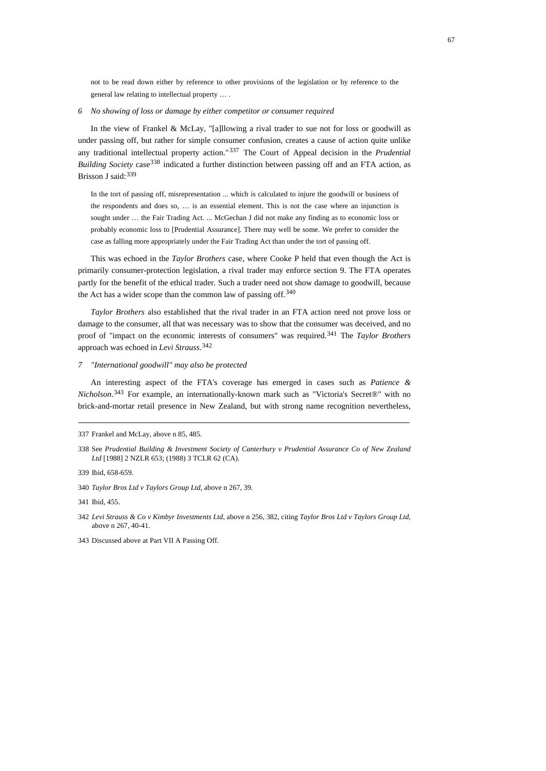not to be read down either by reference to other provisions of the legislation or by reference to the general law relating to intellectual property … .

# *6 No showing of loss or damage by either competitor or consumer required*

In the view of Frankel & McLay, "[a]llowing a rival trader to sue not for loss or goodwill as under passing off, but rather for simple consumer confusion, creates a cause of action quite unlike any traditional intellectual property action."[337](#page-66-0) The Court of Appeal decision in the *Prudential Building Society* case<sup>[338](#page-66-1)</sup> indicated a further distinction between passing off and an FTA action, as Brisson J said: [339](#page-66-2)

In the tort of passing off, misrepresentation ... which is calculated to injure the goodwill or business of the respondents and does so, … is an essential element. This is not the case where an injunction is sought under ... the Fair Trading Act. ... McGechan J did not make any finding as to economic loss or probably economic loss to [Prudential Assurance]. There may well be some. We prefer to consider the case as falling more appropriately under the Fair Trading Act than under the tort of passing off.

This was echoed in the *Taylor Brothers* case, where Cooke P held that even though the Act is primarily consumer-protection legislation, a rival trader may enforce section 9. The FTA operates partly for the benefit of the ethical trader. Such a trader need not show damage to goodwill, because the Act has a wider scope than the common law of passing off.<sup>[340](#page-66-3)</sup>

*Taylor Brothers* also established that the rival trader in an FTA action need not prove loss or damage to the consumer, all that was necessary was to show that the consumer was deceived, and no proof of "impact on the economic interests of consumers" was required.[341](#page-66-4) The *Taylor Brothers* approach was echoed in *Levi Strauss*. [342](#page-66-5)

# *7 "International goodwill" may also be protected*

An interesting aspect of the FTA's coverage has emerged in cases such as *Patience & Nicholson*. [343](#page-66-6) For example, an internationally-known mark such as "Victoria's Secret®" with no brick-and-mortar retail presence in New Zealand, but with strong name recognition nevertheless,

<span id="page-66-2"></span>339 Ibid, 658-659.

<span id="page-66-0"></span><sup>337</sup> Frankel and McLay, above n 85, 485.

<span id="page-66-1"></span><sup>338</sup> See *Prudential Building & Investment Society of Canterbury v Prudential Assurance Co of New Zealand Ltd* [1988] 2 NZLR 653; (1988) 3 TCLR 62 (CA).

<span id="page-66-3"></span><sup>340</sup> *Taylor Bros Ltd v Taylors Group Ltd*, above n 267, 39.

<span id="page-66-4"></span><sup>341</sup>Ibid, 455.

<span id="page-66-5"></span><sup>342</sup> *Levi Strauss & Co v Kimbyr Investments Ltd*, above n 256, 382, citing *Taylor Bros Ltd v Taylors Group Ltd*, above n 267, 40-41.

<span id="page-66-6"></span><sup>343</sup> Discussed above at Part VII A Passing Off.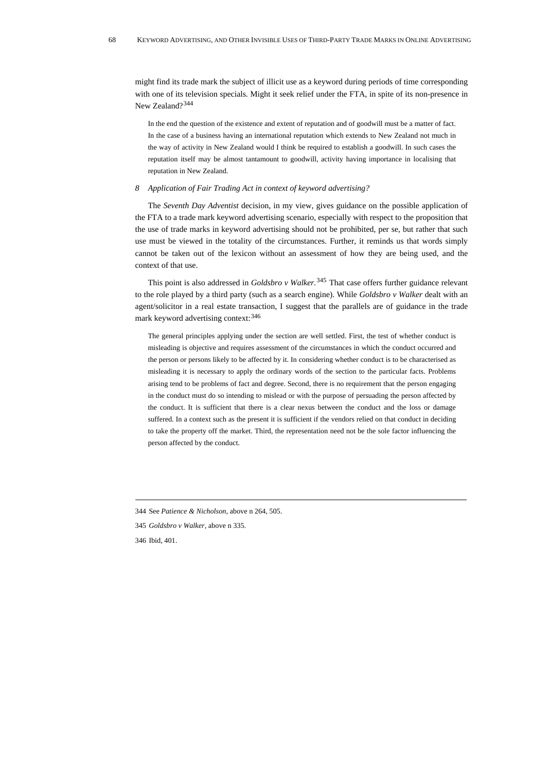might find its trade mark the subject of illicit use as a keyword during periods of time corresponding with one of its television specials. Might it seek relief under the FTA, in spite of its non-presence in New Zealand?[344](#page-67-0)

In the end the question of the existence and extent of reputation and of goodwill must be a matter of fact. In the case of a business having an international reputation which extends to New Zealand not much in the way of activity in New Zealand would I think be required to establish a goodwill. In such cases the reputation itself may be almost tantamount to goodwill, activity having importance in localising that reputation in New Zealand.

# *8 Application of Fair Trading Act in context of keyword advertising?*

The *Seventh Day Adventist* decision, in my view, gives guidance on the possible application of the FTA to a trade mark keyword advertising scenario, especially with respect to the proposition that the use of trade marks in keyword advertising should not be prohibited, per se, but rather that such use must be viewed in the totality of the circumstances. Further, it reminds us that words simply cannot be taken out of the lexicon without an assessment of how they are being used, and the context of that use.

This point is also addressed in *Goldsbro v Walker.*[345](#page-67-1) That case offers further guidance relevant to the role played by a third party (such as a search engine). While *Goldsbro v Walker* dealt with an agent/solicitor in a real estate transaction, I suggest that the parallels are of guidance in the trade mark keyword advertising context: [346](#page-67-2)

The general principles applying under the section are well settled. First, the test of whether conduct is misleading is objective and requires assessment of the circumstances in which the conduct occurred and the person or persons likely to be affected by it. In considering whether conduct is to be characterised as misleading it is necessary to apply the ordinary words of the section to the particular facts. Problems arising tend to be problems of fact and degree. Second, there is no requirement that the person engaging in the conduct must do so intending to mislead or with the purpose of persuading the person affected by the conduct. It is sufficient that there is a clear nexus between the conduct and the loss or damage suffered. In a context such as the present it is sufficient if the vendors relied on that conduct in deciding to take the property off the market. Third, the representation need not be the sole factor influencing the person affected by the conduct.

<span id="page-67-2"></span>346 Ibid, 401.

<span id="page-67-0"></span><sup>344</sup> See *Patience & Nicholson*, above n 264, 505.

<span id="page-67-1"></span><sup>345</sup> *Goldsbro v Walker*, above n 335.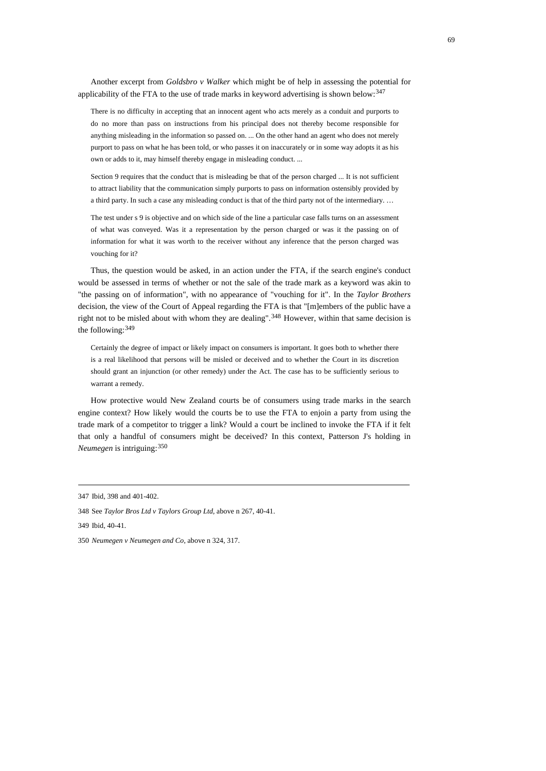Another excerpt from *Goldsbro v Walker* which might be of help in assessing the potential for applicability of the FTA to the use of trade marks in keyword advertising is shown below: [347](#page-68-0)

There is no difficulty in accepting that an innocent agent who acts merely as a conduit and purports to do no more than pass on instructions from his principal does not thereby become responsible for anything misleading in the information so passed on. ... On the other hand an agent who does not merely purport to pass on what he has been told, or who passes it on inaccurately or in some way adopts it as his own or adds to it, may himself thereby engage in misleading conduct. ...

Section 9 requires that the conduct that is misleading be that of the person charged ... It is not sufficient to attract liability that the communication simply purports to pass on information ostensibly provided by a third party. In such a case any misleading conduct is that of the third party not of the intermediary. …

The test under s 9 is objective and on which side of the line a particular case falls turns on an assessment of what was conveyed. Was it a representation by the person charged or was it the passing on of information for what it was worth to the receiver without any inference that the person charged was vouching for it?

Thus, the question would be asked, in an action under the FTA, if the search engine's conduct would be assessed in terms of whether or not the sale of the trade mark as a keyword was akin to "the passing on of information", with no appearance of "vouching for it". In the *Taylor Brothers* decision, the view of the Court of Appeal regarding the FTA is that "[m]embers of the public have a right not to be misled about with whom they are dealing".<sup>[348](#page-68-1)</sup> However, within that same decision is the following:[349](#page-68-2)

Certainly the degree of impact or likely impact on consumers is important. It goes both to whether there is a real likelihood that persons will be misled or deceived and to whether the Court in its discretion should grant an injunction (or other remedy) under the Act. The case has to be sufficiently serious to warrant a remedy.

How protective would New Zealand courts be of consumers using trade marks in the search engine context? How likely would the courts be to use the FTA to enjoin a party from using the trade mark of a competitor to trigger a link? Would a court be inclined to invoke the FTA if it felt that only a handful of consumers might be deceived? In this context, Patterson J's holding in *Neumegen* is intriguing:[350](#page-68-3)

<span id="page-68-0"></span><sup>347</sup> Ibid, 398 and 401-402.

<span id="page-68-1"></span><sup>348</sup> See *Taylor Bros Ltd v Taylors Group Ltd,* above n 267, 40-41.

<span id="page-68-2"></span><sup>349</sup> Ibid, 40-41.

<span id="page-68-3"></span><sup>350</sup> *Neumegen v Neumegen and Co*, above n 324, 317.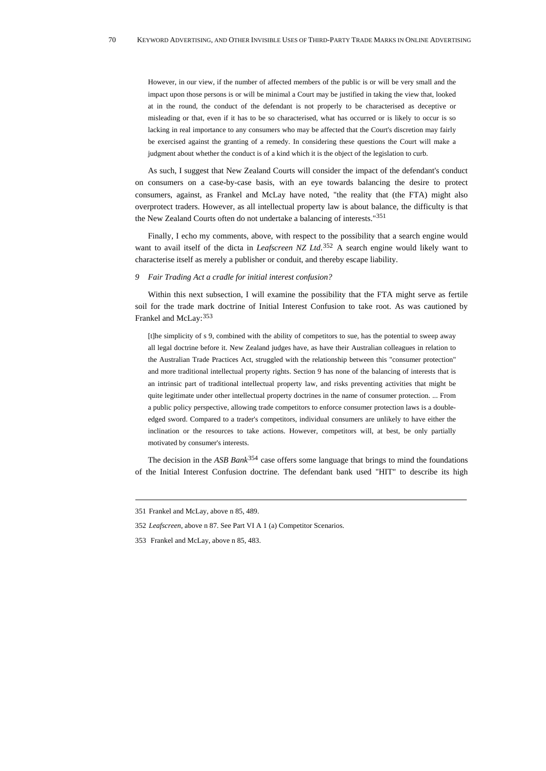However, in our view, if the number of affected members of the public is or will be very small and the impact upon those persons is or will be minimal a Court may be justified in taking the view that, looked at in the round, the conduct of the defendant is not properly to be characterised as deceptive or misleading or that, even if it has to be so characterised, what has occurred or is likely to occur is so lacking in real importance to any consumers who may be affected that the Court's discretion may fairly be exercised against the granting of a remedy. In considering these questions the Court will make a judgment about whether the conduct is of a kind which it is the object of the legislation to curb.

As such, I suggest that New Zealand Courts will consider the impact of the defendant's conduct on consumers on a case-by-case basis, with an eye towards balancing the desire to protect consumers, against, as Frankel and McLay have noted, "the reality that (the FTA) might also overprotect traders. However, as all intellectual property law is about balance, the difficulty is that the New Zealand Courts often do not undertake a balancing of interests."[351](#page-69-0)

Finally, I echo my comments, above, with respect to the possibility that a search engine would want to avail itself of the dicta in *Leafscreen NZ Ltd*. [352](#page-69-1) A search engine would likely want to characterise itself as merely a publisher or conduit, and thereby escape liability.

## *9 Fair Trading Act a cradle for initial interest confusion?*

Within this next subsection, I will examine the possibility that the FTA might serve as fertile soil for the trade mark doctrine of Initial Interest Confusion to take root. As was cautioned by Frankel and McLay:[353](#page-69-2)

[t]he simplicity of s 9, combined with the ability of competitors to sue, has the potential to sweep away all legal doctrine before it. New Zealand judges have, as have their Australian colleagues in relation to the Australian Trade Practices Act, struggled with the relationship between this "consumer protection" and more traditional intellectual property rights. Section 9 has none of the balancing of interests that is an intrinsic part of traditional intellectual property law, and risks preventing activities that might be quite legitimate under other intellectual property doctrines in the name of consumer protection. ... From a public policy perspective, allowing trade competitors to enforce consumer protection laws is a doubleedged sword. Compared to a trader's competitors, individual consumers are unlikely to have either the inclination or the resources to take actions. However, competitors will, at best, be only partially motivated by consumer's interests.

<span id="page-69-3"></span>The decision in the *ASB Bank*[354](#page-69-3) case offers some language that brings to mind the foundations of the Initial Interest Confusion doctrine. The defendant bank used "HIT" to describe its high

<span id="page-69-0"></span><sup>351</sup> Frankel and McLay, above n 85, 489.

<span id="page-69-1"></span><sup>352</sup> *Leafscreen*, above n 87. See Part VI A 1 (a) Competitor Scenarios.

<span id="page-69-2"></span><sup>353</sup> Frankel and McLay, above n 85, 483.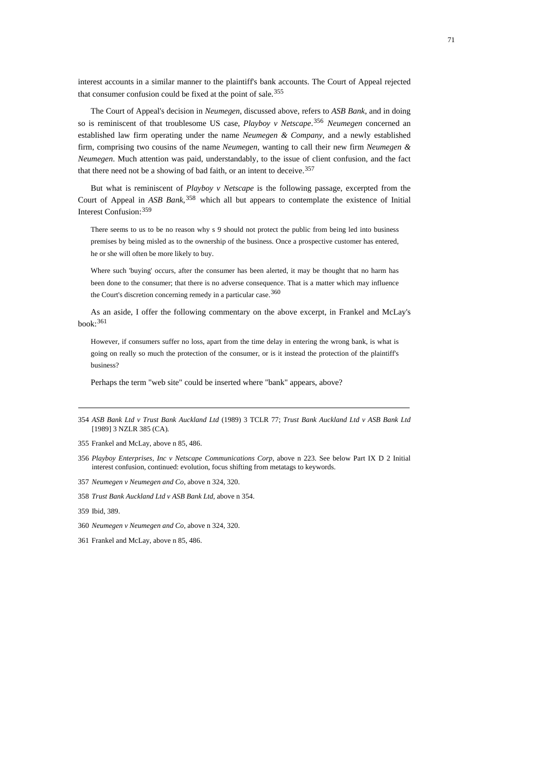interest accounts in a similar manner to the plaintiff's bank accounts. The Court of Appeal rejected that consumer confusion could be fixed at the point of sale.<sup>[355](#page-70-0)</sup>

The Court of Appeal's decision in *Neumegen*, discussed above, refers to *ASB Bank*, and in doing so is reminiscent of that troublesome US case, *Playboy v Netscape*. [356](#page-70-1) *Neumegen* concerned an established law firm operating under the name *Neumegen & Company,* and a newly established firm, comprising two cousins of the name *Neumegen*, wanting to call their new firm *Neumegen & Neumegen*. Much attention was paid, understandably, to the issue of client confusion, and the fact that there need not be a showing of bad faith, or an intent to deceive.  $357$ 

But what is reminiscent of *Playboy v Netscape* is the following passage, excerpted from the Court of Appeal in *ASB Bank*,<sup>[358](#page-70-3)</sup> which all but appears to contemplate the existence of Initial Interest Confusion:[359](#page-70-4)

There seems to us to be no reason why s 9 should not protect the public from being led into business premises by being misled as to the ownership of the business. Once a prospective customer has entered, he or she will often be more likely to buy.

Where such 'buying' occurs, after the consumer has been alerted, it may be thought that no harm has been done to the consumer; that there is no adverse consequence. That is a matter which may influence the Court's discretion concerning remedy in a particular case.<sup>[360](#page-70-5)</sup>

As an aside, I offer the following commentary on the above excerpt, in Frankel and McLay's book:[361](#page-70-6)

However, if consumers suffer no loss, apart from the time delay in entering the wrong bank, is what is going on really so much the protection of the consumer, or is it instead the protection of the plaintiff's business?

Perhaps the term "web site" could be inserted where "bank" appears, above?

- <span id="page-70-1"></span>356 *Playboy Enterprises, Inc v Netscape Communications Corp*, above n 223. See below Part IX D 2 Initial interest confusion, continued: evolution, focus shifting from metatags to keywords.
- <span id="page-70-2"></span>357 *Neumegen v Neumegen and Co*, above n 324, 320.
- <span id="page-70-3"></span>358 *Trust Bank Auckland Ltd v ASB Bank Ltd*, above n 354.
- <span id="page-70-4"></span>359 Ibid, 389.
- <span id="page-70-5"></span>360 *Neumegen v Neumegen and Co*, above n 324, 320.
- <span id="page-70-6"></span>361 Frankel and McLay, above n 85, 486.

<sup>354</sup> *ASB Bank Ltd v Trust Bank Auckland Ltd* (1989) 3 TCLR 77; *Trust Bank Auckland Ltd v ASB Bank Ltd* [1989] 3 NZLR 385 (CA)*.*

<span id="page-70-0"></span><sup>355</sup> Frankel and McLay, above n 85, 486.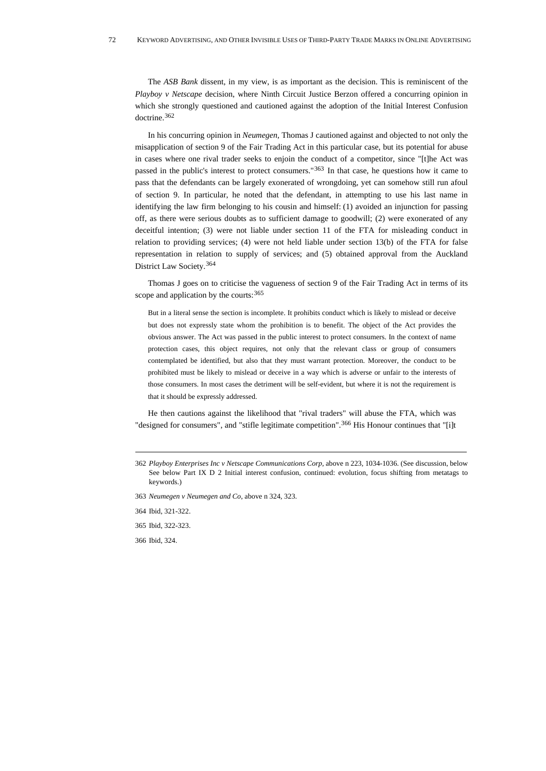The *ASB Bank* dissent, in my view, is as important as the decision. This is reminiscent of the *Playboy v Netscape* decision, where Ninth Circuit Justice Berzon offered a concurring opinion in which she strongly questioned and cautioned against the adoption of the Initial Interest Confusion doctrine.[362](#page-71-0)

In his concurring opinion in *Neumegen,* Thomas J cautioned against and objected to not only the misapplication of section 9 of the Fair Trading Act in this particular case, but its potential for abuse in cases where one rival trader seeks to enjoin the conduct of a competitor, since "[t]he Act was passed in the public's interest to protect consumers."[363](#page-71-1) In that case, he questions how it came to pass that the defendants can be largely exonerated of wrongdoing, yet can somehow still run afoul of section 9. In particular, he noted that the defendant, in attempting to use his last name in identifying the law firm belonging to his cousin and himself: (1) avoided an injunction for passing off, as there were serious doubts as to sufficient damage to goodwill; (2) were exonerated of any deceitful intention; (3) were not liable under section 11 of the FTA for misleading conduct in relation to providing services; (4) were not held liable under section 13(b) of the FTA for false representation in relation to supply of services; and (5) obtained approval from the Auckland District Law Society.[364](#page-71-2)

Thomas J goes on to criticise the vagueness of section 9 of the Fair Trading Act in terms of its scope and application by the courts: [365](#page-71-3)

But in a literal sense the section is incomplete. It prohibits conduct which is likely to mislead or deceive but does not expressly state whom the prohibition is to benefit. The object of the Act provides the obvious answer. The Act was passed in the public interest to protect consumers. In the context of name protection cases, this object requires, not only that the relevant class or group of consumers contemplated be identified, but also that they must warrant protection. Moreover, the conduct to be prohibited must be likely to mislead or deceive in a way which is adverse or unfair to the interests of those consumers. In most cases the detriment will be self-evident, but where it is not the requirement is that it should be expressly addressed.

He then cautions against the likelihood that "rival traders" will abuse the FTA, which was "designed for consumers", and "stifle legitimate competition".<sup>[366](#page-71-4)</sup> His Honour continues that "[i]t

<span id="page-71-1"></span>363 *Neumegen v Neumegen and Co*, above n 324, 323.

364 Ibid, 321-322.

<span id="page-71-4"></span><span id="page-71-3"></span><span id="page-71-2"></span>365 Ibid, 322-323.

366 Ibid, 324.

<span id="page-71-0"></span><sup>362</sup> *Playboy Enterprises Inc v Netscape Communications Corp*, above n 223, 1034-1036. (See discussion, below See below Part IX D 2 Initial interest confusion, continued: evolution, focus shifting from metatags to keywords.)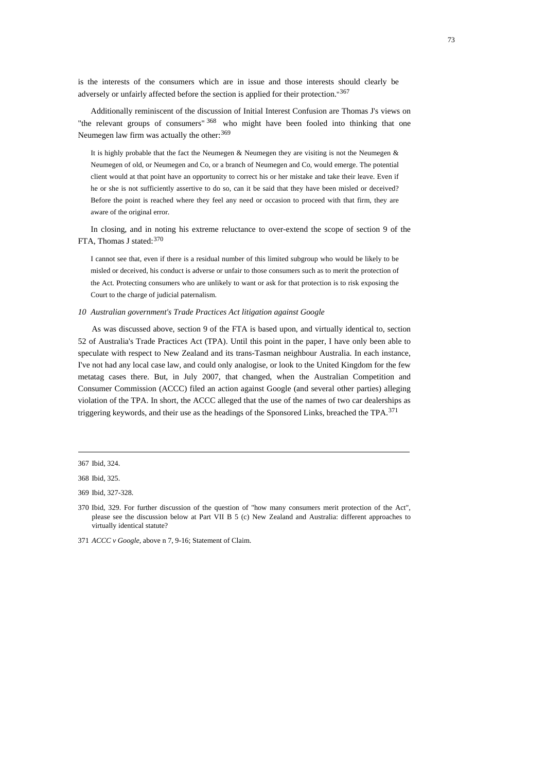is the interests of the consumers which are in issue and those interests should clearly be adversely or unfairly affected before the section is applied for their protection."[367](#page-72-0)

Additionally reminiscent of the discussion of Initial Interest Confusion are Thomas J's views on "the relevant groups of consumers" [368](#page-72-1) who might have been fooled into thinking that one Neumegen law firm was actually the other: [369](#page-72-2)

It is highly probable that the fact the Neumegen & Neumegen they are visiting is not the Neumegen & Neumegen of old, or Neumegen and Co, or a branch of Neumegen and Co, would emerge. The potential client would at that point have an opportunity to correct his or her mistake and take their leave. Even if he or she is not sufficiently assertive to do so, can it be said that they have been misled or deceived? Before the point is reached where they feel any need or occasion to proceed with that firm, they are aware of the original error.

In closing, and in noting his extreme reluctance to over-extend the scope of section 9 of the FTA, Thomas J stated: [370](#page-72-3)

I cannot see that, even if there is a residual number of this limited subgroup who would be likely to be misled or deceived, his conduct is adverse or unfair to those consumers such as to merit the protection of the Act. Protecting consumers who are unlikely to want or ask for that protection is to risk exposing the Court to the charge of judicial paternalism.

#### *10 Australian government's Trade Practices Act litigation against Google*

As was discussed above, section 9 of the FTA is based upon, and virtually identical to, section 52 of Australia's Trade Practices Act (TPA). Until this point in the paper, I have only been able to speculate with respect to New Zealand and its trans-Tasman neighbour Australia. In each instance, I've not had any local case law, and could only analogise, or look to the United Kingdom for the few metatag cases there. But, in July 2007, that changed, when the Australian Competition and Consumer Commission (ACCC) filed an action against Google (and several other parties) alleging violation of the TPA. In short, the ACCC alleged that the use of the names of two car dealerships as triggering keywords, and their use as the headings of the Sponsored Links, breached the TPA.[371](#page-72-4)

<span id="page-72-0"></span><sup>367</sup> Ibid, 324.

<span id="page-72-1"></span><sup>368</sup> Ibid, 325.

<span id="page-72-2"></span><sup>369</sup> Ibid, 327-328.

<span id="page-72-3"></span><sup>370</sup> Ibid, 329. For further discussion of the question of "how many consumers merit protection of the Act", please see the discussion below at Part VII B 5 (c) New Zealand and Australia: different approaches to virtually identical statute?

<span id="page-72-4"></span><sup>371</sup> *ACCC v Google*, above n 7, 9-16; Statement of Claim.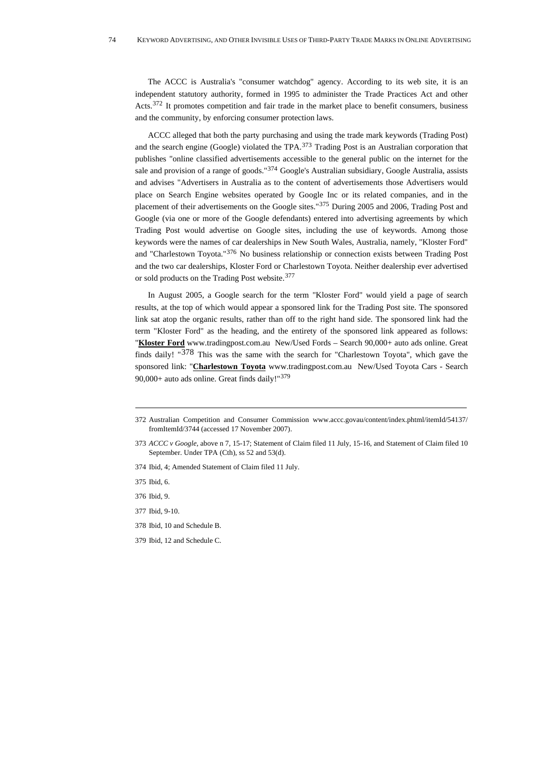The ACCC is Australia's "consumer watchdog" agency. According to its web site, it is an independent statutory authority, formed in 1995 to administer the Trade Practices Act and other Acts.<sup>[372](#page-73-0)</sup> It promotes competition and fair trade in the market place to benefit consumers, business and the community, by enforcing consumer protection laws.

ACCC alleged that both the party purchasing and using the trade mark keywords (Trading Post) and the search engine (Google) violated the TPA.[373](#page-73-1) Trading Post is an Australian corporation that publishes "online classified advertisements accessible to the general public on the internet for the sale and provision of a range of goods."<sup>[374](#page-73-2)</sup> Google's Australian subsidiary, Google Australia, assists and advises "Advertisers in Australia as to the content of advertisements those Advertisers would place on Search Engine websites operated by Google Inc or its related companies, and in the placement of their advertisements on the Google sites."[375](#page-73-3) During 2005 and 2006, Trading Post and Google (via one or more of the Google defendants) entered into advertising agreements by which Trading Post would advertise on Google sites, including the use of keywords. Among those keywords were the names of car dealerships in New South Wales, Australia, namely, "Kloster Ford" and "Charlestown Toyota."[376](#page-73-4) No business relationship or connection exists between Trading Post and the two car dealerships, Kloster Ford or Charlestown Toyota. Neither dealership ever advertised or sold products on the Trading Post website.<sup>[377](#page-73-5)</sup>

In August 2005, a Google search for the term "Kloster Ford" would yield a page of search results, at the top of which would appear a sponsored link for the Trading Post site. The sponsored link sat atop the organic results, rather than off to the right hand side. The sponsored link had the term "Kloster Ford" as the heading, and the entirety of the sponsored link appeared as follows: "Kloster Ford www.tradingpost.com.au New/Used Fords - Search 90,000+ auto ads online. Great finds daily! "[378](#page-73-6) This was the same with the search for "Charlestown Toyota", which gave the sponsored link: "**Charlestown Toyota** www.tradingpost.com.au New/Used Toyota Cars - Search 90,000+ auto ads online. Great finds daily!"[379](#page-73-7)

<span id="page-73-0"></span><sup>372</sup> Australian Competition and Consumer Commission www.accc.govau/content/index.phtml/itemId/54137/ fromItemId/3744 (accessed 17 November 2007).

<span id="page-73-1"></span><sup>373</sup> *ACCC v Google*, above n 7, 15-17; Statement of Claim filed 11 July, 15-16, and Statement of Claim filed 10 September. Under TPA (Cth), ss 52 and 53(d).

<span id="page-73-2"></span><sup>374</sup> Ibid, 4; Amended Statement of Claim filed 11 July.

<span id="page-73-3"></span><sup>375</sup> Ibid, 6.

<span id="page-73-5"></span><span id="page-73-4"></span><sup>376</sup> Ibid, 9.

<sup>377</sup> Ibid, 9-10.

<span id="page-73-6"></span><sup>378</sup> Ibid, 10 and Schedule B.

<span id="page-73-7"></span><sup>379</sup> Ibid, 12 and Schedule C.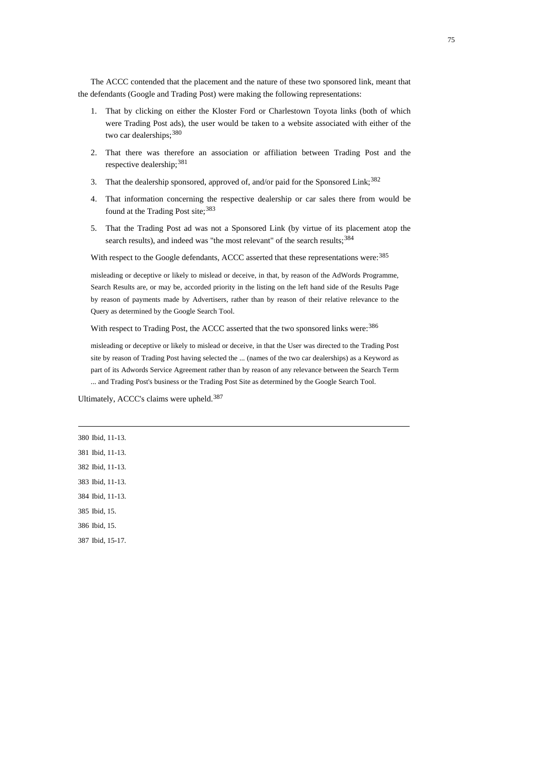The ACCC contended that the placement and the nature of these two sponsored link, meant that the defendants (Google and Trading Post) were making the following representations:

- 1. That by clicking on either the Kloster Ford or Charlestown Toyota links (both of which were Trading Post ads), the user would be taken to a website associated with either of the two car dealerships; [380](#page-74-0)
- 2. That there was therefore an association or affiliation between Trading Post and the respective dealership; [381](#page-74-1)
- 3. That the dealership sponsored, approved of, and/or paid for the Sponsored Link;<sup>[382](#page-74-2)</sup>
- 4. That information concerning the respective dealership or car sales there from would be found at the Trading Post site;<sup>[383](#page-74-3)</sup>
- 5. That the Trading Post ad was not a Sponsored Link (by virtue of its placement atop the search results), and indeed was "the most relevant" of the search results;<sup>[384](#page-74-4)</sup>

With respect to the Google defendants, ACCC asserted that these representations were:<sup>[385](#page-74-5)</sup>

misleading or deceptive or likely to mislead or deceive, in that, by reason of the AdWords Programme, Search Results are, or may be, accorded priority in the listing on the left hand side of the Results Page by reason of payments made by Advertisers, rather than by reason of their relative relevance to the Query as determined by the Google Search Tool.

With respect to Trading Post, the ACCC asserted that the two sponsored links were: [386](#page-74-6)

misleading or deceptive or likely to mislead or deceive, in that the User was directed to the Trading Post site by reason of Trading Post having selected the ... (names of the two car dealerships) as a Keyword as part of its Adwords Service Agreement rather than by reason of any relevance between the Search Term ... and Trading Post's business or the Trading Post Site as determined by the Google Search Tool.

Ultimately, ACCC's claims were upheld.<sup>[387](#page-74-7)</sup>

<span id="page-74-7"></span><span id="page-74-6"></span><span id="page-74-5"></span><span id="page-74-4"></span><span id="page-74-3"></span><span id="page-74-2"></span><span id="page-74-1"></span><span id="page-74-0"></span>380 Ibid, 11-13. 381 Ibid, 11-13. 382 Ibid, 11-13. 383 Ibid, 11-13. 384 Ibid, 11-13. 385 Ibid, 15. 386 Ibid, 15. 387 Ibid, 15-17.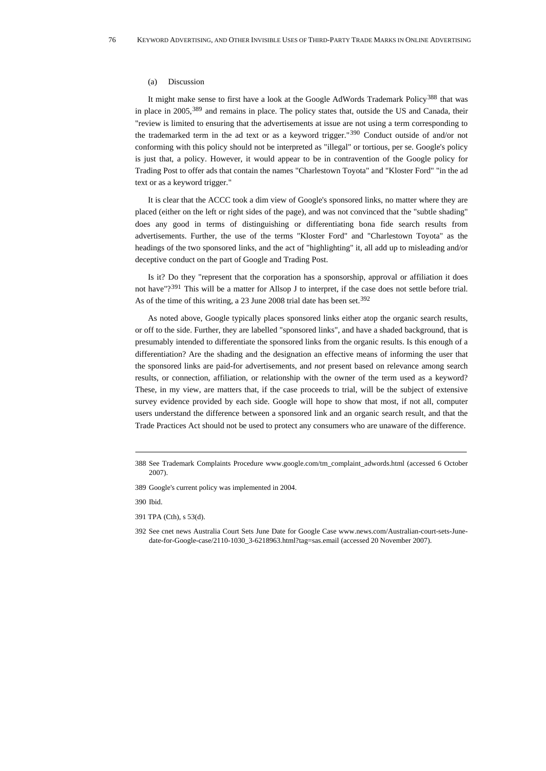#### (a) Discussion

It might make sense to first have a look at the Google AdWords Trademark Policy<sup>[388](#page-75-0)</sup> that was in place in 2005,[389](#page-75-1) and remains in place. The policy states that, outside the US and Canada, their "review is limited to ensuring that the advertisements at issue are not using a term corresponding to the trademarked term in the ad text or as a keyword trigger."[390](#page-75-2) Conduct outside of and/or not conforming with this policy should not be interpreted as "illegal" or tortious, per se. Google's policy is just that, a policy. However, it would appear to be in contravention of the Google policy for Trading Post to offer ads that contain the names "Charlestown Toyota" and "Kloster Ford" "in the ad text or as a keyword trigger."

It is clear that the ACCC took a dim view of Google's sponsored links, no matter where they are placed (either on the left or right sides of the page), and was not convinced that the "subtle shading" does any good in terms of distinguishing or differentiating bona fide search results from advertisements. Further, the use of the terms "Kloster Ford" and "Charlestown Toyota" as the headings of the two sponsored links, and the act of "highlighting" it, all add up to misleading and/or deceptive conduct on the part of Google and Trading Post.

Is it? Do they "represent that the corporation has a sponsorship, approval or affiliation it does not have"?<sup>[391](#page-75-3)</sup> This will be a matter for Allsop J to interpret, if the case does not settle before trial. As of the time of this writing, a 23 June 2008 trial date has been set.<sup>[392](#page-75-4)</sup>

As noted above, Google typically places sponsored links either atop the organic search results, or off to the side. Further, they are labelled "sponsored links", and have a shaded background, that is presumably intended to differentiate the sponsored links from the organic results. Is this enough of a differentiation? Are the shading and the designation an effective means of informing the user that the sponsored links are paid-for advertisements, and *not* present based on relevance among search results, or connection, affiliation, or relationship with the owner of the term used as a keyword? These, in my view, are matters that, if the case proceeds to trial, will be the subject of extensive survey evidence provided by each side. Google will hope to show that most, if not all, computer users understand the difference between a sponsored link and an organic search result, and that the Trade Practices Act should not be used to protect any consumers who are unaware of the difference.

<span id="page-75-0"></span><sup>388</sup> See Trademark Complaints Procedure [www.google.com/tm\\_complaint\\_adwords.html](http://www.google.com/tm_complaint_adwords.html,) (accessed 6 October 2007).

<span id="page-75-1"></span><sup>389</sup> Google's current policy was implemented in 2004.

<span id="page-75-3"></span><span id="page-75-2"></span><sup>390</sup> Ibid.

<sup>391</sup> TPA (Cth), s 53(d).

<span id="page-75-4"></span><sup>392</sup> See cnet news Australia Court Sets June Date for Google Case www.news.com/Australian-court-sets-Junedate-for-Google-case/2110-1030\_3-6218963.html?tag=sas.email (accessed 20 November 2007).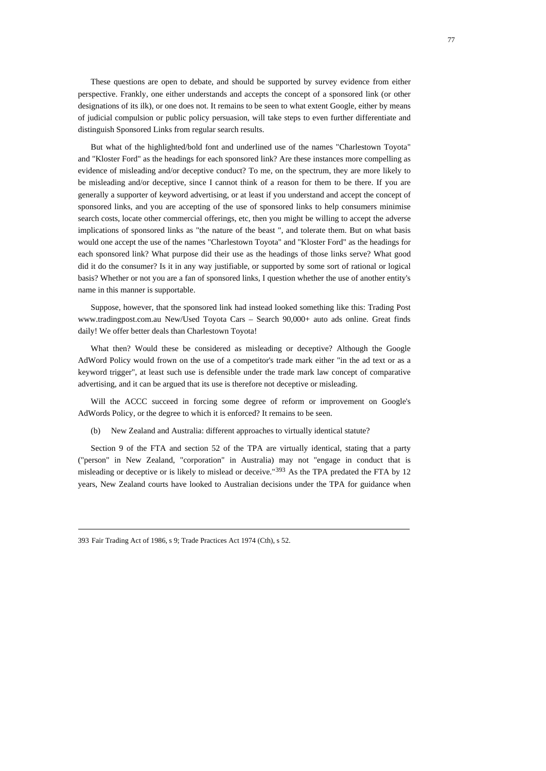These questions are open to debate, and should be supported by survey evidence from either perspective. Frankly, one either understands and accepts the concept of a sponsored link (or other designations of its ilk), or one does not. It remains to be seen to what extent Google, either by means of judicial compulsion or public policy persuasion, will take steps to even further differentiate and distinguish Sponsored Links from regular search results.

But what of the highlighted/bold font and underlined use of the names "Charlestown Toyota" and "Kloster Ford" as the headings for each sponsored link? Are these instances more compelling as evidence of misleading and/or deceptive conduct? To me, on the spectrum, they are more likely to be misleading and/or deceptive, since I cannot think of a reason for them to be there. If you are generally a supporter of keyword advertising, or at least if you understand and accept the concept of sponsored links, and you are accepting of the use of sponsored links to help consumers minimise search costs, locate other commercial offerings, etc, then you might be willing to accept the adverse implications of sponsored links as "the nature of the beast ", and tolerate them. But on what basis would one accept the use of the names "Charlestown Toyota" and "Kloster Ford" as the headings for each sponsored link? What purpose did their use as the headings of those links serve? What good did it do the consumer? Is it in any way justifiable, or supported by some sort of rational or logical basis? Whether or not you are a fan of sponsored links, I question whether the use of another entity's name in this manner is supportable.

Suppose, however, that the sponsored link had instead looked something like this: Trading Post www.tradingpost.com.au New/Used Toyota Cars – Search 90,000+ auto ads online. Great finds daily! We offer better deals than Charlestown Toyota!

What then? Would these be considered as misleading or deceptive? Although the Google AdWord Policy would frown on the use of a competitor's trade mark either "in the ad text or as a keyword trigger", at least such use is defensible under the trade mark law concept of comparative advertising, and it can be argued that its use is therefore not deceptive or misleading.

Will the ACCC succeed in forcing some degree of reform or improvement on Google's AdWords Policy, or the degree to which it is enforced? It remains to be seen.

(b) New Zealand and Australia: different approaches to virtually identical statute?

<span id="page-76-0"></span>Section 9 of the FTA and section 52 of the TPA are virtually identical, stating that a party ("person" in New Zealand, "corporation" in Australia) may not "engage in conduct that is misleading or deceptive or is likely to mislead or deceive."<sup>[393](#page-76-0)</sup> As the TPA predated the FTA by 12 years, New Zealand courts have looked to Australian decisions under the TPA for guidance when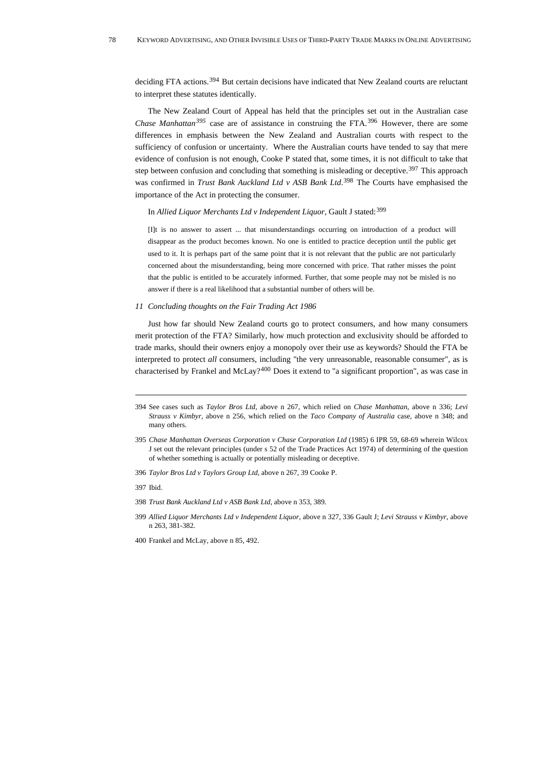deciding FTA actions.<sup>[394](#page-77-0)</sup> But certain decisions have indicated that New Zealand courts are reluctant to interpret these statutes identically.

The New Zealand Court of Appeal has held that the principles set out in the Australian case *Chase Manhattan[395](#page-77-1)* case are of assistance in construing the FTA.[396](#page-77-2) However, there are some differences in emphasis between the New Zealand and Australian courts with respect to the sufficiency of confusion or uncertainty. Where the Australian courts have tended to say that mere evidence of confusion is not enough, Cooke P stated that, some times, it is not difficult to take that step between confusion and concluding that something is misleading or deceptive.<sup>[397](#page-77-3)</sup> This approach was confirmed in *Trust Bank Auckland Ltd v ASB Bank Ltd*. [398](#page-77-4) The Courts have emphasised the importance of the Act in protecting the consumer.

### In *Allied Liquor Merchants Ltd v Independent Liquor*, Gault J stated:[399](#page-77-5)

[I]t is no answer to assert ... that misunderstandings occurring on introduction of a product will disappear as the product becomes known. No one is entitled to practice deception until the public get used to it. It is perhaps part of the same point that it is not relevant that the public are not particularly concerned about the misunderstanding, being more concerned with price. That rather misses the point that the public is entitled to be accurately informed. Further, that some people may not be misled is no answer if there is a real likelihood that a substantial number of others will be.

### *11 Concluding thoughts on the Fair Trading Act 1986*

Just how far should New Zealand courts go to protect consumers, and how many consumers merit protection of the FTA? Similarly, how much protection and exclusivity should be afforded to trade marks, should their owners enjoy a monopoly over their use as keywords? Should the FTA be interpreted to protect *all* consumers, including "the very unreasonable, reasonable consumer", as is characterised by Frankel and McLay?<sup>[400](#page-77-6)</sup> Does it extend to "a significant proportion", as was case in

<span id="page-77-2"></span>396 *Taylor Bros Ltd v Taylors Group Ltd*, above n 267, 39 Cooke P.

<span id="page-77-4"></span>398 *Trust Bank Auckland Ltd v ASB Bank Ltd*, above n 353, 389.

<span id="page-77-0"></span><sup>394</sup> See cases such as *Taylor Bros Ltd*, above n 267, which relied on *Chase Manhattan*, above n 336; *Levi Strauss v Kimbyr*, above n 256, which relied on the *Taco Company of Australia* case, above n 348; and many others.

<span id="page-77-1"></span><sup>395</sup> *Chase Manhattan Overseas Corporation v Chase Corporation Ltd* (1985) 6 IPR 59, 68-69 wherein Wilcox J set out the relevant principles (under s 52 of the Trade Practices Act 1974) of determining of the question of whether something is actually or potentially misleading or deceptive.

<span id="page-77-3"></span><sup>397</sup> Ibid.

<span id="page-77-5"></span><sup>399</sup> *Allied Liquor Merchants Ltd v Independent Liquor*, above n 327, 336 Gault J; *Levi Strauss v Kimbyr,* above n 263, 381-382.

<span id="page-77-6"></span><sup>400</sup> Frankel and McLay, above n 85, 492.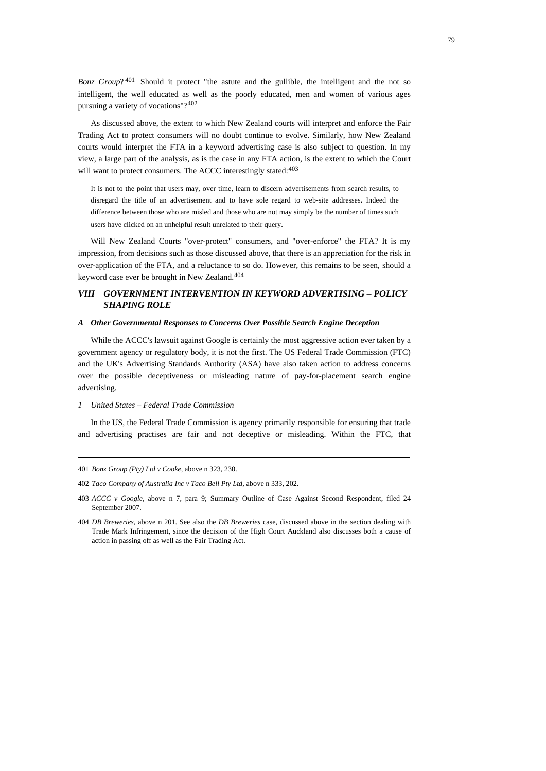*Bonz Group*?<sup>[401](#page-78-0)</sup> Should it protect "the astute and the gullible, the intelligent and the not so intelligent, the well educated as well as the poorly educated, men and women of various ages pursuing a variety of vocations"?[402](#page-78-1)

As discussed above, the extent to which New Zealand courts will interpret and enforce the Fair Trading Act to protect consumers will no doubt continue to evolve. Similarly, how New Zealand courts would interpret the FTA in a keyword advertising case is also subject to question. In my view, a large part of the analysis, as is the case in any FTA action, is the extent to which the Court will want to protect consumers. The ACCC interestingly stated:  $403$ 

It is not to the point that users may, over time, learn to discern advertisements from search results, to disregard the title of an advertisement and to have sole regard to web-site addresses. Indeed the difference between those who are misled and those who are not may simply be the number of times such users have clicked on an unhelpful result unrelated to their query.

Will New Zealand Courts "over-protect" consumers, and "over-enforce" the FTA? It is my impression, from decisions such as those discussed above, that there is an appreciation for the risk in over-application of the FTA, and a reluctance to so do. However, this remains to be seen, should a keyword case ever be brought in New Zealand.<sup>[404](#page-78-3)</sup>

# *VIII GOVERNMENT INTERVENTION IN KEYWORD ADVERTISING – POLICY SHAPING ROLE*

#### *A Other Governmental Responses to Concerns Over Possible Search Engine Deception*

While the ACCC's lawsuit against Google is certainly the most aggressive action ever taken by a government agency or regulatory body, it is not the first. The US Federal Trade Commission (FTC) and the UK's Advertising Standards Authority (ASA) have also taken action to address concerns over the possible deceptiveness or misleading nature of pay-for-placement search engine advertising.

#### *1 United States – Federal Trade Commission*

In the US, the Federal Trade Commission is agency primarily responsible for ensuring that trade and advertising practises are fair and not deceptive or misleading. Within the FTC, that

<span id="page-78-0"></span><sup>401</sup> *Bonz Group (Pty) Ltd v Cooke*, above n 323, 230.

<span id="page-78-1"></span><sup>402</sup> *Taco Company of Australia Inc v Taco Bell Pty Ltd*, above n 333, 202.

<span id="page-78-2"></span><sup>403</sup> *ACCC v Google*, above n 7, para 9; Summary Outline of Case Against Second Respondent, filed 24 September 2007.

<span id="page-78-3"></span><sup>404</sup> *DB Breweries,* above n 201. See also the *DB Breweries* case, discussed above in the section dealing with Trade Mark Infringement, since the decision of the High Court Auckland also discusses both a cause of action in passing off as well as the Fair Trading Act.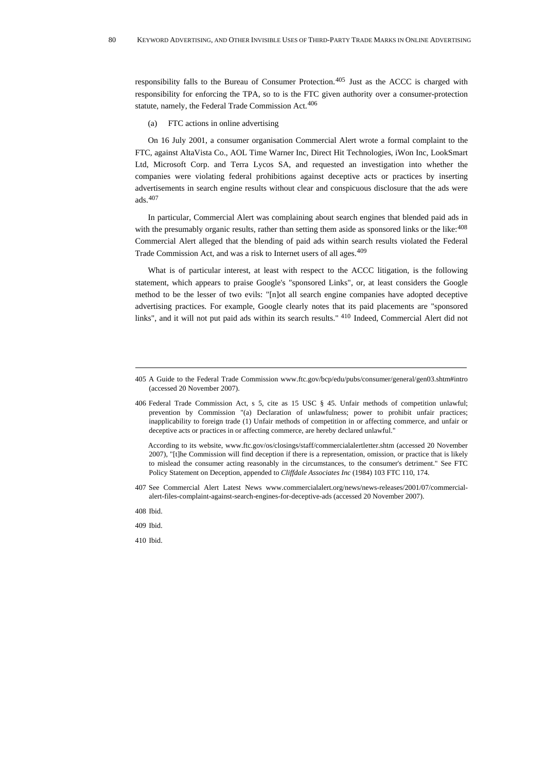responsibility falls to the Bureau of Consumer Protection.<sup>[405](#page-79-0)</sup> Just as the ACCC is charged with responsibility for enforcing the TPA, so to is the FTC given authority over a consumer-protection statute, namely, the Federal Trade Commission Act.<sup>[406](#page-79-1)</sup>

(a) FTC actions in online advertising

On 16 July 2001, a consumer organisation Commercial Alert wrote a formal complaint to the FTC, against AltaVista Co., AOL Time Warner Inc, Direct Hit Technologies, iWon Inc, LookSmart Ltd, Microsoft Corp. and Terra Lycos SA, and requested an investigation into whether the companies were violating federal prohibitions against deceptive acts or practices by inserting advertisements in search engine results without clear and conspicuous disclosure that the ads were ads.[407](#page-79-2)

In particular, Commercial Alert was complaining about search engines that blended paid ads in with the presumably organic results, rather than setting them aside as sponsored links or the like:<sup>[408](#page-79-3)</sup> Commercial Alert alleged that the blending of paid ads within search results violated the Federal Trade Commission Act, and was a risk to Internet users of all ages.[409](#page-79-4)

What is of particular interest, at least with respect to the ACCC litigation, is the following statement, which appears to praise Google's "sponsored Links", or, at least considers the Google method to be the lesser of two evils: "[n]ot all search engine companies have adopted deceptive advertising practices. For example, Google clearly notes that its paid placements are "sponsored links", and it will not put paid ads within its search results." <sup>[410](#page-79-5)</sup> Indeed, Commercial Alert did not

According to its website, [www.ftc.gov/os/closings/staff/commercialalertletter.shtm](http://www.ftc.gov/os/closings/staff/commercialalertletter.shtm) (accessed 20 November 2007), "[t]he Commission will find deception if there is a representation, omission, or practice that is likely to mislead the consumer acting reasonably in the circumstances, to the consumer's detriment." See FTC Policy Statement on Deception, appended to *Cliffdale Associates Inc* (1984) 103 FTC 110, 174.

<span id="page-79-2"></span>407 See Commercial Alert Latest News www.commercialalert.org/news/news-releases/2001/07/commercialalert-files-complaint-against-search-engines-for-deceptive-ads (accessed 20 November 2007).

<span id="page-79-3"></span>408 Ibid.

<span id="page-79-4"></span>409 Ibid.

<span id="page-79-5"></span>410 Ibid.

<span id="page-79-0"></span><sup>405</sup> A Guide to the Federal Trade Commission www.ftc.gov/bcp/edu/pubs/consumer/general/gen03.shtm#intro (accessed 20 November 2007).

<span id="page-79-1"></span><sup>406</sup> Federal Trade Commission Act, s 5, cite as 15 USC § 45. Unfair methods of competition unlawful; prevention by Commission "(a) Declaration of unlawfulness; power to prohibit unfair practices; inapplicability to foreign trade (1) Unfair methods of competition in or affecting commerce, and unfair or deceptive acts or practices in or affecting commerce, are hereby declared unlawful."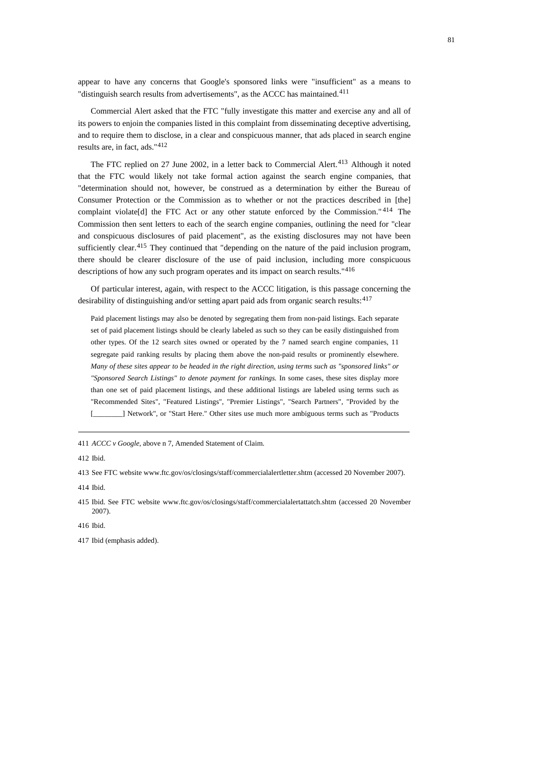appear to have any concerns that Google's sponsored links were "insufficient" as a means to "distinguish search results from advertisements", as the ACCC has maintained.<sup>[411](#page-80-0)</sup>

Commercial Alert asked that the FTC "fully investigate this matter and exercise any and all of its powers to enjoin the companies listed in this complaint from disseminating deceptive advertising, and to require them to disclose, in a clear and conspicuous manner, that ads placed in search engine results are, in fact, ads."[412](#page-80-1)

The FTC replied on 27 June 2002, in a letter back to Commercial Alert.<sup>[413](#page-80-2)</sup> Although it noted that the FTC would likely not take formal action against the search engine companies, that "determination should not, however, be construed as a determination by either the Bureau of Consumer Protection or the Commission as to whether or not the practices described in [the] complaint violate[d] the FTC Act or any other statute enforced by the Commission." [414](#page-80-3) The Commission then sent letters to each of the search engine companies, outlining the need for "clear and conspicuous disclosures of paid placement", as the existing disclosures may not have been sufficiently clear.<sup>[415](#page-80-4)</sup> They continued that "depending on the nature of the paid inclusion program, there should be clearer disclosure of the use of paid inclusion, including more conspicuous descriptions of how any such program operates and its impact on search results."[416](#page-80-5)

Of particular interest, again, with respect to the ACCC litigation, is this passage concerning the desirability of distinguishing and/or setting apart paid ads from organic search results:  $417$ 

Paid placement listings may also be denoted by segregating them from non-paid listings. Each separate set of paid placement listings should be clearly labeled as such so they can be easily distinguished from other types. Of the 12 search sites owned or operated by the 7 named search engine companies, 11 segregate paid ranking results by placing them above the non-paid results or prominently elsewhere. *Many of these sites appear to be headed in the right direction, using terms such as "sponsored links" or "Sponsored Search Listings" to denote payment for rankings.* In some cases, these sites display more than one set of paid placement listings, and these additional listings are labeled using terms such as "Recommended Sites", "Featured Listings", "Premier Listings", "Search Partners", "Provided by the [\_\_\_\_\_\_\_\_] Network", or "Start Here." Other sites use much more ambiguous terms such as "Products

<span id="page-80-0"></span>411 *ACCC v Google*, above n 7, Amended Statement of Claim.

<span id="page-80-1"></span>412 Ibid.

<span id="page-80-2"></span>413 See FTC website www.ftc.gov/os/closings/staff/commercialalertletter.shtm (accessed 20 November 2007).

<span id="page-80-3"></span>414 Ibid.

<span id="page-80-4"></span>415 Ibid. See FTC website www.ftc.gov/os/closings/staff/commercialalertattatch.shtm (accessed 20 November 2007).

<span id="page-80-5"></span>416 Ibid.

<span id="page-80-6"></span>417 Ibid (emphasis added).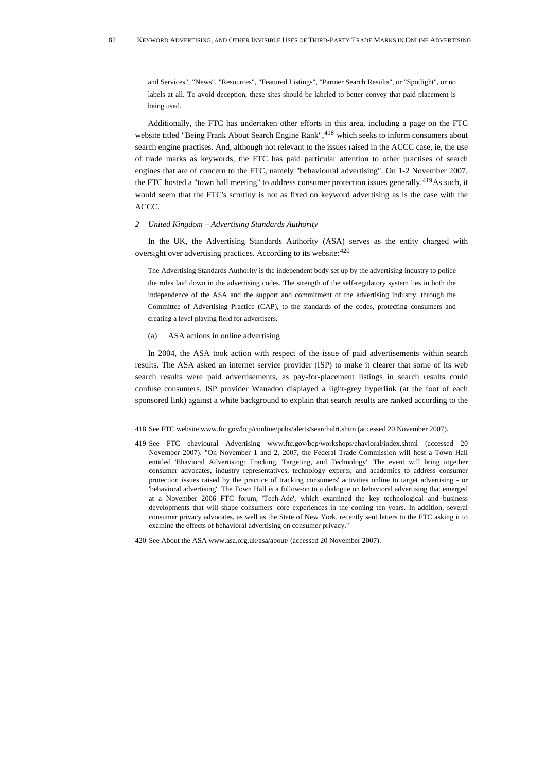and Services", "News", "Resources", "Featured Listings", "Partner Search Results", or "Spotlight", or no labels at all. To avoid deception, these sites should be labeled to better convey that paid placement is being used.

Additionally, the FTC has undertaken other efforts in this area, including a page on the FTC website titled "Being Frank About Search Engine Rank", <sup>[418](#page-81-0)</sup> which seeks to inform consumers about search engine practises. And, although not relevant to the issues raised in the ACCC case, ie, the use of trade marks as keywords, the FTC has paid particular attention to other practises of search engines that are of concern to the FTC, namely "behavioural advertising". On 1-2 November 2007, the FTC hosted a "town hall meeting" to address consumer protection issues generally.<sup>[419](#page-81-1)</sup>As such, it would seem that the FTC's scrutiny is not as fixed on keyword advertising as is the case with the ACCC.

### *2 United Kingdom – Advertising Standards Authority*

In the UK, the Advertising Standards Authority (ASA) serves as the entity charged with oversight over advertising practices. According to its website:<sup>[420](#page-81-2)</sup>

The Advertising Standards Authority is the independent body set up by the advertising industry to police the rules laid down in the advertising codes. The strength of the self-regulatory system lies in both the independence of the ASA and the support and commitment of the advertising industry, through the Committee of Advertising Practice (CAP), to the standards of the codes, protecting consumers and creating a level playing field for advertisers.

(a) ASA actions in online advertising

In 2004, the ASA took action with respect of the issue of paid advertisements within search results. The ASA asked an internet service provider (ISP) to make it clearer that some of its web search results were paid advertisements, as pay-for-placement listings in search results could confuse consumers. ISP provider Wanadoo displayed a light-grey hyperlink (at the foot of each sponsored link) against a white background to explain that search results are ranked according to the

<span id="page-81-0"></span><sup>418</sup> See FTC website [www.ftc.gov/bcp/conline/pubs/alerts/searchalrt.shtm](http://www.ftc.gov/bcp/conline/pubs/alerts/searchalrt.shtm) (accessed 20 November 2007).

<span id="page-81-1"></span><sup>419</sup> See FTC ehavioural Advertising [www.ftc.gov/bcp/workshops/ehavioral/index.shtml](http://www.ftc.gov/bcp/workshops/ehavioral/index.shtml) (accessed 20 November 2007). "On November 1 and 2, 2007, the Federal Trade Commission will host a Town Hall entitled 'Ehavioral Advertising: Tracking, Targeting, and Technology'. The event will bring together consumer advocates, industry representatives, technology experts, and academics to address consumer protection issues raised by the practice of tracking consumers' activities online to target advertising - or 'behavioral advertising'. The Town Hall is a follow-on to a dialogue on behavioral advertising that emerged at a November 2006 FTC forum, 'Tech-Ade', which examined the key technological and business developments that will shape consumers' core experiences in the coming ten years. In addition, several consumer privacy advocates, as well as the State of New York, recently sent letters to the FTC asking it to examine the effects of behavioral advertising on consumer privacy."

<span id="page-81-2"></span><sup>420</sup> See About the ASA [www.asa.org.uk/asa/about/](http://www.asa.org.uk/asa/about/) (accessed 20 November 2007).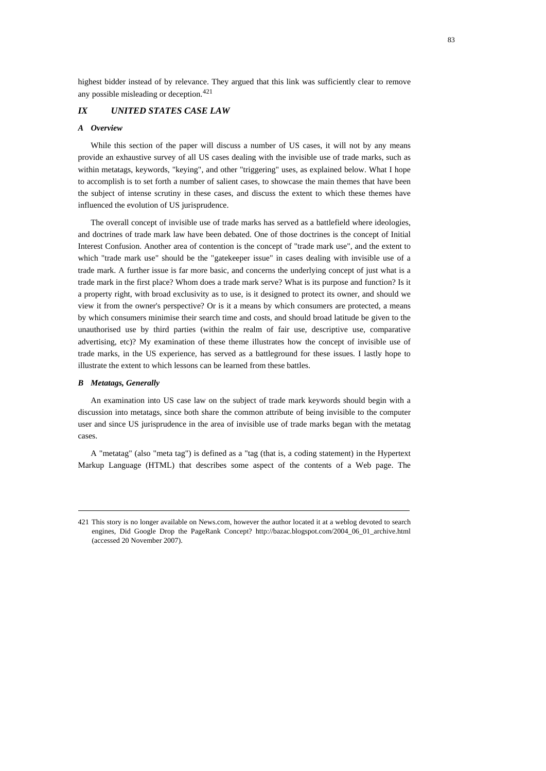highest bidder instead of by relevance. They argued that this link was sufficiently clear to remove any possible misleading or deception.[421](#page-82-0)

# *IX UNITED STATES CASE LAW*

# *A Overview*

While this section of the paper will discuss a number of US cases, it will not by any means provide an exhaustive survey of all US cases dealing with the invisible use of trade marks, such as within metatags, keywords, "keying", and other "triggering" uses, as explained below. What I hope to accomplish is to set forth a number of salient cases, to showcase the main themes that have been the subject of intense scrutiny in these cases, and discuss the extent to which these themes have influenced the evolution of US jurisprudence.

The overall concept of invisible use of trade marks has served as a battlefield where ideologies, and doctrines of trade mark law have been debated. One of those doctrines is the concept of Initial Interest Confusion. Another area of contention is the concept of "trade mark use", and the extent to which "trade mark use" should be the "gatekeeper issue" in cases dealing with invisible use of a trade mark. A further issue is far more basic, and concerns the underlying concept of just what is a trade mark in the first place? Whom does a trade mark serve? What is its purpose and function? Is it a property right, with broad exclusivity as to use, is it designed to protect its owner, and should we view it from the owner's perspective? Or is it a means by which consumers are protected, a means by which consumers minimise their search time and costs, and should broad latitude be given to the unauthorised use by third parties (within the realm of fair use, descriptive use, comparative advertising, etc)? My examination of these theme illustrates how the concept of invisible use of trade marks, in the US experience, has served as a battleground for these issues. I lastly hope to illustrate the extent to which lessons can be learned from these battles.

### *B Metatags, Generally*

An examination into US case law on the subject of trade mark keywords should begin with a discussion into metatags, since both share the common attribute of being invisible to the computer user and since US jurisprudence in the area of invisible use of trade marks began with the metatag cases.

A "metatag" (also "meta tag") is defined as a "tag (that is, a coding statement) in the Hypertext Markup Language (HTML) that describes some aspect of the contents of a Web page. The

<span id="page-82-0"></span><sup>421</sup> This story is no longer available on News.com, however the author located it at a weblog devoted to search engines, Did Google Drop the PageRank Concept? [http://bazac.blogspot.com/2004\\_06\\_01\\_archive.html](http://bazac.blogspot.com/2004_06_01_archive.html,) (accessed 20 November 2007).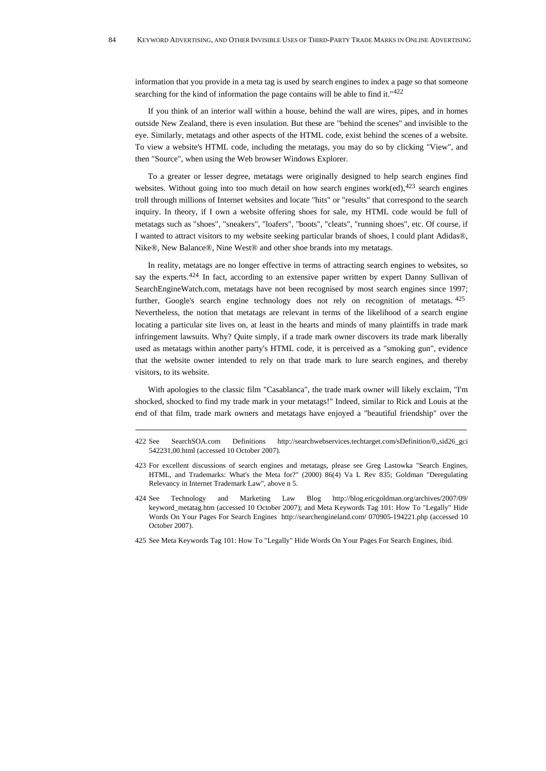information that you provide in a meta tag is used by search engines to index a page so that someone searching for the kind of information the page contains will be able to find it."[422](#page-83-0)

If you think of an interior wall within a house, behind the wall are wires, pipes, and in homes outside New Zealand, there is even insulation. But these are "behind the scenes" and invisible to the eye. Similarly, metatags and other aspects of the HTML code, exist behind the scenes of a website. To view a website's HTML code, including the metatags, you may do so by clicking "View", and then "Source", when using the Web browser Windows Explorer.

To a greater or lesser degree, metatags were originally designed to help search engines find websites. Without going into too much detail on how search engines work(ed), $423$  search engines troll through millions of Internet websites and locate "hits" or "results" that correspond to the search inquiry. In theory, if I own a website offering shoes for sale, my HTML code would be full of metatags such as "shoes", "sneakers", "loafers", "boots", "cleats", "running shoes", etc. Of course, if I wanted to attract visitors to my website seeking particular brands of shoes, I could plant Adidas®, Nike®, New Balance®, Nine West® and other shoe brands into my metatags.

In reality, metatags are no longer effective in terms of attracting search engines to websites, so say the experts.<sup>[424](#page-83-2)</sup> In fact, according to an extensive paper written by expert Danny Sullivan of SearchEngineWatch.com, metatags have not been recognised by most search engines since 1997; further, Google's search engine technology does not rely on recognition of metatags.  $425$ Nevertheless, the notion that metatags are relevant in terms of the likelihood of a search engine locating a particular site lives on, at least in the hearts and minds of many plaintiffs in trade mark infringement lawsuits. Why? Quite simply, if a trade mark owner discovers its trade mark liberally used as metatags within another party's HTML code, it is perceived as a "smoking gun", evidence that the website owner intended to rely on that trade mark to lure search engines, and thereby visitors, to its website.

With apologies to the classic film "Casablanca", the trade mark owner will likely exclaim, "I'm shocked, shocked to find my trade mark in your metatags!" Indeed, similar to Rick and Louis at the end of that film, trade mark owners and metatags have enjoyed a "beautiful friendship" over the

<span id="page-83-0"></span><sup>422</sup> See SearchSOA.com Definitions http://searchwebservices.techtarget.com/sDefinition/0,,sid26\_gci 542231,00.html (accessed 10 October 2007).

<span id="page-83-1"></span><sup>423</sup> For excellent discussions of search engines and metatags, please see Greg Lastowka "Search Engines, HTML, and Trademarks: What's the Meta for?" (2000) 86(4) Va L Rev 835; Goldman "Deregulating Relevancy in Internet Trademark Law", above n 5.

<span id="page-83-2"></span><sup>424</sup> See Technology and Marketing Law Blog http://blog.ericgoldman.org/archives/2007/09/ keyword\_metatag.htm (accessed 10 October 2007); and [Meta Keywords Tag 101: How To "Legally" Hide](http://searchengineland.com/meta-keywords-tag-101-how-to-legally-hide-words-on-your-pages-for-search-engines-12099)  [Words On Your Pages For Search Engines](http://searchengineland.com/meta-keywords-tag-101-how-to-legally-hide-words-on-your-pages-for-search-engines-12099) [http://searchengineland.com/ 070905-194221.php](http://searchengineland.com/%20070905-194221.php) (accessed 10 October 2007).

<span id="page-83-3"></span><sup>425</sup> See [Meta Keywords Tag 101: How To "Legally" Hide Words On Your Pages For Search Engines,](http://searchengineland.com/meta-keywords-tag-101-how-to-legally-hide-words-on-your-pages-for-search-engines-12099) ibid.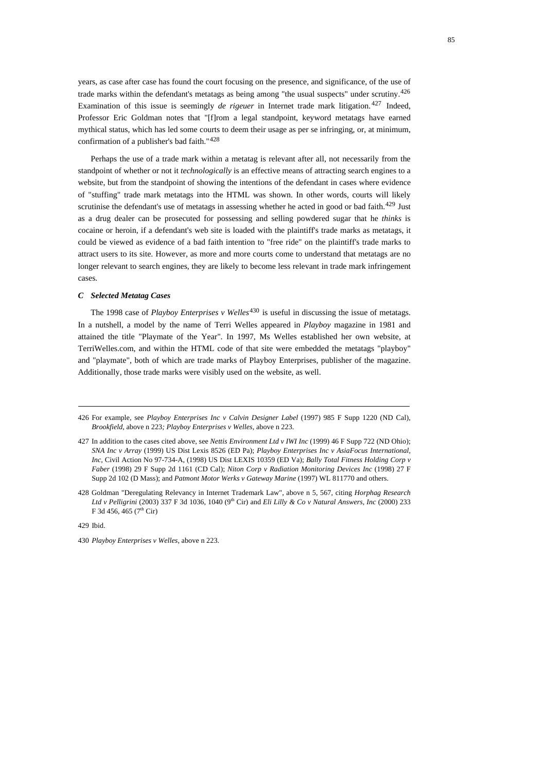years, as case after case has found the court focusing on the presence, and significance, of the use of trade marks within the defendant's metatags as being among "the usual suspects" under scrutiny.[426](#page-84-0) Examination of this issue is seemingly *de rigeuer* in Internet trade mark litigation.<sup>[427](#page-84-1)</sup> Indeed, Professor Eric Goldman notes that "[f]rom a legal standpoint, keyword metatags have earned mythical status, which has led some courts to deem their usage as per se infringing, or, at minimum, confirmation of a publisher's bad faith."[428](#page-84-2)

Perhaps the use of a trade mark within a metatag is relevant after all, not necessarily from the standpoint of whether or not it *technologically* is an effective means of attracting search engines to a website, but from the standpoint of showing the intentions of the defendant in cases where evidence of "stuffing" trade mark metatags into the HTML was shown. In other words, courts will likely scrutinise the defendant's use of metatags in assessing whether he acted in good or bad faith.<sup>[429](#page-84-3)</sup> Just as a drug dealer can be prosecuted for possessing and selling powdered sugar that he *thinks* is cocaine or heroin, if a defendant's web site is loaded with the plaintiff's trade marks as metatags, it could be viewed as evidence of a bad faith intention to "free ride" on the plaintiff's trade marks to attract users to its site. However, as more and more courts come to understand that metatags are no longer relevant to search engines, they are likely to become less relevant in trade mark infringement cases.

# *C Selected Metatag Cases*

The 1998 case of *Playboy Enterprises v Welles*<sup>[430](#page-84-4)</sup> is useful in discussing the issue of metatags. In a nutshell, a model by the name of Terri Welles appeared in *Playboy* magazine in 1981 and attained the title "Playmate of the Year". In 1997, Ms Welles established her own website, at TerriWelles.com, and within the HTML code of that site were embedded the metatags "playboy" and "playmate", both of which are trade marks of Playboy Enterprises, publisher of the magazine. Additionally, those trade marks were visibly used on the website, as well.

<span id="page-84-3"></span>429 Ibid.

<span id="page-84-4"></span>430 *Playboy Enterprises v Welles*, above n 223.

<span id="page-84-0"></span><sup>426</sup> For example, see *Playboy Enterprises Inc v Calvin Designer Label* (1997) 985 F Supp 1220 (ND Cal), *Brookfield*, above n 223*; Playboy Enterprises v Welles*, above n 223.

<span id="page-84-1"></span><sup>427</sup> In addition to the cases cited above, see *Nettis Environment Ltd v IWI Inc* (1999) 46 F Supp 722 (ND Ohio); *SNA Inc v Array* (1999) US Dist Lexis 8526 (ED Pa); *Playboy Enterprises Inc v AsiaFocus International, Inc,* Civil Action No 97-734-A, (1998) US Dist LEXIS 10359 (ED Va); *Bally Total Fitness Holding Corp v Faber* (1998) 29 F Supp 2d 1161 (CD Cal); *Niton Corp v Radiation Monitoring Devices Inc* (1998) 27 F Supp 2d 102 (D Mass); and *Patmont Motor Werks v Gateway Marine* (1997) WL 811770 and others.

<span id="page-84-2"></span><sup>428</sup> Goldman "Deregulating Relevancy in Internet Trademark Law", above n 5, 567, citing *Horphag Research Ltd v Pelligrini* (2003) 337 F 3d 1036, 1040 (9<sup>th</sup> Cir) and *Eli Lilly & Co v Natural Answers, Inc* (2000) 233 F 3d 456, 465 ( $7<sup>th</sup>$  Cir)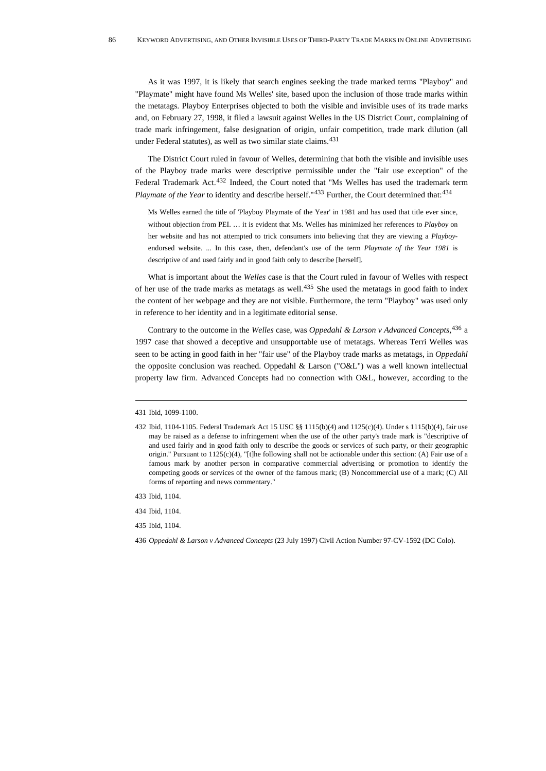As it was 1997, it is likely that search engines seeking the trade marked terms "Playboy" and "Playmate" might have found Ms Welles' site, based upon the inclusion of those trade marks within the metatags. Playboy Enterprises objected to both the visible and invisible uses of its trade marks and, on February 27, 1998, it filed a lawsuit against Welles in the US District Court, complaining of trade mark infringement, false designation of origin, unfair competition, trade mark dilution (all under Federal statutes), as well as two similar state claims.<sup>[431](#page-85-0)</sup>

The District Court ruled in favour of Welles, determining that both the visible and invisible uses of the Playboy trade marks were descriptive permissible under the "fair use exception" of the Federal Trademark Act.<sup>[432](#page-85-1)</sup> Indeed, the Court noted that "Ms Welles has used the trademark term *Playmate of the Year* to identity and describe herself."<sup>[433](#page-85-2)</sup> Further, the Court determined that:<sup>434</sup>

Ms Welles earned the title of 'Playboy Playmate of the Year' in 1981 and has used that title ever since, without objection from PEI. … it is evident that Ms. Welles has minimized her references to *Playboy* on her website and has not attempted to trick consumers into believing that they are viewing a *Playboy*endorsed website. ... In this case, then, defendant's use of the term *Playmate of the Year 1981* is descriptive of and used fairly and in good faith only to describe [herself].

What is important about the *Welles* case is that the Court ruled in favour of Welles with respect of her use of the trade marks as metatags as well.[435](#page-85-4) She used the metatags in good faith to index the content of her webpage and they are not visible. Furthermore, the term "Playboy" was used only in reference to her identity and in a legitimate editorial sense.

Contrary to the outcome in the *Welles* case, was *Oppedahl & Larson v Advanced Concepts,*[436](#page-85-5) a 1997 case that showed a deceptive and unsupportable use of metatags. Whereas Terri Welles was seen to be acting in good faith in her "fair use" of the Playboy trade marks as metatags, in *Oppedahl* the opposite conclusion was reached. Oppedahl & Larson ("O&L") was a well known intellectual property law firm. Advanced Concepts had no connection with O&L, however, according to the

<span id="page-85-5"></span>436 *Oppedahl & Larson v Advanced Concepts* (23 July 1997) Civil Action Number 97-CV-1592 (DC Colo).

<span id="page-85-0"></span><sup>431</sup> Ibid, 1099-1100.

<span id="page-85-1"></span><sup>432</sup> Ibid, 1104-1105. Federal Trademark Act 15 USC §§ 1115(b)(4) and 1125(c)(4). Under s 1115(b)(4), fair use may be raised as a defense to infringement when the use of the other party's trade mark is "descriptive of and used fairly and in good faith only to describe the goods or services of such party, or their geographic origin." Pursuant to  $1125(c)(4)$ , "[t]he following shall not be actionable under this section: (A) Fair use of a famous mark by another person in comparative commercial advertising or promotion to identify the competing goods or services of the owner of the famous mark; (B) Noncommercial use of a mark; (C) All forms of reporting and news commentary."

<span id="page-85-2"></span><sup>433</sup> Ibid, 1104.

<span id="page-85-3"></span><sup>434</sup> Ibid, 1104.

<span id="page-85-4"></span><sup>435</sup> Ibid, 1104.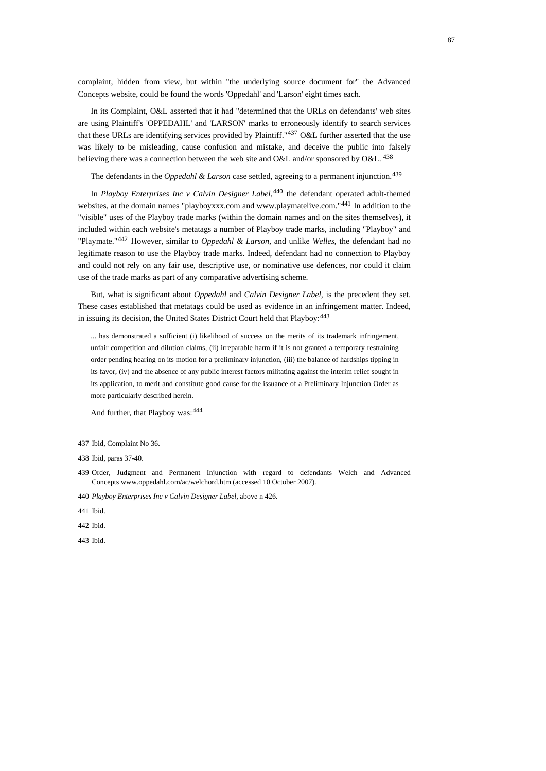complaint, hidden from view, but within "the underlying source document for" the Advanced Concepts website, could be found the words 'Oppedahl' and 'Larson' eight times each.

In its Complaint, O&L asserted that it had "determined that the URLs on defendants' web sites are using Plaintiff's 'OPPEDAHL' and 'LARSON' marks to erroneously identify to search services that these URLs are identifying services provided by Plaintiff."<sup>[437](#page-86-0)</sup> O&L further asserted that the use was likely to be misleading, cause confusion and mistake, and deceive the public into falsely believing there was a connection between the web site and O&L and/or sponsored by O&L.  $^{438}$  $^{438}$  $^{438}$ 

The defendants in the *Oppedahl & Larson* case settled, agreeing to a permanent injunction.<sup>[439](#page-86-2)</sup>

In *Playboy Enterprises Inc v Calvin Designer Label,*[440](#page-86-3) the defendant operated adult-themed websites, at the domain names "playboyxxx.com and www.playmatelive.com."<sup>[441](#page-86-4)</sup> In addition to the "visible" uses of the Playboy trade marks (within the domain names and on the sites themselves), it included within each website's metatags a number of Playboy trade marks, including "Playboy" and "Playmate."[442](#page-86-5) However, similar to *Oppedahl & Larson*, and unlike *Welles*, the defendant had no legitimate reason to use the Playboy trade marks. Indeed, defendant had no connection to Playboy and could not rely on any fair use, descriptive use, or nominative use defences, nor could it claim use of the trade marks as part of any comparative advertising scheme.

But, what is significant about *Oppedahl* and *Calvin Designer Label,* is the precedent they set. These cases established that metatags could be used as evidence in an infringement matter. Indeed, in issuing its decision, the United States District Court held that Playboy: [443](#page-86-6)

... has demonstrated a sufficient (i) likelihood of success on the merits of its trademark infringement, unfair competition and dilution claims, (ii) irreparable harm if it is not granted a temporary restraining order pending hearing on its motion for a preliminary injunction, (iii) the balance of hardships tipping in its favor, (iv) and the absence of any public interest factors militating against the interim relief sought in its application, to merit and constitute good cause for the issuance of a Preliminary Injunction Order as more particularly described herein.

And further, that Playboy was:  $444$ 

<span id="page-86-0"></span><sup>437</sup> Ibid, Complaint No 36.

<span id="page-86-1"></span><sup>438</sup> Ibid, paras 37-40.

<span id="page-86-2"></span><sup>439</sup> Order, Judgment and Permanent Injunction with regard to defendants Welch and Advanced Concepts [www.oppedahl.com/ac/welchord.htm](http://www.oppedahl.com/ac/welchord.htm) (accessed 10 October 2007).

<span id="page-86-3"></span><sup>440</sup> *Playboy Enterprises Inc v Calvin Designer Label*, above n 426.

<span id="page-86-4"></span><sup>441</sup> Ibid.

<span id="page-86-5"></span><sup>442</sup> Ibid.

<span id="page-86-6"></span><sup>443</sup> Ibid.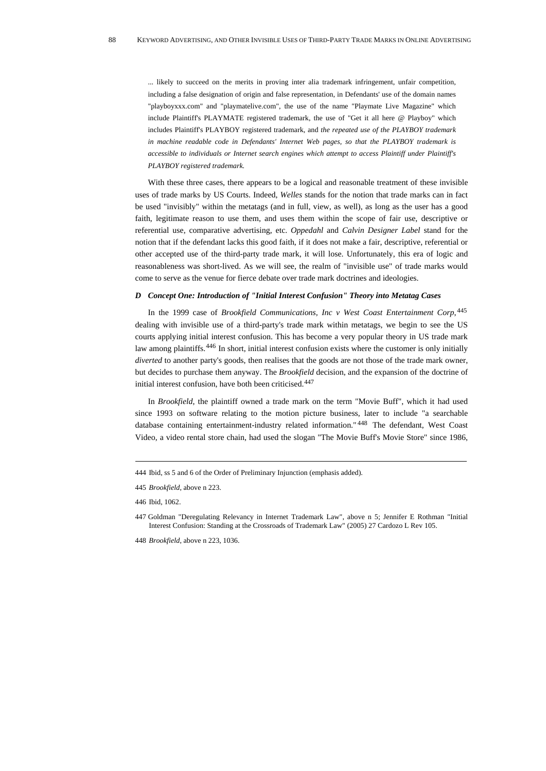... likely to succeed on the merits in proving inter alia trademark infringement, unfair competition, including a false designation of origin and false representation, in Defendants' use of the domain names "playboyxxx.com" and "playmatelive.com", the use of the name "Playmate Live Magazine" which include Plaintiff's PLAYMATE registered trademark, the use of "Get it all here @ Playboy" which includes Plaintiff's PLAYBOY registered trademark, and *the repeated use of the PLAYBOY trademark in machine readable code in Defendants' Internet Web pages, so that the PLAYBOY trademark is accessible to individuals or Internet search engines which attempt to access Plaintiff under Plaintiff's PLAYBOY registered trademark.*

With these three cases, there appears to be a logical and reasonable treatment of these invisible uses of trade marks by US Courts. Indeed, *Welles* stands for the notion that trade marks can in fact be used "invisibly" within the metatags (and in full, view, as well), as long as the user has a good faith, legitimate reason to use them, and uses them within the scope of fair use, descriptive or referential use, comparative advertising, etc. *Oppedahl* and *Calvin Designer Label* stand for the notion that if the defendant lacks this good faith, if it does not make a fair, descriptive, referential or other accepted use of the third-party trade mark, it will lose. Unfortunately, this era of logic and reasonableness was short-lived. As we will see, the realm of "invisible use" of trade marks would come to serve as the venue for fierce debate over trade mark doctrines and ideologies.

# *D Concept One: Introduction of "Initial Interest Confusion" Theory into Metatag Cases*

In the 1999 case of *Brookfield Communications, Inc v West Coast Entertainment Corp*, [445](#page-87-0) dealing with invisible use of a third-party's trade mark within metatags, we begin to see the US courts applying initial interest confusion. This has become a very popular theory in US trade mark law among plaintiffs.<sup>[446](#page-87-1)</sup> In short, initial interest confusion exists where the customer is only initially *diverted* to another party's goods, then realises that the goods are not those of the trade mark owner, but decides to purchase them anyway. The *Brookfield* decision, and the expansion of the doctrine of initial interest confusion, have both been criticised.<sup>[447](#page-87-2)</sup>

In *Brookfield*, the plaintiff owned a trade mark on the term "Movie Buff", which it had used since 1993 on software relating to the motion picture business, later to include "a searchable database containing entertainment-industry related information." [448](#page-87-3) The defendant, West Coast Video, a video rental store chain, had used the slogan "The Movie Buff's Movie Store" since 1986,

<sup>444</sup> Ibid, ss 5 and 6 of the Order of Preliminary Injunction (emphasis added).

<span id="page-87-0"></span><sup>445</sup> *Brookfield*, above n 223.

<span id="page-87-1"></span><sup>446</sup> Ibid, 1062.

<span id="page-87-2"></span><sup>447</sup> Goldman "Deregulating Relevancy in Internet Trademark Law", above n 5; Jennifer E Rothman "Initial Interest Confusion: Standing at the Crossroads of Trademark Law" (2005) 27 Cardozo L Rev 105.

<span id="page-87-3"></span><sup>448</sup> *Brookfield*, above n 223, 1036.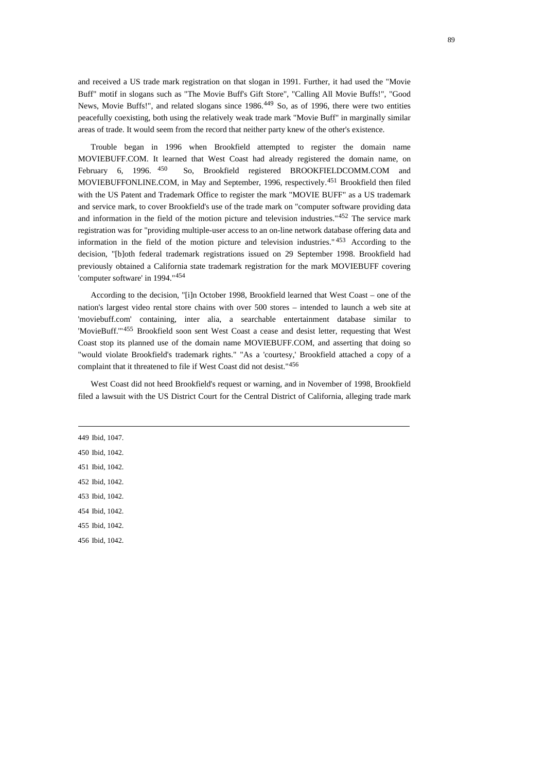and received a US trade mark registration on that slogan in 1991. Further, it had used the "Movie Buff" motif in slogans such as "The Movie Buff's Gift Store", "Calling All Movie Buffs!", "Good News, Movie Buffs!", and related slogans since 1986.<sup>[449](#page-88-0)</sup> So, as of 1996, there were two entities peacefully coexisting, both using the relatively weak trade mark "Movie Buff" in marginally similar areas of trade. It would seem from the record that neither party knew of the other's existence.

Trouble began in 1996 when Brookfield attempted to register the domain name MOVIEBUFF.COM. It learned that West Coast had already registered the domain name, on February 6, 1996. <sup>[450](#page-88-1)</sup> So, Brookfield registered BROOKFIELDCOMM.COM and MOVIEBUFFONLINE.COM, in May and September, 1996, respectively.[451](#page-88-2) Brookfield then filed with the US Patent and Trademark Office to register the mark "MOVIE BUFF" as a US trademark and service mark, to cover Brookfield's use of the trade mark on "computer software providing data and information in the field of the motion picture and television industries."<sup>[452](#page-88-3)</sup> The service mark registration was for "providing multiple-user access to an on-line network database offering data and information in the field of the motion picture and television industries." [453](#page-88-4) According to the decision, "[b]oth federal trademark registrations issued on 29 September 1998. Brookfield had previously obtained a California state trademark registration for the mark MOVIEBUFF covering 'computer software' in 1994."[454](#page-88-5)

According to the decision, "[i]n October 1998, Brookfield learned that West Coast – one of the nation's largest video rental store chains with over 500 stores – intended to launch a web site at 'moviebuff.com' containing, inter alia, a searchable entertainment database similar to 'MovieBuff."<sup>[455](#page-88-6)</sup> Brookfield soon sent West Coast a cease and desist letter, requesting that West Coast stop its planned use of the domain name MOVIEBUFF.COM, and asserting that doing so "would violate Brookfield's trademark rights." "As a 'courtesy,' Brookfield attached a copy of a complaint that it threatened to file if West Coast did not desist."[456](#page-88-7)

West Coast did not heed Brookfield's request or warning, and in November of 1998, Brookfield filed a lawsuit with the US District Court for the Central District of California, alleging trade mark

<span id="page-88-7"></span><span id="page-88-6"></span><span id="page-88-5"></span><span id="page-88-4"></span><span id="page-88-3"></span><span id="page-88-2"></span><span id="page-88-1"></span><span id="page-88-0"></span>449 Ibid, 1047. 450 Ibid, 1042. 451 Ibid, 1042. 452 Ibid, 1042. 453 Ibid, 1042. 454 Ibid, 1042. 455 Ibid, 1042. 456 Ibid, 1042.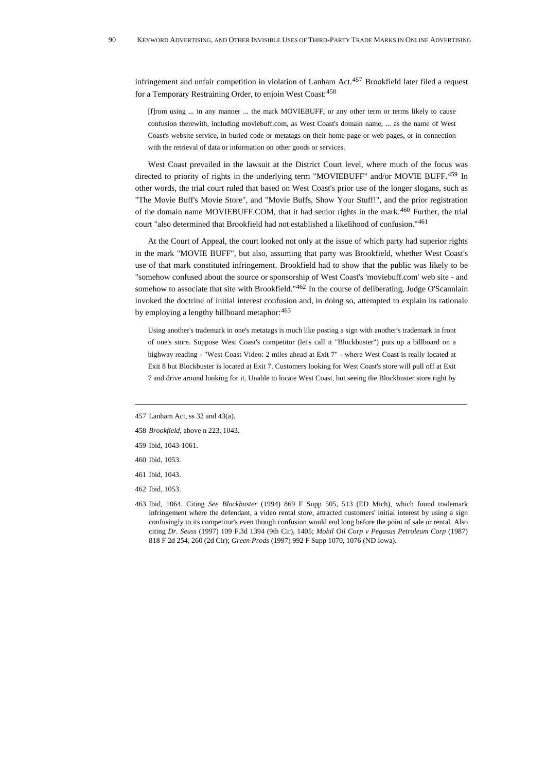infringement and unfair competition in violation of Lanham Act.<sup>[457](#page-89-0)</sup> Brookfield later filed a request for a Temporary Restraining Order, to enjoin West Coast:[458](#page-89-1)

[f]rom using ... in any manner ... the mark MOVIEBUFF, or any other term or terms likely to cause confusion therewith, including moviebuff.com, as West Coast's domain name, ... as the name of West Coast's website service, in buried code or metatags on their home page or web pages, or in connection with the retrieval of data or information on other goods or services.

West Coast prevailed in the lawsuit at the District Court level, where much of the focus was directed to priority of rights in the underlying term "MOVIEBUFF" and/or MOVIE BUFF.[459](#page-89-2) In other words, the trial court ruled that based on West Coast's prior use of the longer slogans, such as "The Movie Buff's Movie Store", and "Movie Buffs, Show Your Stuff!", and the prior registration of the domain name MOVIEBUFF.COM, that it had senior rights in the mark.<sup>[460](#page-89-3)</sup> Further, the trial court "also determined that Brookfield had not established a likelihood of confusion."[461](#page-89-4)

At the Court of Appeal, the court looked not only at the issue of which party had superior rights in the mark "MOVIE BUFF", but also, assuming that party was Brookfield, whether West Coast's use of that mark constituted infringement. Brookfield had to show that the public was likely to be "somehow confused about the source or sponsorship of West Coast's 'moviebuff.com' web site - and somehow to associate that site with Brookfield."<sup>[462](#page-89-5)</sup> In the course of deliberating, Judge O'Scannlain invoked the doctrine of initial interest confusion and, in doing so, attempted to explain its rationale by employing a lengthy billboard metaphor:  $463$ 

Using another's trademark in one's metatags is much like posting a sign with another's trademark in front of one's store. Suppose West Coast's competitor (let's call it "Blockbuster") puts up a billboard on a highway reading - "West Coast Video: 2 miles ahead at Exit 7" - where West Coast is really located at Exit 8 but Blockbuster is located at Exit 7. Customers looking for West Coast's store will pull off at Exit 7 and drive around looking for it. Unable to locate West Coast, but seeing the Blockbuster store right by

- <span id="page-89-3"></span>460 Ibid, 1053.
- <span id="page-89-4"></span>461 Ibid, 1043.
- <span id="page-89-5"></span>462 Ibid, 1053.
- <span id="page-89-6"></span>463 Ibid, 1064. Citing *See Blockbuster* (1994) 869 F Supp 505, 513 (ED Mich), which found trademark infringement where the defendant, a video rental store, attracted customers' initial interest by using a sign confusingly to its competitor's even though confusion would end long before the point of sale or rental. Also citing *Dr. Seuss* (1997) 109 F.3d 1394 (9th Cir), 1405; *Mobil Oil Corp v Pegasus Petroleum Corp* (1987) 818 F 2d 254, 260 (2d Cir); *Green Prods* (1997) 992 F Supp 1070, 1076 (ND Iowa).

<span id="page-89-0"></span><sup>457</sup> Lanham Act, ss 32 and 43(a).

<span id="page-89-1"></span><sup>458</sup> *Brookfield*, above n 223, 1043.

<span id="page-89-2"></span><sup>459</sup> Ibid, 1043-1061.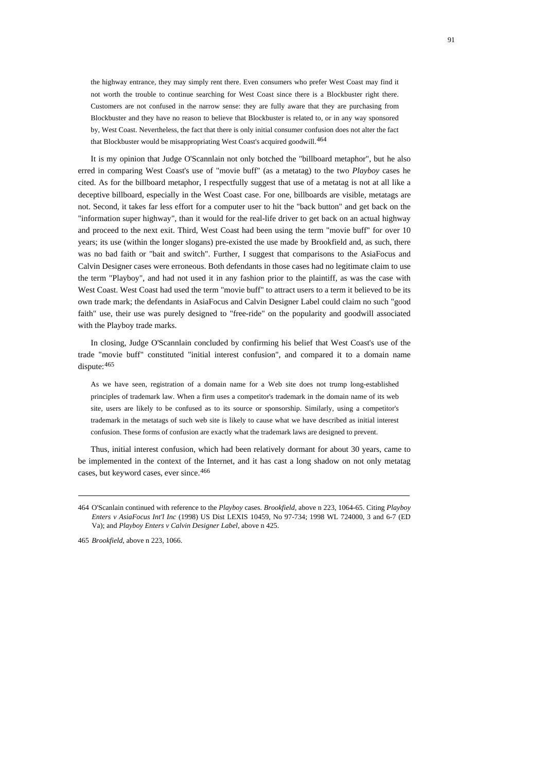the highway entrance, they may simply rent there. Even consumers who prefer West Coast may find it not worth the trouble to continue searching for West Coast since there is a Blockbuster right there. Customers are not confused in the narrow sense: they are fully aware that they are purchasing from Blockbuster and they have no reason to believe that Blockbuster is related to, or in any way sponsored by, West Coast. Nevertheless, the fact that there is only initial consumer confusion does not alter the fact that Blockbuster would be misappropriating West Coast's acquired goodwill.<sup>[464](#page-90-0)</sup>

It is my opinion that Judge O'Scannlain not only botched the "billboard metaphor", but he also erred in comparing West Coast's use of "movie buff" (as a metatag) to the two *Playboy* cases he cited. As for the billboard metaphor, I respectfully suggest that use of a metatag is not at all like a deceptive billboard, especially in the West Coast case. For one, billboards are visible, metatags are not. Second, it takes far less effort for a computer user to hit the "back button" and get back on the "information super highway", than it would for the real-life driver to get back on an actual highway and proceed to the next exit. Third, West Coast had been using the term "movie buff" for over 10 years; its use (within the longer slogans) pre-existed the use made by Brookfield and, as such, there was no bad faith or "bait and switch". Further, I suggest that comparisons to the AsiaFocus and Calvin Designer cases were erroneous. Both defendants in those cases had no legitimate claim to use the term "Playboy", and had not used it in any fashion prior to the plaintiff, as was the case with West Coast. West Coast had used the term "movie buff" to attract users to a term it believed to be its own trade mark; the defendants in AsiaFocus and Calvin Designer Label could claim no such "good faith" use, their use was purely designed to "free-ride" on the popularity and goodwill associated with the Playboy trade marks.

In closing, Judge O'Scannlain concluded by confirming his belief that West Coast's use of the trade "movie buff" constituted "initial interest confusion", and compared it to a domain name dispute: [465](#page-90-1)

As we have seen, registration of a domain name for a Web site does not trump long-established principles of trademark law. When a firm uses a competitor's trademark in the domain name of its web site, users are likely to be confused as to its source or sponsorship. Similarly, using a competitor's trademark in the metatags of such web site is likely to cause what we have described as initial interest confusion. These forms of confusion are exactly what the trademark laws are designed to prevent.

<span id="page-90-2"></span>Thus, initial interest confusion, which had been relatively dormant for about 30 years, came to be implemented in the context of the Internet, and it has cast a long shadow on not only metatag cases, but keyword cases, ever since.<sup>[466](#page-90-2)</sup>

<span id="page-90-0"></span><sup>464</sup> O'Scanlain continued with reference to the *Playboy* cases. *Brookfield*, above n 223, 1064-65. Citing *Playboy Enters v AsiaFocus Int'l Inc* (1998) US Dist LEXIS 10459, No 97-734; 1998 WL 724000, 3 and 6-7 (ED Va); and *Playboy Enters v Calvin Designer Label*, above n 425.

<span id="page-90-1"></span><sup>465</sup> *Brookfield*, above n 223, 1066.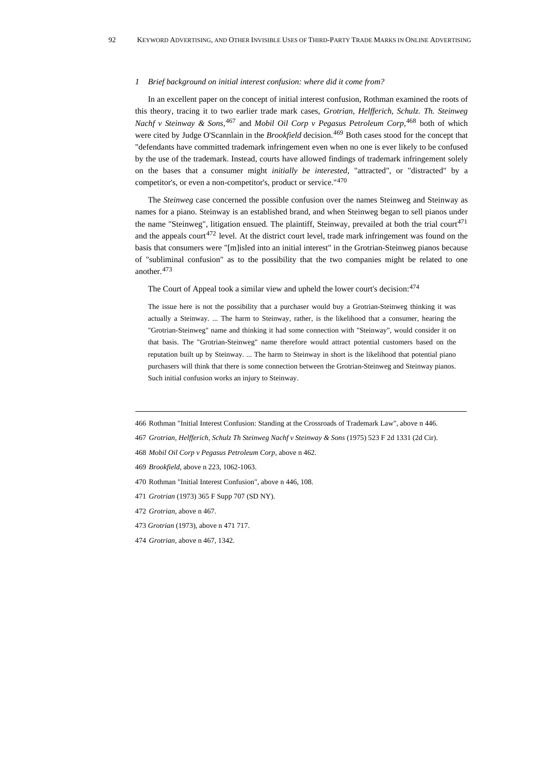#### *1 Brief background on initial interest confusion: where did it come from?*

In an excellent paper on the concept of initial interest confusion, Rothman examined the roots of this theory, tracing it to two earlier trade mark cases, *Grotrian, Helfferich, Schulz. Th. Steinweg Nachf v Steinway & Sons,*[467](#page-91-0) and *Mobil Oil Corp v Pegasus Petroleum Corp*, [468](#page-91-1) both of which were cited by Judge O'Scannlain in the *Brookfield* decision.<sup>[469](#page-91-2)</sup> Both cases stood for the concept that "defendants have committed trademark infringement even when no one is ever likely to be confused by the use of the trademark. Instead, courts have allowed findings of trademark infringement solely on the bases that a consumer might *initially be interested*, "attracted", or "distracted" by a competitor's, or even a non-competitor's, product or service."[470](#page-91-3)

The *Steinweg* case concerned the possible confusion over the names Steinweg and Steinway as names for a piano. Steinway is an established brand, and when Steinweg began to sell pianos under the name "Steinweg", litigation ensued. The plaintiff, Steinway, prevailed at both the trial court<sup>[471](#page-91-4)</sup> and the appeals court<sup>[472](#page-91-5)</sup> level. At the district court level, trade mark infringement was found on the basis that consumers were "[m]isled into an initial interest" in the Grotrian-Steinweg pianos because of "subliminal confusion" as to the possibility that the two companies might be related to one another.[473](#page-91-6)

The Court of Appeal took a similar view and upheld the lower court's decision:<sup>[474](#page-91-7)</sup>

The issue here is not the possibility that a purchaser would buy a Grotrian-Steinweg thinking it was actually a Steinway. ... The harm to Steinway, rather, is the likelihood that a consumer, hearing the "Grotrian-Steinweg" name and thinking it had some connection with "Steinway", would consider it on that basis. The "Grotrian-Steinweg" name therefore would attract potential customers based on the reputation built up by Steinway. ... The harm to Steinway in short is the likelihood that potential piano purchasers will think that there is some connection between the Grotrian-Steinweg and Steinway pianos. Such initial confusion works an injury to Steinway.

- 466 Rothman "Initial Interest Confusion: Standing at the Crossroads of Trademark Law", above n 446.
- <span id="page-91-0"></span>467 *Grotrian, Helfferich, Schulz Th Steinweg Nachf v Steinway & Sons* (1975) 523 F 2d 1331 (2d Cir).
- <span id="page-91-1"></span>468 *Mobil Oil Corp v Pegasus Petroleum Corp*, above n 462.
- <span id="page-91-2"></span>469 *Brookfield*, above n 223, 1062-1063.
- <span id="page-91-3"></span>470 Rothman "Initial Interest Confusion", above n 446, 108.
- <span id="page-91-4"></span>471 *Grotrian* (1973) 365 F Supp 707 (SD NY).
- <span id="page-91-5"></span>472 *Grotrian,* above n 467.
- <span id="page-91-6"></span>473 *Grotrian* (1973), above n 471 717.
- <span id="page-91-7"></span>474 *Grotrian*, above n 467, 1342.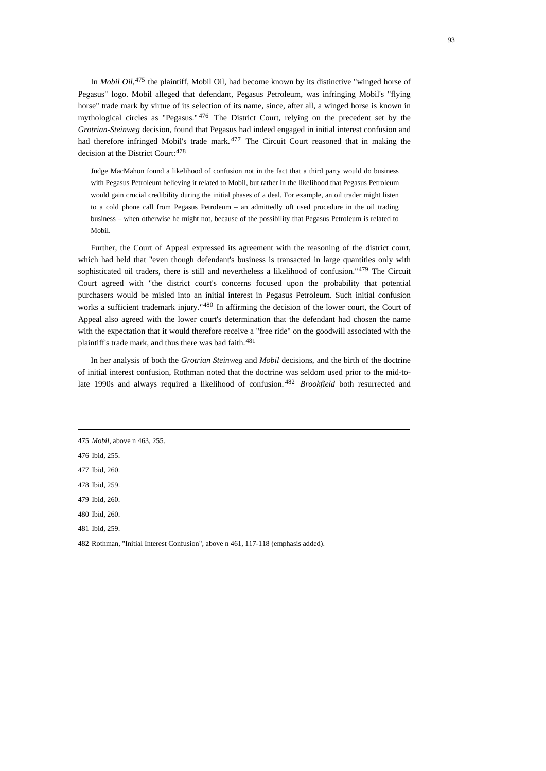In *Mobil Oil*, <sup>[475](#page-92-0)</sup> the plaintiff, Mobil Oil, had become known by its distinctive "winged horse of Pegasus" logo. Mobil alleged that defendant, Pegasus Petroleum, was infringing Mobil's "flying horse" trade mark by virtue of its selection of its name, since, after all, a winged horse is known in mythological circles as "Pegasus."<sup>[476](#page-92-1)</sup> The District Court, relying on the precedent set by the *Grotrian-Steinweg* decision, found that Pegasus had indeed engaged in initial interest confusion and had therefore infringed Mobil's trade mark. <sup>[477](#page-92-2)</sup> The Circuit Court reasoned that in making the decision at the District Court:  $478$ 

Judge MacMahon found a likelihood of confusion not in the fact that a third party would do business with Pegasus Petroleum believing it related to Mobil, but rather in the likelihood that Pegasus Petroleum would gain crucial credibility during the initial phases of a deal. For example, an oil trader might listen to a cold phone call from Pegasus Petroleum – an admittedly oft used procedure in the oil trading business – when otherwise he might not, because of the possibility that Pegasus Petroleum is related to Mobil.

Further, the Court of Appeal expressed its agreement with the reasoning of the district court, which had held that "even though defendant's business is transacted in large quantities only with sophisticated oil traders, there is still and nevertheless a likelihood of confusion."<sup>[479](#page-92-4)</sup> The Circuit Court agreed with "the district court's concerns focused upon the probability that potential purchasers would be misled into an initial interest in Pegasus Petroleum. Such initial confusion works a sufficient trademark injury."<sup>[480](#page-92-5)</sup> In affirming the decision of the lower court, the Court of Appeal also agreed with the lower court's determination that the defendant had chosen the name with the expectation that it would therefore receive a "free ride" on the goodwill associated with the plaintiff's trade mark, and thus there was bad faith.<sup>[481](#page-92-6)</sup>

In her analysis of both the *Grotrian Steinweg* and *Mobil* decisions, and the birth of the doctrine of initial interest confusion, Rothman noted that the doctrine was seldom used prior to the mid-tolate 1990s and always required a likelihood of confusion. [482](#page-92-7) *Brookfield* both resurrected and

<span id="page-92-6"></span>481 Ibid, 259.

<span id="page-92-0"></span><sup>475</sup> *Mobil*, above n 463, 255.

<span id="page-92-1"></span><sup>476</sup> Ibid, 255.

<span id="page-92-2"></span><sup>477</sup> Ibid, 260.

<span id="page-92-3"></span><sup>478</sup> Ibid, 259.

<span id="page-92-4"></span><sup>479</sup> Ibid, 260.

<span id="page-92-5"></span><sup>480</sup> Ibid, 260.

<span id="page-92-7"></span><sup>482</sup> Rothman, "Initial Interest Confusion", above n 461, 117-118 (emphasis added).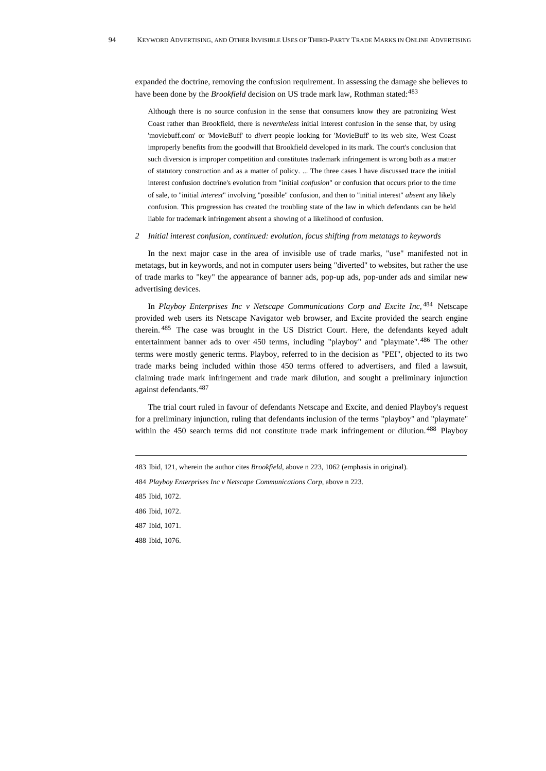expanded the doctrine, removing the confusion requirement. In assessing the damage she believes to have been done by the *Brookfield* decision on US trade mark law, Rothman stated:<sup>[483](#page-93-0)</sup>

Although there is no source confusion in the sense that consumers know they are patronizing West Coast rather than Brookfield, there is *nevertheless* initial interest confusion in the sense that, by using 'moviebuff.com' or 'MovieBuff' to *divert* people looking for 'MovieBuff' to its web site, West Coast improperly benefits from the goodwill that Brookfield developed in its mark. The court's conclusion that such diversion is improper competition and constitutes trademark infringement is wrong both as a matter of statutory construction and as a matter of policy. ... The three cases I have discussed trace the initial interest confusion doctrine's evolution from "initial *confusion*" or confusion that occurs prior to the time of sale, to "initial *interest*" involving "possible" confusion, and then to "initial interest" *absent* any likely confusion. This progression has created the troubling state of the law in which defendants can be held liable for trademark infringement absent a showing of a likelihood of confusion.

## *2 Initial interest confusion, continued: evolution, focus shifting from metatags to keywords*

In the next major case in the area of invisible use of trade marks, "use" manifested not in metatags, but in keywords, and not in computer users being "diverted" to websites, but rather the use of trade marks to "key" the appearance of banner ads, pop-up ads, pop-under ads and similar new advertising devices.

In *Playboy Enterprises Inc v Netscape Communications Corp and Excite Inc,* [484](#page-93-1) Netscape provided web users its Netscape Navigator web browser, and Excite provided the search engine therein. [485](#page-93-2) The case was brought in the US District Court. Here, the defendants keyed adult entertainment banner ads to over 450 terms, including "playboy" and "playmate".<sup>[486](#page-93-3)</sup> The other terms were mostly generic terms. Playboy, referred to in the decision as "PEI", objected to its two trade marks being included within those 450 terms offered to advertisers, and filed a lawsuit, claiming trade mark infringement and trade mark dilution, and sought a preliminary injunction against defendants.[487](#page-93-4)

The trial court ruled in favour of defendants Netscape and Excite, and denied Playboy's request for a preliminary injunction, ruling that defendants inclusion of the terms "playboy" and "playmate" within the 450 search terms did not constitute trade mark infringement or dilution.<sup>[488](#page-93-5)</sup> Playboy

<span id="page-93-5"></span>488 Ibid, 1076.

<span id="page-93-0"></span><sup>483</sup> Ibid, 121, wherein the author cites *Brookfield*, above n 223, 1062 (emphasis in original).

<span id="page-93-1"></span><sup>484</sup> *Playboy Enterprises Inc v Netscape Communications Corp*, above n 223.

<span id="page-93-2"></span><sup>485</sup> Ibid, 1072.

<span id="page-93-3"></span><sup>486</sup> Ibid, 1072.

<span id="page-93-4"></span><sup>487</sup> Ibid, 1071.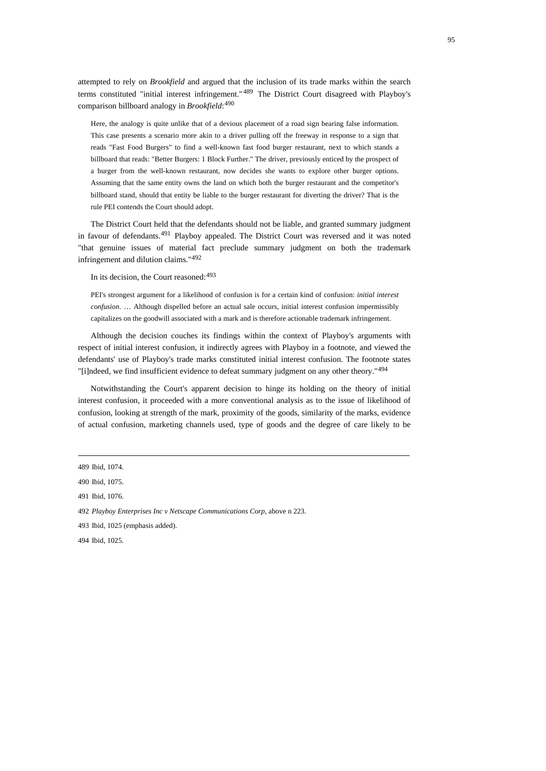attempted to rely on *Brookfield* and argued that the inclusion of its trade marks within the search terms constituted "initial interest infringement." [489](#page-94-0) The District Court disagreed with Playboy's comparison billboard analogy in *Brookfield*: [490](#page-94-1)

Here, the analogy is quite unlike that of a devious placement of a road sign bearing false information. This case presents a scenario more akin to a driver pulling off the freeway in response to a sign that reads "Fast Food Burgers" to find a well-known fast food burger restaurant, next to which stands a billboard that reads: "Better Burgers: 1 Block Further." The driver, previously enticed by the prospect of a burger from the well-known restaurant, now decides she wants to explore other burger options. Assuming that the same entity owns the land on which both the burger restaurant and the competitor's billboard stand, should that entity be liable to the burger restaurant for diverting the driver? That is the rule PEI contends the Court should adopt.

The District Court held that the defendants should not be liable, and granted summary judgment in favour of defendants.<sup>[491](#page-94-2)</sup> Playboy appealed. The District Court was reversed and it was noted "that genuine issues of material fact preclude summary judgment on both the trademark infringement and dilution claims."[492](#page-94-3)

In its decision, the Court reasoned:  $493$ 

PEI's strongest argument for a likelihood of confusion is for a certain kind of confusion: *initial interest confusion*. … Although dispelled before an actual sale occurs, initial interest confusion impermissibly capitalizes on the goodwill associated with a mark and is therefore actionable trademark infringement.

Although the decision couches its findings within the context of Playboy's arguments with respect of initial interest confusion, it indirectly agrees with Playboy in a footnote, and viewed the defendants' use of Playboy's trade marks constituted initial interest confusion. The footnote states "[i]ndeed, we find insufficient evidence to defeat summary judgment on any other theory."<sup>[494](#page-94-5)</sup>

Notwithstanding the Court's apparent decision to hinge its holding on the theory of initial interest confusion, it proceeded with a more conventional analysis as to the issue of likelihood of confusion, looking at strength of the mark, proximity of the goods, similarity of the marks, evidence of actual confusion, marketing channels used, type of goods and the degree of care likely to be

<span id="page-94-2"></span>491 Ibid, 1076.

<span id="page-94-0"></span><sup>489</sup> Ibid, 1074.

<span id="page-94-1"></span><sup>490</sup> Ibid, 1075.

<span id="page-94-3"></span><sup>492</sup> *Playboy Enterprises Inc v Netscape Communications Corp*, above n 223.

<span id="page-94-4"></span><sup>493</sup> Ibid, 1025 (emphasis added).

<span id="page-94-5"></span><sup>494</sup> Ibid, 1025.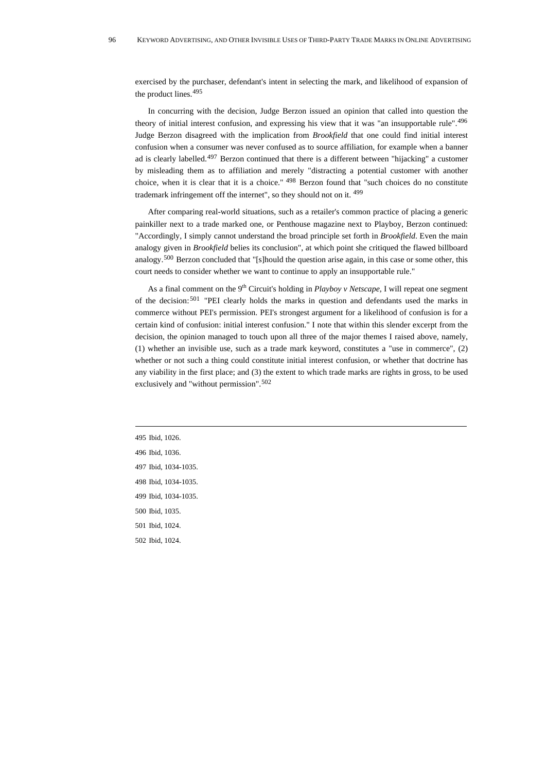exercised by the purchaser, defendant's intent in selecting the mark, and likelihood of expansion of the product lines.[495](#page-95-0)

In concurring with the decision, Judge Berzon issued an opinion that called into question the theory of initial interest confusion, and expressing his view that it was "an insupportable rule".[496](#page-95-1) Judge Berzon disagreed with the implication from *Brookfield* that one could find initial interest confusion when a consumer was never confused as to source affiliation, for example when a banner ad is clearly labelled.[497](#page-95-2) Berzon continued that there is a different between "hijacking" a customer by misleading them as to affiliation and merely "distracting a potential customer with another choice, when it is clear that it is a choice." [498](#page-95-3) Berzon found that "such choices do no constitute trademark infringement off the internet", so they should not on it. [499](#page-95-4)

After comparing real-world situations, such as a retailer's common practice of placing a generic painkiller next to a trade marked one, or Penthouse magazine next to Playboy, Berzon continued: "Accordingly, I simply cannot understand the broad principle set forth in *Brookfield*. Even the main analogy given in *Brookfield* belies its conclusion", at which point she critiqued the flawed billboard analogy.[500](#page-95-5) Berzon concluded that "[s]hould the question arise again, in this case or some other, this court needs to consider whether we want to continue to apply an insupportable rule."

As a final comment on the 9<sup>th</sup> Circuit's holding in *Playboy v Netscape*, I will repeat one segment of the decision:<sup>[501](#page-95-6)</sup> "PEI clearly holds the marks in question and defendants used the marks in commerce without PEI's permission. PEI's strongest argument for a likelihood of confusion is for a certain kind of confusion: initial interest confusion." I note that within this slender excerpt from the decision, the opinion managed to touch upon all three of the major themes I raised above, namely, (1) whether an invisible use, such as a trade mark keyword, constitutes a "use in commerce", (2) whether or not such a thing could constitute initial interest confusion, or whether that doctrine has any viability in the first place; and (3) the extent to which trade marks are rights in gross, to be used exclusively and "without permission".[502](#page-95-7)

- <span id="page-95-0"></span>495 Ibid, 1026.
- <span id="page-95-1"></span>496 Ibid, 1036.
- <span id="page-95-2"></span>497 Ibid, 1034-1035.
- <span id="page-95-3"></span>498 Ibid, 1034-1035.
- <span id="page-95-4"></span>499 Ibid, 1034-1035.
- <span id="page-95-5"></span>500 Ibid*,* 1035.
- <span id="page-95-6"></span>501 Ibid, 1024.
- <span id="page-95-7"></span>502 Ibid, 1024.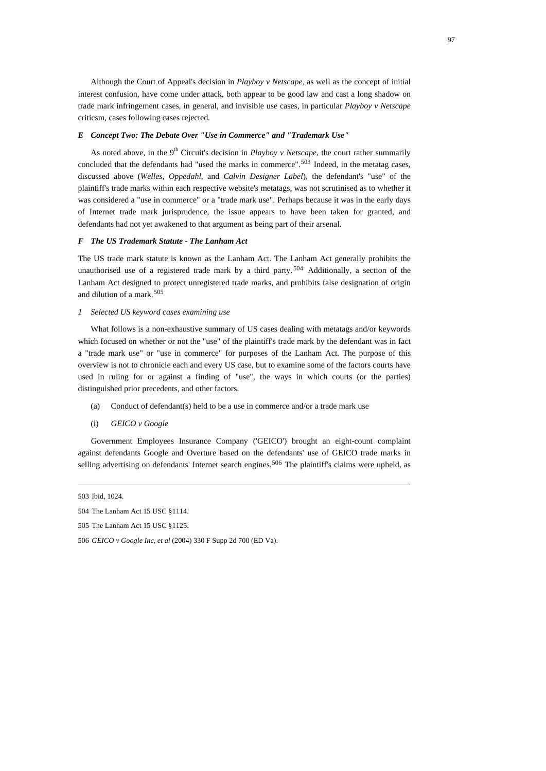Although the Court of Appeal's decision in *Playboy v Netscape,* as well as the concept of initial interest confusion, have come under attack, both appear to be good law and cast a long shadow on trade mark infringement cases, in general, and invisible use cases, in particular *Playboy v Netscape*  criticsm, cases following cases rejected.

# *E Concept Two: The Debate Over "Use in Commerce" and "Trademark Use"*

As noted above, in the 9<sup>th</sup> Circuit's decision in *Playboy v Netscape*, the court rather summarily concluded that the defendants had "used the marks in commerce".<sup>[503](#page-96-0)</sup> Indeed, in the metatag cases, discussed above (*Welles*, *Oppedahl*, and *Calvin Designer Label*), the defendant's "use" of the plaintiff's trade marks within each respective website's metatags, was not scrutinised as to whether it was considered a "use in commerce" or a "trade mark use". Perhaps because it was in the early days of Internet trade mark jurisprudence, the issue appears to have been taken for granted, and defendants had not yet awakened to that argument as being part of their arsenal.

# *F The US Trademark Statute - The Lanham Act*

The US trade mark statute is known as the Lanham Act. The Lanham Act generally prohibits the unauthorised use of a registered trade mark by a third party. [504](#page-96-1) Additionally, a section of the Lanham Act designed to protect unregistered trade marks, and prohibits false designation of origin and dilution of a mark.[505](#page-96-2)

### *1 Selected US keyword cases examining use*

What follows is a non-exhaustive summary of US cases dealing with metatags and/or keywords which focused on whether or not the "use" of the plaintiff's trade mark by the defendant was in fact a "trade mark use" or "use in commerce" for purposes of the Lanham Act. The purpose of this overview is not to chronicle each and every US case, but to examine some of the factors courts have used in ruling for or against a finding of "use", the ways in which courts (or the parties) distinguished prior precedents, and other factors.

- (a) Conduct of defendant(s) held to be a use in commerce and/or a trade mark use
- (i) *GEICO v Google*

Government Employees Insurance Company ('GEICO') brought an eight-count complaint against defendants Google and Overture based on the defendants' use of GEICO trade marks in selling advertising on defendants' Internet search engines.<sup>[506](#page-96-3)</sup> The plaintiff's claims were upheld, as

<span id="page-96-0"></span><sup>503</sup> Ibid, 1024.

<span id="page-96-1"></span><sup>504</sup> The Lanham Act 15 USC §1114.

<span id="page-96-2"></span><sup>505</sup> The Lanham Act 15 USC §1125.

<span id="page-96-3"></span><sup>506</sup> *GEICO v Google Inc, et al* (2004) 330 F Supp 2d 700 (ED Va).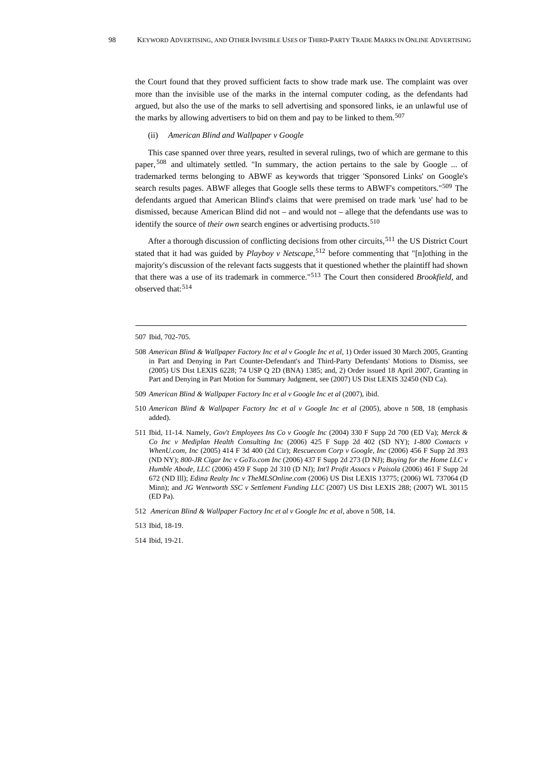the Court found that they proved sufficient facts to show trade mark use. The complaint was over more than the invisible use of the marks in the internal computer coding, as the defendants had argued, but also the use of the marks to sell advertising and sponsored links, ie an unlawful use of the marks by allowing advertisers to bid on them and pay to be linked to them.<sup>[507](#page-97-0)</sup>

#### (ii) *American Blind and Wallpaper v Google*

This case spanned over three years, resulted in several rulings, two of which are germane to this paper, [508](#page-97-1) and ultimately settled. "In summary, the action pertains to the sale by Google ... of trademarked terms belonging to ABWF as keywords that trigger 'Sponsored Links' on Google's search results pages. ABWF alleges that Google sells these terms to ABWF's competitors."[509](#page-97-2) The defendants argued that American Blind's claims that were premised on trade mark 'use' had to be dismissed, because American Blind did not – and would not – allege that the defendants use was to identify the source of *their own* search engines or advertising products.<sup>[510](#page-97-3)</sup>

After a thorough discussion of conflicting decisions from other circuits,<sup>[511](#page-97-4)</sup> the US District Court stated that it had was guided by *Playboy v Netscape*, [512](#page-97-5) before commenting that "[n]othing in the majority's discussion of the relevant facts suggests that it questioned whether the plaintiff had shown that there was a use of its trademark in commerce."[513](#page-97-6) The Court then considered *Brookfield*, and observed that:[514](#page-97-7)

- <span id="page-97-3"></span>510 *American Blind & Wallpaper Factory Inc et al v Google Inc et al* (2005), above n 508, 18 (emphasis added).
- <span id="page-97-4"></span>511 Ibid, 11-14. Namely, *Gov't Employees Ins Co v Google Inc* (2004) 330 F Supp 2d 700 (ED Va); *Merck & Co Inc v Mediplan Health Consulting Inc* (2006) 425 F Supp 2d 402 (SD NY); *1-800 Contacts v WhenU.com, Inc* (2005) 414 F 3d 400 (2d Cir); *Rescuecom Corp v Google, Inc* (2006) 456 F Supp 2d 393 (ND NY); *800-JR Cigar Inc v GoTo.com Inc* (2006) 437 F Supp 2d 273 (D NJ); *Buying for the Home LLC v Humble Abode, LLC* (2006) 459 F Supp 2d 310 (D NJ); *Int'l Profit Assocs v Paisola* (2006) 461 F Supp 2d 672 (ND Ill); *Edina Realty Inc v TheMLSOnline.com* (2006) US Dist LEXIS 13775; (2006) WL 737064 (D Minn); and *JG Wentworth SSC v Settlement Funding LLC* (2007) US Dist LEXIS 288; (2007) WL 30115 (ED Pa).
- <span id="page-97-5"></span>512 *American Blind & Wallpaper Factory Inc et al v Google Inc et al*, above n 508, 14.

<span id="page-97-7"></span>514 Ibid, 19-21.

<span id="page-97-0"></span><sup>507</sup> Ibid, 702-705.

<span id="page-97-1"></span><sup>508</sup> *American Blind & Wallpaper Factory Inc et al v Google Inc et al,* 1) Order issued 30 March 2005, Granting in Part and Denying in Part Counter-Defendant's and Third-Party Defendants' Motions to Dismiss, see (2005) US Dist LEXIS 6228; 74 USP Q 2D (BNA) 1385; and, 2) Order issued 18 April 2007, Granting in Part and Denying in Part Motion for Summary Judgment, see (2007) US Dist LEXIS 32450 (ND Ca).

<span id="page-97-2"></span><sup>509</sup> *American Blind & Wallpaper Factory Inc et al v Google Inc et al* (2007), ibid.

<span id="page-97-6"></span><sup>513</sup> Ibid, 18-19.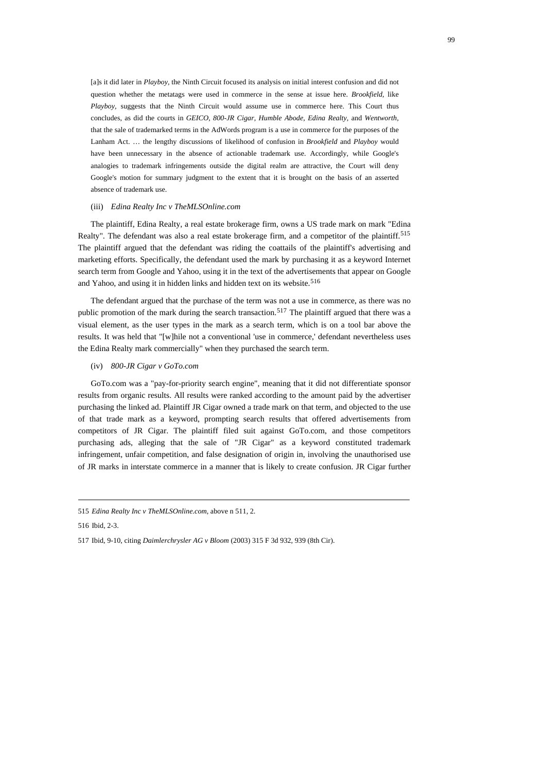[a]s it did later in *Playboy,* the Ninth Circuit focused its analysis on initial interest confusion and did not question whether the metatags were used in commerce in the sense at issue here. *Brookfield,* like *Playboy,* suggests that the Ninth Circuit would assume use in commerce here. This Court thus concludes, as did the courts in *GEICO, 800-JR Cigar, Humble Abode, Edina Realty,* and *Wentworth,* that the sale of trademarked terms in the AdWords program is a use in commerce for the purposes of the Lanham Act. … the lengthy discussions of likelihood of confusion in *Brookfield* and *Playboy* would have been unnecessary in the absence of actionable trademark use. Accordingly, while Google's analogies to trademark infringements outside the digital realm are attractive, the Court will deny Google's motion for summary judgment to the extent that it is brought on the basis of an asserted absence of trademark use.

### (iii) *Edina Realty Inc v TheMLSOnline.com*

The plaintiff, Edina Realty, a real estate brokerage firm, owns a US trade mark on mark "Edina Realty". The defendant was also a real estate brokerage firm, and a competitor of the plaintiff.<sup>[515](#page-98-0)</sup> The plaintiff argued that the defendant was riding the coattails of the plaintiff's advertising and marketing efforts. Specifically, the defendant used the mark by purchasing it as a keyword Internet search term from Google and Yahoo, using it in the text of the advertisements that appear on Google and Yahoo, and using it in hidden links and hidden text on its website.<sup>[516](#page-98-1)</sup>

The defendant argued that the purchase of the term was not a use in commerce, as there was no public promotion of the mark during the search transaction.<sup>[517](#page-98-2)</sup> The plaintiff argued that there was a visual element, as the user types in the mark as a search term, which is on a tool bar above the results. It was held that "[w]hile not a conventional 'use in commerce,' defendant nevertheless uses the Edina Realty mark commercially" when they purchased the search term.

# (iv) *800-JR Cigar v GoTo.com*

GoTo.com was a "pay-for-priority search engine", meaning that it did not differentiate sponsor results from organic results. All results were ranked according to the amount paid by the advertiser purchasing the linked ad. Plaintiff JR Cigar owned a trade mark on that term, and objected to the use of that trade mark as a keyword, prompting search results that offered advertisements from competitors of JR Cigar. The plaintiff filed suit against GoTo.com, and those competitors purchasing ads, alleging that the sale of "JR Cigar" as a keyword constituted trademark infringement, unfair competition, and false designation of origin in, involving the unauthorised use of JR marks in interstate commerce in a manner that is likely to create confusion. JR Cigar further

<span id="page-98-1"></span>516 Ibid, 2-3.

<span id="page-98-0"></span><sup>515</sup> *Edina Realty Inc v TheMLSOnline.com*, above n 511, 2.

<span id="page-98-2"></span><sup>517</sup> Ibid, 9-10, citing *Daimlerchrysler AG v Bloom* (2003) 315 F 3d 932, 939 (8th Cir).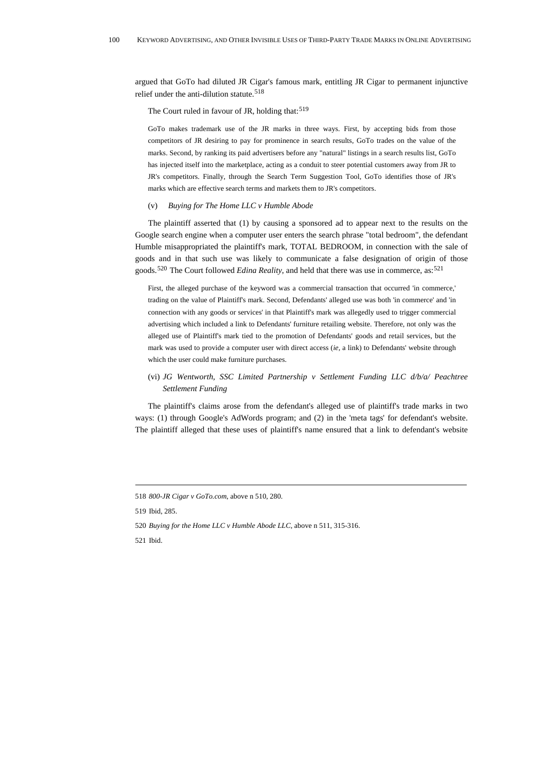argued that GoTo had diluted JR Cigar's famous mark, entitling JR Cigar to permanent injunctive relief under the anti-dilution statute.<sup>[518](#page-99-0)</sup>

The Court ruled in favour of JR, holding that:<sup>[519](#page-99-1)</sup>

GoTo makes trademark use of the JR marks in three ways. First, by accepting bids from those competitors of JR desiring to pay for prominence in search results, GoTo trades on the value of the marks. Second, by ranking its paid advertisers before any "natural" listings in a search results list, GoTo has injected itself into the marketplace, acting as a conduit to steer potential customers away from JR to JR's competitors. Finally, through the Search Term Suggestion Tool, GoTo identifies those of JR's marks which are effective search terms and markets them to JR's competitors.

## (v) *Buying for The Home LLC v Humble Abode*

The plaintiff asserted that (1) by causing a sponsored ad to appear next to the results on the Google search engine when a computer user enters the search phrase "total bedroom", the defendant Humble misappropriated the plaintiff's mark, TOTAL BEDROOM, in connection with the sale of goods and in that such use was likely to communicate a false designation of origin of those goods.[520](#page-99-2) The Court followed *Edina Reality*, and held that there was use in commerce, as:[521](#page-99-3)

First, the alleged purchase of the keyword was a commercial transaction that occurred 'in commerce,' trading on the value of Plaintiff's mark. Second, Defendants' alleged use was both 'in commerce' and 'in connection with any goods or services' in that Plaintiff's mark was allegedly used to trigger commercial advertising which included a link to Defendants' furniture retailing website. Therefore, not only was the alleged use of Plaintiff's mark tied to the promotion of Defendants' goods and retail services, but the mark was used to provide a computer user with direct access (*ie,* a link) to Defendants' website through which the user could make furniture purchases.

# (vi) *JG Wentworth, SSC Limited Partnership v Settlement Funding LLC d/b/a/ Peachtree Settlement Funding*

The plaintiff's claims arose from the defendant's alleged use of plaintiff's trade marks in two ways: (1) through Google's AdWords program; and (2) in the 'meta tags' for defendant's website. The plaintiff alleged that these uses of plaintiff's name ensured that a link to defendant's website

<span id="page-99-0"></span><sup>518</sup> *800-JR Cigar v GoTo.com*, above n 510, 280.

<span id="page-99-1"></span><sup>519</sup> Ibid, 285.

<span id="page-99-2"></span><sup>520</sup> *Buying for the Home LLC v Humble Abode LLC*, above n 511, 315-316.

<span id="page-99-3"></span><sup>521</sup> Ibid.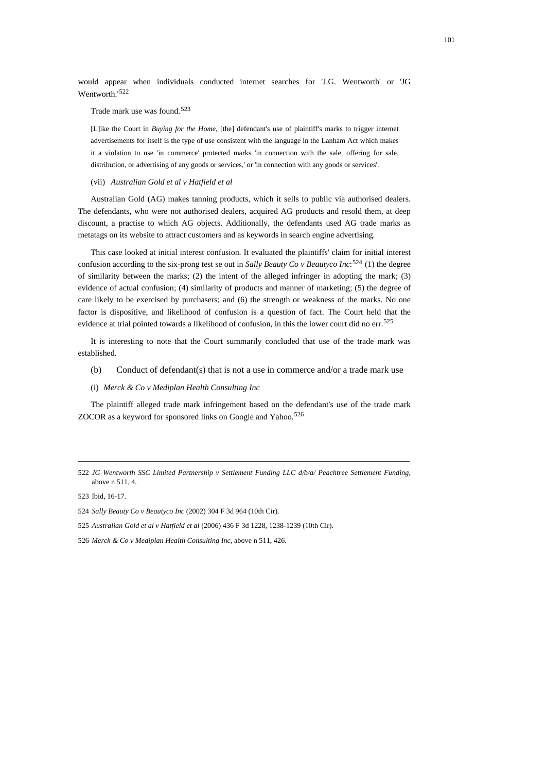would appear when individuals conducted internet searches for 'J.G. Wentworth' or 'JG Wentworth.'[522](#page-100-0)

### Trade mark use was found.[523](#page-100-1)

[L]ike the Court in *Buying for the Home*, [the] defendant's use of plaintiff's marks to trigger internet advertisements for itself is the type of use consistent with the language in the Lanham Act which makes it a violation to use 'in commerce' protected marks 'in connection with the sale, offering for sale, distribution, or advertising of any goods or services,' or 'in connection with any goods or services'.

## (vii) *Australian Gold et al v Hatfield et al*

Australian Gold (AG) makes tanning products, which it sells to public via authorised dealers. The defendants, who were not authorised dealers, acquired AG products and resold them, at deep discount, a practise to which AG objects. Additionally, the defendants used AG trade marks as metatags on its website to attract customers and as keywords in search engine advertising.

This case looked at initial interest confusion. It evaluated the plaintiffs' claim for initial interest confusion according to the six-prong test se out in *Sally Beauty Co v Beautyco Inc*: [524](#page-100-2) (1) the degree of similarity between the marks; (2) the intent of the alleged infringer in adopting the mark; (3) evidence of actual confusion; (4) similarity of products and manner of marketing; (5) the degree of care likely to be exercised by purchasers; and (6) the strength or weakness of the marks. No one factor is dispositive, and likelihood of confusion is a question of fact. The Court held that the evidence at trial pointed towards a likelihood of confusion, in this the lower court did no err.<sup>[525](#page-100-3)</sup>

It is interesting to note that the Court summarily concluded that use of the trade mark was established.

- (b) Conduct of defendant(s) that is not a use in commerce and/or a trade mark use
- (i) *Merck & Co v Mediplan Health Consulting Inc*

The plaintiff alleged trade mark infringement based on the defendant's use of the trade mark ZOCOR as a keyword for sponsored links on Google and Yahoo.<sup>[526](#page-100-4)</sup>

<span id="page-100-1"></span>523 Ibid, 16-17.

<span id="page-100-0"></span><sup>522</sup> *JG Wentworth SSC Limited Partnership v Settlement Funding LLC d/b/a/ Peachtree Settlement Funding*, above n 511, 4.

<span id="page-100-2"></span><sup>524</sup> *Sally Beauty Co v Beautyco Inc* (2002) 304 F 3d 964 (10th Cir).

<span id="page-100-3"></span><sup>525</sup> *Australian Gold et al v Hatfield et al* (2006) 436 F 3d 1228, 1238-1239 (10th Cir).

<span id="page-100-4"></span><sup>526</sup> *Merck & Co v Mediplan Health Consulting Inc*, above n 511, 426.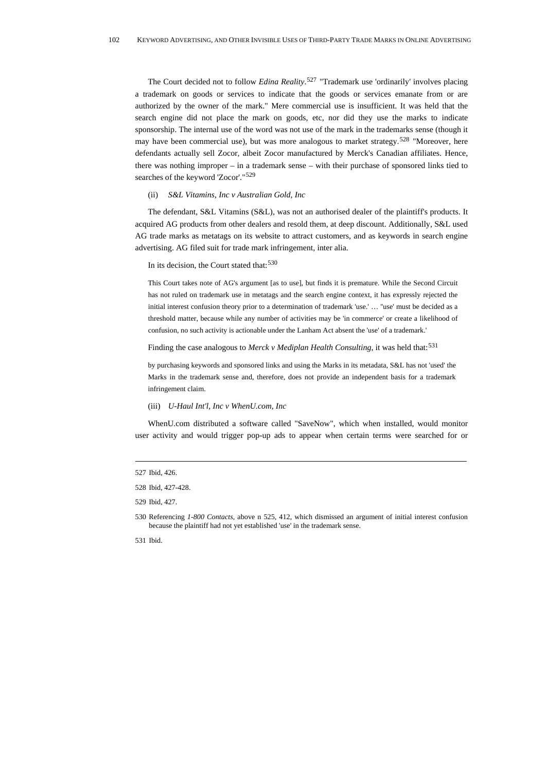The Court decided not to follow *Edina Reality*. [527](#page-101-0) "Trademark use 'ordinarily' involves placing a trademark on goods or services to indicate that the goods or services emanate from or are authorized by the owner of the mark." Mere commercial use is insufficient. It was held that the search engine did not place the mark on goods, etc, nor did they use the marks to indicate sponsorship. The internal use of the word was not use of the mark in the trademarks sense (though it may have been commercial use), but was more analogous to market strategy.<sup>[528](#page-101-1)</sup> "Moreover, here defendants actually sell Zocor, albeit Zocor manufactured by Merck's Canadian affiliates. Hence, there was nothing improper – in a trademark sense – with their purchase of sponsored links tied to searches of the keyword 'Zocor'."[529](#page-101-2)

## (ii) *S&L Vitamins, Inc v Australian Gold, Inc*

The defendant, S&L Vitamins (S&L), was not an authorised dealer of the plaintiff's products. It acquired AG products from other dealers and resold them, at deep discount. Additionally, S&L used AG trade marks as metatags on its website to attract customers, and as keywords in search engine advertising. AG filed suit for trade mark infringement, inter alia.

# In its decision, the Court stated that:<sup>[530](#page-101-3)</sup>

This Court takes note of AG's argument [as to use], but finds it is premature. While the Second Circuit has not ruled on trademark use in metatags and the search engine context, it has expressly rejected the initial interest confusion theory prior to a determination of trademark 'use.' … ''use' must be decided as a threshold matter, because while any number of activities may be 'in commerce' or create a likelihood of confusion, no such activity is actionable under the Lanham Act absent the 'use' of a trademark.'

# Finding the case analogous to Merck v Mediplan Health Consulting, it was held that:<sup>[531](#page-101-4)</sup>

by purchasing keywords and sponsored links and using the Marks in its metadata, S&L has not 'used' the Marks in the trademark sense and, therefore, does not provide an independent basis for a trademark infringement claim.

# (iii) *U-Haul Int'l, Inc v WhenU.com, Inc*

WhenU.com distributed a software called "SaveNow", which when installed, would monitor user activity and would trigger pop-up ads to appear when certain terms were searched for or

<span id="page-101-0"></span><sup>527</sup> Ibid, 426.

<span id="page-101-1"></span><sup>528</sup> Ibid, 427-428.

<span id="page-101-2"></span><sup>529</sup> Ibid, 427.

<span id="page-101-3"></span><sup>530</sup> Referencing *1-800 Contacts*, above n 525, 412, which dismissed an argument of initial interest confusion because the plaintiff had not yet established 'use' in the trademark sense.

<span id="page-101-4"></span><sup>531</sup> Ibid.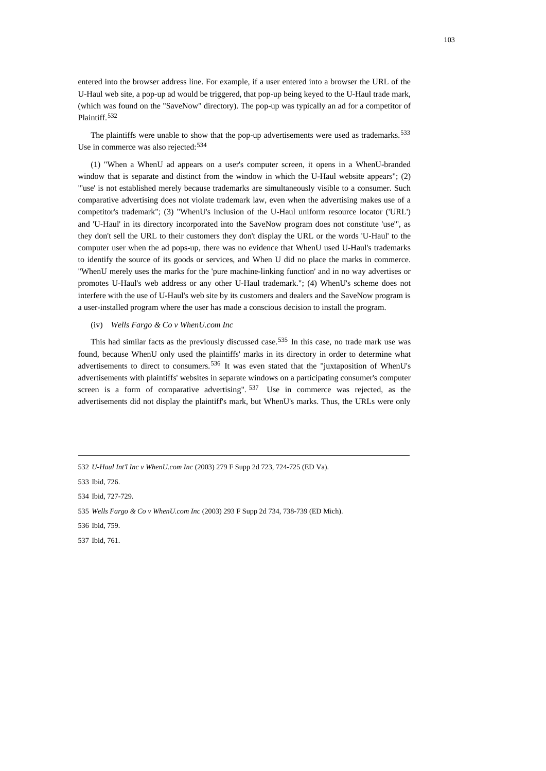entered into the browser address line. For example, if a user entered into a browser the URL of the U-Haul web site, a pop-up ad would be triggered, that pop-up being keyed to the U-Haul trade mark, (which was found on the "SaveNow" directory). The pop-up was typically an ad for a competitor of Plaintiff.[532](#page-102-0)

The plaintiffs were unable to show that the pop-up advertisements were used as trademarks.<sup>[533](#page-102-1)</sup> Use in commerce was also rejected: [534](#page-102-2)

(1) "When a WhenU ad appears on a user's computer screen, it opens in a WhenU-branded window that is separate and distinct from the window in which the U-Haul website appears"; (2) "'use' is not established merely because trademarks are simultaneously visible to a consumer. Such comparative advertising does not violate trademark law, even when the advertising makes use of a competitor's trademark"; (3) "WhenU's inclusion of the U-Haul uniform resource locator ('URL') and 'U-Haul' in its directory incorporated into the SaveNow program does not constitute 'use'", as they don't sell the URL to their customers they don't display the URL or the words 'U-Haul' to the computer user when the ad pops-up, there was no evidence that WhenU used U-Haul's trademarks to identify the source of its goods or services, and When U did no place the marks in commerce. "WhenU merely uses the marks for the 'pure machine-linking function' and in no way advertises or promotes U-Haul's web address or any other U-Haul trademark."; (4) WhenU's scheme does not interfere with the use of U-Haul's web site by its customers and dealers and the SaveNow program is a user-installed program where the user has made a conscious decision to install the program.

# (iv) *Wells Fargo & Co v WhenU.com Inc*

This had similar facts as the previously discussed case,  $535$  In this case, no trade mark use was found, because WhenU only used the plaintiffs' marks in its directory in order to determine what advertisements to direct to consumers.<sup>[536](#page-102-4)</sup> It was even stated that the "juxtaposition of WhenU's advertisements with plaintiffs' websites in separate windows on a participating consumer's computer screen is a form of comparative advertising".  $537$  Use in commerce was rejected, as the advertisements did not display the plaintiff's mark, but WhenU's marks. Thus, the URLs were only

- <span id="page-102-4"></span>536 Ibid, 759.
- <span id="page-102-5"></span>537 Ibid, 761.

<span id="page-102-0"></span><sup>532</sup> *U-Haul Int'l Inc v WhenU.com Inc* (2003) 279 F Supp 2d 723, 724-725 (ED Va).

<span id="page-102-1"></span><sup>533</sup> Ibid, 726.

<span id="page-102-2"></span><sup>534</sup> Ibid, 727-729.

<span id="page-102-3"></span><sup>535</sup> *Wells Fargo & Co v WhenU.com Inc* (2003) 293 F Supp 2d 734, 738-739 (ED Mich).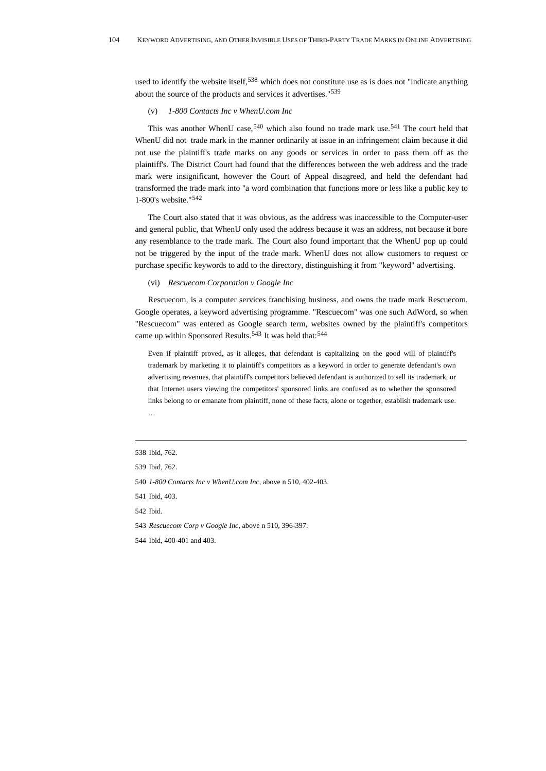used to identify the website itself,<sup>[538](#page-103-0)</sup> which does not constitute use as is does not "indicate anything about the source of the products and services it advertises."[539](#page-103-1)

(v) *1-800 Contacts Inc v WhenU.com Inc* 

This was another WhenU case,  $540$  which also found no trade mark use,  $541$  The court held that WhenU did not trade mark in the manner ordinarily at issue in an infringement claim because it did not use the plaintiff's trade marks on any goods or services in order to pass them off as the plaintiff's. The District Court had found that the differences between the web address and the trade mark were insignificant, however the Court of Appeal disagreed, and held the defendant had transformed the trade mark into "a word combination that functions more or less like a public key to 1-800's website."[542](#page-103-4)

The Court also stated that it was obvious, as the address was inaccessible to the Computer-user and general public, that WhenU only used the address because it was an address, not because it bore any resemblance to the trade mark. The Court also found important that the WhenU pop up could not be triggered by the input of the trade mark. WhenU does not allow customers to request or purchase specific keywords to add to the directory, distinguishing it from "keyword" advertising.

#### (vi) *Rescuecom Corporation v Google Inc*

Rescuecom, is a computer services franchising business, and owns the trade mark Rescuecom. Google operates, a keyword advertising programme. "Rescuecom" was one such AdWord, so when "Rescuecom" was entered as Google search term, websites owned by the plaintiff's competitors came up within Sponsored Results.<sup>[543](#page-103-5)</sup> It was held that:<sup>[544](#page-103-6)</sup>

Even if plaintiff proved, as it alleges, that defendant is capitalizing on the good will of plaintiff's trademark by marketing it to plaintiff's competitors as a keyword in order to generate defendant's own advertising revenues, that plaintiff's competitors believed defendant is authorized to sell its trademark, or that Internet users viewing the competitors' sponsored links are confused as to whether the sponsored links belong to or emanate from plaintiff, none of these facts, alone or together, establish trademark use. …

- <span id="page-103-2"></span>540 *1-800 Contacts Inc v WhenU.com Inc*, above n 510, 402-403.
- <span id="page-103-3"></span>541 Ibid, 403.

<span id="page-103-4"></span>542 Ibid.

<span id="page-103-5"></span>543 *Rescuecom Corp v Google Inc*, above n 510, 396-397.

<span id="page-103-6"></span>544 Ibid, 400-401 and 403.

<span id="page-103-0"></span><sup>538</sup> Ibid, 762.

<span id="page-103-1"></span><sup>539</sup> Ibid, 762.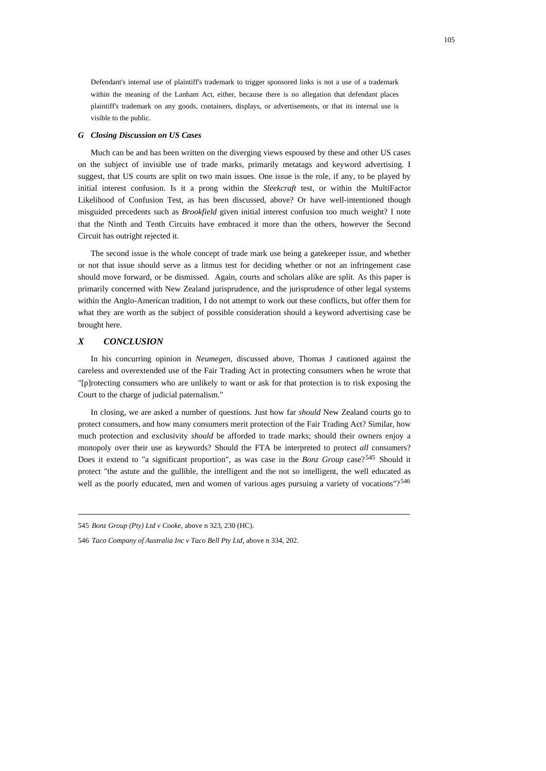Defendant's internal use of plaintiff's trademark to trigger sponsored links is not a use of a trademark within the meaning of the Lanham Act, either, because there is no allegation that defendant places plaintiff's trademark on any goods, containers, displays, or advertisements, or that its internal use is visible to the public.

#### *G Closing Discussion on US Cases*

Much can be and has been written on the diverging views espoused by these and other US cases on the subject of invisible use of trade marks, primarily metatags and keyword advertising. I suggest, that US courts are split on two main issues. One issue is the role, if any, to be played by initial interest confusion. Is it a prong within the *Sleekcraft* test, or within the MultiFactor Likelihood of Confusion Test, as has been discussed, above? Or have well-intentioned though misguided precedents such as *Brookfield* given initial interest confusion too much weight? I note that the Ninth and Tenth Circuits have embraced it more than the others, however the Second Circuit has outright rejected it.

The second issue is the whole concept of trade mark use being a gatekeeper issue, and whether or not that issue should serve as a litmus test for deciding whether or not an infringement case should move forward, or be dismissed. Again, courts and scholars alike are split. As this paper is primarily concerned with New Zealand jurisprudence, and the jurisprudence of other legal systems within the Anglo-American tradition, I do not attempt to work out these conflicts, but offer them for what they are worth as the subject of possible consideration should a keyword advertising case be brought here.

### *X CONCLUSION*

In his concurring opinion in *Neumegen*, discussed above, Thomas J cautioned against the careless and overextended use of the Fair Trading Act in protecting consumers when he wrote that "[p]rotecting consumers who are unlikely to want or ask for that protection is to risk exposing the Court to the charge of judicial paternalism."

In closing, we are asked a number of questions. Just how far *should* New Zealand courts go to protect consumers, and how many consumers merit protection of the Fair Trading Act? Similar, how much protection and exclusivity *should* be afforded to trade marks; should their owners enjoy a monopoly over their use as keywords? Should the FTA be interpreted to protect *all* consumers? Does it extend to "a significant proportion", as was case in the *Bonz Group* case?<sup>[545](#page-104-0)</sup> Should it protect "the astute and the gullible, the intelligent and the not so intelligent, the well educated as well as the poorly educated, men and women of various ages pursuing a variety of vocations"?<sup>[546](#page-104-1)</sup>

<span id="page-104-0"></span><sup>545</sup> *Bonz Group (Pty) Ltd v Cooke*, above n 323, 230 (HC).

<span id="page-104-1"></span><sup>546</sup> *Taco Company of Australia Inc v Taco Bell Pty Ltd*, above n 334, 202.